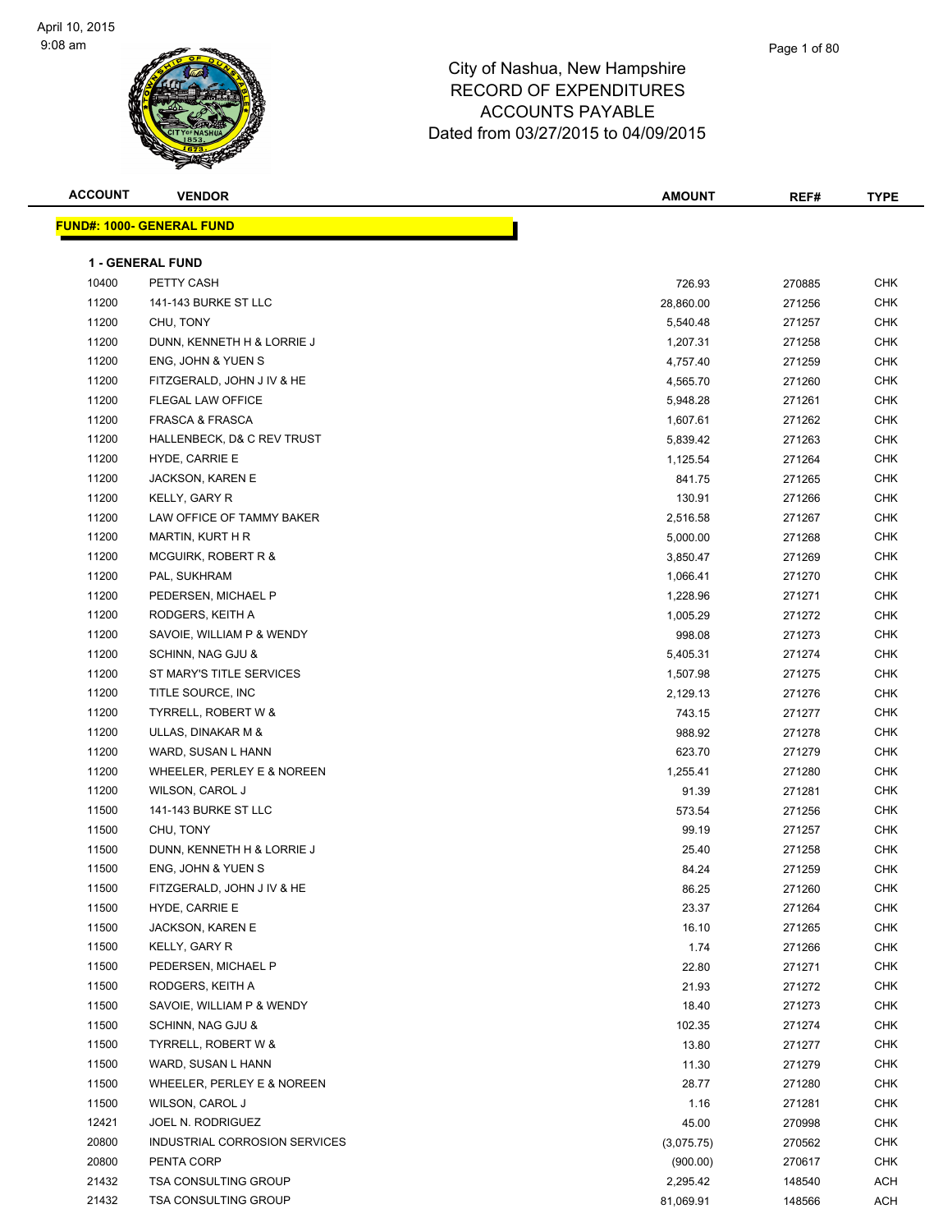

| <b>ACCOUNT</b> | <b>VENDOR</b>                     | <b>AMOUNT</b> | REF#   | <b>TYPE</b> |
|----------------|-----------------------------------|---------------|--------|-------------|
|                | <u> FUND#: 1000- GENERAL FUND</u> |               |        |             |
|                |                                   |               |        |             |
|                | <b>1 - GENERAL FUND</b>           |               |        |             |
| 10400          | PETTY CASH                        | 726.93        | 270885 | <b>CHK</b>  |
| 11200          | 141-143 BURKE ST LLC              | 28,860.00     | 271256 | <b>CHK</b>  |
| 11200          | CHU, TONY                         | 5,540.48      | 271257 | <b>CHK</b>  |
| 11200          | DUNN, KENNETH H & LORRIE J        | 1,207.31      | 271258 | <b>CHK</b>  |
| 11200          | ENG, JOHN & YUEN S                | 4,757.40      | 271259 | <b>CHK</b>  |
| 11200          | FITZGERALD, JOHN J IV & HE        | 4,565.70      | 271260 | CHK         |
| 11200          | FLEGAL LAW OFFICE                 | 5,948.28      | 271261 | CHK         |
| 11200          | <b>FRASCA &amp; FRASCA</b>        | 1,607.61      | 271262 | CHK         |
| 11200          | HALLENBECK, D& C REV TRUST        | 5,839.42      | 271263 | CHK         |
| 11200          | HYDE, CARRIE E                    | 1,125.54      | 271264 | <b>CHK</b>  |
| 11200          | JACKSON, KAREN E                  | 841.75        | 271265 | <b>CHK</b>  |
| 11200          | KELLY, GARY R                     | 130.91        | 271266 | CHK         |
| 11200          | LAW OFFICE OF TAMMY BAKER         | 2,516.58      | 271267 | <b>CHK</b>  |
| 11200          | <b>MARTIN, KURT H R</b>           | 5,000.00      | 271268 | <b>CHK</b>  |
| 11200          | MCGUIRK, ROBERT R &               | 3,850.47      | 271269 | CHK         |
| 11200          | PAL, SUKHRAM                      | 1,066.41      | 271270 | <b>CHK</b>  |
| 11200          | PEDERSEN, MICHAEL P               | 1,228.96      | 271271 | CHK         |
| 11200          | RODGERS, KEITH A                  | 1,005.29      | 271272 | CHK         |
| 11200          | SAVOIE, WILLIAM P & WENDY         | 998.08        | 271273 | CHK         |
| 11200          | SCHINN, NAG GJU &                 | 5,405.31      | 271274 | CHK         |
| 11200          | ST MARY'S TITLE SERVICES          | 1,507.98      | 271275 | <b>CHK</b>  |
| 11200          | TITLE SOURCE, INC                 | 2,129.13      | 271276 | <b>CHK</b>  |
| 11200          | TYRRELL, ROBERT W &               | 743.15        | 271277 | CHK         |
| 11200          | ULLAS, DINAKAR M &                | 988.92        | 271278 | <b>CHK</b>  |
| 11200          | WARD, SUSAN L HANN                | 623.70        | 271279 | <b>CHK</b>  |
| 11200          | WHEELER, PERLEY E & NOREEN        | 1,255.41      | 271280 | CHK         |
| 11200          | WILSON, CAROL J                   | 91.39         | 271281 | <b>CHK</b>  |
| 11500          | 141-143 BURKE ST LLC              | 573.54        | 271256 | CHK         |
| 11500          | CHU, TONY                         | 99.19         | 271257 | CHK         |
| 11500          | DUNN, KENNETH H & LORRIE J        | 25.40         | 271258 | <b>CHK</b>  |
| 11500          | ENG, JOHN & YUEN S                | 84.24         | 271259 | <b>CHK</b>  |
| 11500          | FITZGERALD, JOHN J IV & HE        | 86.25         | 271260 | CHK         |
| 11500          | HYDE, CARRIE E                    | 23.37         | 271264 | <b>CHK</b>  |
| 11500          | <b>JACKSON, KAREN E</b>           | 16.10         | 271265 | CHK         |
| 11500          | KELLY, GARY R                     | 1.74          | 271266 | <b>CHK</b>  |
| 11500          | PEDERSEN, MICHAEL P               | 22.80         | 271271 | <b>CHK</b>  |
| 11500          | RODGERS, KEITH A                  | 21.93         | 271272 | <b>CHK</b>  |
| 11500          | SAVOIE, WILLIAM P & WENDY         | 18.40         | 271273 | CHK         |
| 11500          | <b>SCHINN, NAG GJU &amp;</b>      | 102.35        | 271274 | CHK         |
| 11500          | TYRRELL, ROBERT W &               | 13.80         | 271277 | CHK         |
| 11500          | WARD, SUSAN L HANN                | 11.30         | 271279 | <b>CHK</b>  |
| 11500          | WHEELER, PERLEY E & NOREEN        | 28.77         | 271280 | CHK         |
| 11500          | WILSON, CAROL J                   | 1.16          | 271281 | <b>CHK</b>  |
| 12421          | JOEL N. RODRIGUEZ                 | 45.00         | 270998 | CHK         |
| 20800          | INDUSTRIAL CORROSION SERVICES     | (3,075.75)    | 270562 | CHK         |
| 20800          | PENTA CORP                        | (900.00)      | 270617 | CHK         |
| 21432          | <b>TSA CONSULTING GROUP</b>       | 2,295.42      | 148540 | ACH         |
| 21432          | <b>TSA CONSULTING GROUP</b>       | 81,069.91     | 148566 | ACH         |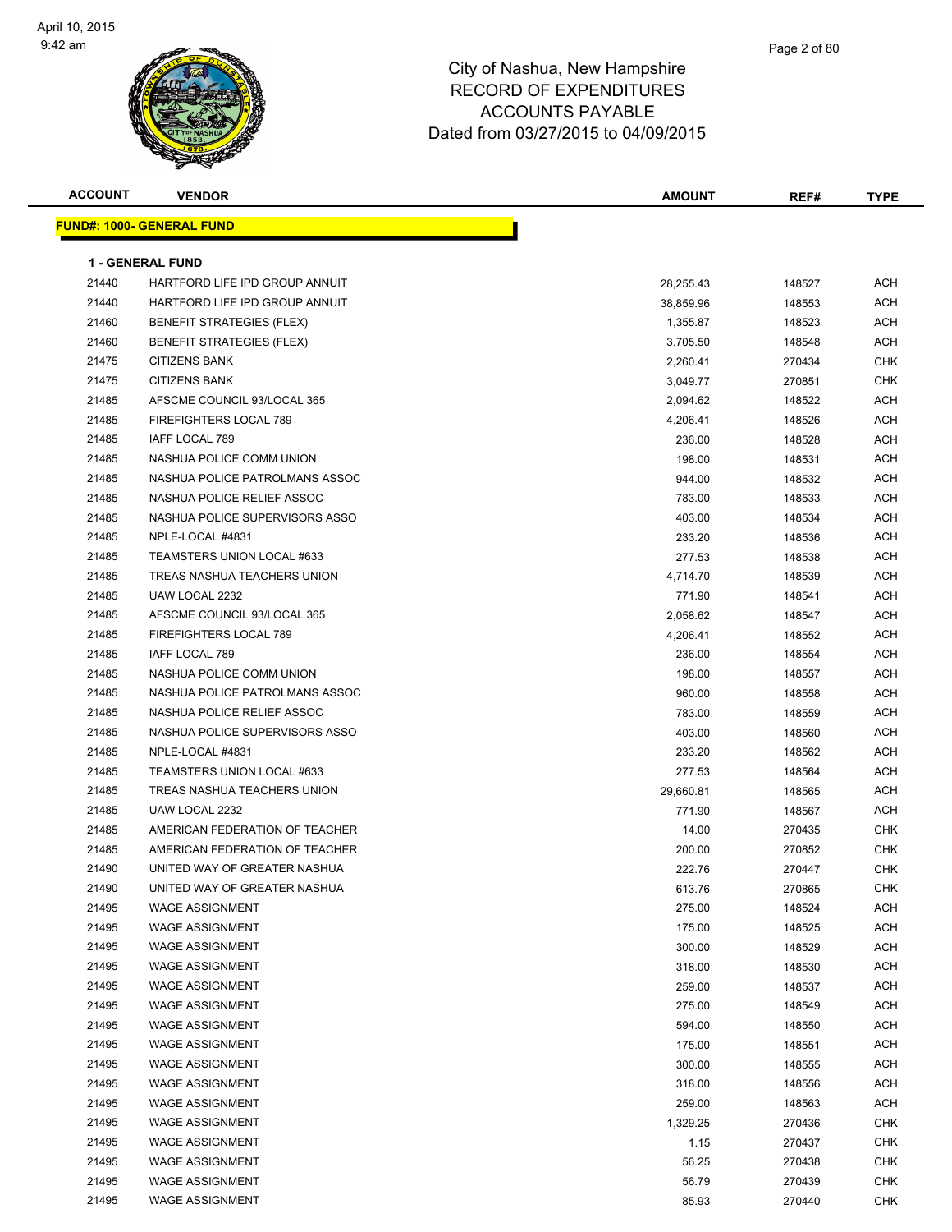

| <b>ACCOUNT</b> | <b>VENDOR</b>                    | <b>AMOUNT</b> | REF#   | <b>TYPE</b> |
|----------------|----------------------------------|---------------|--------|-------------|
|                | <b>FUND#: 1000- GENERAL FUND</b> |               |        |             |
|                |                                  |               |        |             |
|                | <b>1 - GENERAL FUND</b>          |               |        |             |
| 21440          | HARTFORD LIFE IPD GROUP ANNUIT   | 28,255.43     | 148527 | ACH         |
| 21440          | HARTFORD LIFE IPD GROUP ANNUIT   | 38,859.96     | 148553 | ACH         |
| 21460          | <b>BENEFIT STRATEGIES (FLEX)</b> | 1,355.87      | 148523 | <b>ACH</b>  |
| 21460          | <b>BENEFIT STRATEGIES (FLEX)</b> | 3,705.50      | 148548 | <b>ACH</b>  |
| 21475          | <b>CITIZENS BANK</b>             | 2,260.41      | 270434 | <b>CHK</b>  |
| 21475          | <b>CITIZENS BANK</b>             | 3,049.77      | 270851 | <b>CHK</b>  |
| 21485          | AFSCME COUNCIL 93/LOCAL 365      | 2,094.62      | 148522 | ACH         |
| 21485          | FIREFIGHTERS LOCAL 789           | 4,206.41      | 148526 | ACH         |
| 21485          | IAFF LOCAL 789                   | 236.00        | 148528 | ACH         |
| 21485          | NASHUA POLICE COMM UNION         | 198.00        | 148531 | ACH         |
| 21485          | NASHUA POLICE PATROLMANS ASSOC   | 944.00        | 148532 | ACH         |
| 21485          | NASHUA POLICE RELIEF ASSOC       | 783.00        | 148533 | ACH         |
| 21485          | NASHUA POLICE SUPERVISORS ASSO   | 403.00        | 148534 | ACH         |
| 21485          | NPLE-LOCAL #4831                 | 233.20        | 148536 | ACH         |
| 21485          | TEAMSTERS UNION LOCAL #633       | 277.53        | 148538 | ACH         |
| 21485          | TREAS NASHUA TEACHERS UNION      | 4,714.70      | 148539 | ACH         |
| 21485          | UAW LOCAL 2232                   | 771.90        | 148541 | ACH         |
| 21485          | AFSCME COUNCIL 93/LOCAL 365      | 2,058.62      | 148547 | ACH         |
| 21485          | FIREFIGHTERS LOCAL 789           | 4,206.41      | 148552 | ACH         |
| 21485          | IAFF LOCAL 789                   | 236.00        | 148554 | ACH         |
| 21485          | NASHUA POLICE COMM UNION         | 198.00        | 148557 | ACH         |
| 21485          | NASHUA POLICE PATROLMANS ASSOC   | 960.00        | 148558 | ACH         |
| 21485          | NASHUA POLICE RELIEF ASSOC       | 783.00        | 148559 | ACH         |
| 21485          | NASHUA POLICE SUPERVISORS ASSO   | 403.00        | 148560 | <b>ACH</b>  |
| 21485          | NPLE-LOCAL #4831                 | 233.20        | 148562 | <b>ACH</b>  |
| 21485          | TEAMSTERS UNION LOCAL #633       | 277.53        | 148564 | ACH         |
| 21485          | TREAS NASHUA TEACHERS UNION      | 29,660.81     | 148565 | ACH         |
| 21485          | UAW LOCAL 2232                   | 771.90        | 148567 | ACH         |
| 21485          | AMERICAN FEDERATION OF TEACHER   | 14.00         | 270435 | <b>CHK</b>  |
| 21485          | AMERICAN FEDERATION OF TEACHER   | 200.00        | 270852 | <b>CHK</b>  |
| 21490          | UNITED WAY OF GREATER NASHUA     | 222.76        | 270447 | CHK         |
| 21490          | UNITED WAY OF GREATER NASHUA     | 613.76        | 270865 | CHK         |
| 21495          | <b>WAGE ASSIGNMENT</b>           | 275.00        | 148524 | <b>ACH</b>  |
| 21495          | <b>WAGE ASSIGNMENT</b>           | 175.00        | 148525 | <b>ACH</b>  |
| 21495          | <b>WAGE ASSIGNMENT</b>           | 300.00        | 148529 | <b>ACH</b>  |
| 21495          | <b>WAGE ASSIGNMENT</b>           | 318.00        | 148530 | <b>ACH</b>  |
| 21495          | <b>WAGE ASSIGNMENT</b>           | 259.00        | 148537 | ACH         |
| 21495          | <b>WAGE ASSIGNMENT</b>           | 275.00        | 148549 | ACH         |
| 21495          | <b>WAGE ASSIGNMENT</b>           | 594.00        | 148550 | ACH         |
| 21495          | <b>WAGE ASSIGNMENT</b>           | 175.00        | 148551 | <b>ACH</b>  |
| 21495          | <b>WAGE ASSIGNMENT</b>           | 300.00        | 148555 | ACH         |
| 21495          | <b>WAGE ASSIGNMENT</b>           | 318.00        | 148556 | ACH         |
| 21495          | <b>WAGE ASSIGNMENT</b>           | 259.00        | 148563 | <b>ACH</b>  |
| 21495          | <b>WAGE ASSIGNMENT</b>           | 1,329.25      | 270436 | <b>CHK</b>  |
| 21495          | <b>WAGE ASSIGNMENT</b>           | 1.15          | 270437 | <b>CHK</b>  |
| 21495          | <b>WAGE ASSIGNMENT</b>           | 56.25         | 270438 | CHK         |
| 21495          | <b>WAGE ASSIGNMENT</b>           | 56.79         | 270439 | CHK         |
| 21495          | <b>WAGE ASSIGNMENT</b>           | 85.93         | 270440 | CHK         |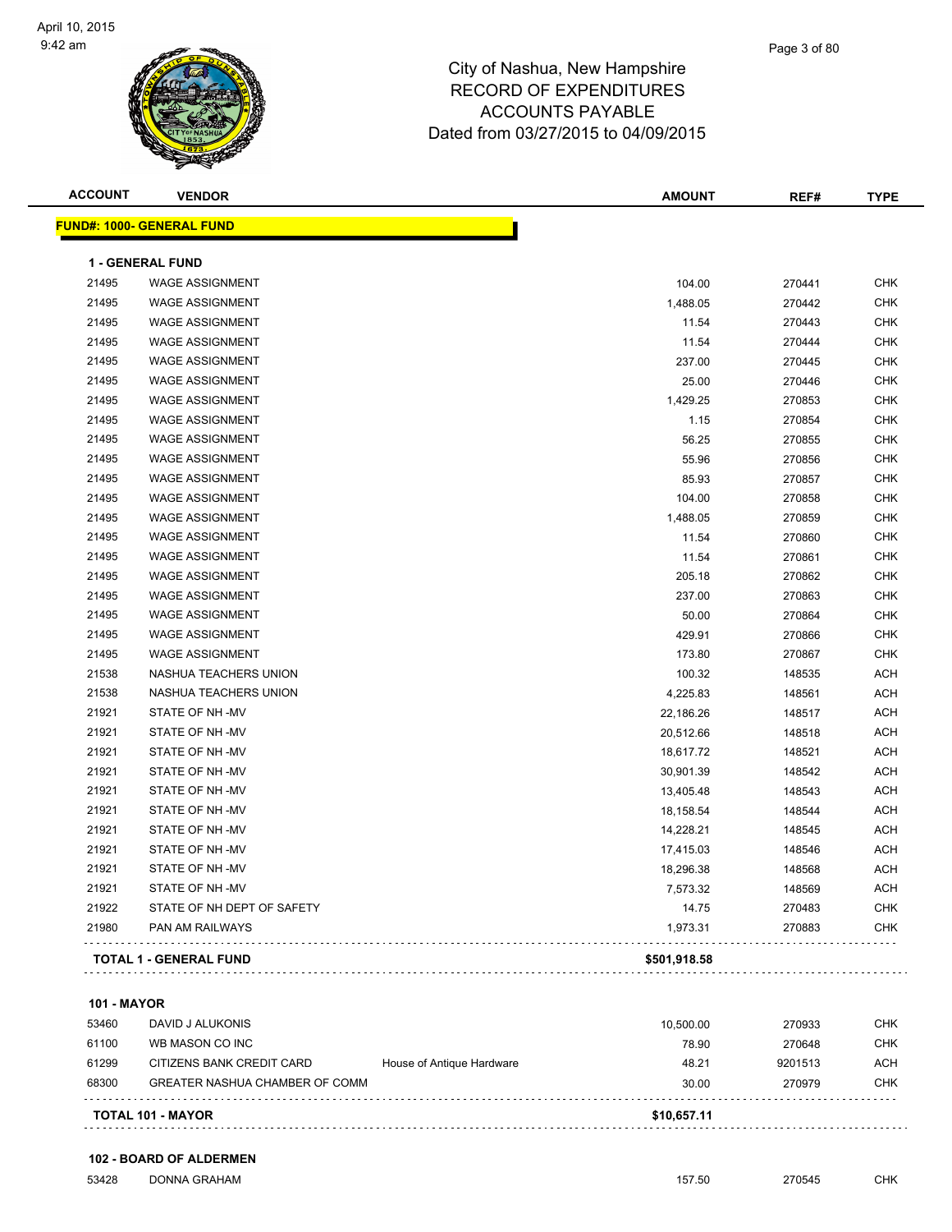

#### Page 3 of 80

### City of Nashua, New Hampshire RECORD OF EXPENDITURES ACCOUNTS PAYABLE Dated from 03/27/2015 to 04/09/2015

| <b>ACCOUNT</b> | <b>VENDOR</b>                     | <b>AMOUNT</b> | REF#   | <b>TYPE</b> |
|----------------|-----------------------------------|---------------|--------|-------------|
|                | <u> FUND#: 1000- GENERAL FUND</u> |               |        |             |
|                | <b>1 - GENERAL FUND</b>           |               |        |             |
| 21495          | <b>WAGE ASSIGNMENT</b>            | 104.00        | 270441 | <b>CHK</b>  |
| 21495          | <b>WAGE ASSIGNMENT</b>            | 1,488.05      | 270442 | <b>CHK</b>  |
| 21495          | <b>WAGE ASSIGNMENT</b>            | 11.54         | 270443 | <b>CHK</b>  |
| 21495          | <b>WAGE ASSIGNMENT</b>            | 11.54         | 270444 | <b>CHK</b>  |
| 21495          | <b>WAGE ASSIGNMENT</b>            | 237.00        | 270445 | <b>CHK</b>  |
| 21495          | <b>WAGE ASSIGNMENT</b>            | 25.00         | 270446 | <b>CHK</b>  |
| 21495          | <b>WAGE ASSIGNMENT</b>            | 1,429.25      | 270853 | <b>CHK</b>  |
| 21495          | <b>WAGE ASSIGNMENT</b>            | 1.15          | 270854 | <b>CHK</b>  |
| 21495          | <b>WAGE ASSIGNMENT</b>            | 56.25         | 270855 | <b>CHK</b>  |
| 21495          | <b>WAGE ASSIGNMENT</b>            | 55.96         | 270856 | <b>CHK</b>  |
| 21495          | <b>WAGE ASSIGNMENT</b>            | 85.93         | 270857 | <b>CHK</b>  |
| 21495          | <b>WAGE ASSIGNMENT</b>            | 104.00        | 270858 | <b>CHK</b>  |
| 21495          | <b>WAGE ASSIGNMENT</b>            | 1,488.05      | 270859 | <b>CHK</b>  |
| 21495          | <b>WAGE ASSIGNMENT</b>            | 11.54         | 270860 | <b>CHK</b>  |
| 21495          | <b>WAGE ASSIGNMENT</b>            | 11.54         | 270861 | <b>CHK</b>  |
| 21495          | <b>WAGE ASSIGNMENT</b>            | 205.18        | 270862 | <b>CHK</b>  |
| 21495          | <b>WAGE ASSIGNMENT</b>            | 237.00        | 270863 | <b>CHK</b>  |
| 21495          | <b>WAGE ASSIGNMENT</b>            | 50.00         | 270864 | <b>CHK</b>  |
| 21495          | <b>WAGE ASSIGNMENT</b>            | 429.91        | 270866 | <b>CHK</b>  |
| 21495          | <b>WAGE ASSIGNMENT</b>            | 173.80        | 270867 | <b>CHK</b>  |
| 21538          | NASHUA TEACHERS UNION             | 100.32        | 148535 | <b>ACH</b>  |
| 21538          | NASHUA TEACHERS UNION             | 4,225.83      | 148561 | <b>ACH</b>  |
| 21921          | STATE OF NH-MV                    | 22,186.26     | 148517 | <b>ACH</b>  |
| 21921          | STATE OF NH-MV                    | 20,512.66     | 148518 | <b>ACH</b>  |
| 21921          | STATE OF NH -MV                   | 18,617.72     | 148521 | <b>ACH</b>  |
| 21921          | STATE OF NH-MV                    | 30,901.39     | 148542 | <b>ACH</b>  |
| 21921          | STATE OF NH-MV                    | 13,405.48     | 148543 | <b>ACH</b>  |
| 21921          | STATE OF NH-MV                    | 18,158.54     | 148544 | <b>ACH</b>  |
| 21921          | STATE OF NH-MV                    | 14,228.21     | 148545 | <b>ACH</b>  |
| 21921          | STATE OF NH-MV                    | 17,415.03     | 148546 | <b>ACH</b>  |
| 21921          | STATE OF NH-MV                    | 18,296.38     | 148568 | <b>ACH</b>  |
| 21921          | STATE OF NH-MV                    | 7,573.32      | 148569 | <b>ACH</b>  |
| 21922          | STATE OF NH DEPT OF SAFETY        | 14.75         | 270483 | <b>CHK</b>  |
| 21980          | PAN AM RAILWAYS                   | 1,973.31      | 270883 | <b>CHK</b>  |
|                | <b>TOTAL 1 - GENERAL FUND</b>     | \$501,918.58  |        |             |
|                |                                   |               |        |             |

#### **101 - MAYOR**

|       | <b>TOTAL 101 - MAYOR</b>       |                           | \$10,657.11 |         |            |
|-------|--------------------------------|---------------------------|-------------|---------|------------|
| 68300 | GREATER NASHUA CHAMBER OF COMM |                           | 30.00       | 270979  | CHK        |
| 61299 | CITIZENS BANK CREDIT CARD      | House of Antique Hardware | 48.21       | 9201513 | <b>ACH</b> |
| 61100 | WB MASON CO INC                |                           | 78.90       | 270648  | CHK        |
| 53460 | DAVID J ALUKONIS               |                           | 10.500.00   | 270933  | снк        |

**102 - BOARD OF ALDERMEN**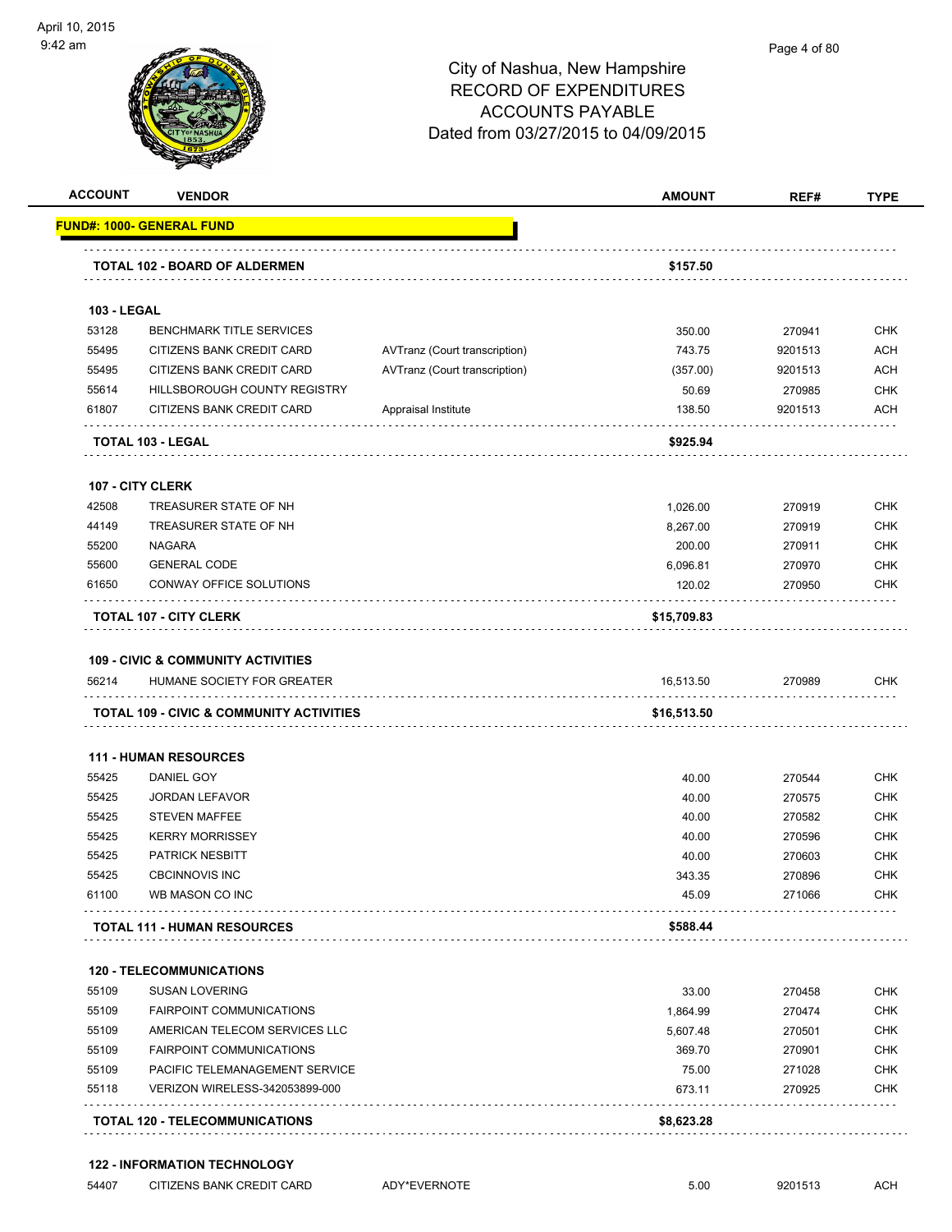

#### Page 4 of 80

# City of Nashua, New Hampshire RECORD OF EXPENDITURES ACCOUNTS PAYABLE Dated from 03/27/2015 to 04/09/2015

|                                                                                                                            |                                                                                   |                               | <b>AMOUNT</b>            | REF#    | <b>TYPE</b>                                                                                                                                                                        |
|----------------------------------------------------------------------------------------------------------------------------|-----------------------------------------------------------------------------------|-------------------------------|--------------------------|---------|------------------------------------------------------------------------------------------------------------------------------------------------------------------------------------|
|                                                                                                                            | FUND#: 1000- GENERAL FUND                                                         |                               |                          |         |                                                                                                                                                                                    |
|                                                                                                                            | TOTAL 102 - BOARD OF ALDERMEN                                                     |                               | \$157.50                 |         |                                                                                                                                                                                    |
| <b>103 - LEGAL</b>                                                                                                         |                                                                                   |                               |                          |         |                                                                                                                                                                                    |
| 53128                                                                                                                      | <b>BENCHMARK TITLE SERVICES</b>                                                   |                               | 350.00                   | 270941  | <b>CHK</b>                                                                                                                                                                         |
| 55495                                                                                                                      | CITIZENS BANK CREDIT CARD                                                         | AVTranz (Court transcription) | 743.75                   | 9201513 | <b>ACH</b>                                                                                                                                                                         |
| 55495                                                                                                                      | CITIZENS BANK CREDIT CARD                                                         | AVTranz (Court transcription) | (357.00)                 | 9201513 | <b>ACH</b>                                                                                                                                                                         |
| 55614                                                                                                                      | HILLSBOROUGH COUNTY REGISTRY                                                      |                               | 50.69                    | 270985  | <b>CHK</b>                                                                                                                                                                         |
| 61807                                                                                                                      | CITIZENS BANK CREDIT CARD                                                         | Appraisal Institute           | 138.50                   | 9201513 | <b>ACH</b>                                                                                                                                                                         |
|                                                                                                                            | TOTAL 103 - LEGAL                                                                 |                               | \$925.94                 |         |                                                                                                                                                                                    |
|                                                                                                                            | <b>107 - CITY CLERK</b>                                                           |                               |                          |         |                                                                                                                                                                                    |
| 42508                                                                                                                      | TREASURER STATE OF NH                                                             |                               | 1,026.00                 | 270919  | <b>CHK</b>                                                                                                                                                                         |
| 44149                                                                                                                      | TREASURER STATE OF NH                                                             |                               | 8,267.00                 | 270919  | <b>CHK</b>                                                                                                                                                                         |
| 55200                                                                                                                      | <b>NAGARA</b>                                                                     |                               | 200.00                   | 270911  | <b>CHK</b>                                                                                                                                                                         |
| 55600                                                                                                                      | <b>GENERAL CODE</b>                                                               |                               | 6,096.81                 | 270970  | <b>CHK</b>                                                                                                                                                                         |
| 61650                                                                                                                      | CONWAY OFFICE SOLUTIONS                                                           |                               | 120.02                   | 270950  | <b>CHK</b>                                                                                                                                                                         |
|                                                                                                                            | <b>TOTAL 107 - CITY CLERK</b>                                                     |                               | \$15,709.83              |         |                                                                                                                                                                                    |
|                                                                                                                            | <b>109 - CIVIC &amp; COMMUNITY ACTIVITIES</b>                                     |                               |                          |         |                                                                                                                                                                                    |
|                                                                                                                            | HUMANE SOCIETY FOR GREATER<br><b>TOTAL 109 - CIVIC &amp; COMMUNITY ACTIVITIES</b> |                               | 16,513.50<br>\$16,513.50 | 270989  |                                                                                                                                                                                    |
|                                                                                                                            |                                                                                   |                               |                          |         |                                                                                                                                                                                    |
|                                                                                                                            | <b>111 - HUMAN RESOURCES</b><br>DANIEL GOY                                        |                               | 40.00                    | 270544  |                                                                                                                                                                                    |
|                                                                                                                            | <b>JORDAN LEFAVOR</b>                                                             |                               | 40.00                    | 270575  |                                                                                                                                                                                    |
|                                                                                                                            | <b>STEVEN MAFFEE</b>                                                              |                               | 40.00                    | 270582  |                                                                                                                                                                                    |
|                                                                                                                            | <b>KERRY MORRISSEY</b>                                                            |                               | 40.00                    | 270596  |                                                                                                                                                                                    |
|                                                                                                                            | <b>PATRICK NESBITT</b>                                                            |                               | 40.00                    | 270603  |                                                                                                                                                                                    |
|                                                                                                                            | <b>CBCINNOVIS INC</b>                                                             |                               | 343.35                   | 270896  |                                                                                                                                                                                    |
|                                                                                                                            | WB MASON CO INC                                                                   |                               | 45.09                    | 271066  |                                                                                                                                                                                    |
|                                                                                                                            | <b>TOTAL 111 - HUMAN RESOURCES</b>                                                |                               | \$588.44                 |         |                                                                                                                                                                                    |
|                                                                                                                            | <b>120 - TELECOMMUNICATIONS</b>                                                   |                               |                          |         |                                                                                                                                                                                    |
|                                                                                                                            | <b>SUSAN LOVERING</b>                                                             |                               | 33.00                    | 270458  |                                                                                                                                                                                    |
|                                                                                                                            | <b>FAIRPOINT COMMUNICATIONS</b>                                                   |                               | 1,864.99                 | 270474  |                                                                                                                                                                                    |
|                                                                                                                            | AMERICAN TELECOM SERVICES LLC                                                     |                               | 5,607.48                 | 270501  |                                                                                                                                                                                    |
|                                                                                                                            | <b>FAIRPOINT COMMUNICATIONS</b>                                                   |                               | 369.70                   | 270901  |                                                                                                                                                                                    |
|                                                                                                                            | PACIFIC TELEMANAGEMENT SERVICE                                                    |                               | 75.00                    | 271028  |                                                                                                                                                                                    |
| 56214<br>55425<br>55425<br>55425<br>55425<br>55425<br>55425<br>61100<br>55109<br>55109<br>55109<br>55109<br>55109<br>55118 | VERIZON WIRELESS-342053899-000                                                    |                               | 673.11                   | 270925  | <b>CHK</b><br><b>CHK</b><br><b>CHK</b><br><b>CHK</b><br><b>CHK</b><br><b>CHK</b><br><b>CHK</b><br>CHK<br>CHK<br><b>CHK</b><br><b>CHK</b><br><b>CHK</b><br><b>CHK</b><br><b>CHK</b> |

#### **122 - INFORMATION TECHNOLOGY**

| 54407 | CITIZENS BANK CREDIT CARD |  |
|-------|---------------------------|--|
|-------|---------------------------|--|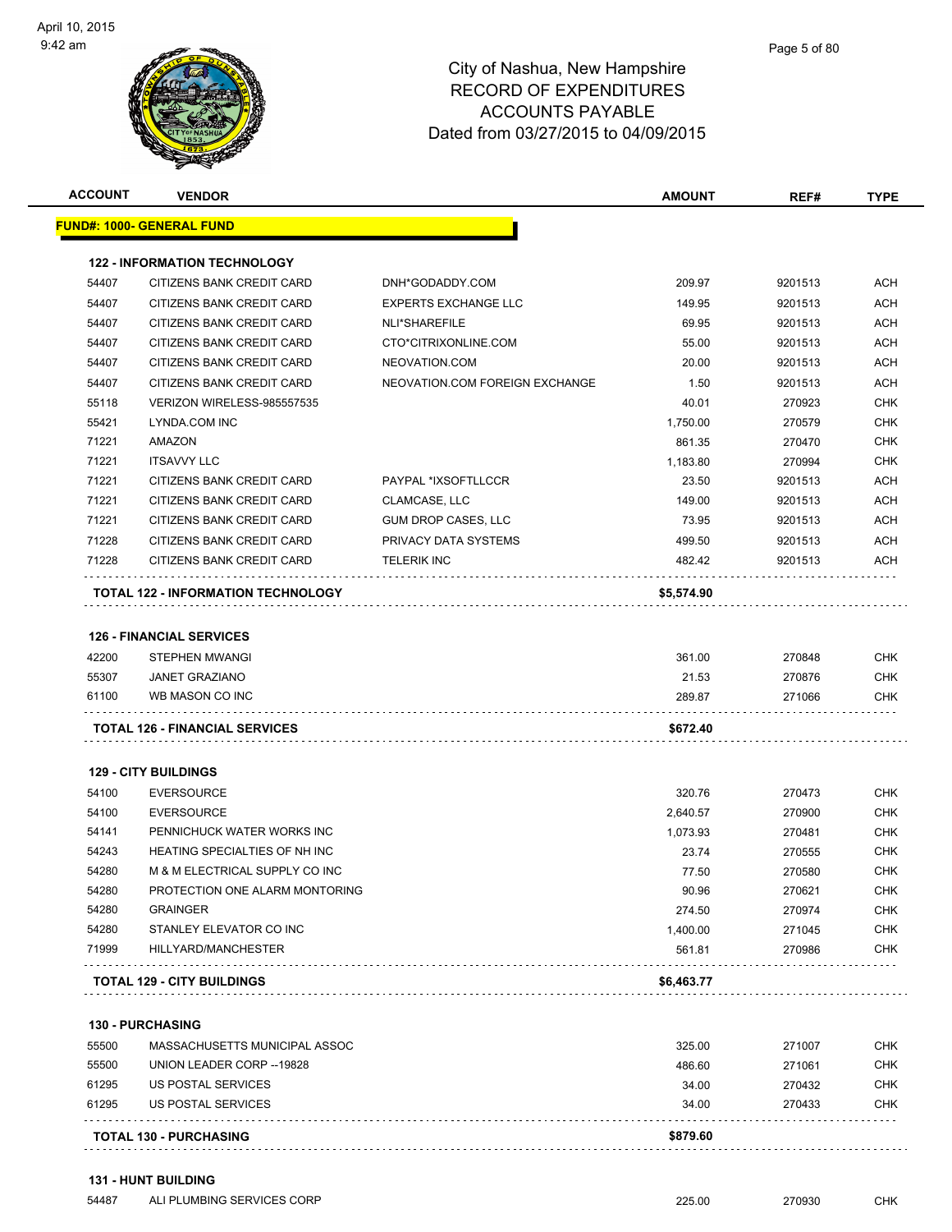| <b>ACCOUNT</b> | <b>VENDOR</b>                             |                                | <b>AMOUNT</b> | REF#    | <b>TYPE</b> |
|----------------|-------------------------------------------|--------------------------------|---------------|---------|-------------|
|                | <u> FUND#: 1000- GENERAL FUND</u>         |                                |               |         |             |
|                | <b>122 - INFORMATION TECHNOLOGY</b>       |                                |               |         |             |
| 54407          | <b>CITIZENS BANK CREDIT CARD</b>          | DNH*GODADDY.COM                | 209.97        | 9201513 | <b>ACH</b>  |
| 54407          | CITIZENS BANK CREDIT CARD                 | <b>EXPERTS EXCHANGE LLC</b>    | 149.95        | 9201513 | <b>ACH</b>  |
| 54407          | CITIZENS BANK CREDIT CARD                 | NLI*SHAREFILE                  | 69.95         | 9201513 | <b>ACH</b>  |
| 54407          | CITIZENS BANK CREDIT CARD                 | CTO*CITRIXONLINE.COM           | 55.00         | 9201513 | <b>ACH</b>  |
| 54407          | <b>CITIZENS BANK CREDIT CARD</b>          | NEOVATION.COM                  | 20.00         | 9201513 | ACH         |
| 54407          | <b>CITIZENS BANK CREDIT CARD</b>          | NEOVATION.COM FOREIGN EXCHANGE | 1.50          | 9201513 | ACH         |
| 55118          | VERIZON WIRELESS-985557535                |                                | 40.01         | 270923  | <b>CHK</b>  |
| 55421          | LYNDA.COM INC                             |                                | 1,750.00      | 270579  | <b>CHK</b>  |
| 71221          | AMAZON                                    |                                | 861.35        | 270470  | <b>CHK</b>  |
| 71221          | <b>ITSAVVY LLC</b>                        |                                | 1,183.80      | 270994  | <b>CHK</b>  |
| 71221          | CITIZENS BANK CREDIT CARD                 | PAYPAL *IXSOFTLLCCR            | 23.50         | 9201513 | <b>ACH</b>  |
| 71221          | CITIZENS BANK CREDIT CARD                 | CLAMCASE, LLC                  | 149.00        | 9201513 | <b>ACH</b>  |
| 71221          | CITIZENS BANK CREDIT CARD                 | <b>GUM DROP CASES, LLC</b>     | 73.95         | 9201513 | ACH         |
| 71228          | CITIZENS BANK CREDIT CARD                 | PRIVACY DATA SYSTEMS           | 499.50        | 9201513 | <b>ACH</b>  |
| 71228          | CITIZENS BANK CREDIT CARD                 | <b>TELERIK INC</b>             | 482.42        | 9201513 | ACH         |
|                |                                           |                                |               |         |             |
|                | <b>TOTAL 122 - INFORMATION TECHNOLOGY</b> |                                | \$5,574.90    |         |             |
|                | <b>126 - FINANCIAL SERVICES</b>           |                                |               |         |             |
| 42200          | <b>STEPHEN MWANGI</b>                     |                                | 361.00        | 270848  | <b>CHK</b>  |
| 55307          | <b>JANET GRAZIANO</b>                     |                                | 21.53         | 270876  | <b>CHK</b>  |
| 61100          | WB MASON CO INC                           |                                | 289.87        | 271066  | <b>CHK</b>  |
|                | <b>TOTAL 126 - FINANCIAL SERVICES</b>     |                                | \$672.40      |         |             |
|                |                                           |                                |               |         |             |
|                | <b>129 - CITY BUILDINGS</b>               |                                |               |         |             |
| 54100          | <b>EVERSOURCE</b>                         |                                | 320.76        | 270473  | CHK         |
| 54100          | <b>EVERSOURCE</b>                         |                                | 2,640.57      | 270900  | CHK         |
| 54141          | PENNICHUCK WATER WORKS INC                |                                | 1,073.93      | 270481  | CHK         |
| 54243          | HEATING SPECIALTIES OF NH INC             |                                | 23.74         | 270555  | <b>CHK</b>  |
| 54280          | M & M ELECTRICAL SUPPLY CO INC            |                                | 77.50         | 270580  | <b>CHK</b>  |
| 54280          | PROTECTION ONE ALARM MONTORING            |                                | 90.96         | 270621  | <b>CHK</b>  |
| 54280          | <b>GRAINGER</b>                           |                                | 274.50        | 270974  | <b>CHK</b>  |
| 54280          | STANLEY ELEVATOR CO INC                   |                                | 1.400.00      | 271045  | <b>CHK</b>  |
| 71999          | HILLYARD/MANCHESTER                       |                                | 561.81        | 270986  | <b>CHK</b>  |
|                | <b>TOTAL 129 - CITY BUILDINGS</b>         |                                | \$6,463.77    |         |             |
|                | <b>130 - PURCHASING</b>                   |                                |               |         |             |
| 55500          | MASSACHUSETTS MUNICIPAL ASSOC             |                                | 325.00        | 271007  | CHK         |
| FFRO           | $\left  \right $                          |                                |               |         | $\sim$      |

|       | <b>TOTAL 130 - PURCHASING</b> | \$879.60 |        |            |
|-------|-------------------------------|----------|--------|------------|
| 61295 | US POSTAL SERVICES            | 34.00    | 270433 | <b>CHK</b> |
| 61295 | US POSTAL SERVICES            | 34.00    | 270432 | <b>CHK</b> |
| 55500 | UNION LEADER CORP --19828     | 486.60   | 271061 | CHK        |

54487 ALI PLUMBING SERVICES CORP 225.00 270930 CHK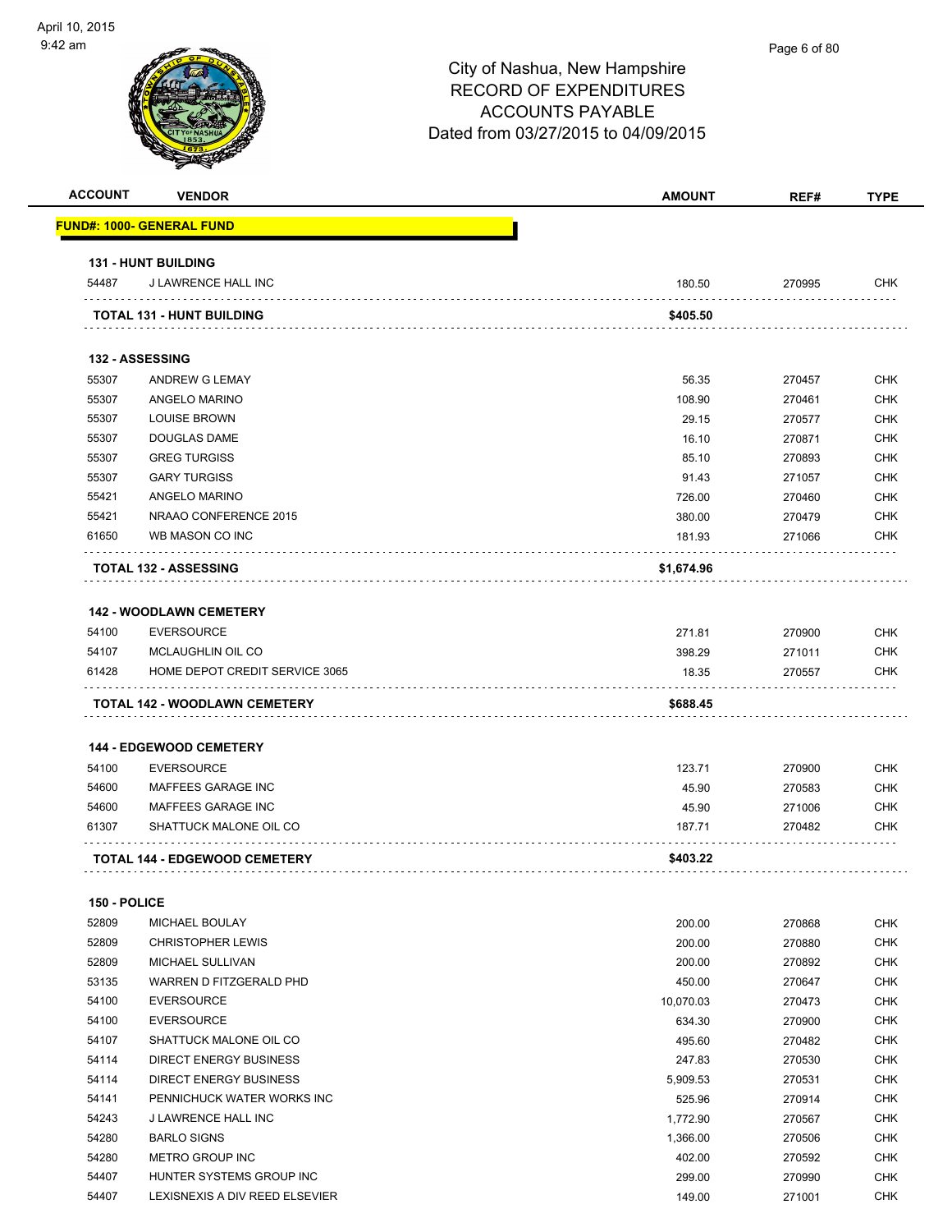|                |                                                                        | <b>AMOUNT</b>     | REF#             |                                                                                                                                                                                           |
|----------------|------------------------------------------------------------------------|-------------------|------------------|-------------------------------------------------------------------------------------------------------------------------------------------------------------------------------------------|
|                | <u> FUND#: 1000- GENERAL FUND</u>                                      |                   |                  |                                                                                                                                                                                           |
|                | <b>131 - HUNT BUILDING</b>                                             |                   |                  |                                                                                                                                                                                           |
| 54487          | J LAWRENCE HALL INC                                                    | 180.50            | 270995           | CHK                                                                                                                                                                                       |
|                | TOTAL 131 - HUNT BUILDING                                              | \$405.50          |                  |                                                                                                                                                                                           |
|                | 132 - ASSESSING                                                        |                   |                  |                                                                                                                                                                                           |
| 55307          | <b>ANDREW G LEMAY</b>                                                  | 56.35             | 270457           | <b>CHK</b>                                                                                                                                                                                |
| 55307          | ANGELO MARINO                                                          | 108.90            | 270461           | <b>CHK</b>                                                                                                                                                                                |
| 55307          | <b>LOUISE BROWN</b>                                                    | 29.15             | 270577           | <b>CHK</b>                                                                                                                                                                                |
| 55307          | <b>DOUGLAS DAME</b>                                                    | 16.10             | 270871           | <b>CHK</b>                                                                                                                                                                                |
| 55307          | <b>GREG TURGISS</b>                                                    | 85.10             | 270893           | <b>CHK</b>                                                                                                                                                                                |
| 55307          | <b>GARY TURGISS</b>                                                    | 91.43             |                  | <b>CHK</b>                                                                                                                                                                                |
|                |                                                                        |                   | 271057           | <b>CHK</b>                                                                                                                                                                                |
| 55421          | ANGELO MARINO                                                          | 726.00            | 270460           |                                                                                                                                                                                           |
| 55421<br>61650 | NRAAO CONFERENCE 2015<br>WB MASON CO INC                               | 380.00            | 270479           | <b>CHK</b><br><b>CHK</b>                                                                                                                                                                  |
|                |                                                                        | 181.93            | 271066           |                                                                                                                                                                                           |
|                | <b>TOTAL 132 - ASSESSING</b>                                           | \$1,674.96        |                  |                                                                                                                                                                                           |
|                | <b>142 - WOODLAWN CEMETERY</b>                                         |                   |                  |                                                                                                                                                                                           |
| 54100          | <b>EVERSOURCE</b>                                                      | 271.81            | 270900           | <b>CHK</b>                                                                                                                                                                                |
|                | MCLAUGHLIN OIL CO                                                      |                   | 271011           | <b>CHK</b>                                                                                                                                                                                |
| 54107          |                                                                        | 398.29            |                  |                                                                                                                                                                                           |
| 61428          | HOME DEPOT CREDIT SERVICE 3065<br><b>TOTAL 142 - WOODLAWN CEMETERY</b> | 18.35<br>\$688.45 | 270557           | CHK                                                                                                                                                                                       |
|                | <b>144 - EDGEWOOD CEMETERY</b>                                         |                   |                  |                                                                                                                                                                                           |
| 54100          | <b>EVERSOURCE</b>                                                      | 123.71            | 270900           |                                                                                                                                                                                           |
| 54600          | MAFFEES GARAGE INC                                                     | 45.90             | 270583           |                                                                                                                                                                                           |
| 54600          | MAFFEES GARAGE INC                                                     | 45.90             | 271006           |                                                                                                                                                                                           |
| 61307          | SHATTUCK MALONE OIL CO                                                 | 187.71            | 270482           |                                                                                                                                                                                           |
|                | <b>TOTAL 144 - EDGEWOOD CEMETERY</b>                                   | \$403.22          |                  |                                                                                                                                                                                           |
| 150 - POLICE   |                                                                        |                   |                  |                                                                                                                                                                                           |
| 52809          | MICHAEL BOULAY                                                         | 200.00            | 270868           |                                                                                                                                                                                           |
|                |                                                                        |                   |                  |                                                                                                                                                                                           |
| 52809          | <b>CHRISTOPHER LEWIS</b>                                               | 200.00            | 270880           |                                                                                                                                                                                           |
| 52809          | MICHAEL SULLIVAN                                                       | 200.00            | 270892           |                                                                                                                                                                                           |
| 53135          | WARREN D FITZGERALD PHD                                                | 450.00            | 270647           |                                                                                                                                                                                           |
| 54100          | <b>EVERSOURCE</b>                                                      | 10,070.03         | 270473           |                                                                                                                                                                                           |
| 54100          | <b>EVERSOURCE</b>                                                      | 634.30            | 270900           |                                                                                                                                                                                           |
| 54107          | SHATTUCK MALONE OIL CO                                                 | 495.60            | 270482           |                                                                                                                                                                                           |
| 54114          | DIRECT ENERGY BUSINESS                                                 | 247.83            | 270530           |                                                                                                                                                                                           |
| 54114          | <b>DIRECT ENERGY BUSINESS</b>                                          | 5,909.53          | 270531           |                                                                                                                                                                                           |
| 54141          | PENNICHUCK WATER WORKS INC                                             | 525.96            | 270914           |                                                                                                                                                                                           |
| 54243          | J LAWRENCE HALL INC                                                    | 1,772.90          | 270567           |                                                                                                                                                                                           |
| 54280          | <b>BARLO SIGNS</b>                                                     | 1,366.00          | 270506           | CHK<br>CHK<br><b>CHK</b><br>CHK<br>CHK<br><b>CHK</b><br><b>CHK</b><br><b>CHK</b><br><b>CHK</b><br><b>CHK</b><br><b>CHK</b><br>CHK<br><b>CHK</b><br><b>CHK</b><br><b>CHK</b><br><b>CHK</b> |
| 54280<br>54407 | METRO GROUP INC<br>HUNTER SYSTEMS GROUP INC                            | 402.00<br>299.00  | 270592<br>270990 | <b>CHK</b><br><b>CHK</b>                                                                                                                                                                  |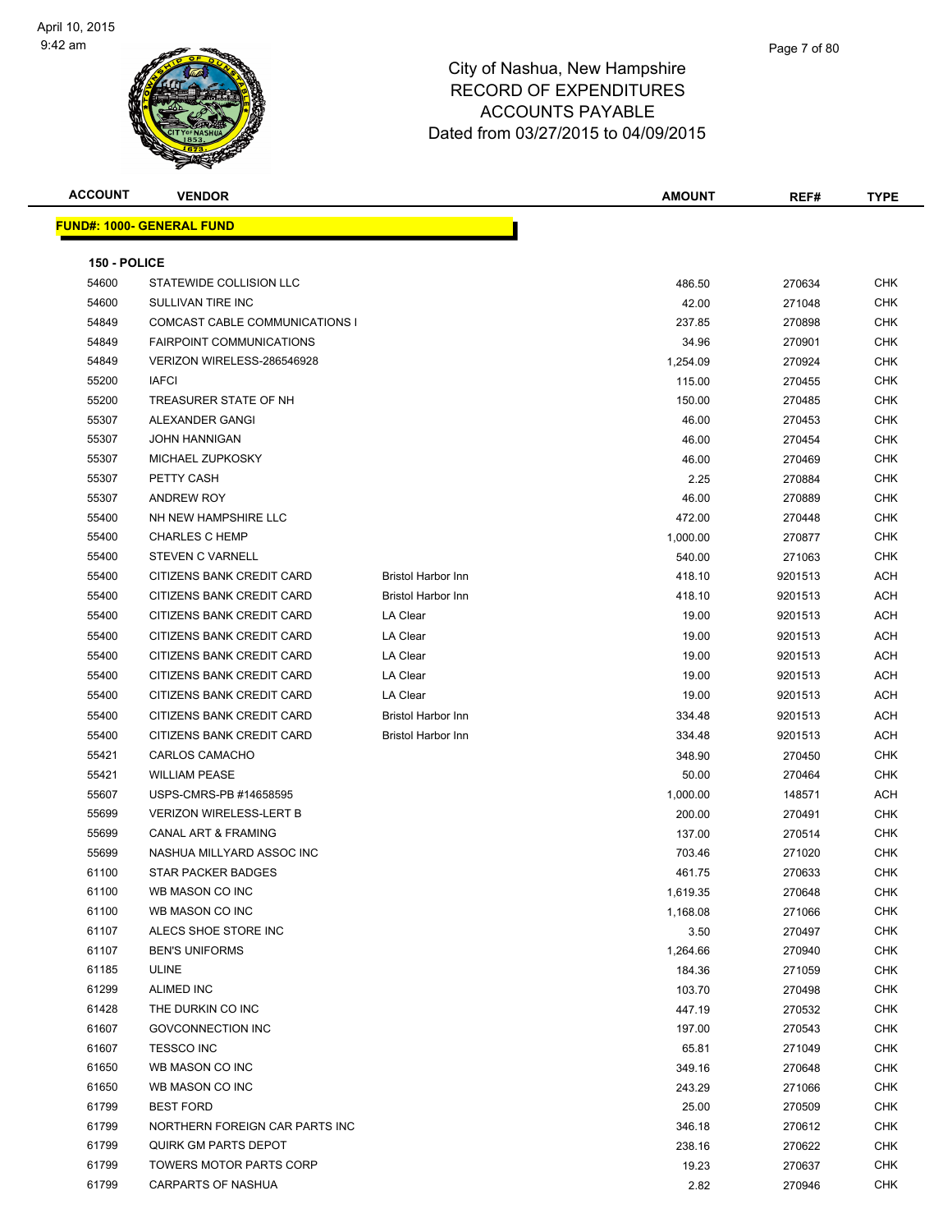

| <b>ACCOUNT</b> | <b>VENDOR</b>                    |                           | <b>AMOUNT</b> | REF#    | <b>TYPE</b> |
|----------------|----------------------------------|---------------------------|---------------|---------|-------------|
|                | <b>FUND#: 1000- GENERAL FUND</b> |                           |               |         |             |
|                |                                  |                           |               |         |             |
| 150 - POLICE   |                                  |                           |               |         |             |
| 54600          | STATEWIDE COLLISION LLC          |                           | 486.50        | 270634  | CHK         |
| 54600          | SULLIVAN TIRE INC                |                           | 42.00         | 271048  | <b>CHK</b>  |
| 54849          | COMCAST CABLE COMMUNICATIONS I   |                           | 237.85        | 270898  | CHK         |
| 54849          | <b>FAIRPOINT COMMUNICATIONS</b>  |                           | 34.96         | 270901  | <b>CHK</b>  |
| 54849          | VERIZON WIRELESS-286546928       |                           | 1,254.09      | 270924  | <b>CHK</b>  |
| 55200          | <b>IAFCI</b>                     |                           | 115.00        | 270455  | <b>CHK</b>  |
| 55200          | TREASURER STATE OF NH            |                           | 150.00        | 270485  | <b>CHK</b>  |
| 55307          | ALEXANDER GANGI                  |                           | 46.00         | 270453  | <b>CHK</b>  |
| 55307          | <b>JOHN HANNIGAN</b>             |                           | 46.00         | 270454  | <b>CHK</b>  |
| 55307          | MICHAEL ZUPKOSKY                 |                           | 46.00         | 270469  | <b>CHK</b>  |
| 55307          | PETTY CASH                       |                           | 2.25          | 270884  | CHK         |
| 55307          | <b>ANDREW ROY</b>                |                           | 46.00         | 270889  | <b>CHK</b>  |
| 55400          | NH NEW HAMPSHIRE LLC             |                           | 472.00        | 270448  | CHK         |
| 55400          | <b>CHARLES C HEMP</b>            |                           | 1,000.00      | 270877  | <b>CHK</b>  |
| 55400          | STEVEN C VARNELL                 |                           | 540.00        | 271063  | <b>CHK</b>  |
| 55400          | CITIZENS BANK CREDIT CARD        | <b>Bristol Harbor Inn</b> | 418.10        | 9201513 | ACH         |
| 55400          | CITIZENS BANK CREDIT CARD        | <b>Bristol Harbor Inn</b> | 418.10        | 9201513 | ACH         |
| 55400          | CITIZENS BANK CREDIT CARD        | LA Clear                  | 19.00         | 9201513 | ACH         |
| 55400          | CITIZENS BANK CREDIT CARD        | LA Clear                  | 19.00         | 9201513 | ACH         |
| 55400          | CITIZENS BANK CREDIT CARD        | LA Clear                  | 19.00         | 9201513 | ACH         |
| 55400          | CITIZENS BANK CREDIT CARD        | LA Clear                  | 19.00         | 9201513 | ACH         |
| 55400          | CITIZENS BANK CREDIT CARD        | LA Clear                  | 19.00         | 9201513 | ACH         |
| 55400          | CITIZENS BANK CREDIT CARD        | <b>Bristol Harbor Inn</b> | 334.48        | 9201513 | ACH         |
| 55400          | CITIZENS BANK CREDIT CARD        | Bristol Harbor Inn        | 334.48        | 9201513 | ACH         |
| 55421          | <b>CARLOS CAMACHO</b>            |                           | 348.90        | 270450  | <b>CHK</b>  |
| 55421          | <b>WILLIAM PEASE</b>             |                           | 50.00         | 270464  | <b>CHK</b>  |
| 55607          | USPS-CMRS-PB #14658595           |                           | 1,000.00      | 148571  | ACH         |
| 55699          | <b>VERIZON WIRELESS-LERT B</b>   |                           | 200.00        | 270491  | <b>CHK</b>  |
| 55699          | <b>CANAL ART &amp; FRAMING</b>   |                           | 137.00        | 270514  | <b>CHK</b>  |
| 55699          | NASHUA MILLYARD ASSOC INC        |                           | 703.46        | 271020  | <b>CHK</b>  |
| 61100          | STAR PACKER BADGES               |                           | 461.75        | 270633  | CHK         |
| 61100          | WB MASON CO INC                  |                           | 1,619.35      | 270648  | CHK         |
| 61100          | WB MASON CO INC                  |                           | 1,168.08      | 271066  | <b>CHK</b>  |
| 61107          | ALECS SHOE STORE INC             |                           | 3.50          | 270497  | <b>CHK</b>  |
| 61107          | <b>BEN'S UNIFORMS</b>            |                           | 1,264.66      | 270940  | CHK         |
| 61185          | ULINE                            |                           | 184.36        | 271059  | CHK         |
| 61299          | <b>ALIMED INC</b>                |                           | 103.70        | 270498  | CHK         |
| 61428          | THE DURKIN CO INC                |                           | 447.19        | 270532  | <b>CHK</b>  |
| 61607          | GOVCONNECTION INC                |                           | 197.00        | 270543  | <b>CHK</b>  |
| 61607          | <b>TESSCO INC</b>                |                           | 65.81         | 271049  | <b>CHK</b>  |
| 61650          | WB MASON CO INC                  |                           | 349.16        | 270648  | CHK         |
| 61650          | WB MASON CO INC                  |                           | 243.29        | 271066  | <b>CHK</b>  |
| 61799          | <b>BEST FORD</b>                 |                           | 25.00         | 270509  | CHK         |
| 61799          | NORTHERN FOREIGN CAR PARTS INC   |                           | 346.18        | 270612  | CHK         |
| 61799          | <b>QUIRK GM PARTS DEPOT</b>      |                           | 238.16        | 270622  | CHK         |
| 61799          | <b>TOWERS MOTOR PARTS CORP</b>   |                           | 19.23         | 270637  | CHK         |
| 61799          | CARPARTS OF NASHUA               |                           | 2.82          | 270946  | CHK         |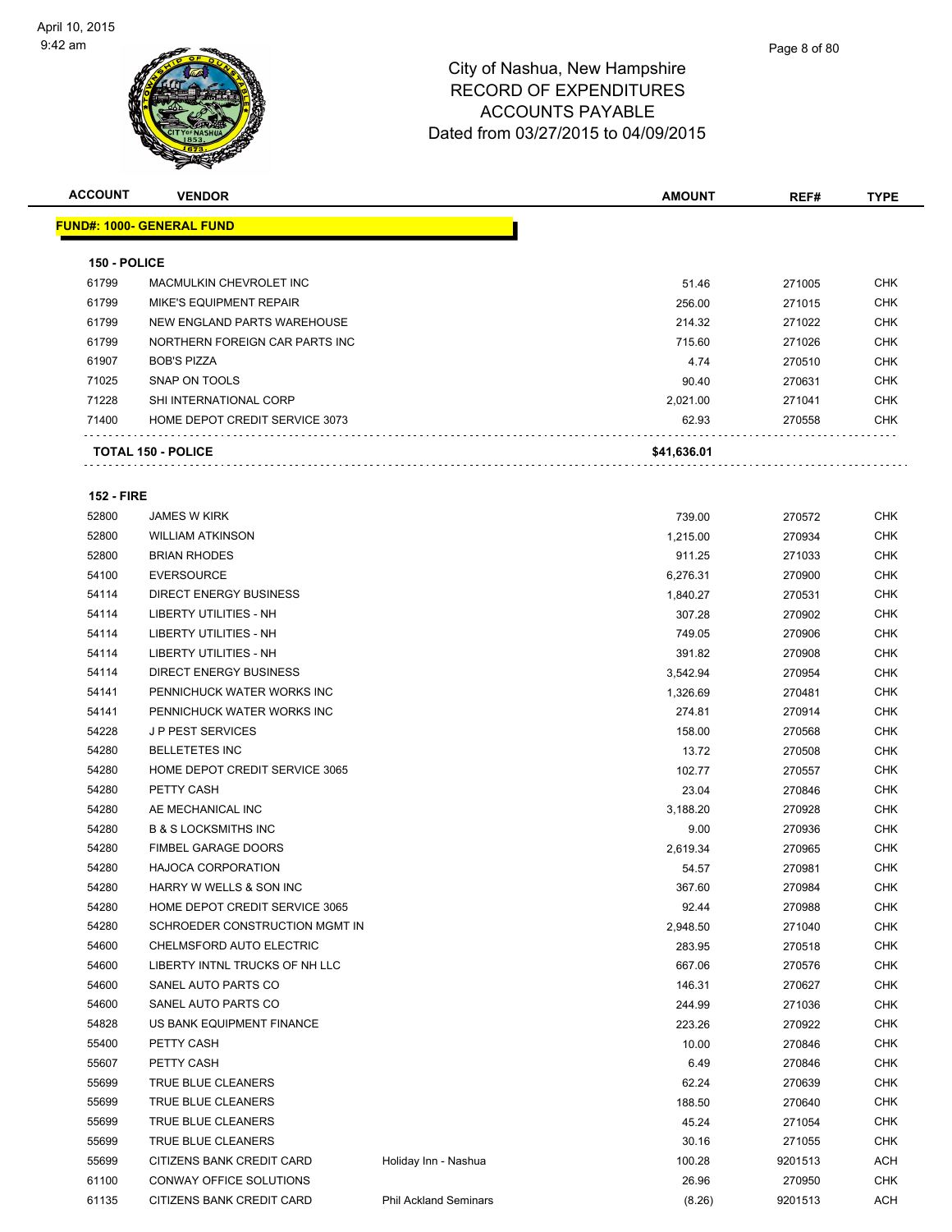**ACCOUNT VENDOR AMOUNT REF# TYPE**

|                   | <u> FUND#: 1000- GENERAL FUND</u> |                              |             |         |            |
|-------------------|-----------------------------------|------------------------------|-------------|---------|------------|
| 150 - POLICE      |                                   |                              |             |         |            |
| 61799             | MACMULKIN CHEVROLET INC           |                              | 51.46       | 271005  | <b>CHK</b> |
| 61799             | <b>MIKE'S EQUIPMENT REPAIR</b>    |                              | 256.00      | 271015  | <b>CHK</b> |
| 61799             | NEW ENGLAND PARTS WAREHOUSE       |                              | 214.32      | 271022  | CHK        |
| 61799             | NORTHERN FOREIGN CAR PARTS INC    |                              | 715.60      | 271026  | CHK        |
| 61907             | <b>BOB'S PIZZA</b>                |                              | 4.74        | 270510  | CHK        |
| 71025             | SNAP ON TOOLS                     |                              | 90.40       | 270631  | CHK        |
| 71228             | SHI INTERNATIONAL CORP            |                              | 2,021.00    | 271041  | CHK        |
| 71400             | HOME DEPOT CREDIT SERVICE 3073    |                              | 62.93       | 270558  | CHK        |
|                   | <b>TOTAL 150 - POLICE</b>         |                              | \$41,636.01 |         |            |
| <b>152 - FIRE</b> |                                   |                              |             |         |            |
| 52800             | <b>JAMES W KIRK</b>               |                              | 739.00      | 270572  | CHK        |
| 52800             | <b>WILLIAM ATKINSON</b>           |                              | 1,215.00    | 270934  | CHK        |
| 52800             | <b>BRIAN RHODES</b>               |                              | 911.25      | 271033  | CHK        |
| 54100             | <b>EVERSOURCE</b>                 |                              | 6,276.31    | 270900  | CHK        |
| 54114             | <b>DIRECT ENERGY BUSINESS</b>     |                              | 1,840.27    | 270531  | CHK        |
| 54114             | LIBERTY UTILITIES - NH            |                              | 307.28      | 270902  | CHK        |
| 54114             | <b>LIBERTY UTILITIES - NH</b>     |                              | 749.05      | 270906  | CHK        |
| 54114             | <b>LIBERTY UTILITIES - NH</b>     |                              | 391.82      | 270908  | CHK        |
| 54114             | <b>DIRECT ENERGY BUSINESS</b>     |                              | 3,542.94    | 270954  | CHK        |
| 54141             | PENNICHUCK WATER WORKS INC        |                              | 1,326.69    | 270481  |            |
| 54141             | PENNICHUCK WATER WORKS INC        |                              | 274.81      | 270914  |            |
| 54228             | <b>JP PEST SERVICES</b>           |                              | 158.00      | 270568  | CHK        |
| 54280             | <b>BELLETETES INC</b>             |                              | 13.72       | 270508  | CHK        |
| 54280             | HOME DEPOT CREDIT SERVICE 3065    |                              | 102.77      | 270557  | CHK        |
| 54280             | PETTY CASH                        |                              | 23.04       | 270846  | CHK        |
| 54280             | AE MECHANICAL INC                 |                              | 3,188.20    | 270928  | CHK        |
| 54280             | <b>B &amp; S LOCKSMITHS INC</b>   |                              | 9.00        | 270936  | CHK        |
| 54280             | <b>FIMBEL GARAGE DOORS</b>        |                              | 2,619.34    | 270965  | CHK        |
| 54280             | <b>HAJOCA CORPORATION</b>         |                              | 54.57       | 270981  | CHK        |
| 54280             | HARRY W WELLS & SON INC           |                              | 367.60      | 270984  | CHK        |
| 54280             | HOME DEPOT CREDIT SERVICE 3065    |                              | 92.44       | 270988  | <b>CHK</b> |
| 54280             | SCHROEDER CONSTRUCTION MGMT IN    |                              | 2,948.50    | 271040  | <b>CHK</b> |
| 54600             | CHELMSFORD AUTO ELECTRIC          |                              | 283.95      | 270518  | <b>CHK</b> |
| 54600             | LIBERTY INTNL TRUCKS OF NH LLC    |                              | 667.06      | 270576  | <b>CHK</b> |
| 54600             | SANEL AUTO PARTS CO               |                              | 146.31      | 270627  | CHK        |
| 54600             | SANEL AUTO PARTS CO               |                              | 244.99      | 271036  | <b>CHK</b> |
| 54828             | US BANK EQUIPMENT FINANCE         |                              | 223.26      | 270922  | <b>CHK</b> |
| 55400             | PETTY CASH                        |                              | 10.00       | 270846  | <b>CHK</b> |
| 55607             | PETTY CASH                        |                              | 6.49        | 270846  | <b>CHK</b> |
| 55699             | TRUE BLUE CLEANERS                |                              | 62.24       | 270639  | <b>CHK</b> |
| 55699             | TRUE BLUE CLEANERS                |                              | 188.50      | 270640  | <b>CHK</b> |
| 55699             | TRUE BLUE CLEANERS                |                              | 45.24       | 271054  | <b>CHK</b> |
| 55699             | TRUE BLUE CLEANERS                |                              | 30.16       | 271055  | CHK        |
| 55699             | CITIZENS BANK CREDIT CARD         | Holiday Inn - Nashua         | 100.28      | 9201513 | ACH        |
| 61100             | CONWAY OFFICE SOLUTIONS           |                              | 26.96       | 270950  | CHK        |
| 61135             | CITIZENS BANK CREDIT CARD         | <b>Phil Ackland Seminars</b> | (8.26)      | 9201513 | ACH        |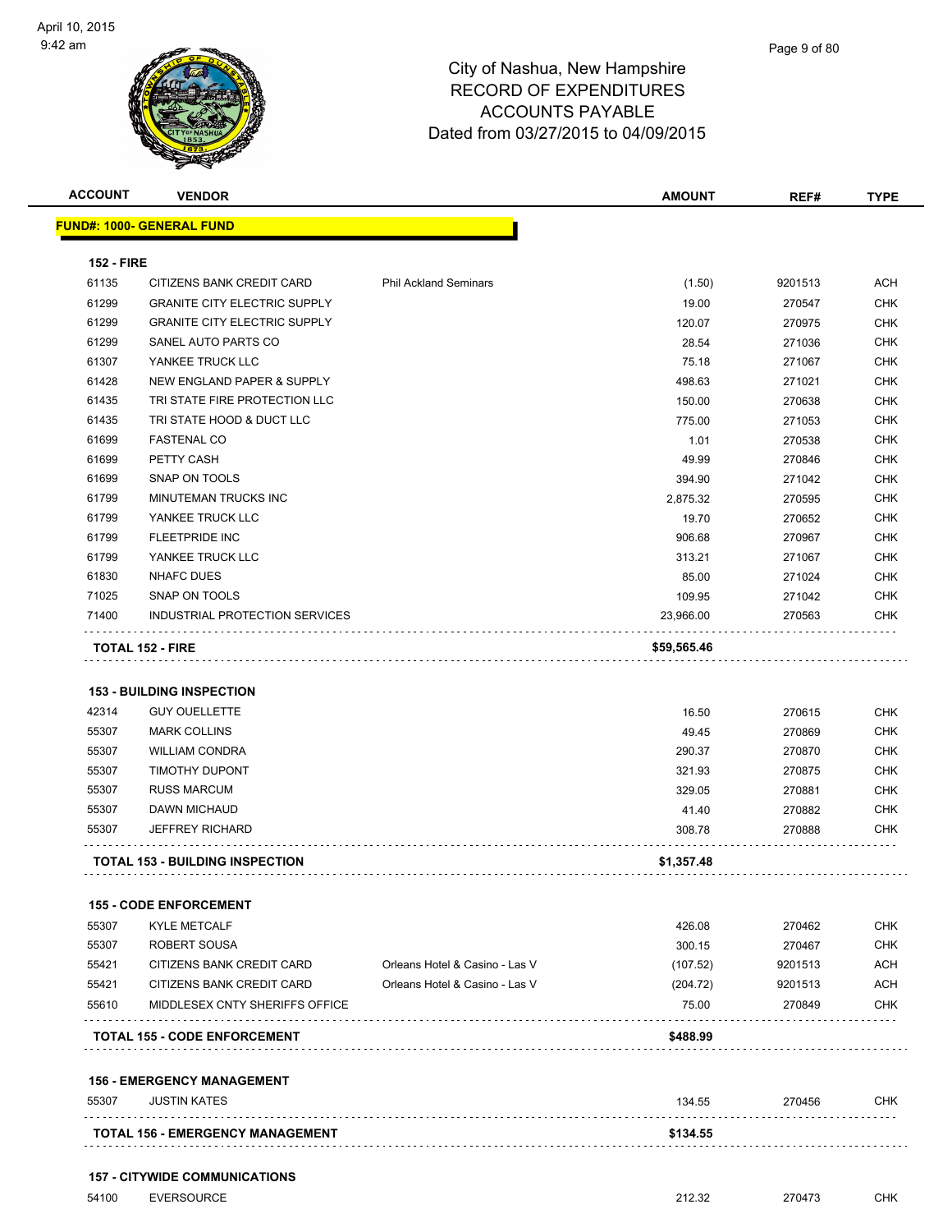|                                           | <b>VENDOR</b>                                                                               |                                |                                     |                                      |                                                                                                                                                 |
|-------------------------------------------|---------------------------------------------------------------------------------------------|--------------------------------|-------------------------------------|--------------------------------------|-------------------------------------------------------------------------------------------------------------------------------------------------|
|                                           | <u> FUND#: 1000- GENERAL FUND</u>                                                           |                                |                                     |                                      |                                                                                                                                                 |
| <b>152 - FIRE</b>                         |                                                                                             |                                |                                     |                                      |                                                                                                                                                 |
| 61135                                     | CITIZENS BANK CREDIT CARD                                                                   | <b>Phil Ackland Seminars</b>   | (1.50)                              | 9201513                              | <b>ACH</b>                                                                                                                                      |
| 61299                                     | <b>GRANITE CITY ELECTRIC SUPPLY</b>                                                         |                                | 19.00                               | 270547                               | <b>CHK</b>                                                                                                                                      |
| 61299                                     | <b>GRANITE CITY ELECTRIC SUPPLY</b>                                                         |                                | 120.07                              | 270975                               | <b>CHK</b>                                                                                                                                      |
| 61299                                     | SANEL AUTO PARTS CO                                                                         |                                | 28.54                               | 271036                               | <b>CHK</b>                                                                                                                                      |
| 61307                                     | YANKEE TRUCK LLC                                                                            |                                | 75.18                               | 271067                               | <b>CHK</b>                                                                                                                                      |
| 61428                                     | NEW ENGLAND PAPER & SUPPLY                                                                  |                                | 498.63                              | 271021                               | <b>CHK</b>                                                                                                                                      |
| 61435                                     | TRI STATE FIRE PROTECTION LLC                                                               |                                | 150.00                              | 270638                               | <b>CHK</b>                                                                                                                                      |
| 61435                                     | TRI STATE HOOD & DUCT LLC                                                                   |                                | 775.00                              | 271053                               | <b>CHK</b>                                                                                                                                      |
| 61699                                     | <b>FASTENAL CO</b>                                                                          |                                | 1.01                                | 270538                               | <b>CHK</b>                                                                                                                                      |
| 61699                                     | PETTY CASH                                                                                  |                                | 49.99                               | 270846                               | <b>CHK</b>                                                                                                                                      |
| 61699                                     | SNAP ON TOOLS                                                                               |                                | 394.90                              | 271042                               | <b>CHK</b>                                                                                                                                      |
| 61799                                     | MINUTEMAN TRUCKS INC                                                                        |                                | 2,875.32                            | 270595                               | <b>CHK</b>                                                                                                                                      |
| 61799                                     | YANKEE TRUCK LLC                                                                            |                                | 19.70                               | 270652                               | <b>CHK</b>                                                                                                                                      |
| 61799                                     | FLEETPRIDE INC                                                                              |                                | 906.68                              | 270967                               | <b>CHK</b>                                                                                                                                      |
| 61799                                     | YANKEE TRUCK LLC                                                                            |                                | 313.21                              | 271067                               | <b>CHK</b>                                                                                                                                      |
| 61830                                     | <b>NHAFC DUES</b>                                                                           |                                | 85.00                               | 271024                               | <b>CHK</b>                                                                                                                                      |
| 71025                                     | SNAP ON TOOLS                                                                               |                                | 109.95                              | 271042                               | <b>CHK</b>                                                                                                                                      |
| 71400                                     | INDUSTRIAL PROTECTION SERVICES                                                              |                                | 23,966.00                           | 270563                               | <b>CHK</b>                                                                                                                                      |
|                                           | <b>TOTAL 152 - FIRE</b><br><b>153 - BUILDING INSPECTION</b><br><b>GUY OUELLETTE</b>         |                                | \$59,565.46<br>16.50                | 270615                               |                                                                                                                                                 |
| 42314<br>55307<br>55307<br>55307<br>55307 | <b>MARK COLLINS</b><br><b>WILLIAM CONDRA</b><br><b>TIMOTHY DUPONT</b><br><b>RUSS MARCUM</b> |                                | 49.45<br>290.37<br>321.93<br>329.05 | 270869<br>270870<br>270875<br>270881 |                                                                                                                                                 |
|                                           | <b>DAWN MICHAUD</b>                                                                         |                                | 41.40                               | 270882                               |                                                                                                                                                 |
|                                           | <b>JEFFREY RICHARD</b>                                                                      |                                | 308.78                              | 270888                               |                                                                                                                                                 |
| 55307<br>55307                            | <b>TOTAL 153 - BUILDING INSPECTION</b>                                                      |                                | \$1,357.48                          |                                      |                                                                                                                                                 |
|                                           | <b>155 - CODE ENFORCEMENT</b>                                                               |                                |                                     |                                      |                                                                                                                                                 |
| 55307                                     | <b>KYLE METCALF</b>                                                                         |                                | 426.08                              | 270462                               |                                                                                                                                                 |
|                                           | ROBERT SOUSA                                                                                |                                | 300.15                              | 270467                               |                                                                                                                                                 |
| 55307<br>55421                            | CITIZENS BANK CREDIT CARD                                                                   | Orleans Hotel & Casino - Las V | (107.52)                            | 9201513                              |                                                                                                                                                 |
| 55421                                     | CITIZENS BANK CREDIT CARD                                                                   | Orleans Hotel & Casino - Las V | (204.72)                            | 9201513                              |                                                                                                                                                 |
|                                           | MIDDLESEX CNTY SHERIFFS OFFICE                                                              |                                | 75.00                               | 270849                               |                                                                                                                                                 |
| 55610                                     | <b>TOTAL 155 - CODE ENFORCEMENT</b>                                                         |                                | \$488.99                            |                                      |                                                                                                                                                 |
|                                           | <b>156 - EMERGENCY MANAGEMENT</b>                                                           |                                |                                     |                                      |                                                                                                                                                 |
| 55307                                     | <b>JUSTIN KATES</b>                                                                         |                                | 134.55                              | 270456                               | CHK<br><b>CHK</b><br><b>CHK</b><br><b>CHK</b><br><b>CHK</b><br><b>CHK</b><br><b>CHK</b><br><b>CHK</b><br>CHK<br>ACH<br>ACH<br><b>CHK</b><br>CHK |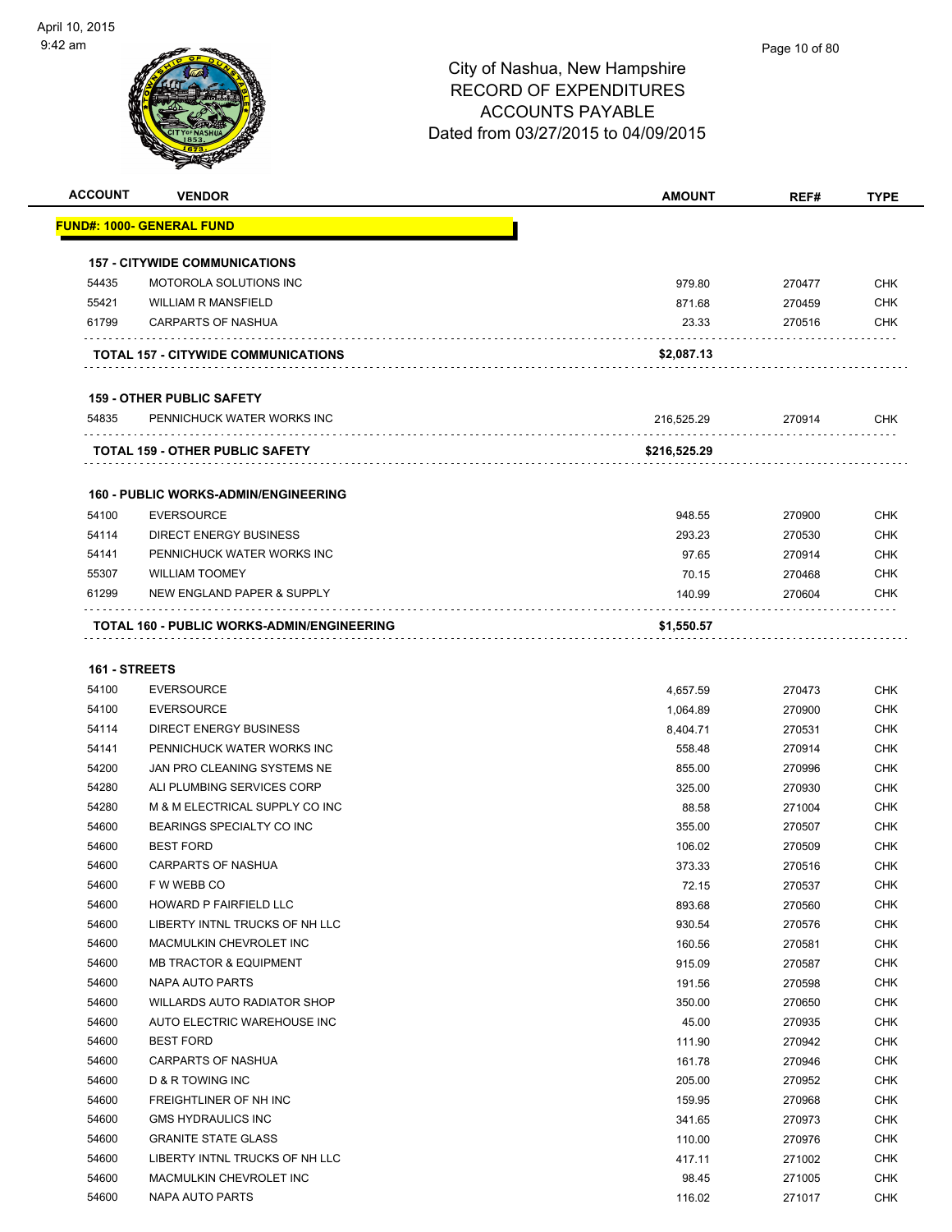#### Page 10 of 80

| <b>ACCOUNT</b> | <b>VENDOR</b>                               | <b>AMOUNT</b> | REF#   | <b>TYPE</b> |
|----------------|---------------------------------------------|---------------|--------|-------------|
|                | <u> FUND#: 1000- GENERAL FUND</u>           |               |        |             |
|                |                                             |               |        |             |
|                | <b>157 - CITYWIDE COMMUNICATIONS</b>        |               |        |             |
| 54435          | MOTOROLA SOLUTIONS INC                      | 979.80        | 270477 | <b>CHK</b>  |
| 55421          | <b>WILLIAM R MANSFIELD</b>                  | 871.68        | 270459 | <b>CHK</b>  |
| 61799          | <b>CARPARTS OF NASHUA</b>                   | 23.33         | 270516 | <b>CHK</b>  |
|                | TOTAL 157 - CITYWIDE COMMUNICATIONS         | \$2,087.13    |        |             |
|                | <b>159 - OTHER PUBLIC SAFETY</b>            |               |        |             |
| 54835          | PENNICHUCK WATER WORKS INC                  | 216,525.29    | 270914 | <b>CHK</b>  |
|                | TOTAL 159 - OTHER PUBLIC SAFETY             | \$216,525.29  |        |             |
|                |                                             |               |        |             |
|                | <b>160 - PUBLIC WORKS-ADMIN/ENGINEERING</b> |               |        |             |
| 54100          | <b>EVERSOURCE</b>                           | 948.55        | 270900 | <b>CHK</b>  |
| 54114          | <b>DIRECT ENERGY BUSINESS</b>               | 293.23        | 270530 | <b>CHK</b>  |
| 54141          | PENNICHUCK WATER WORKS INC                  | 97.65         | 270914 | <b>CHK</b>  |
| 55307          | <b>WILLIAM TOOMEY</b>                       | 70.15         | 270468 | <b>CHK</b>  |
| 61299          | NEW ENGLAND PAPER & SUPPLY                  | 140.99        | 270604 | <b>CHK</b>  |
|                | TOTAL 160 - PUBLIC WORKS-ADMIN/ENGINEERING  | \$1,550.57    |        |             |
| 161 - STREETS  |                                             |               |        |             |
| 54100          | <b>EVERSOURCE</b>                           | 4,657.59      | 270473 | <b>CHK</b>  |
| 54100          | <b>EVERSOURCE</b>                           | 1,064.89      | 270900 | <b>CHK</b>  |
| 54114          | <b>DIRECT ENERGY BUSINESS</b>               | 8,404.71      | 270531 | <b>CHK</b>  |
| 54141          | PENNICHUCK WATER WORKS INC                  | 558.48        | 270914 | <b>CHK</b>  |
| 54200          | JAN PRO CLEANING SYSTEMS NE                 | 855.00        | 270996 | <b>CHK</b>  |
| 54280          | ALI PLUMBING SERVICES CORP                  | 325.00        | 270930 | <b>CHK</b>  |
| 54280          | M & M ELECTRICAL SUPPLY CO INC              | 88.58         | 271004 | <b>CHK</b>  |
| 54600          | BEARINGS SPECIALTY CO INC                   | 355.00        | 270507 | <b>CHK</b>  |
| 54600          | <b>BEST FORD</b>                            | 106.02        | 270509 | <b>CHK</b>  |
| 54600          | <b>CARPARTS OF NASHUA</b>                   | 373.33        | 270516 | <b>CHK</b>  |
| 54600          | F W WEBB CO                                 | 72.15         | 270537 | CHK         |
| 54600          | HOWARD P FAIRFIELD LLC                      | 893.68        | 270560 | <b>CHK</b>  |
| 54600          | LIBERTY INTNL TRUCKS OF NH LLC              | 930.54        | 270576 | <b>CHK</b>  |
| 54600          | MACMULKIN CHEVROLET INC                     | 160.56        | 270581 | <b>CHK</b>  |
| 54600          | <b>MB TRACTOR &amp; EQUIPMENT</b>           | 915.09        | 270587 | <b>CHK</b>  |
| 54600          | NAPA AUTO PARTS                             | 191.56        | 270598 | <b>CHK</b>  |
| 54600          | WILLARDS AUTO RADIATOR SHOP                 | 350.00        | 270650 | <b>CHK</b>  |
| 54600          | AUTO ELECTRIC WAREHOUSE INC                 | 45.00         | 270935 | <b>CHK</b>  |
| 54600          | <b>BEST FORD</b>                            | 111.90        | 270942 | <b>CHK</b>  |
| 54600          | <b>CARPARTS OF NASHUA</b>                   | 161.78        | 270946 | <b>CHK</b>  |
| 54600          | D & R TOWING INC                            | 205.00        | 270952 | <b>CHK</b>  |
| 54600          | FREIGHTLINER OF NH INC                      | 159.95        | 270968 | <b>CHK</b>  |
| 54600          | <b>GMS HYDRAULICS INC</b>                   | 341.65        | 270973 | CHK         |
| 54600          | <b>GRANITE STATE GLASS</b>                  | 110.00        | 270976 | <b>CHK</b>  |
| 54600          | LIBERTY INTNL TRUCKS OF NH LLC              | 417.11        | 271002 | CHK         |
| 54600          | MACMULKIN CHEVROLET INC                     | 98.45         | 271005 | <b>CHK</b>  |
| 54600          | NAPA AUTO PARTS                             | 116.02        | 271017 | <b>CHK</b>  |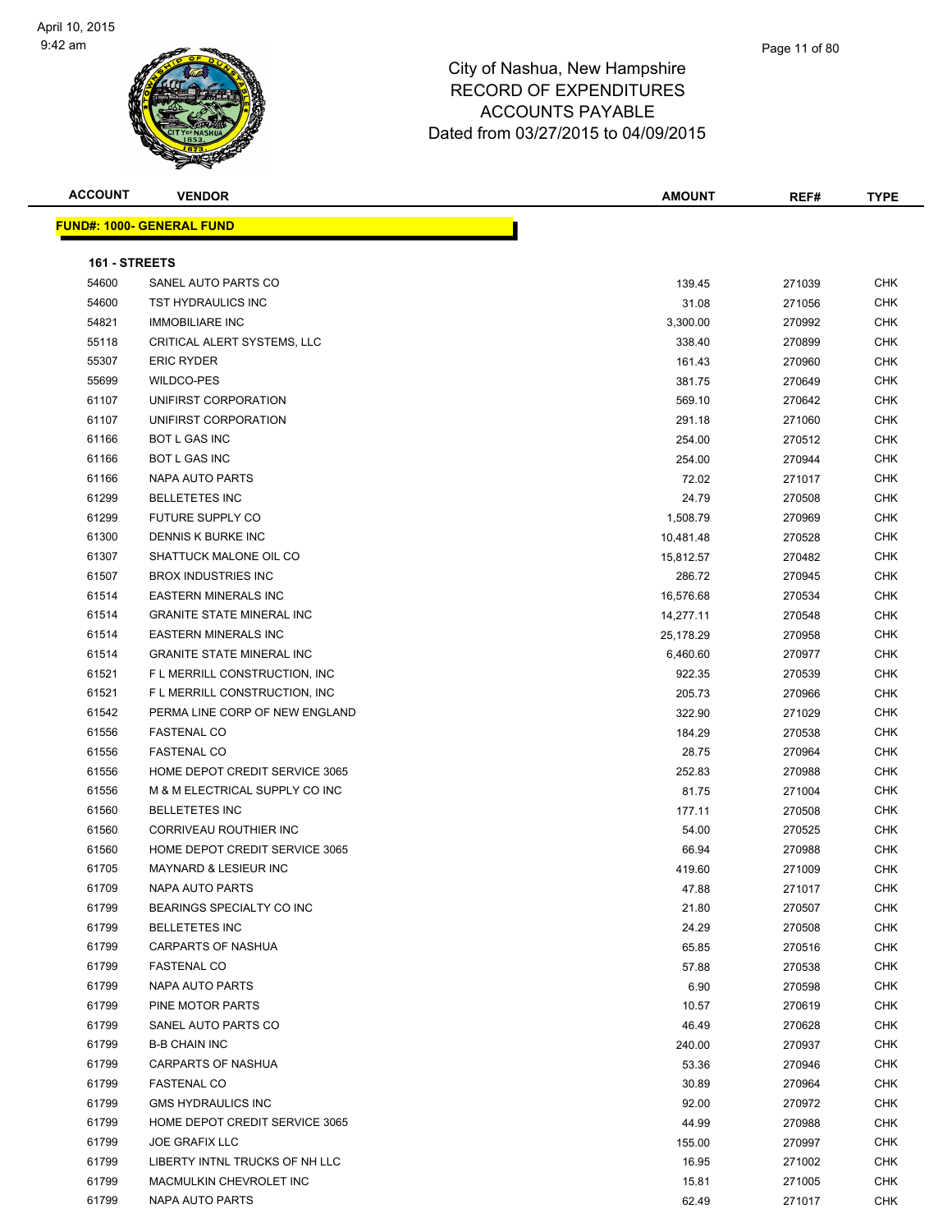| <b>ACCOUNT</b> | <b>VENDOR</b>                     | <b>AMOUNT</b> | REF#   | <b>TYPE</b> |
|----------------|-----------------------------------|---------------|--------|-------------|
|                | <u> FUND#: 1000- GENERAL FUND</u> |               |        |             |
|                |                                   |               |        |             |
| 161 - STREETS  |                                   |               |        |             |
| 54600          | SANEL AUTO PARTS CO               | 139.45        | 271039 | <b>CHK</b>  |
| 54600          | TST HYDRAULICS INC                | 31.08         | 271056 | <b>CHK</b>  |
| 54821          | <b>IMMOBILIARE INC</b>            | 3,300.00      | 270992 | <b>CHK</b>  |
| 55118          | CRITICAL ALERT SYSTEMS, LLC       | 338.40        | 270899 | <b>CHK</b>  |
| 55307          | <b>ERIC RYDER</b>                 | 161.43        | 270960 | CHK         |
| 55699          | <b>WILDCO-PES</b>                 | 381.75        | 270649 | CHK         |
| 61107          | UNIFIRST CORPORATION              | 569.10        | 270642 | <b>CHK</b>  |
| 61107          | UNIFIRST CORPORATION              | 291.18        | 271060 | <b>CHK</b>  |
| 61166          | <b>BOT L GAS INC</b>              | 254.00        | 270512 | <b>CHK</b>  |
| 61166          | <b>BOT L GAS INC</b>              | 254.00        | 270944 | <b>CHK</b>  |
| 61166          | NAPA AUTO PARTS                   | 72.02         | 271017 | CHK         |
| 61299          | <b>BELLETETES INC</b>             | 24.79         | 270508 | <b>CHK</b>  |
| 61299          | FUTURE SUPPLY CO                  | 1,508.79      | 270969 | <b>CHK</b>  |
| 61300          | DENNIS K BURKE INC                | 10,481.48     | 270528 | CHK         |
| 61307          | SHATTUCK MALONE OIL CO            | 15,812.57     | 270482 | <b>CHK</b>  |
| 61507          | <b>BROX INDUSTRIES INC</b>        | 286.72        | 270945 | CHK         |
| 61514          | <b>EASTERN MINERALS INC</b>       | 16,576.68     | 270534 | CHK         |
| 61514          | <b>GRANITE STATE MINERAL INC</b>  | 14,277.11     | 270548 | <b>CHK</b>  |
| 61514          | <b>EASTERN MINERALS INC</b>       | 25,178.29     | 270958 | <b>CHK</b>  |
| 61514          | <b>GRANITE STATE MINERAL INC</b>  | 6,460.60      | 270977 | <b>CHK</b>  |
| 61521          | F L MERRILL CONSTRUCTION, INC     | 922.35        | 270539 | <b>CHK</b>  |
| 61521          | F L MERRILL CONSTRUCTION, INC     | 205.73        | 270966 | <b>CHK</b>  |
| 61542          | PERMA LINE CORP OF NEW ENGLAND    | 322.90        | 271029 | <b>CHK</b>  |
| 61556          | <b>FASTENAL CO</b>                | 184.29        | 270538 | <b>CHK</b>  |
| 61556          | <b>FASTENAL CO</b>                | 28.75         | 270964 | CHK         |
| 61556          | HOME DEPOT CREDIT SERVICE 3065    | 252.83        | 270988 | CHK         |
| 61556          | M & M ELECTRICAL SUPPLY CO INC    | 81.75         | 271004 | CHK         |
| 61560          | <b>BELLETETES INC</b>             | 177.11        | 270508 | CHK         |
| 61560          | CORRIVEAU ROUTHIER INC            | 54.00         | 270525 | <b>CHK</b>  |
| 61560          | HOME DEPOT CREDIT SERVICE 3065    | 66.94         | 270988 | <b>CHK</b>  |
| 61705          | <b>MAYNARD &amp; LESIEUR INC</b>  | 419.60        | 271009 | <b>CHK</b>  |
| 61709          | NAPA AUTO PARTS                   | 47.88         | 271017 | <b>CHK</b>  |
| 61799          | BEARINGS SPECIALTY CO INC         | 21.80         | 270507 | CHK         |
| 61799          | <b>BELLETETES INC</b>             | 24.29         | 270508 | <b>CHK</b>  |
| 61799          | <b>CARPARTS OF NASHUA</b>         | 65.85         | 270516 | <b>CHK</b>  |
| 61799          | <b>FASTENAL CO</b>                | 57.88         | 270538 | CHK         |
| 61799          | NAPA AUTO PARTS                   | 6.90          | 270598 | <b>CHK</b>  |
| 61799          | PINE MOTOR PARTS                  |               |        | CHK         |
|                |                                   | 10.57         | 270619 |             |
| 61799          | SANEL AUTO PARTS CO               | 46.49         | 270628 | CHK         |
| 61799          | <b>B-B CHAIN INC</b>              | 240.00        | 270937 | <b>CHK</b>  |
| 61799          | <b>CARPARTS OF NASHUA</b>         | 53.36         | 270946 | CHK         |
| 61799          | <b>FASTENAL CO</b>                | 30.89         | 270964 | <b>CHK</b>  |
| 61799          | <b>GMS HYDRAULICS INC</b>         | 92.00         | 270972 | <b>CHK</b>  |
| 61799          | HOME DEPOT CREDIT SERVICE 3065    | 44.99         | 270988 | CHK         |
| 61799          | <b>JOE GRAFIX LLC</b>             | 155.00        | 270997 | <b>CHK</b>  |
| 61799          | LIBERTY INTNL TRUCKS OF NH LLC    | 16.95         | 271002 | <b>CHK</b>  |
| 61799          | MACMULKIN CHEVROLET INC           | 15.81         | 271005 | CHK         |
| 61799          | NAPA AUTO PARTS                   | 62.49         | 271017 | <b>CHK</b>  |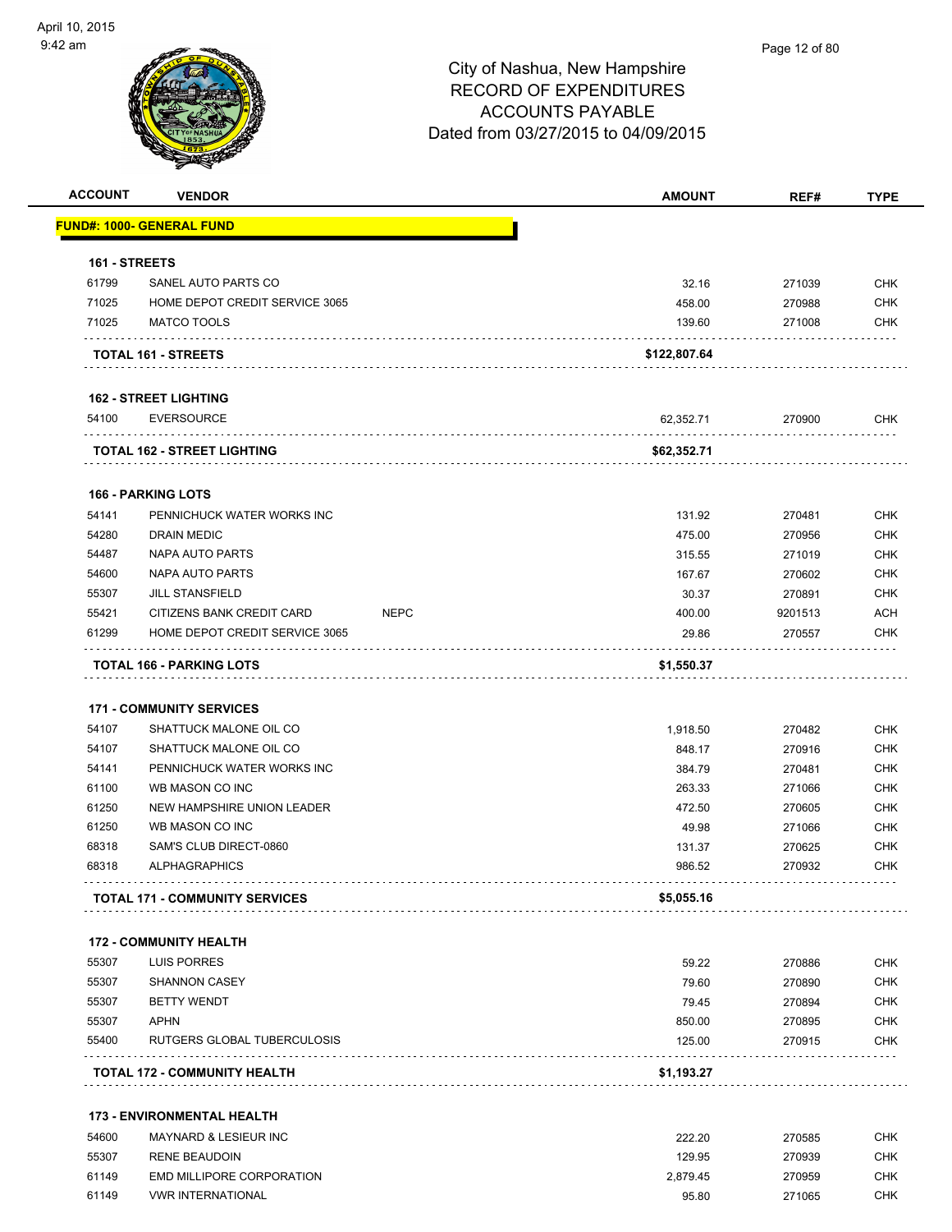| <b>ACCOUNT</b> | <b>VENDOR</b>                         | <b>AMOUNT</b>         | REF#    | <b>TYPE</b> |
|----------------|---------------------------------------|-----------------------|---------|-------------|
|                | <b>FUND#: 1000- GENERAL FUND</b>      |                       |         |             |
| 161 - STREETS  |                                       |                       |         |             |
| 61799          | SANEL AUTO PARTS CO                   | 32.16                 | 271039  | <b>CHK</b>  |
| 71025          | HOME DEPOT CREDIT SERVICE 3065        | 458.00                | 270988  | <b>CHK</b>  |
| 71025          | <b>MATCO TOOLS</b>                    | 139.60                | 271008  | <b>CHK</b>  |
|                | <b>TOTAL 161 - STREETS</b>            | \$122,807.64          |         |             |
|                | <b>162 - STREET LIGHTING</b>          |                       |         |             |
| 54100          | <b>EVERSOURCE</b>                     | 62,352.71             | 270900  | CHK         |
|                | <b>TOTAL 162 - STREET LIGHTING</b>    | \$62,352.71           |         |             |
|                | <b>166 - PARKING LOTS</b>             |                       |         |             |
| 54141          | PENNICHUCK WATER WORKS INC            | 131.92                | 270481  | <b>CHK</b>  |
| 54280          | <b>DRAIN MEDIC</b>                    | 475.00                | 270956  | <b>CHK</b>  |
| 54487          | NAPA AUTO PARTS                       | 315.55                | 271019  | <b>CHK</b>  |
| 54600          | NAPA AUTO PARTS                       | 167.67                | 270602  | CHK         |
| 55307          | <b>JILL STANSFIELD</b>                | 30.37                 | 270891  | <b>CHK</b>  |
| 55421          | CITIZENS BANK CREDIT CARD             | <b>NEPC</b><br>400.00 | 9201513 | <b>ACH</b>  |
| 61299          | HOME DEPOT CREDIT SERVICE 3065        | 29.86                 | 270557  | <b>CHK</b>  |
|                | <b>171 - COMMUNITY SERVICES</b>       |                       |         |             |
| 54107          | SHATTUCK MALONE OIL CO                | 1,918.50              | 270482  | <b>CHK</b>  |
| 54107          | SHATTUCK MALONE OIL CO                | 848.17                | 270916  | <b>CHK</b>  |
| 54141          | PENNICHUCK WATER WORKS INC            | 384.79                | 270481  | <b>CHK</b>  |
| 61100          | WB MASON CO INC                       | 263.33                | 271066  | <b>CHK</b>  |
| 61250          | NEW HAMPSHIRE UNION LEADER            | 472.50                | 270605  | CHK         |
| 61250          | WB MASON CO INC                       | 49.98                 | 271066  | CHK         |
| 68318          | SAM'S CLUB DIRECT-0860                | 131.37                | 270625  | <b>CHK</b>  |
| 68318          | <b>ALPHAGRAPHICS</b>                  | 986.52                | 270932  | <b>CHK</b>  |
|                | <b>TOTAL 171 - COMMUNITY SERVICES</b> | \$5,055.16            |         |             |
|                | <b>172 - COMMUNITY HEALTH</b>         |                       |         |             |
| 55307          | <b>LUIS PORRES</b>                    | 59.22                 | 270886  | <b>CHK</b>  |
| 55307          | <b>SHANNON CASEY</b>                  | 79.60                 | 270890  | <b>CHK</b>  |
| 55307          | <b>BETTY WENDT</b>                    | 79.45                 | 270894  | <b>CHK</b>  |
| 55307          | <b>APHN</b>                           | 850.00                | 270895  | <b>CHK</b>  |
| 55400          | RUTGERS GLOBAL TUBERCULOSIS           | 125.00                | 270915  | <b>CHK</b>  |
|                | TOTAL 172 - COMMUNITY HEALTH          | \$1,193.27            |         |             |
|                | <b>173 - ENVIRONMENTAL HEALTH</b>     |                       |         |             |
| 54600          | MAYNARD & LESIEUR INC                 | 222.20                | 270585  | <b>CHK</b>  |
| 55307          | <b>RENE BEAUDOIN</b>                  | 129.95                | 270939  | <b>CHK</b>  |
| 61149          | EMD MILLIPORE CORPORATION             | 2,879.45              | 270959  | CHK         |

61149 VWR INTERNATIONAL 95.80 271065 CHK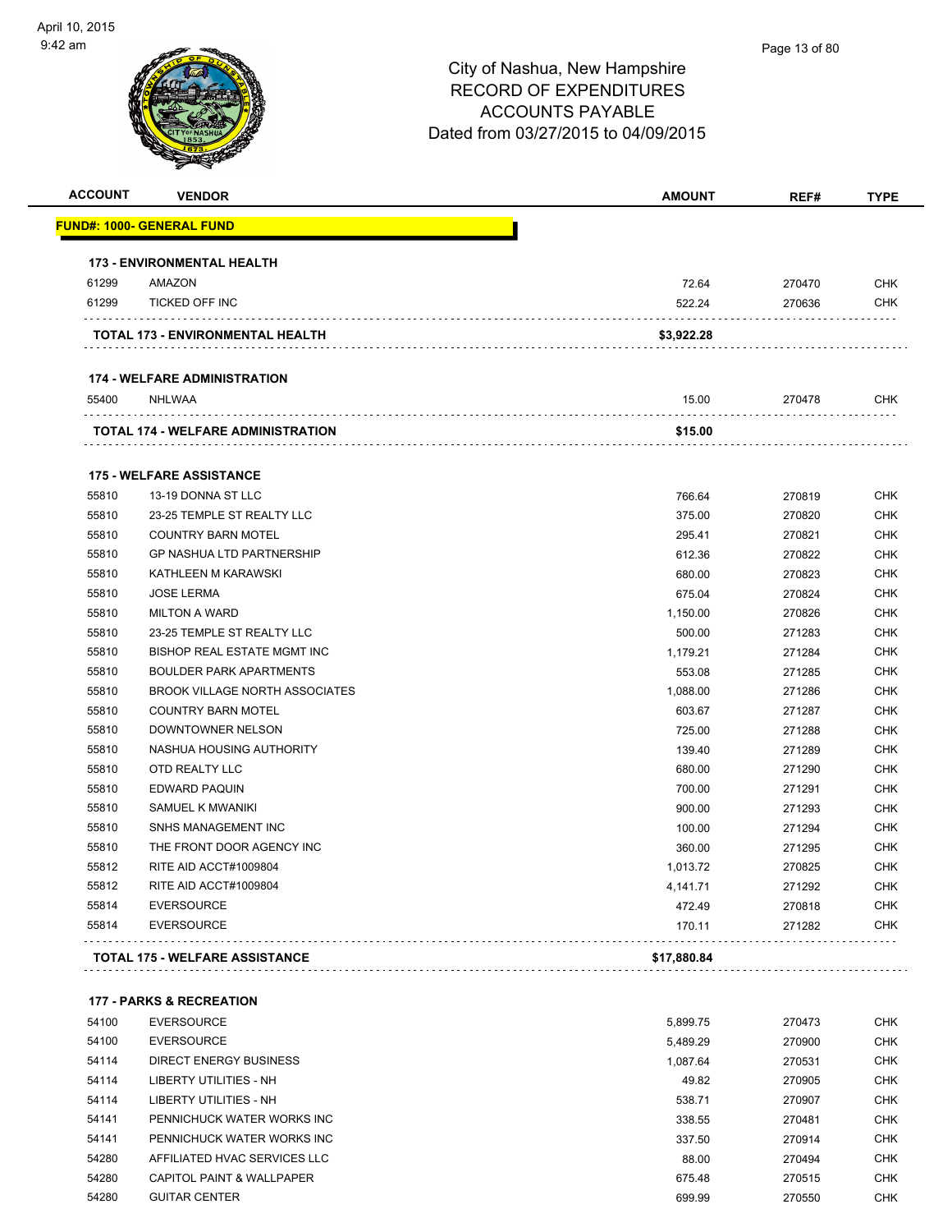| <b>ACCOUNT</b> | <b>VENDOR</b>                         | <b>AMOUNT</b> | REF#   | <b>TYPE</b> |
|----------------|---------------------------------------|---------------|--------|-------------|
|                | <u> FUND#: 1000- GENERAL FUND</u>     |               |        |             |
|                | <b>173 - ENVIRONMENTAL HEALTH</b>     |               |        |             |
| 61299          | AMAZON                                | 72.64         | 270470 | <b>CHK</b>  |
| 61299          | <b>TICKED OFF INC</b>                 | 522.24        | 270636 | <b>CHK</b>  |
|                | TOTAL 173 - ENVIRONMENTAL HEALTH      | \$3,922.28    |        |             |
|                | <b>174 - WELFARE ADMINISTRATION</b>   |               |        |             |
| 55400          | NHLWAA                                | 15.00         | 270478 | <b>CHK</b>  |
|                | TOTAL 174 - WELFARE ADMINISTRATION    | \$15.00       |        |             |
|                | <b>175 - WELFARE ASSISTANCE</b>       |               |        |             |
| 55810          | 13-19 DONNA ST LLC                    | 766.64        | 270819 | <b>CHK</b>  |
| 55810          | 23-25 TEMPLE ST REALTY LLC            | 375.00        | 270820 | <b>CHK</b>  |
| 55810          | <b>COUNTRY BARN MOTEL</b>             | 295.41        | 270821 | <b>CHK</b>  |
| 55810          | <b>GP NASHUA LTD PARTNERSHIP</b>      | 612.36        | 270822 | <b>CHK</b>  |
| 55810          | KATHLEEN M KARAWSKI                   | 680.00        | 270823 | <b>CHK</b>  |
| 55810          | <b>JOSE LERMA</b>                     | 675.04        | 270824 | <b>CHK</b>  |
| 55810          | <b>MILTON A WARD</b>                  | 1,150.00      | 270826 | <b>CHK</b>  |
| 55810          | 23-25 TEMPLE ST REALTY LLC            | 500.00        | 271283 | <b>CHK</b>  |
| 55810          | BISHOP REAL ESTATE MGMT INC           | 1,179.21      | 271284 | <b>CHK</b>  |
| 55810          | <b>BOULDER PARK APARTMENTS</b>        | 553.08        | 271285 | <b>CHK</b>  |
| 55810          | <b>BROOK VILLAGE NORTH ASSOCIATES</b> | 1,088.00      | 271286 | <b>CHK</b>  |
| 55810          | <b>COUNTRY BARN MOTEL</b>             | 603.67        | 271287 | <b>CHK</b>  |
| 55810          | DOWNTOWNER NELSON                     | 725.00        | 271288 | <b>CHK</b>  |
| 55810          | NASHUA HOUSING AUTHORITY              | 139.40        | 271289 | <b>CHK</b>  |
| 55810          | OTD REALTY LLC                        | 680.00        | 271290 | <b>CHK</b>  |
| 55810          | <b>EDWARD PAQUIN</b>                  | 700.00        | 271291 | <b>CHK</b>  |
| 55810          | SAMUEL K MWANIKI                      | 900.00        | 271293 | <b>CHK</b>  |
| 55810          | SNHS MANAGEMENT INC                   | 100.00        | 271294 | <b>CHK</b>  |
| 55810          | THE FRONT DOOR AGENCY INC             | 360.00        | 271295 | <b>CHK</b>  |
| 55812          | RITE AID ACCT#1009804                 | 1,013.72      | 270825 | <b>CHK</b>  |
| 55812          | RITE AID ACCT#1009804                 | 4,141.71      | 271292 | <b>CHK</b>  |
| 55814          | <b>EVERSOURCE</b>                     | 472.49        | 270818 | <b>CHK</b>  |
| 55814          | <b>EVERSOURCE</b>                     | 170.11        | 271282 | <b>CHK</b>  |
|                | TOTAL 175 - WELFARE ASSISTANCE        | \$17,880.84   |        |             |
|                | <b>177 - PARKS &amp; RECREATION</b>   |               |        |             |
| 54100          | <b>EVERSOURCE</b>                     | 5,899.75      | 270473 | <b>CHK</b>  |
| 54100          | <b>EVERSOURCE</b>                     | 5,489.29      | 270900 | <b>CHK</b>  |
| 54114          | DIRECT ENERGY BUSINESS                | 1,087.64      | 270531 | <b>CHK</b>  |
| 54114          | <b>LIBERTY UTILITIES - NH</b>         | 49.82         | 270905 | <b>CHK</b>  |
| 54114          | LIBERTY UTILITIES - NH                | 538.71        | 270907 | <b>CHK</b>  |
| 54141          | PENNICHUCK WATER WORKS INC            | 338.55        | 270481 | <b>CHK</b>  |
| 54141          | PENNICHUCK WATER WORKS INC            | 337.50        | 270914 | <b>CHK</b>  |
| 54280          | AFFILIATED HVAC SERVICES LLC          | 88.00         | 270494 | <b>CHK</b>  |
| 54280          | CAPITOL PAINT & WALLPAPER             | 675.48        |        | <b>CHK</b>  |
|                |                                       |               | 270515 | <b>CHK</b>  |
| 54280          | <b>GUITAR CENTER</b>                  | 699.99        | 270550 |             |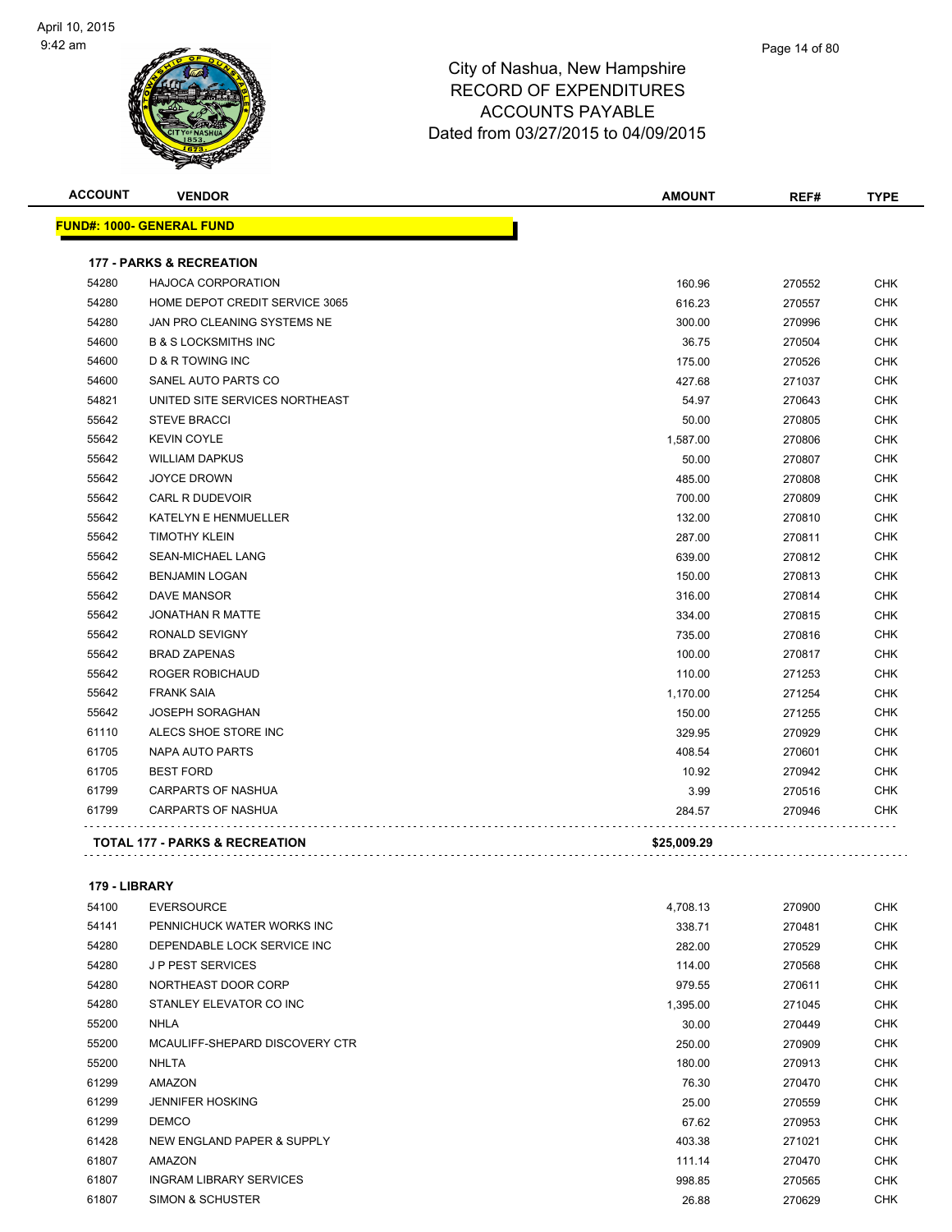

| <b>ACCOUNT</b> | <b>VENDOR</b>                             | <b>AMOUNT</b> | REF#   | <b>TYPE</b> |
|----------------|-------------------------------------------|---------------|--------|-------------|
|                | <u> FUND#: 1000- GENERAL FUND</u>         |               |        |             |
|                | <b>177 - PARKS &amp; RECREATION</b>       |               |        |             |
| 54280          | <b>HAJOCA CORPORATION</b>                 | 160.96        | 270552 | <b>CHK</b>  |
| 54280          | HOME DEPOT CREDIT SERVICE 3065            | 616.23        | 270557 | <b>CHK</b>  |
| 54280          | JAN PRO CLEANING SYSTEMS NE               | 300.00        | 270996 | <b>CHK</b>  |
| 54600          | <b>B &amp; S LOCKSMITHS INC</b>           | 36.75         | 270504 | <b>CHK</b>  |
| 54600          | <b>D &amp; R TOWING INC</b>               | 175.00        | 270526 | <b>CHK</b>  |
| 54600          | SANEL AUTO PARTS CO                       | 427.68        | 271037 | <b>CHK</b>  |
| 54821          | UNITED SITE SERVICES NORTHEAST            | 54.97         | 270643 | <b>CHK</b>  |
| 55642          | <b>STEVE BRACCI</b>                       | 50.00         | 270805 | <b>CHK</b>  |
| 55642          | <b>KEVIN COYLE</b>                        | 1,587.00      | 270806 | <b>CHK</b>  |
| 55642          | <b>WILLIAM DAPKUS</b>                     | 50.00         | 270807 | <b>CHK</b>  |
| 55642          | <b>JOYCE DROWN</b>                        | 485.00        | 270808 | <b>CHK</b>  |
| 55642          | CARL R DUDEVOIR                           | 700.00        | 270809 | CHK         |
| 55642          | KATELYN E HENMUELLER                      | 132.00        | 270810 | <b>CHK</b>  |
| 55642          | <b>TIMOTHY KLEIN</b>                      | 287.00        | 270811 | <b>CHK</b>  |
| 55642          | <b>SEAN-MICHAEL LANG</b>                  | 639.00        | 270812 | <b>CHK</b>  |
| 55642          | <b>BENJAMIN LOGAN</b>                     | 150.00        | 270813 | <b>CHK</b>  |
| 55642          | <b>DAVE MANSOR</b>                        | 316.00        | 270814 | <b>CHK</b>  |
| 55642          | <b>JONATHAN R MATTE</b>                   | 334.00        | 270815 | <b>CHK</b>  |
| 55642          | RONALD SEVIGNY                            | 735.00        | 270816 | <b>CHK</b>  |
| 55642          | <b>BRAD ZAPENAS</b>                       | 100.00        | 270817 | <b>CHK</b>  |
| 55642          | ROGER ROBICHAUD                           | 110.00        | 271253 | <b>CHK</b>  |
| 55642          | <b>FRANK SAIA</b>                         | 1,170.00      | 271254 | <b>CHK</b>  |
| 55642          | <b>JOSEPH SORAGHAN</b>                    | 150.00        | 271255 | <b>CHK</b>  |
| 61110          | ALECS SHOE STORE INC                      | 329.95        | 270929 | <b>CHK</b>  |
| 61705          | <b>NAPA AUTO PARTS</b>                    | 408.54        | 270601 | <b>CHK</b>  |
| 61705          | <b>BEST FORD</b>                          | 10.92         | 270942 | CHK         |
| 61799          | <b>CARPARTS OF NASHUA</b>                 | 3.99          | 270516 | <b>CHK</b>  |
| 61799          | <b>CARPARTS OF NASHUA</b>                 | 284.57        | 270946 | <b>CHK</b>  |
|                | <b>TOTAL 177 - PARKS &amp; RECREATION</b> | \$25,009.29   |        |             |

#### **179 - LIBRARY**

| 54100 | <b>EVERSOURCE</b>              | 4,708.13 | 270900 | <b>CHK</b> |
|-------|--------------------------------|----------|--------|------------|
| 54141 | PENNICHUCK WATER WORKS INC     | 338.71   | 270481 | <b>CHK</b> |
| 54280 | DEPENDABLE LOCK SERVICE INC    | 282.00   | 270529 | <b>CHK</b> |
| 54280 | <b>JP PEST SERVICES</b>        | 114.00   | 270568 | <b>CHK</b> |
| 54280 | NORTHEAST DOOR CORP            | 979.55   | 270611 | <b>CHK</b> |
| 54280 | STANLEY ELEVATOR CO INC        | 1,395.00 | 271045 | <b>CHK</b> |
| 55200 | NHLA                           | 30.00    | 270449 | <b>CHK</b> |
| 55200 | MCAULIFF-SHEPARD DISCOVERY CTR | 250.00   | 270909 | <b>CHK</b> |
| 55200 | <b>NHLTA</b>                   | 180.00   | 270913 | <b>CHK</b> |
| 61299 | <b>AMAZON</b>                  | 76.30    | 270470 | <b>CHK</b> |
| 61299 | <b>JENNIFER HOSKING</b>        | 25.00    | 270559 | <b>CHK</b> |
| 61299 | <b>DEMCO</b>                   | 67.62    | 270953 | <b>CHK</b> |
| 61428 | NEW ENGLAND PAPER & SUPPLY     | 403.38   | 271021 | <b>CHK</b> |
| 61807 | <b>AMAZON</b>                  | 111.14   | 270470 | <b>CHK</b> |
| 61807 | <b>INGRAM LIBRARY SERVICES</b> | 998.85   | 270565 | <b>CHK</b> |
| 61807 | <b>SIMON &amp; SCHUSTER</b>    | 26.88    | 270629 | <b>CHK</b> |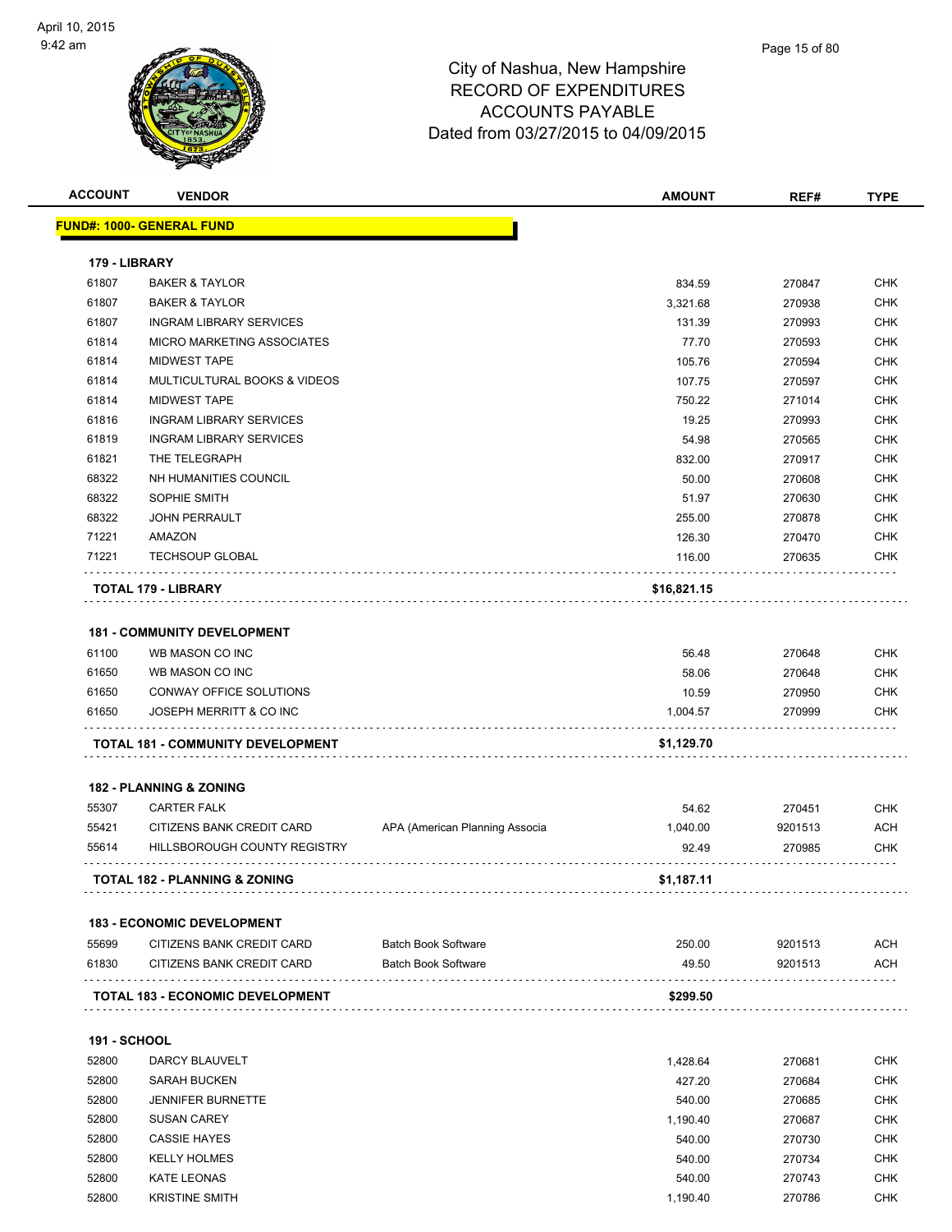| <b>ACCOUNT</b>      | <b>VENDOR</b>                            |                                | <b>AMOUNT</b> | REF#    | <b>TYPE</b> |
|---------------------|------------------------------------------|--------------------------------|---------------|---------|-------------|
|                     | <u> FUND#: 1000- GENERAL FUND</u>        |                                |               |         |             |
| 179 - LIBRARY       |                                          |                                |               |         |             |
| 61807               | <b>BAKER &amp; TAYLOR</b>                |                                | 834.59        | 270847  | <b>CHK</b>  |
| 61807               | <b>BAKER &amp; TAYLOR</b>                |                                | 3,321.68      | 270938  | <b>CHK</b>  |
| 61807               | <b>INGRAM LIBRARY SERVICES</b>           |                                | 131.39        | 270993  | <b>CHK</b>  |
| 61814               | MICRO MARKETING ASSOCIATES               |                                | 77.70         | 270593  | <b>CHK</b>  |
| 61814               | <b>MIDWEST TAPE</b>                      |                                | 105.76        | 270594  | <b>CHK</b>  |
| 61814               | MULTICULTURAL BOOKS & VIDEOS             |                                | 107.75        | 270597  | <b>CHK</b>  |
| 61814               | <b>MIDWEST TAPE</b>                      |                                | 750.22        | 271014  | <b>CHK</b>  |
| 61816               | <b>INGRAM LIBRARY SERVICES</b>           |                                | 19.25         | 270993  | <b>CHK</b>  |
| 61819               | <b>INGRAM LIBRARY SERVICES</b>           |                                | 54.98         | 270565  | <b>CHK</b>  |
| 61821               | THE TELEGRAPH                            |                                | 832.00        | 270917  | <b>CHK</b>  |
| 68322               | NH HUMANITIES COUNCIL                    |                                | 50.00         | 270608  | <b>CHK</b>  |
| 68322               | SOPHIE SMITH                             |                                | 51.97         | 270630  | <b>CHK</b>  |
| 68322               | <b>JOHN PERRAULT</b>                     |                                | 255.00        | 270878  | <b>CHK</b>  |
| 71221               | AMAZON                                   |                                | 126.30        | 270470  | <b>CHK</b>  |
| 71221               | <b>TECHSOUP GLOBAL</b>                   |                                | 116.00        | 270635  | CHK         |
|                     | TOTAL 179 - LIBRARY                      |                                | \$16,821.15   |         |             |
|                     | <b>181 - COMMUNITY DEVELOPMENT</b>       |                                |               |         |             |
| 61100               | WB MASON CO INC                          |                                | 56.48         | 270648  | <b>CHK</b>  |
| 61650               | WB MASON CO INC                          |                                | 58.06         | 270648  | <b>CHK</b>  |
| 61650               | CONWAY OFFICE SOLUTIONS                  |                                | 10.59         | 270950  | <b>CHK</b>  |
| 61650               | JOSEPH MERRITT & CO INC                  |                                | 1,004.57      | 270999  | CHK         |
|                     | TOTAL 181 - COMMUNITY DEVELOPMENT        |                                | \$1,129.70    |         |             |
|                     |                                          |                                |               |         |             |
|                     | <b>182 - PLANNING &amp; ZONING</b>       |                                |               |         |             |
| 55307               | <b>CARTER FALK</b>                       |                                | 54.62         | 270451  | <b>CHK</b>  |
| 55421               | CITIZENS BANK CREDIT CARD                | APA (American Planning Associa | 1,040.00      | 9201513 | <b>ACH</b>  |
| 55614               | HILLSBOROUGH COUNTY REGISTRY             |                                | 92.49         | 270985  | <b>CHK</b>  |
|                     | <b>TOTAL 182 - PLANNING &amp; ZONING</b> |                                | \$1,187.11    |         |             |
|                     |                                          |                                |               |         |             |
|                     | <b>183 - ECONOMIC DEVELOPMENT</b>        |                                |               |         |             |
| 55699               | CITIZENS BANK CREDIT CARD                | <b>Batch Book Software</b>     | 250.00        | 9201513 | <b>ACH</b>  |
| 61830               | CITIZENS BANK CREDIT CARD                | <b>Batch Book Software</b>     | 49.50         | 9201513 | ACH         |
|                     | TOTAL 183 - ECONOMIC DEVELOPMENT         |                                | \$299.50      |         |             |
| <b>191 - SCHOOL</b> |                                          |                                |               |         |             |
| 52800               | DARCY BLAUVELT                           |                                |               |         | <b>CHK</b>  |
|                     |                                          |                                | 1,428.64      | 270681  |             |
| 52800               | <b>SARAH BUCKEN</b>                      |                                | 427.20        | 270684  | <b>CHK</b>  |
| 52800               | <b>JENNIFER BURNETTE</b>                 |                                | 540.00        | 270685  | <b>CHK</b>  |

 SUSAN CAREY 1,190.40 270687 CHK CASSIE HAYES 540.00 270730 CHK KELLY HOLMES 540.00 270734 CHK KATE LEONAS 540.00 270743 CHK 52800 KRISTINE SMITH **1,190.40** CHK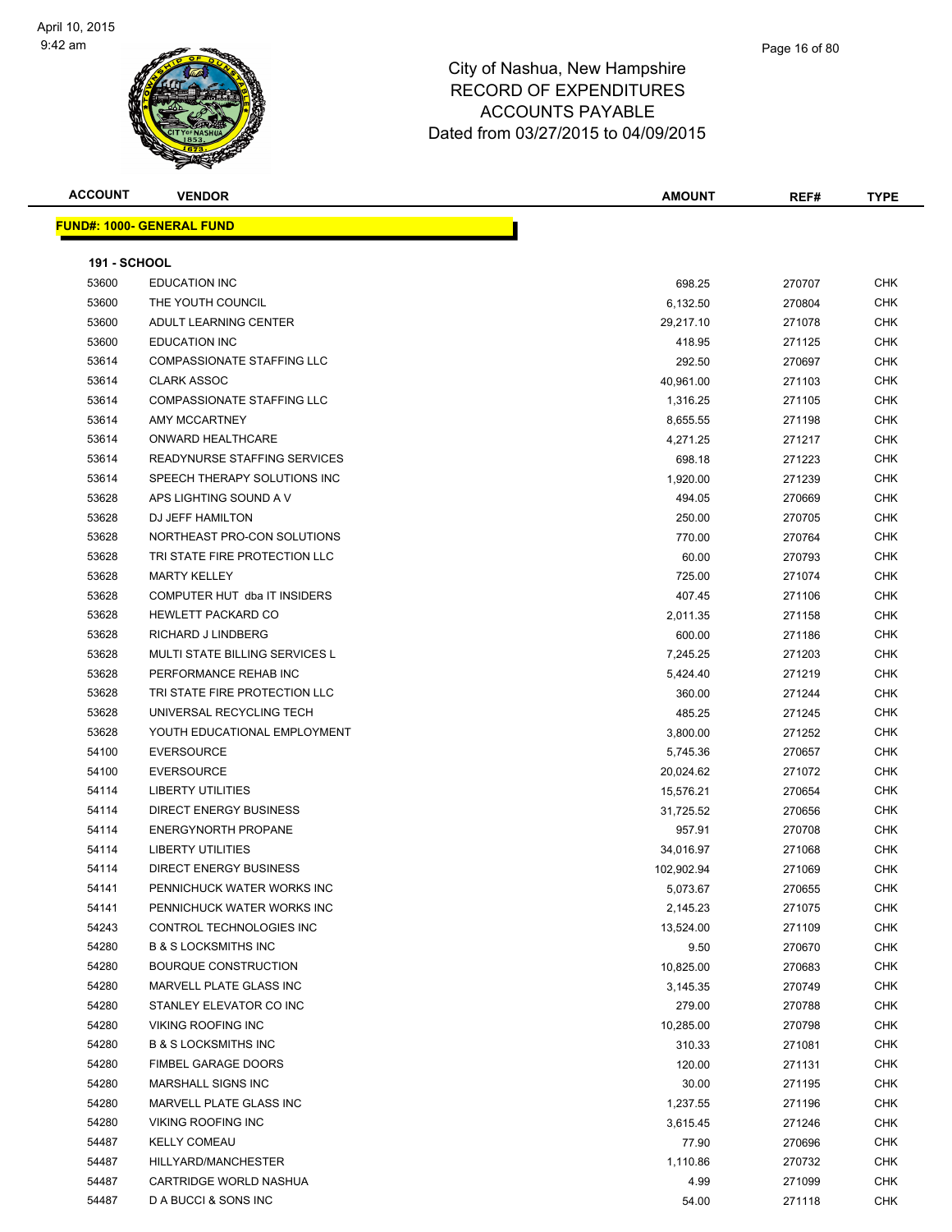

| ACCOUNT             | <b>VENDOR</b>                     | <b>AMOUNT</b> | REF#   | <b>TYPE</b> |
|---------------------|-----------------------------------|---------------|--------|-------------|
|                     | <u> JND#: 1000- GENERAL FUND</u>  |               |        |             |
| <b>191 - SCHOOL</b> |                                   |               |        |             |
| 53600               | <b>EDUCATION INC</b>              | 698.25        | 270707 | <b>CHK</b>  |
| 53600               | THE YOUTH COUNCIL                 |               |        | <b>CHK</b>  |
| 53600               | ADULT LEARNING CENTER             | 6,132.50      | 270804 |             |
|                     |                                   | 29,217.10     | 271078 | <b>CHK</b>  |
| 53600               | <b>EDUCATION INC</b>              | 418.95        | 271125 | <b>CHK</b>  |
| 53614               | <b>COMPASSIONATE STAFFING LLC</b> | 292.50        | 270697 | <b>CHK</b>  |
| 53614               | <b>CLARK ASSOC</b>                | 40,961.00     | 271103 | <b>CHK</b>  |
| 53614               | <b>COMPASSIONATE STAFFING LLC</b> | 1,316.25      | 271105 | <b>CHK</b>  |
| 53614               | AMY MCCARTNEY                     | 8,655.55      | 271198 | <b>CHK</b>  |
| 53614               | ONWARD HEALTHCARE                 | 4,271.25      | 271217 | <b>CHK</b>  |
| 53614               | READYNURSE STAFFING SERVICES      | 698.18        | 271223 | <b>CHK</b>  |
| 53614               | SPEECH THERAPY SOLUTIONS INC      | 1,920.00      | 271239 | <b>CHK</b>  |
| 53628               | APS LIGHTING SOUND A V            | 494.05        | 270669 | <b>CHK</b>  |
| 53628               | DJ JEFF HAMILTON                  | 250.00        | 270705 | <b>CHK</b>  |
| 53628               | NORTHEAST PRO-CON SOLUTIONS       | 770.00        | 270764 | <b>CHK</b>  |
| 53628               | TRI STATE FIRE PROTECTION LLC     | 60.00         | 270793 | <b>CHK</b>  |
| 53628               | <b>MARTY KELLEY</b>               | 725.00        | 271074 | <b>CHK</b>  |
| 53628               | COMPUTER HUT dba IT INSIDERS      | 407.45        | 271106 | <b>CHK</b>  |
| 53628               | <b>HEWLETT PACKARD CO</b>         | 2,011.35      | 271158 | <b>CHK</b>  |
| 53628               | RICHARD J LINDBERG                | 600.00        | 271186 | <b>CHK</b>  |
| 53628               | MULTI STATE BILLING SERVICES L    | 7,245.25      | 271203 | <b>CHK</b>  |
| 53628               | PERFORMANCE REHAB INC             | 5,424.40      | 271219 | <b>CHK</b>  |
| 53628               | TRI STATE FIRE PROTECTION LLC     | 360.00        | 271244 | <b>CHK</b>  |
| 53628               | UNIVERSAL RECYCLING TECH          | 485.25        | 271245 | <b>CHK</b>  |
| 53628               | YOUTH EDUCATIONAL EMPLOYMENT      | 3,800.00      | 271252 | <b>CHK</b>  |
| 54100               | <b>EVERSOURCE</b>                 | 5,745.36      | 270657 | <b>CHK</b>  |
| 54100               | <b>EVERSOURCE</b>                 | 20,024.62     | 271072 | <b>CHK</b>  |
| 54114               | <b>LIBERTY UTILITIES</b>          | 15,576.21     | 270654 | <b>CHK</b>  |
| 54114               | <b>DIRECT ENERGY BUSINESS</b>     | 31,725.52     | 270656 | <b>CHK</b>  |
| 54114               | <b>ENERGYNORTH PROPANE</b>        | 957.91        | 270708 | <b>CHK</b>  |
| 54114               | <b>LIBERTY UTILITIES</b>          | 34,016.97     | 271068 | <b>CHK</b>  |
| 54114               | DIRECT ENERGY BUSINESS            | 102,902.94    | 271069 | <b>CHK</b>  |
| 54141               | PENNICHUCK WATER WORKS INC        | 5,073.67      | 270655 | CHK         |
| 54141               | PENNICHUCK WATER WORKS INC        | 2,145.23      | 271075 | <b>CHK</b>  |
| 54243               | CONTROL TECHNOLOGIES INC          | 13,524.00     | 271109 | <b>CHK</b>  |
| 54280               | <b>B &amp; S LOCKSMITHS INC</b>   | 9.50          | 270670 | <b>CHK</b>  |
| 54280               | <b>BOURQUE CONSTRUCTION</b>       | 10,825.00     | 270683 | <b>CHK</b>  |
| 54280               | MARVELL PLATE GLASS INC           | 3,145.35      | 270749 | <b>CHK</b>  |
| 54280               | STANLEY ELEVATOR CO INC           | 279.00        | 270788 | <b>CHK</b>  |
| 54280               | <b>VIKING ROOFING INC</b>         | 10,285.00     | 270798 | <b>CHK</b>  |
| 54280               | <b>B &amp; S LOCKSMITHS INC</b>   | 310.33        | 271081 | <b>CHK</b>  |
| 54280               | FIMBEL GARAGE DOORS               | 120.00        | 271131 | <b>CHK</b>  |
| 54280               | MARSHALL SIGNS INC                | 30.00         | 271195 | <b>CHK</b>  |
| 54280               | MARVELL PLATE GLASS INC           |               |        | <b>CHK</b>  |
|                     |                                   | 1,237.55      | 271196 |             |
| 54280               | VIKING ROOFING INC                | 3,615.45      | 271246 | <b>CHK</b>  |
| 54487               | <b>KELLY COMEAU</b>               | 77.90         | 270696 | <b>CHK</b>  |
| 54487               | HILLYARD/MANCHESTER               | 1,110.86      | 270732 | <b>CHK</b>  |
| 54487               | CARTRIDGE WORLD NASHUA            | 4.99          | 271099 | <b>CHK</b>  |
| 54487               | D A BUCCI & SONS INC              | 54.00         | 271118 | <b>CHK</b>  |

**FUND#: 1000- GENEI**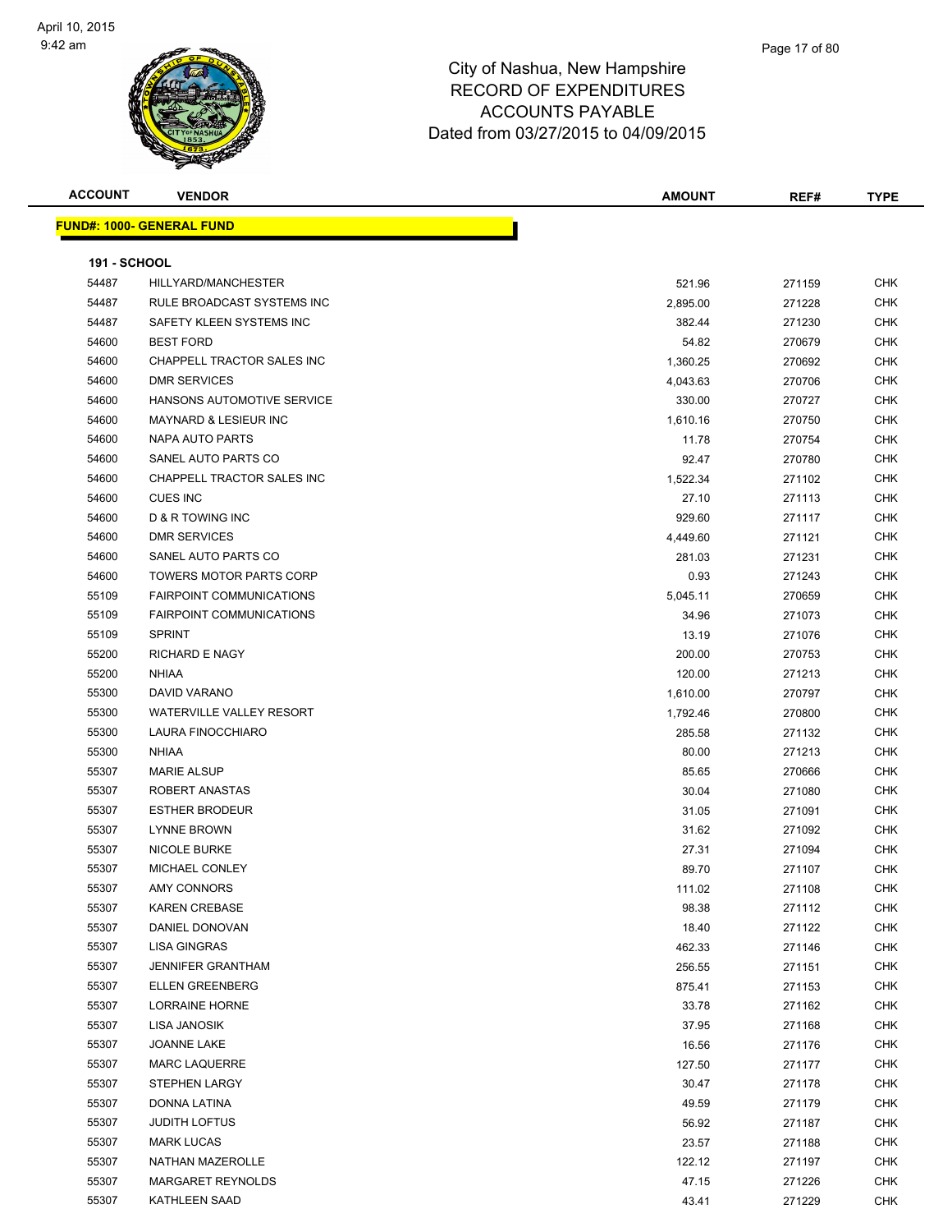| <b>ACCOUNT</b>      | <b>VENDOR</b>                                         | AMOUNT             | REF#             | <b>TYPE</b>       |
|---------------------|-------------------------------------------------------|--------------------|------------------|-------------------|
|                     | <b>FUND#: 1000- GENERAL FUND</b>                      |                    |                  |                   |
|                     |                                                       |                    |                  |                   |
| <b>191 - SCHOOL</b> |                                                       |                    |                  |                   |
| 54487               | HILLYARD/MANCHESTER                                   | 521.96             | 271159           | <b>CHK</b>        |
| 54487               | RULE BROADCAST SYSTEMS INC                            | 2,895.00           | 271228           | <b>CHK</b>        |
| 54487               | SAFETY KLEEN SYSTEMS INC<br><b>BEST FORD</b>          | 382.44             | 271230           | CHK               |
| 54600               |                                                       | 54.82              | 270679           | CHK               |
| 54600               | CHAPPELL TRACTOR SALES INC                            | 1,360.25           | 270692           | CHK               |
| 54600               | <b>DMR SERVICES</b>                                   | 4,043.63           | 270706           | CHK               |
| 54600               | HANSONS AUTOMOTIVE SERVICE                            | 330.00             | 270727           | <b>CHK</b>        |
| 54600               | <b>MAYNARD &amp; LESIEUR INC</b>                      | 1,610.16           | 270750           | CHK               |
| 54600               | NAPA AUTO PARTS                                       | 11.78              | 270754           | CHK               |
| 54600               | SANEL AUTO PARTS CO                                   | 92.47              | 270780           | <b>CHK</b>        |
| 54600               | CHAPPELL TRACTOR SALES INC                            | 1,522.34           | 271102           | CHK               |
| 54600               | <b>CUES INC</b>                                       | 27.10              | 271113           | CHK               |
| 54600               | D & R TOWING INC                                      | 929.60             | 271117           | CHK               |
| 54600               | <b>DMR SERVICES</b>                                   | 4,449.60           | 271121           | CHK               |
| 54600               | SANEL AUTO PARTS CO<br><b>TOWERS MOTOR PARTS CORP</b> | 281.03             | 271231           | CHK               |
| 54600               | <b>FAIRPOINT COMMUNICATIONS</b>                       | 0.93               | 271243           | CHK               |
| 55109<br>55109      | <b>FAIRPOINT COMMUNICATIONS</b>                       | 5,045.11           | 270659           | CHK               |
| 55109               | <b>SPRINT</b>                                         | 34.96              | 271073           | <b>CHK</b><br>CHK |
| 55200               | <b>RICHARD E NAGY</b>                                 | 13.19              | 271076           | <b>CHK</b>        |
| 55200               | <b>NHIAA</b>                                          | 200.00             | 270753           | <b>CHK</b>        |
| 55300               | DAVID VARANO                                          | 120.00             | 271213<br>270797 | CHK               |
| 55300               | <b>WATERVILLE VALLEY RESORT</b>                       | 1,610.00           | 270800           | CHK               |
| 55300               | LAURA FINOCCHIARO                                     | 1,792.46<br>285.58 | 271132           | CHK               |
| 55300               | <b>NHIAA</b>                                          | 80.00              | 271213           | CHK               |
| 55307               | <b>MARIE ALSUP</b>                                    | 85.65              | 270666           | CHK               |
| 55307               | ROBERT ANASTAS                                        | 30.04              | 271080           | CHK               |
| 55307               | <b>ESTHER BRODEUR</b>                                 | 31.05              | 271091           | CHK               |
| 55307               | <b>LYNNE BROWN</b>                                    | 31.62              | 271092           | <b>CHK</b>        |
| 55307               | <b>NICOLE BURKE</b>                                   | 27.31              | 271094           | CHK               |
| 55307               | <b>MICHAEL CONLEY</b>                                 | 89.70              | 271107           | <b>CHK</b>        |
| 55307               | <b>AMY CONNORS</b>                                    | 111.02             | 271108           | <b>CHK</b>        |
| 55307               | <b>KAREN CREBASE</b>                                  | 98.38              | 271112           | <b>CHK</b>        |
| 55307               | DANIEL DONOVAN                                        | 18.40              | 271122           | <b>CHK</b>        |
| 55307               | <b>LISA GINGRAS</b>                                   | 462.33             | 271146           | CHK               |
| 55307               | <b>JENNIFER GRANTHAM</b>                              | 256.55             | 271151           | CHK               |
| 55307               | <b>ELLEN GREENBERG</b>                                | 875.41             | 271153           | <b>CHK</b>        |
| 55307               | <b>LORRAINE HORNE</b>                                 | 33.78              | 271162           | <b>CHK</b>        |
| 55307               | LISA JANOSIK                                          | 37.95              | 271168           | <b>CHK</b>        |
| 55307               | JOANNE LAKE                                           | 16.56              | 271176           | <b>CHK</b>        |
| 55307               | <b>MARC LAQUERRE</b>                                  | 127.50             | 271177           | <b>CHK</b>        |
| 55307               | <b>STEPHEN LARGY</b>                                  | 30.47              | 271178           | <b>CHK</b>        |
| 55307               | DONNA LATINA                                          | 49.59              | 271179           | <b>CHK</b>        |
| 55307               | <b>JUDITH LOFTUS</b>                                  | 56.92              | 271187           | CHK               |
| 55307               | <b>MARK LUCAS</b>                                     | 23.57              | 271188           | CHK               |
| 55307               | NATHAN MAZEROLLE                                      | 122.12             | 271197           | CHK               |
| 55307               | MARGARET REYNOLDS                                     | 47.15              | 271226           | CHK               |
| 55307               | KATHLEEN SAAD                                         | 43.41              | 271229           | <b>CHK</b>        |
|                     |                                                       |                    |                  |                   |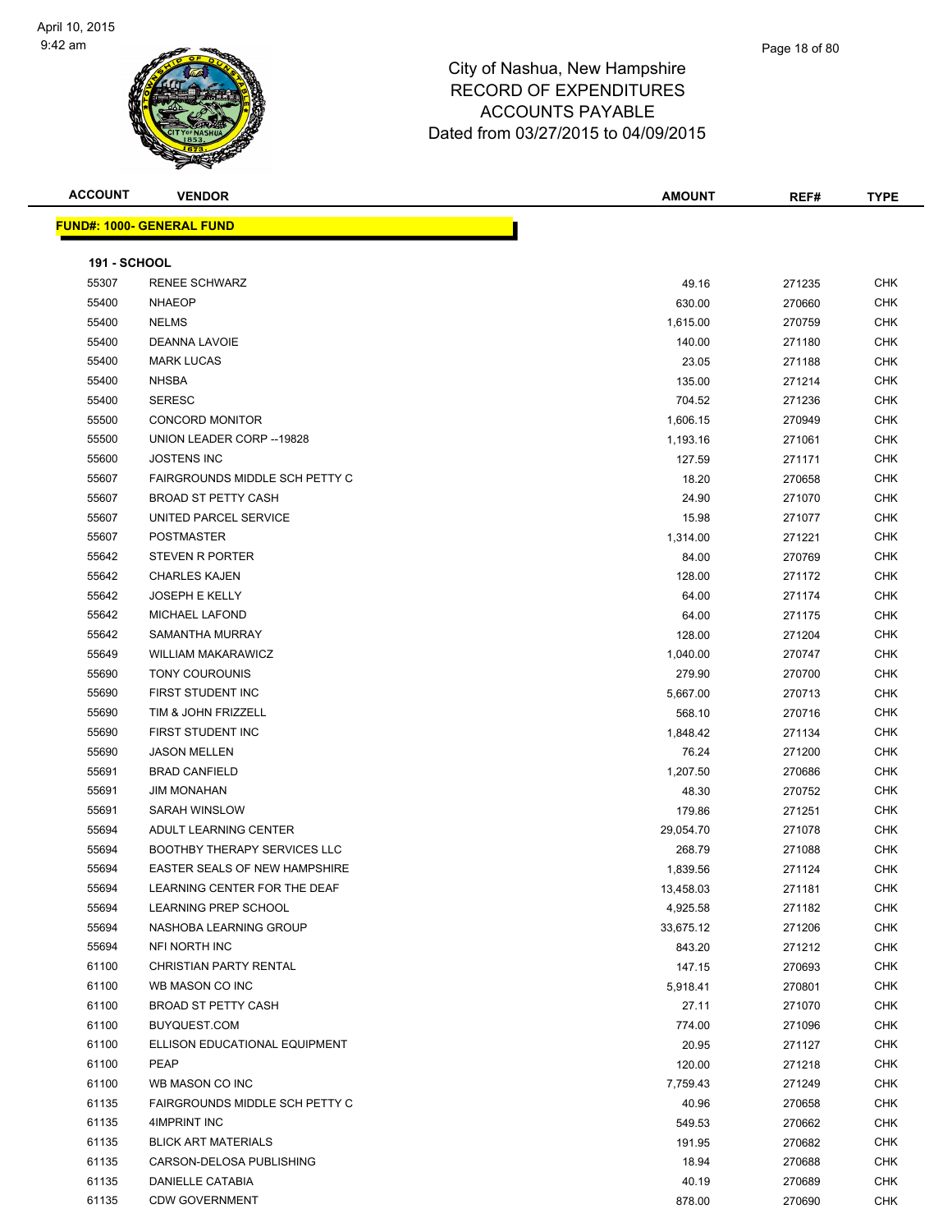

| <b>ACCOUNT</b>      | <b>VENDOR</b>                        | AMOUNT    | REF#   | <b>TYPE</b> |
|---------------------|--------------------------------------|-----------|--------|-------------|
|                     | <u> FUND#: 1000- GENERAL FUND</u>    |           |        |             |
|                     |                                      |           |        |             |
| <b>191 - SCHOOL</b> |                                      |           |        |             |
| 55307               | <b>RENEE SCHWARZ</b>                 | 49.16     | 271235 | <b>CHK</b>  |
| 55400               | <b>NHAEOP</b>                        | 630.00    | 270660 | <b>CHK</b>  |
| 55400               | <b>NELMS</b>                         | 1,615.00  | 270759 | <b>CHK</b>  |
| 55400               | <b>DEANNA LAVOIE</b>                 | 140.00    | 271180 | <b>CHK</b>  |
| 55400               | <b>MARK LUCAS</b>                    | 23.05     | 271188 | CHK         |
| 55400               | <b>NHSBA</b>                         | 135.00    | 271214 | CHK         |
| 55400               | <b>SERESC</b>                        | 704.52    | 271236 | CHK         |
| 55500               | <b>CONCORD MONITOR</b>               | 1,606.15  | 270949 | CHK         |
| 55500               | UNION LEADER CORP -- 19828           | 1,193.16  | 271061 | <b>CHK</b>  |
| 55600               | <b>JOSTENS INC</b>                   | 127.59    | 271171 | CHK         |
| 55607               | FAIRGROUNDS MIDDLE SCH PETTY C       | 18.20     | 270658 | CHK         |
| 55607               | <b>BROAD ST PETTY CASH</b>           | 24.90     | 271070 | CHK         |
| 55607               | UNITED PARCEL SERVICE                | 15.98     | 271077 | CHK         |
| 55607               | <b>POSTMASTER</b>                    | 1,314.00  | 271221 | CHK         |
| 55642               | STEVEN R PORTER                      | 84.00     | 270769 | CHK         |
| 55642               | <b>CHARLES KAJEN</b>                 | 128.00    | 271172 | CHK         |
| 55642               | <b>JOSEPH E KELLY</b>                | 64.00     | 271174 | CHK         |
| 55642               | <b>MICHAEL LAFOND</b>                | 64.00     | 271175 | CHK         |
| 55642               | SAMANTHA MURRAY                      | 128.00    | 271204 | CHK         |
| 55649               | <b>WILLIAM MAKARAWICZ</b>            | 1,040.00  | 270747 | <b>CHK</b>  |
| 55690               | <b>TONY COUROUNIS</b>                | 279.90    | 270700 | CHK         |
| 55690               | FIRST STUDENT INC                    | 5,667.00  | 270713 | <b>CHK</b>  |
| 55690               | TIM & JOHN FRIZZELL                  | 568.10    | 270716 | <b>CHK</b>  |
| 55690               | FIRST STUDENT INC                    | 1,848.42  | 271134 | CHK         |
| 55690               | <b>JASON MELLEN</b>                  | 76.24     | 271200 | CHK         |
| 55691               | <b>BRAD CANFIELD</b>                 | 1,207.50  | 270686 | CHK         |
| 55691               | <b>JIM MONAHAN</b>                   | 48.30     | 270752 | CHK         |
| 55691               | <b>SARAH WINSLOW</b>                 | 179.86    | 271251 | CHK         |
| 55694               | ADULT LEARNING CENTER                | 29,054.70 | 271078 | CHK         |
| 55694               | <b>BOOTHBY THERAPY SERVICES LLC</b>  | 268.79    | 271088 | CHK         |
| 55694               | <b>EASTER SEALS OF NEW HAMPSHIRE</b> | 1,839.56  | 271124 | <b>CHK</b>  |
| 55694               | LEARNING CENTER FOR THE DEAF         | 13,458.03 | 271181 | <b>CHK</b>  |
| 55694               | LEARNING PREP SCHOOL                 | 4,925.58  | 271182 | <b>CHK</b>  |
| 55694               | NASHOBA LEARNING GROUP               | 33,675.12 | 271206 | <b>CHK</b>  |
| 55694               | NFI NORTH INC                        | 843.20    | 271212 | <b>CHK</b>  |
| 61100               | CHRISTIAN PARTY RENTAL               | 147.15    | 270693 | <b>CHK</b>  |
| 61100               | WB MASON CO INC                      | 5,918.41  | 270801 | CHK         |
| 61100               | <b>BROAD ST PETTY CASH</b>           | 27.11     | 271070 | CHK         |
| 61100               | BUYQUEST.COM                         | 774.00    | 271096 | <b>CHK</b>  |
| 61100               | ELLISON EDUCATIONAL EQUIPMENT        | 20.95     | 271127 | <b>CHK</b>  |
| 61100               | PEAP                                 | 120.00    | 271218 | CHK         |
| 61100               | WB MASON CO INC                      | 7,759.43  | 271249 | <b>CHK</b>  |
| 61135               | FAIRGROUNDS MIDDLE SCH PETTY C       | 40.96     | 270658 | CHK         |
| 61135               | 4IMPRINT INC                         | 549.53    | 270662 | <b>CHK</b>  |
| 61135               | <b>BLICK ART MATERIALS</b>           | 191.95    | 270682 | <b>CHK</b>  |
| 61135               | CARSON-DELOSA PUBLISHING             | 18.94     | 270688 | CHK         |
| 61135               | DANIELLE CATABIA                     | 40.19     | 270689 | <b>CHK</b>  |
| 61135               | <b>CDW GOVERNMENT</b>                | 878.00    | 270690 | <b>CHK</b>  |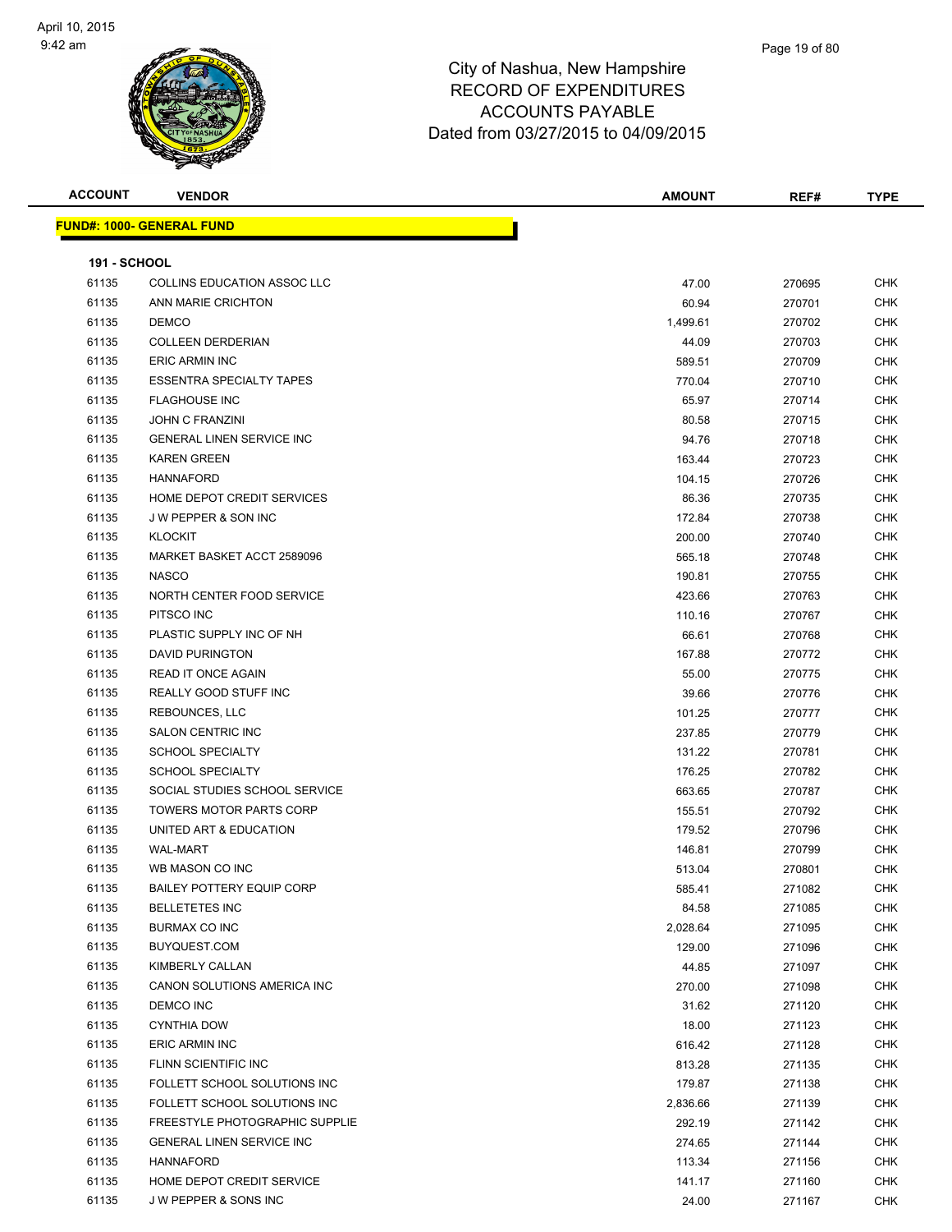| <b>ACCOUNT</b>      | <b>VENDOR</b>                      | <b>AMOUNT</b> | REF#   | <b>TYPE</b> |
|---------------------|------------------------------------|---------------|--------|-------------|
|                     | <b>FUND#: 1000- GENERAL FUND</b>   |               |        |             |
|                     |                                    |               |        |             |
| <b>191 - SCHOOL</b> |                                    |               |        |             |
| 61135               | <b>COLLINS EDUCATION ASSOC LLC</b> | 47.00         | 270695 | <b>CHK</b>  |
| 61135               | ANN MARIE CRICHTON                 | 60.94         | 270701 | <b>CHK</b>  |
| 61135               | <b>DEMCO</b>                       | 1,499.61      | 270702 | <b>CHK</b>  |
| 61135               | <b>COLLEEN DERDERIAN</b>           | 44.09         | 270703 | CHK         |
| 61135               | ERIC ARMIN INC                     | 589.51        | 270709 | CHK         |
| 61135               | <b>ESSENTRA SPECIALTY TAPES</b>    | 770.04        | 270710 | <b>CHK</b>  |
| 61135               | <b>FLAGHOUSE INC</b>               | 65.97         | 270714 | CHK         |
| 61135               | <b>JOHN C FRANZINI</b>             | 80.58         | 270715 | CHK         |
| 61135               | <b>GENERAL LINEN SERVICE INC</b>   | 94.76         | 270718 | <b>CHK</b>  |
| 61135               | <b>KAREN GREEN</b>                 | 163.44        | 270723 | CHK         |
| 61135               | <b>HANNAFORD</b>                   | 104.15        | 270726 | CHK         |
| 61135               | HOME DEPOT CREDIT SERVICES         | 86.36         | 270735 | <b>CHK</b>  |
| 61135               | J W PEPPER & SON INC               | 172.84        | 270738 | <b>CHK</b>  |
| 61135               | <b>KLOCKIT</b>                     | 200.00        | 270740 | CHK         |
| 61135               | MARKET BASKET ACCT 2589096         | 565.18        | 270748 | <b>CHK</b>  |
| 61135               | <b>NASCO</b>                       | 190.81        | 270755 | <b>CHK</b>  |
| 61135               | NORTH CENTER FOOD SERVICE          | 423.66        | 270763 | <b>CHK</b>  |
| 61135               | PITSCO INC                         | 110.16        | 270767 | <b>CHK</b>  |
| 61135               | PLASTIC SUPPLY INC OF NH           | 66.61         | 270768 | CHK         |
| 61135               | <b>DAVID PURINGTON</b>             | 167.88        | 270772 | <b>CHK</b>  |
| 61135               | READ IT ONCE AGAIN                 | 55.00         | 270775 | <b>CHK</b>  |
| 61135               | REALLY GOOD STUFF INC              | 39.66         | 270776 | <b>CHK</b>  |
| 61135               | REBOUNCES, LLC                     | 101.25        | 270777 | <b>CHK</b>  |
| 61135               | SALON CENTRIC INC                  | 237.85        | 270779 | CHK         |
| 61135               | <b>SCHOOL SPECIALTY</b>            | 131.22        | 270781 | CHK         |
| 61135               | <b>SCHOOL SPECIALTY</b>            | 176.25        | 270782 | CHK         |
| 61135               | SOCIAL STUDIES SCHOOL SERVICE      | 663.65        | 270787 | CHK         |
| 61135               | <b>TOWERS MOTOR PARTS CORP</b>     | 155.51        | 270792 | <b>CHK</b>  |
| 61135               | UNITED ART & EDUCATION             | 179.52        | 270796 | <b>CHK</b>  |
| 61135               | <b>WAL-MART</b>                    | 146.81        | 270799 | <b>CHK</b>  |
| 61135               | WB MASON CO INC                    | 513.04        | 270801 | <b>CHK</b>  |
| 61135               | <b>BAILEY POTTERY EQUIP CORP</b>   | 585.41        | 271082 | CHK         |
| 61135               | <b>BELLETETES INC</b>              | 84.58         | 271085 | <b>CHK</b>  |
| 61135               | <b>BURMAX CO INC</b>               | 2,028.64      | 271095 | <b>CHK</b>  |
| 61135               | BUYQUEST.COM                       | 129.00        | 271096 | <b>CHK</b>  |
| 61135               | KIMBERLY CALLAN                    | 44.85         | 271097 | <b>CHK</b>  |
| 61135               | CANON SOLUTIONS AMERICA INC        | 270.00        | 271098 | <b>CHK</b>  |
| 61135               | DEMCO INC                          | 31.62         | 271120 | <b>CHK</b>  |
| 61135               | <b>CYNTHIA DOW</b>                 | 18.00         | 271123 | <b>CHK</b>  |
| 61135               | ERIC ARMIN INC                     | 616.42        | 271128 | CHK         |
| 61135               | FLINN SCIENTIFIC INC               | 813.28        | 271135 | CHK         |
| 61135               | FOLLETT SCHOOL SOLUTIONS INC       | 179.87        | 271138 | CHK         |
| 61135               | FOLLETT SCHOOL SOLUTIONS INC       | 2,836.66      | 271139 | CHK         |
| 61135               | FREESTYLE PHOTOGRAPHIC SUPPLIE     | 292.19        | 271142 | CHK         |
| 61135               | <b>GENERAL LINEN SERVICE INC</b>   | 274.65        | 271144 | <b>CHK</b>  |
| 61135               | <b>HANNAFORD</b>                   | 113.34        | 271156 | CHK         |
| 61135               | HOME DEPOT CREDIT SERVICE          | 141.17        | 271160 | CHK         |
| 61135               | J W PEPPER & SONS INC              | 24.00         | 271167 | <b>CHK</b>  |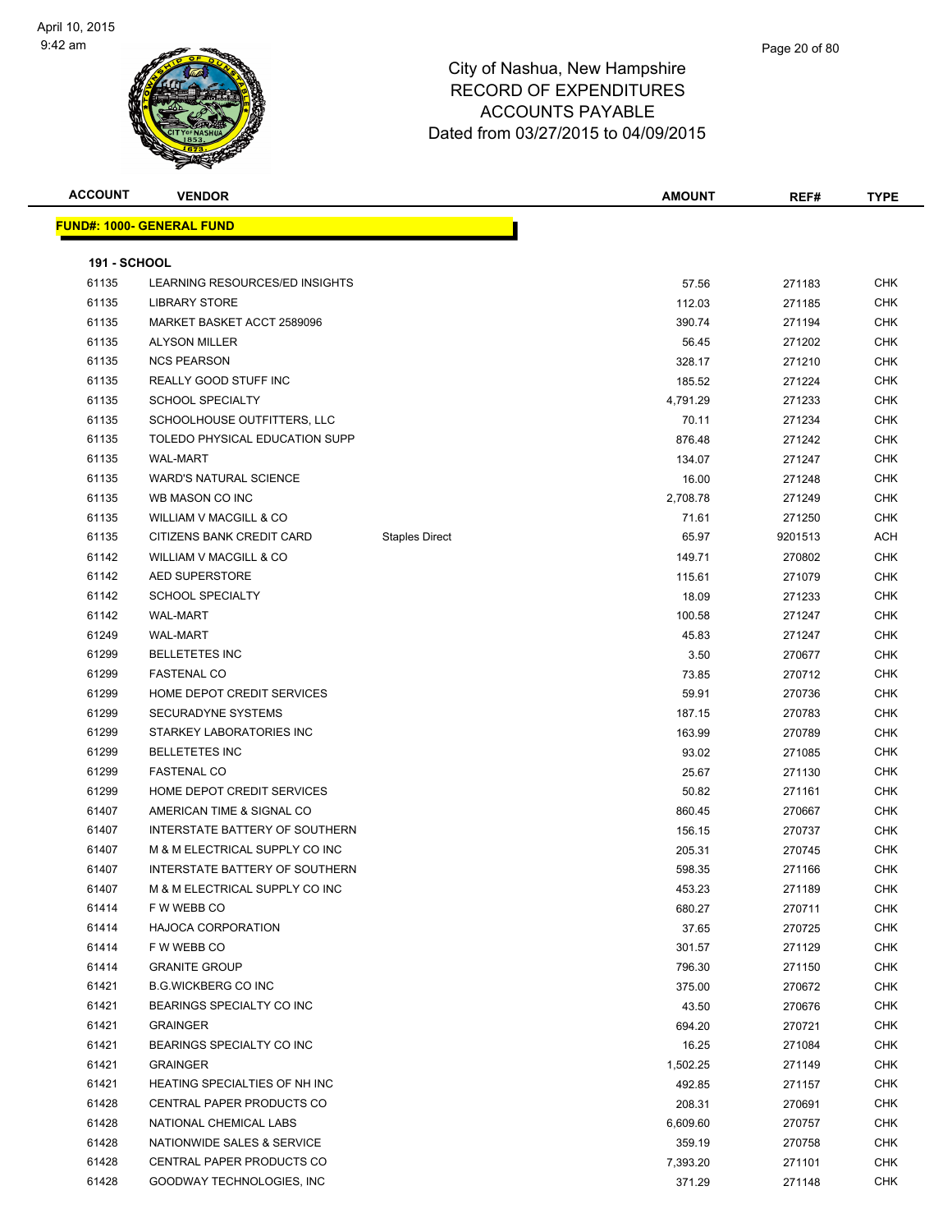

| <b>ACCOUNT</b>      | <b>VENDOR</b>                         |                       | <b>AMOUNT</b> | REF#    | <b>TYPE</b> |
|---------------------|---------------------------------------|-----------------------|---------------|---------|-------------|
|                     | <b>FUND#: 1000- GENERAL FUND</b>      |                       |               |         |             |
|                     |                                       |                       |               |         |             |
| <b>191 - SCHOOL</b> |                                       |                       |               |         |             |
| 61135               | LEARNING RESOURCES/ED INSIGHTS        |                       | 57.56         | 271183  | <b>CHK</b>  |
| 61135               | <b>LIBRARY STORE</b>                  |                       | 112.03        | 271185  | <b>CHK</b>  |
| 61135               | MARKET BASKET ACCT 2589096            |                       | 390.74        | 271194  | CHK         |
| 61135               | <b>ALYSON MILLER</b>                  |                       | 56.45         | 271202  | <b>CHK</b>  |
| 61135               | <b>NCS PEARSON</b>                    |                       | 328.17        | 271210  | CHK         |
| 61135               | REALLY GOOD STUFF INC                 |                       | 185.52        | 271224  | CHK         |
| 61135               | <b>SCHOOL SPECIALTY</b>               |                       | 4,791.29      | 271233  | <b>CHK</b>  |
| 61135               | SCHOOLHOUSE OUTFITTERS, LLC           |                       | 70.11         | 271234  | <b>CHK</b>  |
| 61135               | TOLEDO PHYSICAL EDUCATION SUPP        |                       | 876.48        | 271242  | <b>CHK</b>  |
| 61135               | <b>WAL-MART</b>                       |                       | 134.07        | 271247  | <b>CHK</b>  |
| 61135               | <b>WARD'S NATURAL SCIENCE</b>         |                       | 16.00         | 271248  | <b>CHK</b>  |
| 61135               | WB MASON CO INC                       |                       | 2,708.78      | 271249  | <b>CHK</b>  |
| 61135               | <b>WILLIAM V MACGILL &amp; CO</b>     |                       | 71.61         | 271250  | <b>CHK</b>  |
| 61135               | CITIZENS BANK CREDIT CARD             | <b>Staples Direct</b> | 65.97         | 9201513 | ACH         |
| 61142               | WILLIAM V MACGILL & CO                |                       | 149.71        | 270802  | <b>CHK</b>  |
| 61142               | AED SUPERSTORE                        |                       | 115.61        | 271079  | CHK         |
| 61142               | <b>SCHOOL SPECIALTY</b>               |                       | 18.09         | 271233  | CHK         |
| 61142               | <b>WAL-MART</b>                       |                       | 100.58        | 271247  | <b>CHK</b>  |
| 61249               | <b>WAL-MART</b>                       |                       | 45.83         | 271247  | CHK         |
| 61299               | <b>BELLETETES INC</b>                 |                       | 3.50          | 270677  | <b>CHK</b>  |
| 61299               | <b>FASTENAL CO</b>                    |                       | 73.85         | 270712  | <b>CHK</b>  |
| 61299               | HOME DEPOT CREDIT SERVICES            |                       | 59.91         | 270736  | CHK         |
| 61299               | SECURADYNE SYSTEMS                    |                       | 187.15        | 270783  | <b>CHK</b>  |
| 61299               | STARKEY LABORATORIES INC              |                       | 163.99        | 270789  | CHK         |
| 61299               | <b>BELLETETES INC</b>                 |                       | 93.02         | 271085  | CHK         |
| 61299               | <b>FASTENAL CO</b>                    |                       | 25.67         | 271130  | <b>CHK</b>  |
| 61299               | HOME DEPOT CREDIT SERVICES            |                       | 50.82         | 271161  | CHK         |
| 61407               | AMERICAN TIME & SIGNAL CO             |                       | 860.45        | 270667  | CHK         |
| 61407               | INTERSTATE BATTERY OF SOUTHERN        |                       | 156.15        | 270737  | <b>CHK</b>  |
| 61407               | M & M ELECTRICAL SUPPLY CO INC        |                       | 205.31        | 270745  | CHK         |
| 61407               | <b>INTERSTATE BATTERY OF SOUTHERN</b> |                       | 598.35        | 271166  | <b>CHK</b>  |
| 61407               | M & M ELECTRICAL SUPPLY CO INC        |                       | 453.23        | 271189  | CHK         |
| 61414               | F W WEBB CO                           |                       | 680.27        | 270711  | <b>CHK</b>  |
| 61414               | <b>HAJOCA CORPORATION</b>             |                       | 37.65         | 270725  | <b>CHK</b>  |
| 61414               | F W WEBB CO                           |                       | 301.57        | 271129  | <b>CHK</b>  |
| 61414               | <b>GRANITE GROUP</b>                  |                       | 796.30        | 271150  | <b>CHK</b>  |
| 61421               | <b>B.G.WICKBERG CO INC</b>            |                       | 375.00        | 270672  | CHK         |
| 61421               | BEARINGS SPECIALTY CO INC             |                       | 43.50         | 270676  | CHK         |
| 61421               | <b>GRAINGER</b>                       |                       | 694.20        | 270721  | CHK         |
| 61421               | BEARINGS SPECIALTY CO INC             |                       | 16.25         | 271084  | <b>CHK</b>  |
| 61421               | <b>GRAINGER</b>                       |                       | 1,502.25      | 271149  | <b>CHK</b>  |
| 61421               | HEATING SPECIALTIES OF NH INC         |                       | 492.85        | 271157  | <b>CHK</b>  |
| 61428               | CENTRAL PAPER PRODUCTS CO             |                       | 208.31        | 270691  | <b>CHK</b>  |
| 61428               | NATIONAL CHEMICAL LABS                |                       | 6,609.60      | 270757  | <b>CHK</b>  |
| 61428               | NATIONWIDE SALES & SERVICE            |                       | 359.19        | 270758  | <b>CHK</b>  |
| 61428               | CENTRAL PAPER PRODUCTS CO             |                       | 7,393.20      | 271101  | <b>CHK</b>  |
| 61428               | GOODWAY TECHNOLOGIES, INC             |                       | 371.29        | 271148  | <b>CHK</b>  |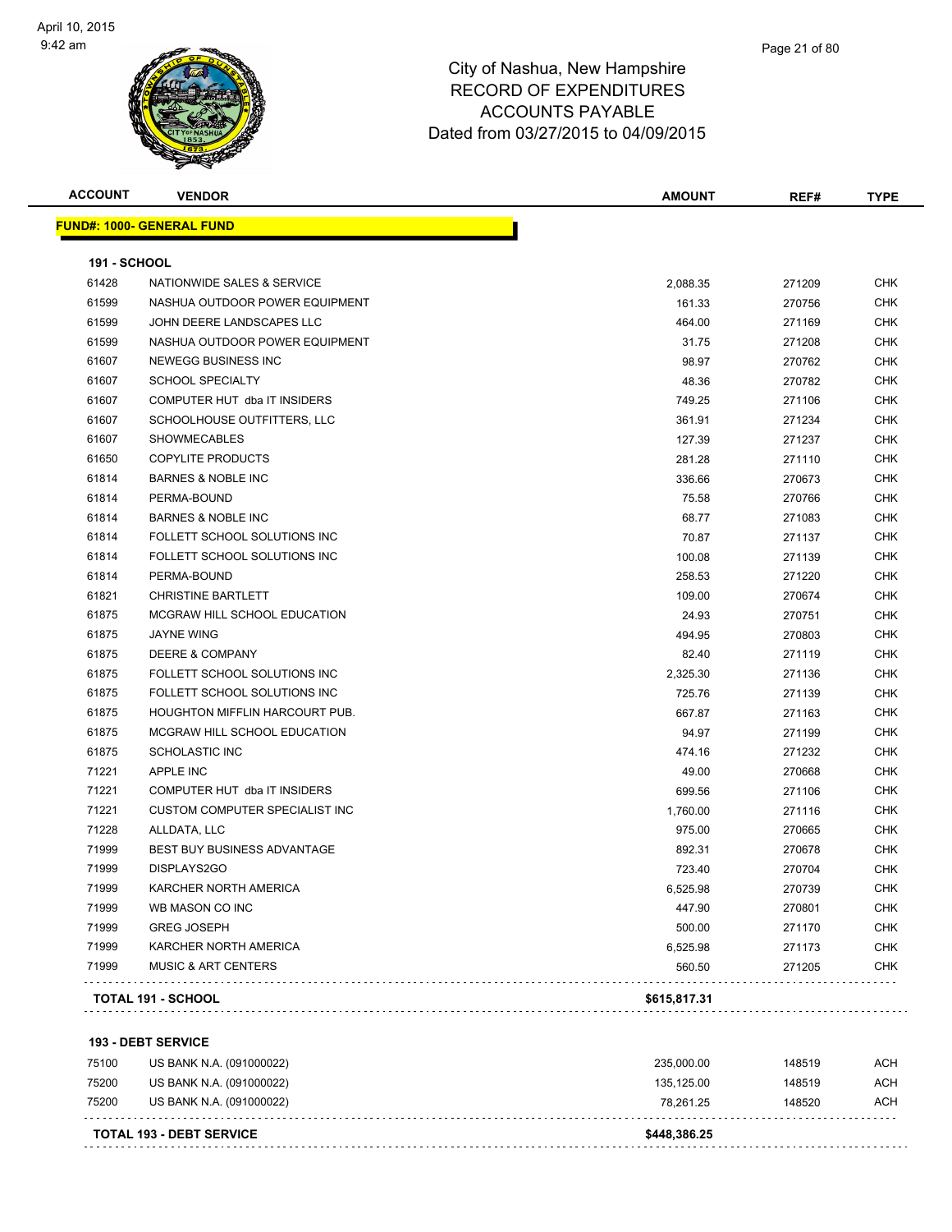

| <b>ACCOUNT</b>      | <b>VENDOR</b>                         | <b>AMOUNT</b> | REF#   | <b>TYPE</b> |
|---------------------|---------------------------------------|---------------|--------|-------------|
|                     | <b>FUND#: 1000- GENERAL FUND</b>      |               |        |             |
| <b>191 - SCHOOL</b> |                                       |               |        |             |
| 61428               | NATIONWIDE SALES & SERVICE            | 2,088.35      | 271209 | <b>CHK</b>  |
| 61599               | NASHUA OUTDOOR POWER EQUIPMENT        | 161.33        | 270756 | <b>CHK</b>  |
| 61599               | JOHN DEERE LANDSCAPES LLC             | 464.00        | 271169 | <b>CHK</b>  |
| 61599               | NASHUA OUTDOOR POWER EQUIPMENT        | 31.75         | 271208 | <b>CHK</b>  |
| 61607               | <b>NEWEGG BUSINESS INC</b>            | 98.97         | 270762 | <b>CHK</b>  |
| 61607               | <b>SCHOOL SPECIALTY</b>               | 48.36         | 270782 | <b>CHK</b>  |
| 61607               | COMPUTER HUT dba IT INSIDERS          | 749.25        | 271106 | <b>CHK</b>  |
| 61607               | SCHOOLHOUSE OUTFITTERS, LLC           | 361.91        | 271234 | <b>CHK</b>  |
| 61607               | <b>SHOWMECABLES</b>                   | 127.39        | 271237 | CHK         |
| 61650               | <b>COPYLITE PRODUCTS</b>              | 281.28        | 271110 | CHK         |
| 61814               | <b>BARNES &amp; NOBLE INC</b>         | 336.66        | 270673 | CHK         |
| 61814               | PERMA-BOUND                           | 75.58         | 270766 | <b>CHK</b>  |
| 61814               | <b>BARNES &amp; NOBLE INC</b>         | 68.77         | 271083 | <b>CHK</b>  |
| 61814               | FOLLETT SCHOOL SOLUTIONS INC          | 70.87         | 271137 | <b>CHK</b>  |
| 61814               | FOLLETT SCHOOL SOLUTIONS INC          | 100.08        | 271139 | <b>CHK</b>  |
| 61814               | PERMA-BOUND                           | 258.53        | 271220 | <b>CHK</b>  |
| 61821               | <b>CHRISTINE BARTLETT</b>             | 109.00        | 270674 | <b>CHK</b>  |
| 61875               | MCGRAW HILL SCHOOL EDUCATION          | 24.93         | 270751 | <b>CHK</b>  |
| 61875               | JAYNE WING                            | 494.95        | 270803 | <b>CHK</b>  |
| 61875               | DEERE & COMPANY                       | 82.40         | 271119 | CHK         |
| 61875               | FOLLETT SCHOOL SOLUTIONS INC          | 2,325.30      | 271136 | CHK         |
| 61875               | FOLLETT SCHOOL SOLUTIONS INC          | 725.76        | 271139 | <b>CHK</b>  |
| 61875               | <b>HOUGHTON MIFFLIN HARCOURT PUB.</b> | 667.87        | 271163 | CHK         |
| 61875               | MCGRAW HILL SCHOOL EDUCATION          | 94.97         | 271199 | <b>CHK</b>  |
| 61875               | <b>SCHOLASTIC INC</b>                 | 474.16        | 271232 | <b>CHK</b>  |
| 71221               | <b>APPLE INC</b>                      | 49.00         | 270668 | <b>CHK</b>  |
| 71221               | COMPUTER HUT dba IT INSIDERS          | 699.56        | 271106 | <b>CHK</b>  |
| 71221               | <b>CUSTOM COMPUTER SPECIALIST INC</b> | 1,760.00      | 271116 | <b>CHK</b>  |
| 71228               | ALLDATA, LLC                          | 975.00        | 270665 | <b>CHK</b>  |
| 71999               | BEST BUY BUSINESS ADVANTAGE           | 892.31        | 270678 | <b>CHK</b>  |
| 71999               | DISPLAYS2GO                           | 723.40        | 270704 | CHK         |
| 71999               | KARCHER NORTH AMERICA                 | 6,525.98      | 270739 | <b>CHK</b>  |
| 71999               | WB MASON CO INC                       | 447.90        | 270801 | <b>CHK</b>  |
| 71999               | <b>GREG JOSEPH</b>                    | 500.00        | 271170 | <b>CHK</b>  |
| 71999               | KARCHER NORTH AMERICA                 | 6,525.98      | 271173 | <b>CHK</b>  |
| 71999               | <b>MUSIC &amp; ART CENTERS</b>        | 560.50        | 271205 | <b>CHK</b>  |
|                     | TOTAL 191 - SCHOOL                    | \$615,817.31  |        |             |

 US BANK N.A. (091000022) 235,000.00 148519 ACH US BANK N.A. (091000022) 135,125.00 148519 ACH US BANK N.A. (091000022) 78,261.25 148520 ACH . . . . . . . . . . . . . . . . . . . . . . . . . . . . . . . . . . . . **TOTAL 193 - DEBT SERVICE \$448,386.25** . . . . . . . . . . . . .  $\sim$   $\sim$   $\sim$   $\sim$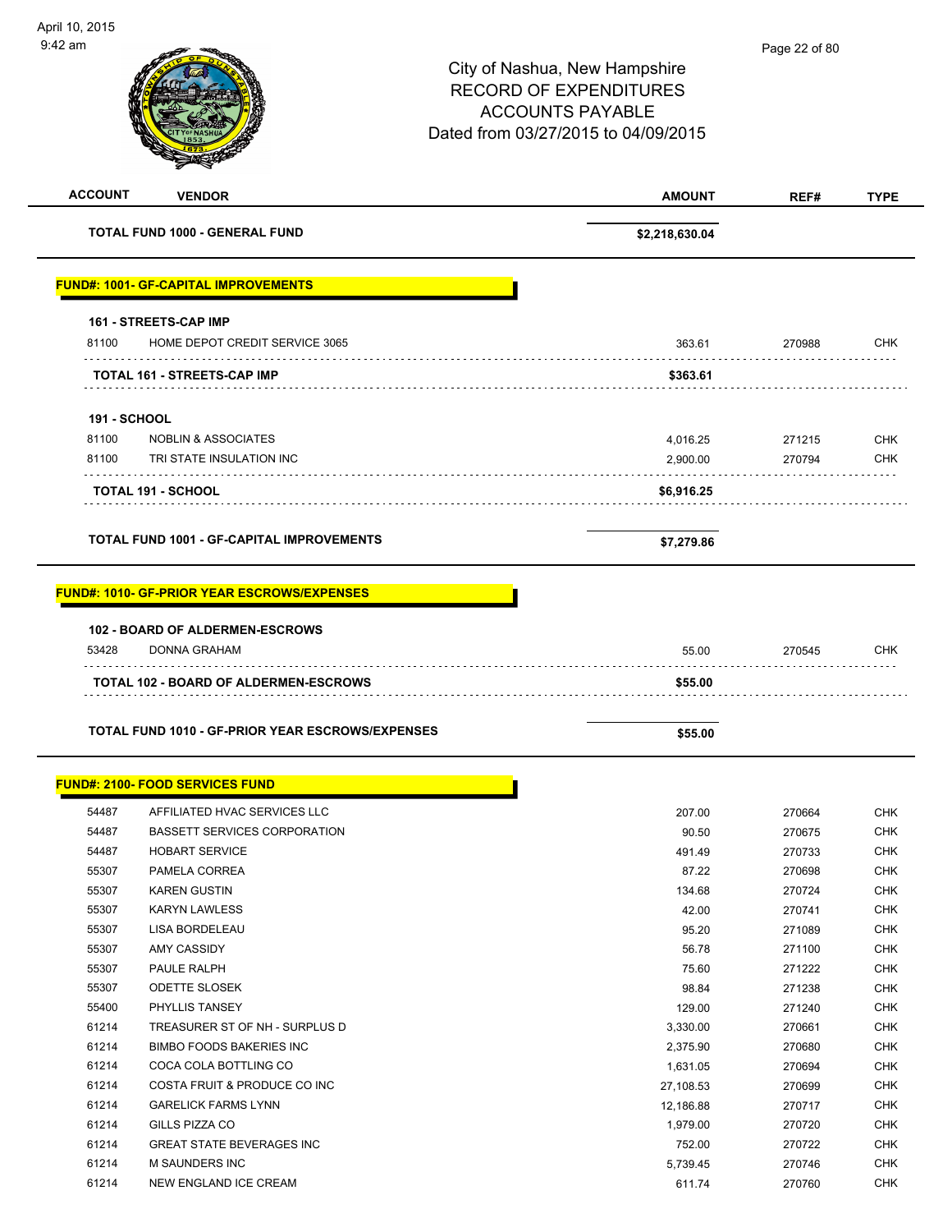| <b>ACCOUNT</b> | <b>VENDOR</b>                                                  | <b>AMOUNT</b>  | REF#   | <b>TYPE</b> |
|----------------|----------------------------------------------------------------|----------------|--------|-------------|
|                | <b>TOTAL FUND 1000 - GENERAL FUND</b>                          | \$2,218,630.04 |        |             |
|                | <b>FUND#: 1001- GF-CAPITAL IMPROVEMENTS</b>                    |                |        |             |
| 81100          | <b>161 - STREETS-CAP IMP</b><br>HOME DEPOT CREDIT SERVICE 3065 | 363.61         | 270988 | <b>CHK</b>  |
|                | <b>TOTAL 161 - STREETS-CAP IMP</b>                             | \$363.61       |        |             |
|                | <b>191 - SCHOOL</b>                                            |                |        |             |
| 81100          | <b>NOBLIN &amp; ASSOCIATES</b>                                 | 4,016.25       | 271215 | <b>CHK</b>  |
| 81100          | TRI STATE INSULATION INC                                       | 2,900.00       | 270794 | <b>CHK</b>  |
|                | TOTAL 191 - SCHOOL                                             | \$6,916.25     |        |             |
|                |                                                                |                |        |             |
|                | <b>TOTAL FUND 1001 - GF-CAPITAL IMPROVEMENTS</b>               | \$7,279.86     |        |             |
|                | <b>FUND#: 1010- GF-PRIOR YEAR ESCROWS/EXPENSES</b>             |                |        |             |
|                |                                                                |                |        |             |
|                | 102 - BOARD OF ALDERMEN-ESCROWS                                |                |        |             |
| 53428          | DONNA GRAHAM                                                   | 55.00          | 270545 | <b>CHK</b>  |
|                | TOTAL 102 - BOARD OF ALDERMEN-ESCROWS                          | \$55.00        |        |             |
|                |                                                                |                |        |             |
|                | TOTAL FUND 1010 - GF-PRIOR YEAR ESCROWS/EXPENSES               | \$55.00        |        |             |
|                | <b>FUND#: 2100- FOOD SERVICES FUND</b>                         |                |        |             |
| 54487          | AFFILIATED HVAC SERVICES LLC                                   | 207.00         | 270664 | CHK         |
| 54487          | <b>BASSETT SERVICES CORPORATION</b>                            | 90.50          | 270675 | <b>CHK</b>  |
| 54487          | <b>HOBART SERVICE</b>                                          | 491.49         | 270733 | <b>CHK</b>  |
| 55307          | PAMELA CORREA                                                  | 87.22          | 270698 | <b>CHK</b>  |
| 55307          | <b>KAREN GUSTIN</b>                                            | 134.68         | 270724 | <b>CHK</b>  |
| 55307          | <b>KARYN LAWLESS</b>                                           | 42.00          | 270741 | <b>CHK</b>  |
| 55307          | LISA BORDELEAU                                                 | 95.20          | 271089 | <b>CHK</b>  |
| 55307          | AMY CASSIDY                                                    | 56.78          | 271100 | <b>CHK</b>  |
| 55307          | PAULE RALPH                                                    | 75.60          | 271222 | <b>CHK</b>  |
| 55307          | <b>ODETTE SLOSEK</b>                                           | 98.84          | 271238 | <b>CHK</b>  |
| 55400          | PHYLLIS TANSEY                                                 | 129.00         | 271240 | <b>CHK</b>  |
| 61214          | TREASURER ST OF NH - SURPLUS D                                 | 3,330.00       | 270661 | <b>CHK</b>  |
| 61214          | <b>BIMBO FOODS BAKERIES INC</b>                                | 2,375.90       | 270680 | <b>CHK</b>  |
| 61214          | COCA COLA BOTTLING CO                                          | 1,631.05       | 270694 | <b>CHK</b>  |
| 61214          | COSTA FRUIT & PRODUCE CO INC                                   | 27,108.53      | 270699 | <b>CHK</b>  |
| 61214          | <b>GARELICK FARMS LYNN</b>                                     | 12,186.88      | 270717 | <b>CHK</b>  |
| 61214          | GILLS PIZZA CO                                                 | 1,979.00       | 270720 | <b>CHK</b>  |
| 61214          | <b>GREAT STATE BEVERAGES INC</b>                               | 752.00         | 270722 | <b>CHK</b>  |
| 61214          | M SAUNDERS INC                                                 | 5,739.45       | 270746 | <b>CHK</b>  |
| 61214          | NEW ENGLAND ICE CREAM                                          | 611.74         | 270760 | <b>CHK</b>  |
|                |                                                                |                |        |             |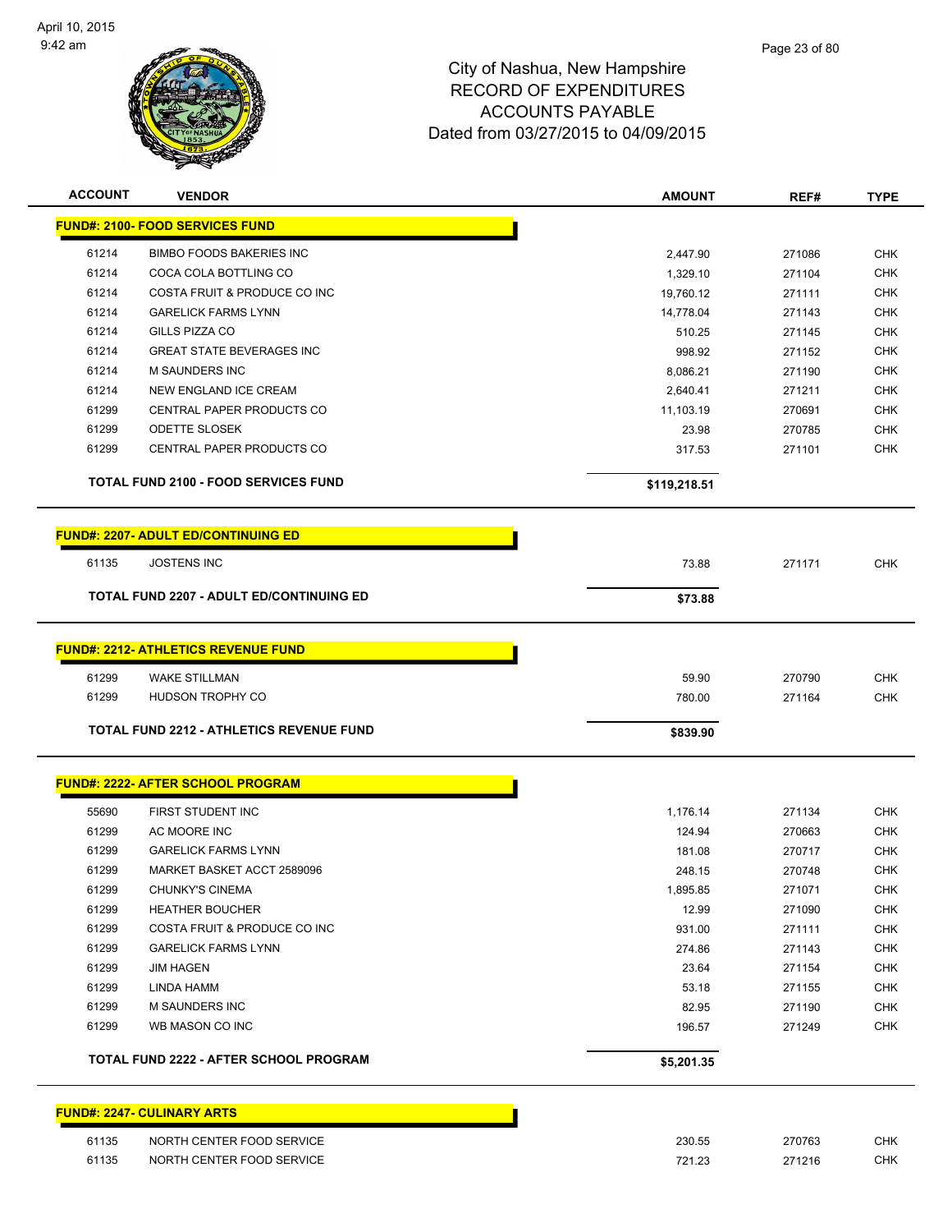

| <b>ACCOUNT</b> | <b>VENDOR</b>                                   | <b>AMOUNT</b> | REF#   | <b>TYPE</b> |
|----------------|-------------------------------------------------|---------------|--------|-------------|
|                | <b>FUND#: 2100- FOOD SERVICES FUND</b>          |               |        |             |
| 61214          | <b>BIMBO FOODS BAKERIES INC</b>                 | 2,447.90      | 271086 | <b>CHK</b>  |
| 61214          | COCA COLA BOTTLING CO                           | 1,329.10      | 271104 | <b>CHK</b>  |
| 61214          | COSTA FRUIT & PRODUCE CO INC                    | 19,760.12     | 271111 | CHK         |
| 61214          | <b>GARELICK FARMS LYNN</b>                      | 14,778.04     | 271143 | <b>CHK</b>  |
| 61214          | <b>GILLS PIZZA CO</b>                           | 510.25        | 271145 | CHK         |
| 61214          | <b>GREAT STATE BEVERAGES INC</b>                | 998.92        | 271152 | <b>CHK</b>  |
| 61214          | M SAUNDERS INC                                  | 8,086.21      | 271190 | CHK         |
| 61214          | <b>NEW ENGLAND ICE CREAM</b>                    | 2,640.41      | 271211 | CHK         |
| 61299          | CENTRAL PAPER PRODUCTS CO                       | 11,103.19     | 270691 | <b>CHK</b>  |
| 61299          | ODETTE SLOSEK                                   | 23.98         | 270785 | <b>CHK</b>  |
| 61299          | CENTRAL PAPER PRODUCTS CO                       | 317.53        | 271101 | <b>CHK</b>  |
|                | <b>TOTAL FUND 2100 - FOOD SERVICES FUND</b>     | \$119,218.51  |        |             |
|                | <b>FUND#: 2207- ADULT ED/CONTINUING ED</b>      |               |        |             |
| 61135          | <b>JOSTENS INC</b>                              | 73.88         | 271171 | <b>CHK</b>  |
|                | <b>TOTAL FUND 2207 - ADULT ED/CONTINUING ED</b> | \$73.88       |        |             |
|                |                                                 |               |        |             |
|                | <b>FUND#: 2212- ATHLETICS REVENUE FUND</b>      |               |        |             |
| 61299          | <b>WAKE STILLMAN</b>                            | 59.90         | 270790 | <b>CHK</b>  |
| 61299          | HUDSON TROPHY CO                                | 780.00        | 271164 | <b>CHK</b>  |
|                | <b>TOTAL FUND 2212 - ATHLETICS REVENUE FUND</b> | \$839.90      |        |             |
|                | <b>FUND#: 2222- AFTER SCHOOL PROGRAM</b>        |               |        |             |
| 55690          | FIRST STUDENT INC                               | 1,176.14      | 271134 | <b>CHK</b>  |
| 61299          | AC MOORE INC                                    | 124.94        | 270663 | <b>CHK</b>  |
| 61299          | <b>GARELICK FARMS LYNN</b>                      | 181.08        | 270717 | <b>CHK</b>  |
| 61299          | MARKET BASKET ACCT 2589096                      | 248.15        | 270748 | <b>CHK</b>  |
| 61299          | <b>CHUNKY'S CINEMA</b>                          | 1,895.85      | 271071 | <b>CHK</b>  |
| 61299          | <b>HEATHER BOUCHER</b>                          | 12.99         | 271090 | <b>CHK</b>  |
| 61299          | COSTA FRUIT & PRODUCE CO INC                    | 931.00        | 271111 | <b>CHK</b>  |
| 61299          | <b>GARELICK FARMS LYNN</b>                      | 274.86        | 271143 | <b>CHK</b>  |
| 61299          | <b>JIM HAGEN</b>                                | 23.64         | 271154 | <b>CHK</b>  |
| 61299          | LINDA HAMM                                      | 53.18         | 271155 | CHK         |
| 61299          | M SAUNDERS INC                                  | 82.95         | 271190 | <b>CHK</b>  |
| 61299          | WB MASON CO INC                                 | 196.57        | 271249 | <b>CHK</b>  |
|                | TOTAL FUND 2222 - AFTER SCHOOL PROGRAM          | \$5,201.35    |        |             |
|                | <b>FUND#: 2247- CULINARY ARTS</b>               |               |        |             |

| 61135 | NORTH CENTER FOOD SERVICE | 230.55 | 270763 | CHK        |
|-------|---------------------------|--------|--------|------------|
| 61135 | NORTH CENTER FOOD SERVICE | 721.23 | 271216 | <b>CHK</b> |
|       |                           |        |        |            |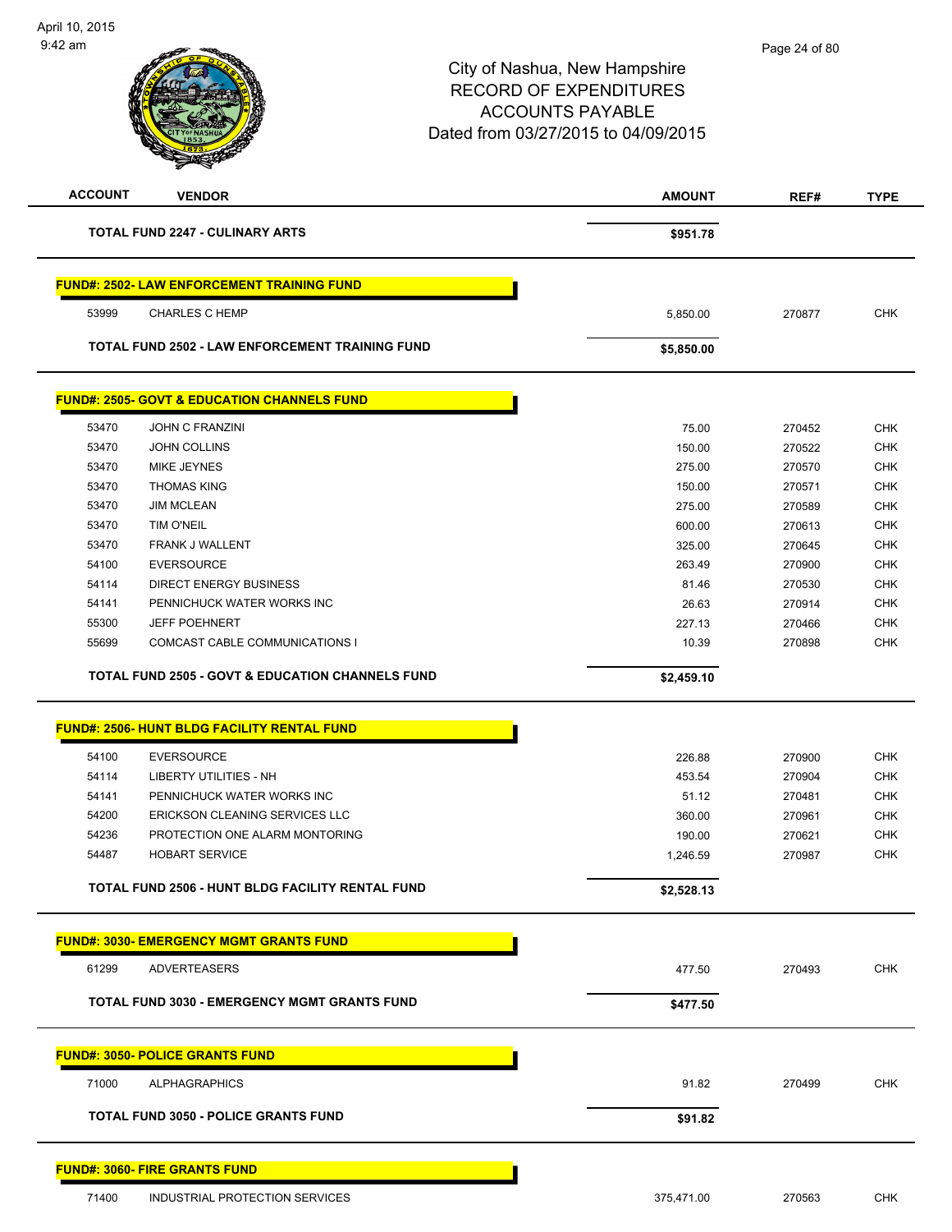| <b>ACCOUNT</b> | <b>VENDOR</b>                                               | <b>AMOUNT</b> | REF#   | <b>TYPE</b> |
|----------------|-------------------------------------------------------------|---------------|--------|-------------|
|                | <b>TOTAL FUND 2247 - CULINARY ARTS</b>                      | \$951.78      |        |             |
|                | <b>FUND#: 2502- LAW ENFORCEMENT TRAINING FUND</b>           |               |        |             |
| 53999          | <b>CHARLES C HEMP</b>                                       | 5,850.00      | 270877 | <b>CHK</b>  |
|                | <b>TOTAL FUND 2502 - LAW ENFORCEMENT TRAINING FUND</b>      | \$5,850.00    |        |             |
|                | <b>FUND#: 2505- GOVT &amp; EDUCATION CHANNELS FUND</b>      |               |        |             |
| 53470          | <b>JOHN C FRANZINI</b>                                      | 75.00         | 270452 | <b>CHK</b>  |
| 53470          | <b>JOHN COLLINS</b>                                         | 150.00        | 270522 | <b>CHK</b>  |
| 53470          | MIKE JEYNES                                                 | 275.00        | 270570 | <b>CHK</b>  |
| 53470          | <b>THOMAS KING</b>                                          | 150.00        | 270571 | <b>CHK</b>  |
| 53470          | <b>JIM MCLEAN</b>                                           | 275.00        | 270589 | <b>CHK</b>  |
| 53470          | TIM O'NEIL                                                  | 600.00        | 270613 | <b>CHK</b>  |
| 53470          | FRANK J WALLENT                                             | 325.00        | 270645 | <b>CHK</b>  |
| 54100          | <b>EVERSOURCE</b>                                           | 263.49        | 270900 | <b>CHK</b>  |
| 54114          | <b>DIRECT ENERGY BUSINESS</b>                               | 81.46         | 270530 | <b>CHK</b>  |
| 54141          | PENNICHUCK WATER WORKS INC                                  | 26.63         | 270914 | <b>CHK</b>  |
| 55300          | <b>JEFF POEHNERT</b>                                        | 227.13        | 270466 | <b>CHK</b>  |
| 55699          | COMCAST CABLE COMMUNICATIONS I                              | 10.39         | 270898 | <b>CHK</b>  |
|                | <b>TOTAL FUND 2505 - GOVT &amp; EDUCATION CHANNELS FUND</b> | \$2,459.10    |        |             |
|                | <b>FUND#: 2506- HUNT BLDG FACILITY RENTAL FUND</b>          |               |        |             |
| 54100          | <b>EVERSOURCE</b>                                           | 226.88        | 270900 | <b>CHK</b>  |
| 54114          | <b>LIBERTY UTILITIES - NH</b>                               | 453.54        | 270904 | <b>CHK</b>  |
| 54141          | PENNICHUCK WATER WORKS INC                                  | 51.12         | 270481 | <b>CHK</b>  |
| 54200          | ERICKSON CLEANING SERVICES LLC                              | 360.00        | 270961 | <b>CHK</b>  |
| 54236          | PROTECTION ONE ALARM MONTORING                              | 190.00        | 270621 | <b>CHK</b>  |
| 54487          | <b>HOBART SERVICE</b>                                       | 1,246.59      | 270987 | <b>CHK</b>  |
|                | <b>TOTAL FUND 2506 - HUNT BLDG FACILITY RENTAL FUND</b>     | \$2,528.13    |        |             |
|                | <b>FUND#: 3030- EMERGENCY MGMT GRANTS FUND</b>              |               |        |             |
| 61299          | <b>ADVERTEASERS</b>                                         | 477.50        | 270493 | <b>CHK</b>  |
|                | <b>TOTAL FUND 3030 - EMERGENCY MGMT GRANTS FUND</b>         | \$477.50      |        |             |
|                | <b>FUND#: 3050- POLICE GRANTS FUND</b>                      |               |        |             |
| 71000          | <b>ALPHAGRAPHICS</b>                                        | 91.82         | 270499 | <b>CHK</b>  |
|                | <b>TOTAL FUND 3050 - POLICE GRANTS FUND</b>                 | \$91.82       |        |             |
|                | <b>FUND#: 3060- FIRE GRANTS FUND</b>                        |               |        |             |
| 71400          | INDUSTRIAL PROTECTION SERVICES                              | 375,471.00    | 270563 | <b>CHK</b>  |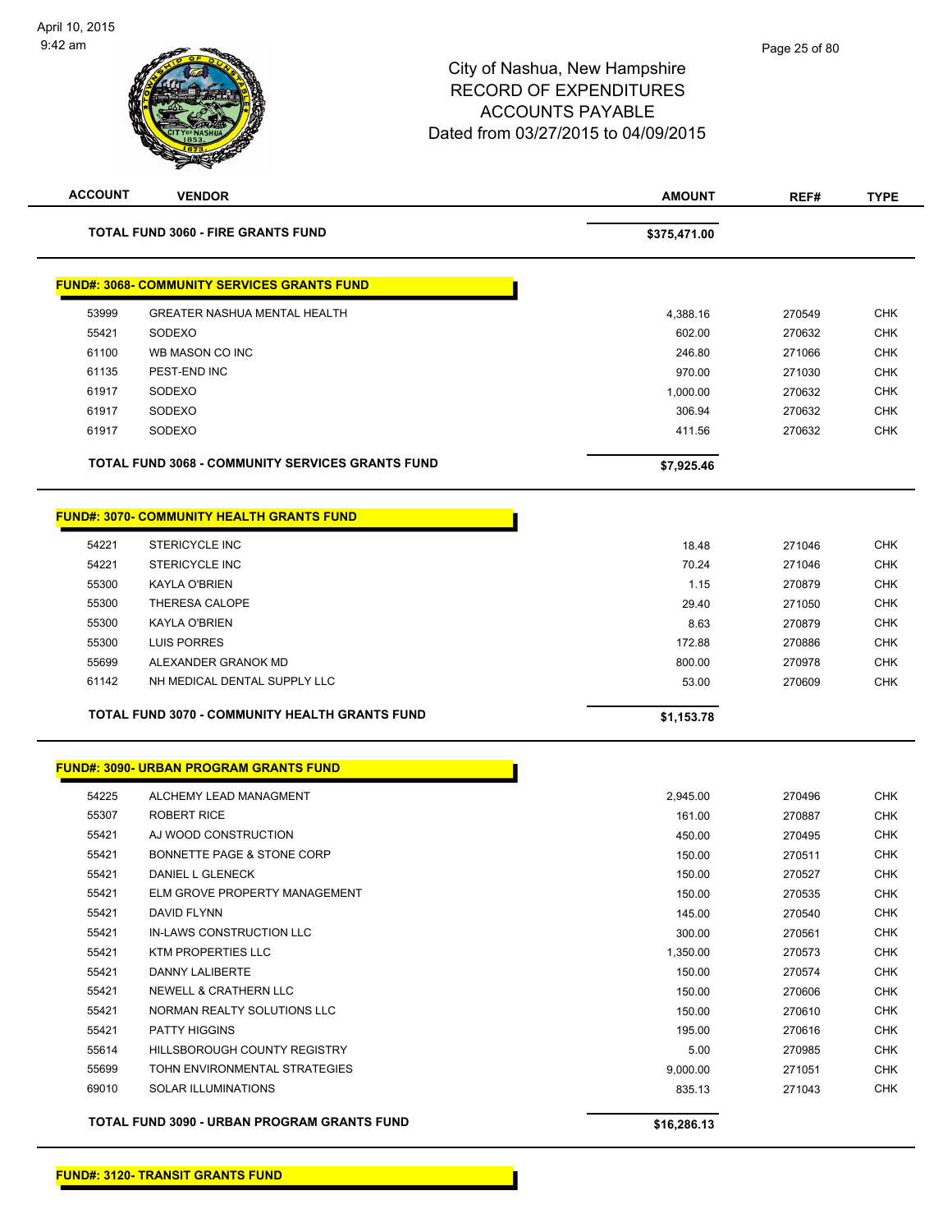

| <b>ACCOUNT</b> | <b>VENDOR</b>                                           | <b>AMOUNT</b> | REF#   | <b>TYPE</b> |
|----------------|---------------------------------------------------------|---------------|--------|-------------|
|                | <b>TOTAL FUND 3060 - FIRE GRANTS FUND</b>               | \$375,471.00  |        |             |
|                | <b>FUND#: 3068- COMMUNITY SERVICES GRANTS FUND</b>      |               |        |             |
| 53999          | <b>GREATER NASHUA MENTAL HEALTH</b>                     | 4,388.16      | 270549 | <b>CHK</b>  |
| 55421          | SODEXO                                                  | 602.00        | 270632 | <b>CHK</b>  |
| 61100          | WB MASON CO INC                                         | 246.80        | 271066 | <b>CHK</b>  |
| 61135          | PEST-END INC                                            | 970.00        | 271030 | <b>CHK</b>  |
| 61917          | SODEXO                                                  | 1,000.00      | 270632 | <b>CHK</b>  |
| 61917          | SODEXO                                                  | 306.94        | 270632 | <b>CHK</b>  |
| 61917          | SODEXO                                                  | 411.56        | 270632 | <b>CHK</b>  |
|                | <b>TOTAL FUND 3068 - COMMUNITY SERVICES GRANTS FUND</b> | \$7,925.46    |        |             |
|                | <b>FUND#: 3070- COMMUNITY HEALTH GRANTS FUND</b>        |               |        |             |
| 54221          | <b>STERICYCLE INC</b>                                   | 18.48         | 271046 | <b>CHK</b>  |
| 54221          | <b>STERICYCLE INC</b>                                   | 70.24         | 271046 | <b>CHK</b>  |
| 55300          | KAYLA O'BRIEN                                           | 1.15          | 270879 | <b>CHK</b>  |
| 55300          | THERESA CALOPE                                          | 29.40         | 271050 | <b>CHK</b>  |
| 55300          | <b>KAYLA O'BRIEN</b>                                    | 8.63          | 270879 | <b>CHK</b>  |
| 55300          | <b>LUIS PORRES</b>                                      | 172.88        | 270886 | <b>CHK</b>  |
| 55699          | ALEXANDER GRANOK MD                                     | 800.00        | 270978 | <b>CHK</b>  |
| 61142          | NH MEDICAL DENTAL SUPPLY LLC                            | 53.00         | 270609 | <b>CHK</b>  |
|                | TOTAL FUND 3070 - COMMUNITY HEALTH GRANTS FUND          | \$1,153.78    |        |             |
|                | <b>FUND#: 3090- URBAN PROGRAM GRANTS FUND</b>           |               |        |             |
| 54225          | ALCHEMY LEAD MANAGMENT                                  | 2,945.00      | 270496 | <b>CHK</b>  |
| 55307          | <b>ROBERT RICE</b>                                      | 161.00        | 270887 | <b>CHK</b>  |
| 55421          | AJ WOOD CONSTRUCTION                                    | 450.00        | 270495 | <b>CHK</b>  |
| 55421          | BONNETTE PAGE & STONE CORP                              | 150.00        | 270511 | <b>CHK</b>  |
| 55421          | <b>DANIEL L GLENECK</b>                                 | 150.00        | 270527 | <b>CHK</b>  |
| 55421          | ELM GROVE PROPERTY MANAGEMENT                           | 150.00        | 270535 | <b>CHK</b>  |
| 55421          | DAVID FLYNN                                             | 145.00        | 270540 | <b>CHK</b>  |
| 55421          | IN-LAWS CONSTRUCTION LLC                                | 300.00        | 270561 | <b>CHK</b>  |
| 55421          | KTM PROPERTIES LLC                                      | 1,350.00      | 270573 | <b>CHK</b>  |
| 55421          | <b>DANNY LALIBERTE</b>                                  | 150.00        | 270574 | <b>CHK</b>  |
| 55421          | <b>NEWELL &amp; CRATHERN LLC</b>                        | 150.00        | 270606 | <b>CHK</b>  |
| 55421          | NORMAN REALTY SOLUTIONS LLC                             | 150.00        | 270610 | <b>CHK</b>  |
| 55421          | <b>PATTY HIGGINS</b>                                    | 195.00        | 270616 | <b>CHK</b>  |
| 55614          | HILLSBOROUGH COUNTY REGISTRY                            | 5.00          | 270985 | <b>CHK</b>  |
| 55699          | TOHN ENVIRONMENTAL STRATEGIES                           | 9,000.00      | 271051 | <b>CHK</b>  |
| 69010          | SOLAR ILLUMINATIONS                                     | 835.13        | 271043 | <b>CHK</b>  |
|                | TOTAL FUND 3090 - URBAN PROGRAM GRANTS FUND             | \$16,286.13   |        |             |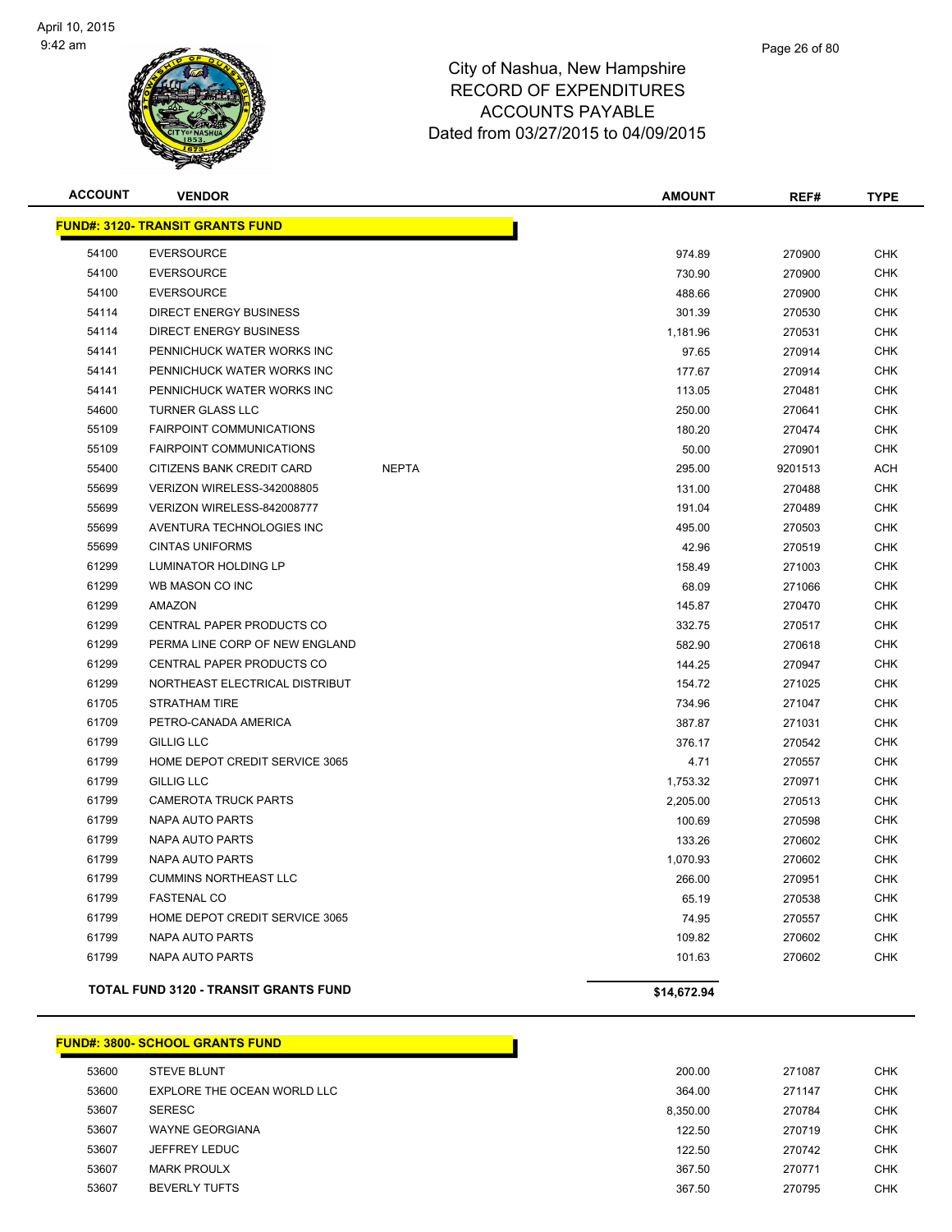

| <b>ACCOUNT</b> | <b>VENDOR</b>                                |              | <b>AMOUNT</b> | REF#    | <b>TYPE</b> |
|----------------|----------------------------------------------|--------------|---------------|---------|-------------|
|                | <b>FUND#: 3120- TRANSIT GRANTS FUND</b>      |              |               |         |             |
| 54100          | <b>EVERSOURCE</b>                            |              | 974.89        | 270900  | <b>CHK</b>  |
| 54100          | <b>EVERSOURCE</b>                            |              | 730.90        | 270900  | <b>CHK</b>  |
| 54100          | <b>EVERSOURCE</b>                            |              | 488.66        | 270900  | <b>CHK</b>  |
| 54114          | DIRECT ENERGY BUSINESS                       |              | 301.39        | 270530  | <b>CHK</b>  |
| 54114          | <b>DIRECT ENERGY BUSINESS</b>                |              | 1,181.96      | 270531  | <b>CHK</b>  |
| 54141          | PENNICHUCK WATER WORKS INC                   |              | 97.65         | 270914  | <b>CHK</b>  |
| 54141          | PENNICHUCK WATER WORKS INC                   |              | 177.67        | 270914  | <b>CHK</b>  |
| 54141          | PENNICHUCK WATER WORKS INC                   |              | 113.05        | 270481  | <b>CHK</b>  |
| 54600          | <b>TURNER GLASS LLC</b>                      |              | 250.00        | 270641  | <b>CHK</b>  |
| 55109          | <b>FAIRPOINT COMMUNICATIONS</b>              |              | 180.20        | 270474  | <b>CHK</b>  |
| 55109          | <b>FAIRPOINT COMMUNICATIONS</b>              |              | 50.00         | 270901  | <b>CHK</b>  |
| 55400          | CITIZENS BANK CREDIT CARD                    | <b>NEPTA</b> | 295.00        | 9201513 | <b>ACH</b>  |
| 55699          | VERIZON WIRELESS-342008805                   |              | 131.00        | 270488  | <b>CHK</b>  |
| 55699          | VERIZON WIRELESS-842008777                   |              | 191.04        | 270489  | <b>CHK</b>  |
| 55699          | AVENTURA TECHNOLOGIES INC                    |              | 495.00        | 270503  | <b>CHK</b>  |
| 55699          | <b>CINTAS UNIFORMS</b>                       |              | 42.96         | 270519  | <b>CHK</b>  |
| 61299          | LUMINATOR HOLDING LP                         |              | 158.49        | 271003  | <b>CHK</b>  |
| 61299          | WB MASON CO INC                              |              | 68.09         | 271066  | <b>CHK</b>  |
| 61299          | <b>AMAZON</b>                                |              | 145.87        | 270470  | <b>CHK</b>  |
| 61299          | CENTRAL PAPER PRODUCTS CO                    |              | 332.75        | 270517  | <b>CHK</b>  |
| 61299          | PERMA LINE CORP OF NEW ENGLAND               |              | 582.90        | 270618  | <b>CHK</b>  |
| 61299          | <b>CENTRAL PAPER PRODUCTS CO</b>             |              | 144.25        | 270947  | <b>CHK</b>  |
| 61299          | NORTHEAST ELECTRICAL DISTRIBUT               |              | 154.72        | 271025  | <b>CHK</b>  |
| 61705          | <b>STRATHAM TIRE</b>                         |              | 734.96        | 271047  | <b>CHK</b>  |
| 61709          | PETRO-CANADA AMERICA                         |              | 387.87        | 271031  | <b>CHK</b>  |
| 61799          | <b>GILLIG LLC</b>                            |              | 376.17        | 270542  | <b>CHK</b>  |
| 61799          | HOME DEPOT CREDIT SERVICE 3065               |              | 4.71          | 270557  | <b>CHK</b>  |
| 61799          | <b>GILLIG LLC</b>                            |              | 1,753.32      | 270971  | <b>CHK</b>  |
| 61799          | <b>CAMEROTA TRUCK PARTS</b>                  |              | 2,205.00      | 270513  | <b>CHK</b>  |
| 61799          | <b>NAPA AUTO PARTS</b>                       |              | 100.69        | 270598  | <b>CHK</b>  |
| 61799          | <b>NAPA AUTO PARTS</b>                       |              | 133.26        | 270602  | <b>CHK</b>  |
| 61799          | NAPA AUTO PARTS                              |              | 1,070.93      | 270602  | <b>CHK</b>  |
| 61799          | <b>CUMMINS NORTHEAST LLC</b>                 |              | 266.00        | 270951  | <b>CHK</b>  |
| 61799          | <b>FASTENAL CO</b>                           |              | 65.19         | 270538  | <b>CHK</b>  |
| 61799          | HOME DEPOT CREDIT SERVICE 3065               |              | 74.95         | 270557  | <b>CHK</b>  |
| 61799          | <b>NAPA AUTO PARTS</b>                       |              | 109.82        | 270602  | <b>CHK</b>  |
| 61799          | <b>NAPA AUTO PARTS</b>                       |              | 101.63        | 270602  | <b>CHK</b>  |
|                | <b>TOTAL FUND 3120 - TRANSIT GRANTS FUND</b> |              | \$14,672.94   |         |             |

#### **FUND#: 3800- SCHOOL GRANTS FUND**

| 53600 | <b>STEVE BLUNT</b>          | 200.00   | 271087 | <b>CHK</b> |
|-------|-----------------------------|----------|--------|------------|
| 53600 | EXPLORE THE OCEAN WORLD LLC | 364.00   | 271147 | <b>CHK</b> |
| 53607 | <b>SERESC</b>               | 8.350.00 | 270784 | <b>CHK</b> |
| 53607 | <b>WAYNE GEORGIANA</b>      | 122.50   | 270719 | CHK        |
| 53607 | JEFFREY LEDUC               | 122.50   | 270742 | <b>CHK</b> |
| 53607 | <b>MARK PROULX</b>          | 367.50   | 270771 | <b>CHK</b> |
| 53607 | <b>BEVERLY TUFTS</b>        | 367.50   | 270795 | CHK        |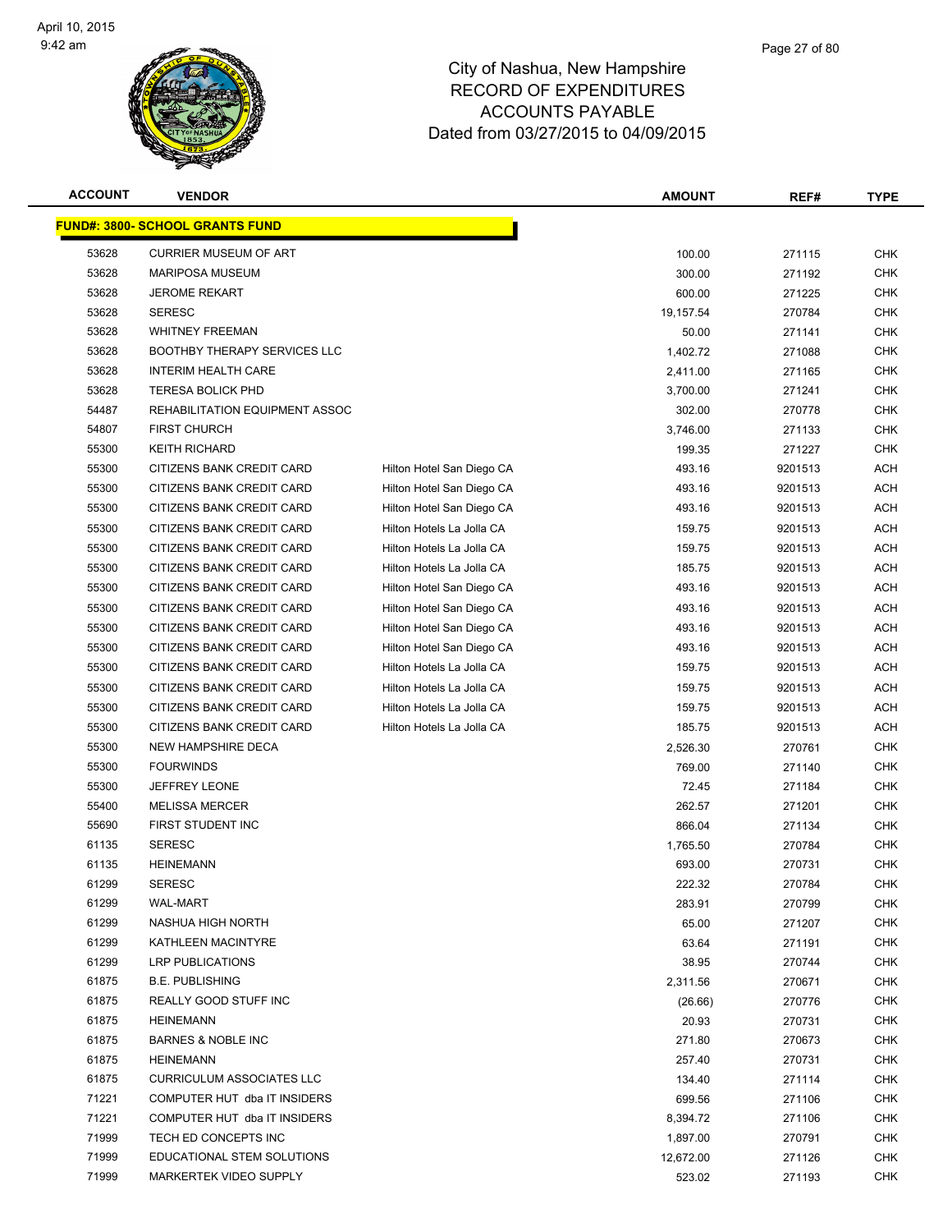

| <b>ACCOUNT</b> | <b>VENDOR</b>                           |                           | <b>AMOUNT</b> | REF#    | <b>TYPE</b> |
|----------------|-----------------------------------------|---------------------------|---------------|---------|-------------|
|                | <u> FUND#: 3800- SCHOOL GRANTS FUND</u> |                           |               |         |             |
| 53628          | <b>CURRIER MUSEUM OF ART</b>            |                           | 100.00        | 271115  | <b>CHK</b>  |
| 53628          | <b>MARIPOSA MUSEUM</b>                  |                           | 300.00        | 271192  | CHK         |
| 53628          | <b>JEROME REKART</b>                    |                           | 600.00        | 271225  | <b>CHK</b>  |
| 53628          | <b>SERESC</b>                           |                           | 19,157.54     | 270784  | <b>CHK</b>  |
| 53628          | <b>WHITNEY FREEMAN</b>                  |                           | 50.00         | 271141  | <b>CHK</b>  |
| 53628          | <b>BOOTHBY THERAPY SERVICES LLC</b>     |                           | 1,402.72      | 271088  | <b>CHK</b>  |
| 53628          | <b>INTERIM HEALTH CARE</b>              |                           | 2,411.00      | 271165  | <b>CHK</b>  |
| 53628          | <b>TERESA BOLICK PHD</b>                |                           | 3,700.00      | 271241  | <b>CHK</b>  |
| 54487          | REHABILITATION EQUIPMENT ASSOC          |                           | 302.00        | 270778  | <b>CHK</b>  |
| 54807          | <b>FIRST CHURCH</b>                     |                           | 3,746.00      | 271133  | <b>CHK</b>  |
| 55300          | <b>KEITH RICHARD</b>                    |                           | 199.35        | 271227  | CHK         |
| 55300          | CITIZENS BANK CREDIT CARD               | Hilton Hotel San Diego CA | 493.16        | 9201513 | ACH         |
| 55300          | CITIZENS BANK CREDIT CARD               | Hilton Hotel San Diego CA | 493.16        | 9201513 | ACH         |
| 55300          | CITIZENS BANK CREDIT CARD               | Hilton Hotel San Diego CA | 493.16        | 9201513 | <b>ACH</b>  |
| 55300          | CITIZENS BANK CREDIT CARD               | Hilton Hotels La Jolla CA | 159.75        | 9201513 | <b>ACH</b>  |
| 55300          | CITIZENS BANK CREDIT CARD               | Hilton Hotels La Jolla CA | 159.75        | 9201513 | ACH         |
| 55300          | CITIZENS BANK CREDIT CARD               | Hilton Hotels La Jolla CA | 185.75        | 9201513 | <b>ACH</b>  |
| 55300          | CITIZENS BANK CREDIT CARD               | Hilton Hotel San Diego CA | 493.16        | 9201513 | ACH         |
| 55300          | CITIZENS BANK CREDIT CARD               | Hilton Hotel San Diego CA | 493.16        | 9201513 | ACH         |
| 55300          | CITIZENS BANK CREDIT CARD               | Hilton Hotel San Diego CA | 493.16        | 9201513 | ACH         |
| 55300          | CITIZENS BANK CREDIT CARD               | Hilton Hotel San Diego CA | 493.16        | 9201513 | ACH         |
| 55300          | CITIZENS BANK CREDIT CARD               | Hilton Hotels La Jolla CA | 159.75        | 9201513 | ACH         |
| 55300          | CITIZENS BANK CREDIT CARD               | Hilton Hotels La Jolla CA | 159.75        | 9201513 | ACH         |
| 55300          | CITIZENS BANK CREDIT CARD               | Hilton Hotels La Jolla CA | 159.75        | 9201513 | <b>ACH</b>  |
| 55300          | CITIZENS BANK CREDIT CARD               | Hilton Hotels La Jolla CA | 185.75        | 9201513 | <b>ACH</b>  |
| 55300          | <b>NEW HAMPSHIRE DECA</b>               |                           | 2,526.30      | 270761  | CHK         |
| 55300          | <b>FOURWINDS</b>                        |                           | 769.00        | 271140  | CHK         |
| 55300          | <b>JEFFREY LEONE</b>                    |                           | 72.45         | 271184  | CHK         |
| 55400          | <b>MELISSA MERCER</b>                   |                           | 262.57        | 271201  | <b>CHK</b>  |
| 55690          | FIRST STUDENT INC                       |                           | 866.04        | 271134  | <b>CHK</b>  |
| 61135          | <b>SERESC</b>                           |                           | 1,765.50      | 270784  | <b>CHK</b>  |
| 61135          | <b>HEINEMANN</b>                        |                           | 693.00        | 270731  | <b>CHK</b>  |
| 61299          | <b>SERESC</b>                           |                           | 222.32        | 270784  | CHK         |
| 61299          | <b>WAL-MART</b>                         |                           | 283.91        | 270799  | <b>CHK</b>  |
| 61299          | NASHUA HIGH NORTH                       |                           | 65.00         | 271207  | <b>CHK</b>  |
| 61299          | KATHLEEN MACINTYRE                      |                           | 63.64         | 271191  | <b>CHK</b>  |
| 61299          | <b>LRP PUBLICATIONS</b>                 |                           | 38.95         | 270744  | <b>CHK</b>  |
| 61875          | <b>B.E. PUBLISHING</b>                  |                           | 2,311.56      | 270671  | CHK         |
| 61875          | REALLY GOOD STUFF INC                   |                           | (26.66)       | 270776  | CHK         |
| 61875          | <b>HEINEMANN</b>                        |                           | 20.93         | 270731  | CHK         |
| 61875          | <b>BARNES &amp; NOBLE INC</b>           |                           | 271.80        | 270673  | CHK         |
| 61875          | <b>HEINEMANN</b>                        |                           | 257.40        | 270731  | <b>CHK</b>  |
| 61875          | <b>CURRICULUM ASSOCIATES LLC</b>        |                           | 134.40        | 271114  | CHK         |
| 71221          | COMPUTER HUT dba IT INSIDERS            |                           | 699.56        | 271106  | <b>CHK</b>  |
| 71221          | COMPUTER HUT dba IT INSIDERS            |                           | 8,394.72      | 271106  | <b>CHK</b>  |
| 71999          | TECH ED CONCEPTS INC                    |                           | 1,897.00      | 270791  | <b>CHK</b>  |
| 71999          | EDUCATIONAL STEM SOLUTIONS              |                           | 12,672.00     | 271126  | <b>CHK</b>  |
| 71999          | MARKERTEK VIDEO SUPPLY                  |                           | 523.02        | 271193  | <b>CHK</b>  |
|                |                                         |                           |               |         |             |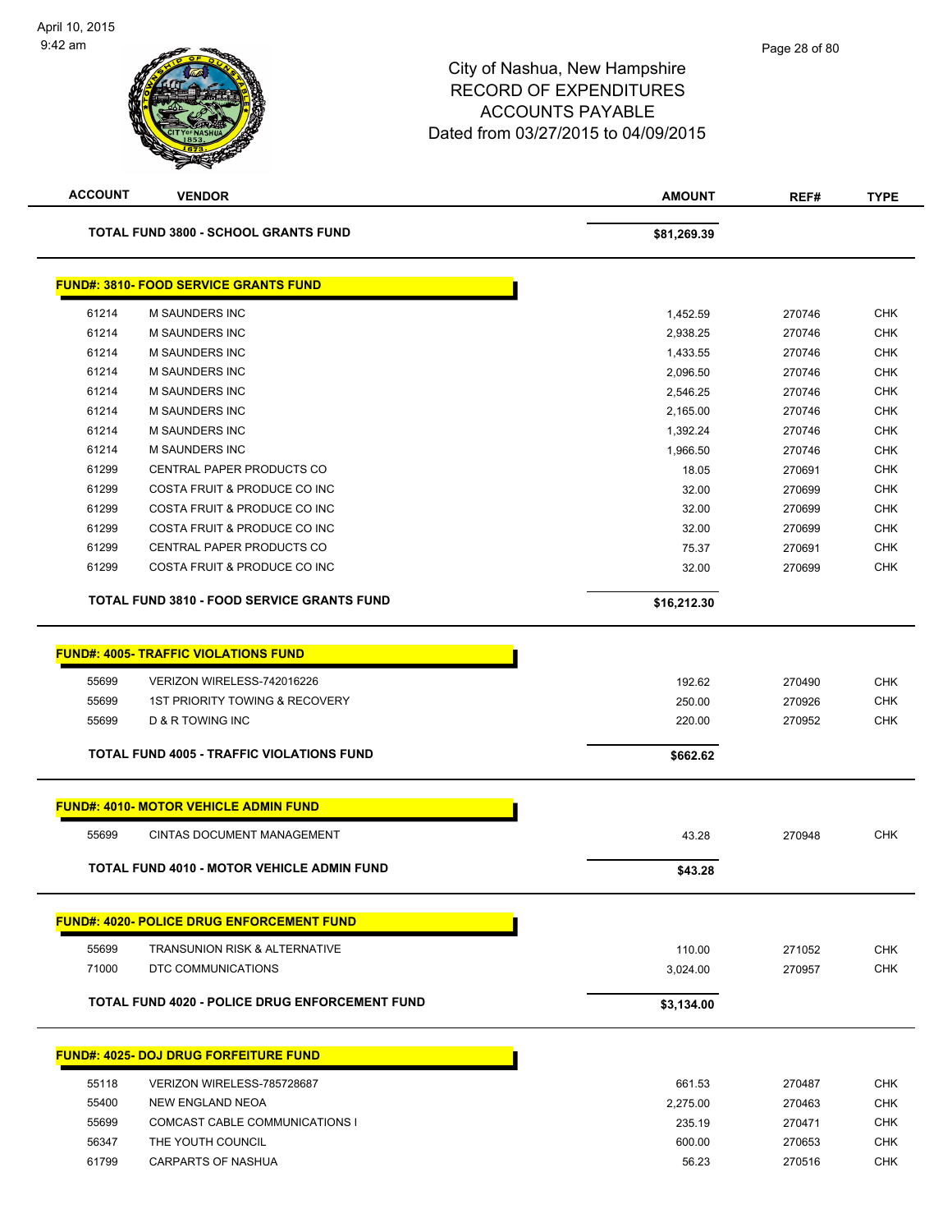| <b>ACCOUNT</b> | <b>VENDOR</b>                                         | <b>AMOUNT</b> | REF#   | <b>TYPE</b> |
|----------------|-------------------------------------------------------|---------------|--------|-------------|
|                | <b>TOTAL FUND 3800 - SCHOOL GRANTS FUND</b>           | \$81,269.39   |        |             |
|                | <b>FUND#: 3810- FOOD SERVICE GRANTS FUND</b>          |               |        |             |
| 61214          | <b>M SAUNDERS INC</b>                                 | 1,452.59      | 270746 | <b>CHK</b>  |
| 61214          | <b>M SAUNDERS INC</b>                                 | 2,938.25      | 270746 | <b>CHK</b>  |
| 61214          | <b>M SAUNDERS INC</b>                                 | 1,433.55      | 270746 | <b>CHK</b>  |
| 61214          | <b>M SAUNDERS INC</b>                                 | 2,096.50      | 270746 | <b>CHK</b>  |
| 61214          | <b>M SAUNDERS INC</b>                                 | 2,546.25      | 270746 | <b>CHK</b>  |
| 61214          | <b>M SAUNDERS INC</b>                                 | 2,165.00      | 270746 | <b>CHK</b>  |
| 61214          | <b>M SAUNDERS INC</b>                                 | 1,392.24      | 270746 | <b>CHK</b>  |
| 61214          | M SAUNDERS INC                                        | 1,966.50      | 270746 | <b>CHK</b>  |
| 61299          | CENTRAL PAPER PRODUCTS CO                             | 18.05         | 270691 | <b>CHK</b>  |
| 61299          | COSTA FRUIT & PRODUCE CO INC                          | 32.00         | 270699 | <b>CHK</b>  |
| 61299          | COSTA FRUIT & PRODUCE CO INC                          | 32.00         | 270699 | <b>CHK</b>  |
| 61299          | COSTA FRUIT & PRODUCE CO INC                          | 32.00         | 270699 | <b>CHK</b>  |
| 61299          | CENTRAL PAPER PRODUCTS CO                             | 75.37         | 270691 | <b>CHK</b>  |
| 61299          | COSTA FRUIT & PRODUCE CO INC                          | 32.00         | 270699 | <b>CHK</b>  |
|                | <b>TOTAL FUND 3810 - FOOD SERVICE GRANTS FUND</b>     | \$16,212.30   |        |             |
|                | <b>FUND#: 4005- TRAFFIC VIOLATIONS FUND</b>           |               |        |             |
| 55699          | VERIZON WIRELESS-742016226                            | 192.62        | 270490 | <b>CHK</b>  |
| 55699          | <b>1ST PRIORITY TOWING &amp; RECOVERY</b>             | 250.00        | 270926 | <b>CHK</b>  |
| 55699          | D & R TOWING INC                                      | 220.00        | 270952 | <b>CHK</b>  |
|                | <b>TOTAL FUND 4005 - TRAFFIC VIOLATIONS FUND</b>      | \$662.62      |        |             |
|                | <b>FUND#: 4010- MOTOR VEHICLE ADMIN FUND</b>          |               |        |             |
| 55699          | <b>CINTAS DOCUMENT MANAGEMENT</b>                     | 43.28         | 270948 | <b>CHK</b>  |
|                |                                                       |               |        |             |
|                | TOTAL FUND 4010 - MOTOR VEHICLE ADMIN FUND            | \$43.28       |        |             |
|                | <b>FUND#: 4020- POLICE DRUG ENFORCEMENT FUND</b>      |               |        |             |
| 55699          | <b>TRANSUNION RISK &amp; ALTERNATIVE</b>              | 110.00        | 271052 | <b>CHK</b>  |
| 71000          | DTC COMMUNICATIONS                                    | 3,024.00      | 270957 | <b>CHK</b>  |
|                |                                                       |               |        |             |
|                | <b>TOTAL FUND 4020 - POLICE DRUG ENFORCEMENT FUND</b> | \$3,134.00    |        |             |
|                | <b>FUND#: 4025- DOJ DRUG FORFEITURE FUND</b>          |               |        |             |
| 55118          | VERIZON WIRELESS-785728687                            | 661.53        | 270487 | <b>CHK</b>  |
| 55400          | NEW ENGLAND NEOA                                      | 2,275.00      | 270463 | <b>CHK</b>  |
| 55699          | COMCAST CABLE COMMUNICATIONS I                        | 235.19        | 270471 | <b>CHK</b>  |
| 56347          | THE YOUTH COUNCIL                                     | 600.00        | 270653 | <b>CHK</b>  |
| 61799          | CARPARTS OF NASHUA                                    | 56.23         | 270516 | <b>CHK</b>  |
|                |                                                       |               |        |             |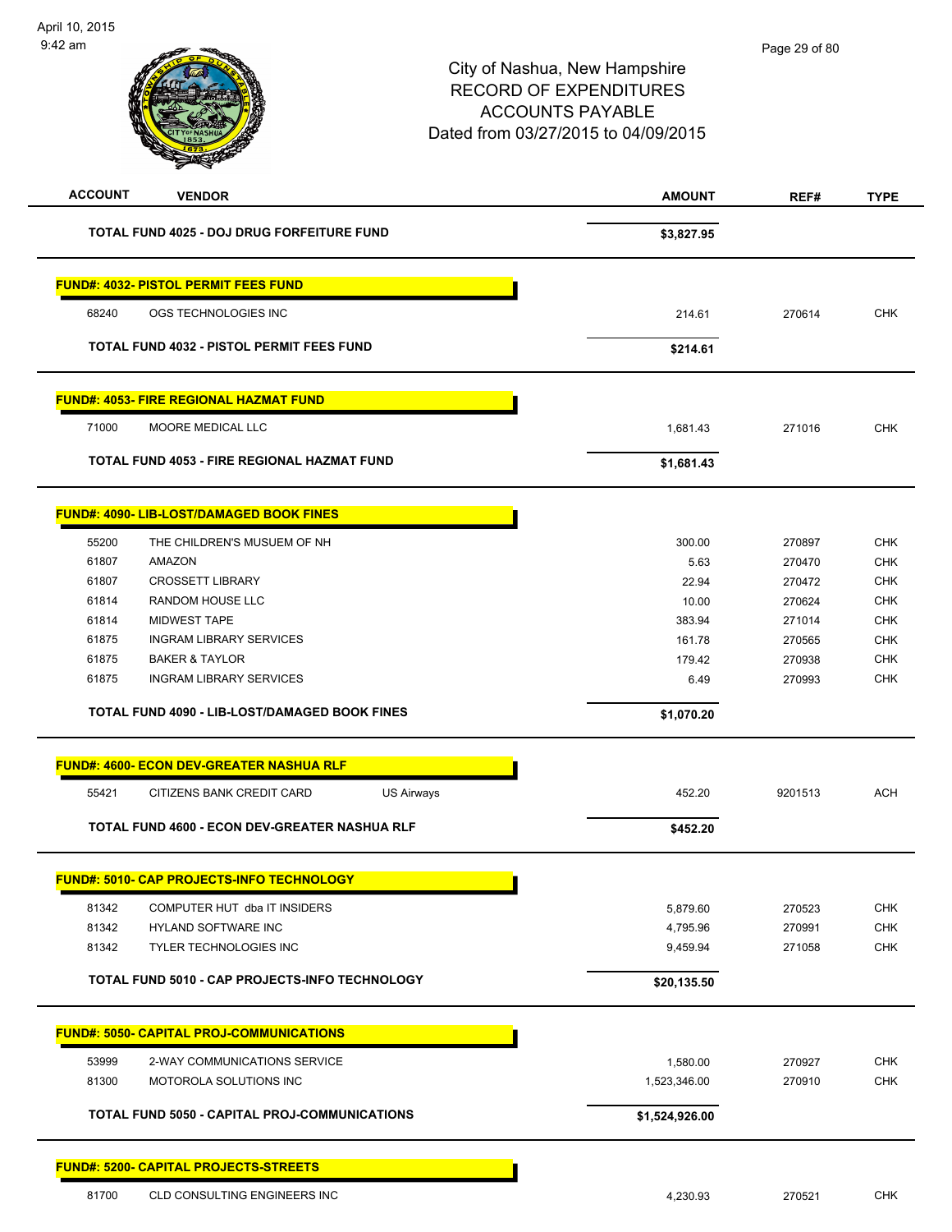| <b>ACCOUNT</b> | <b>VENDOR</b>                                        | <b>AMOUNT</b>  | REF#    | <b>TYPE</b> |
|----------------|------------------------------------------------------|----------------|---------|-------------|
|                | TOTAL FUND 4025 - DOJ DRUG FORFEITURE FUND           | \$3,827.95     |         |             |
|                | <b>FUND#: 4032- PISTOL PERMIT FEES FUND</b>          |                |         |             |
| 68240          | OGS TECHNOLOGIES INC                                 | 214.61         | 270614  | <b>CHK</b>  |
|                | <b>TOTAL FUND 4032 - PISTOL PERMIT FEES FUND</b>     | \$214.61       |         |             |
|                | <b>FUND#: 4053- FIRE REGIONAL HAZMAT FUND</b>        |                |         |             |
| 71000          | MOORE MEDICAL LLC                                    | 1,681.43       | 271016  | <b>CHK</b>  |
|                | TOTAL FUND 4053 - FIRE REGIONAL HAZMAT FUND          | \$1,681.43     |         |             |
|                | FUND#: 4090- LIB-LOST/DAMAGED BOOK FINES             |                |         |             |
| 55200          | THE CHILDREN'S MUSUEM OF NH                          | 300.00         | 270897  | <b>CHK</b>  |
| 61807          | <b>AMAZON</b>                                        | 5.63           | 270470  | <b>CHK</b>  |
| 61807          | <b>CROSSETT LIBRARY</b>                              | 22.94          | 270472  | CHK         |
| 61814          | RANDOM HOUSE LLC                                     | 10.00          | 270624  | <b>CHK</b>  |
| 61814          | <b>MIDWEST TAPE</b>                                  | 383.94         | 271014  | <b>CHK</b>  |
| 61875          | <b>INGRAM LIBRARY SERVICES</b>                       | 161.78         | 270565  | CHK         |
| 61875          | <b>BAKER &amp; TAYLOR</b>                            | 179.42         | 270938  | <b>CHK</b>  |
| 61875          | <b>INGRAM LIBRARY SERVICES</b>                       | 6.49           | 270993  | <b>CHK</b>  |
|                | <b>TOTAL FUND 4090 - LIB-LOST/DAMAGED BOOK FINES</b> | \$1,070.20     |         |             |
|                | <b>FUND#: 4600- ECON DEV-GREATER NASHUA RLF</b>      |                |         |             |
| 55421          | CITIZENS BANK CREDIT CARD<br><b>US Airways</b>       | 452.20         | 9201513 | <b>ACH</b>  |
|                | TOTAL FUND 4600 - ECON DEV-GREATER NASHUA RLF        | \$452.20       |         |             |
|                | <b>FUND#: 5010- CAP PROJECTS-INFO TECHNOLOGY</b>     |                |         |             |
| 81342          | COMPUTER HUT dba IT INSIDERS                         | 5,879.60       | 270523  | <b>CHK</b>  |
| 81342          | HYLAND SOFTWARE INC                                  | 4,795.96       | 270991  | CHK         |
| 81342          | <b>TYLER TECHNOLOGIES INC</b>                        | 9,459.94       | 271058  | <b>CHK</b>  |
|                | TOTAL FUND 5010 - CAP PROJECTS-INFO TECHNOLOGY       | \$20,135.50    |         |             |
|                | <b>FUND#: 5050- CAPITAL PROJ-COMMUNICATIONS</b>      |                |         |             |
| 53999          | 2-WAY COMMUNICATIONS SERVICE                         | 1,580.00       | 270927  | <b>CHK</b>  |
| 81300          | MOTOROLA SOLUTIONS INC                               | 1,523,346.00   | 270910  | <b>CHK</b>  |
|                | <b>TOTAL FUND 5050 - CAPITAL PROJ-COMMUNICATIONS</b> | \$1,524,926.00 |         |             |
|                | <b>FUND#: 5200- CAPITAL PROJECTS-STREETS</b>         |                |         |             |
| 81700          | CLD CONSULTING ENGINEERS INC                         | 4,230.93       | 270521  | <b>CHK</b>  |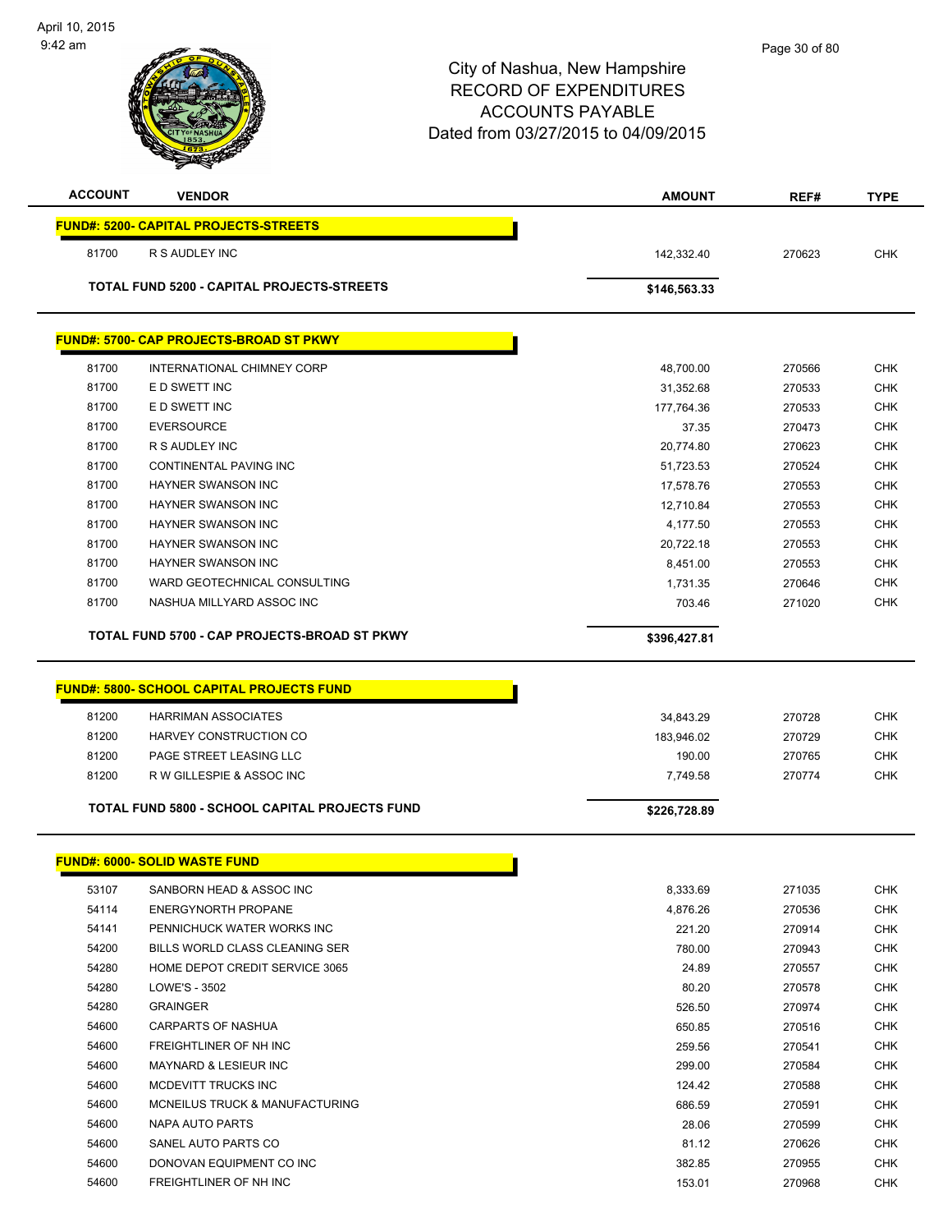| <b>ACCOUNT</b> | <b>VENDOR</b>                                    | <b>AMOUNT</b> | REF#   | <b>TYPE</b> |
|----------------|--------------------------------------------------|---------------|--------|-------------|
|                | <b>FUND#: 5200- CAPITAL PROJECTS-STREETS</b>     |               |        |             |
| 81700          | R S AUDLEY INC                                   | 142,332.40    | 270623 | <b>CHK</b>  |
|                | TOTAL FUND 5200 - CAPITAL PROJECTS-STREETS       | \$146,563.33  |        |             |
|                |                                                  |               |        |             |
|                | FUND#: 5700- CAP PROJECTS-BROAD ST PKWY          |               |        |             |
| 81700          | INTERNATIONAL CHIMNEY CORP                       | 48,700.00     | 270566 | <b>CHK</b>  |
| 81700          | E D SWETT INC                                    | 31,352.68     | 270533 | CHK         |
| 81700          | E D SWETT INC                                    | 177,764.36    | 270533 | <b>CHK</b>  |
| 81700          | <b>EVERSOURCE</b>                                | 37.35         | 270473 | <b>CHK</b>  |
| 81700          | R S AUDLEY INC                                   | 20,774.80     | 270623 | <b>CHK</b>  |
| 81700          | CONTINENTAL PAVING INC                           | 51,723.53     | 270524 | <b>CHK</b>  |
| 81700          | HAYNER SWANSON INC                               | 17,578.76     | 270553 | <b>CHK</b>  |
| 81700          | <b>HAYNER SWANSON INC</b>                        | 12,710.84     | 270553 | <b>CHK</b>  |
| 81700          | HAYNER SWANSON INC                               | 4,177.50      | 270553 | <b>CHK</b>  |
| 81700          | HAYNER SWANSON INC                               | 20,722.18     | 270553 | <b>CHK</b>  |
| 81700          | HAYNER SWANSON INC                               | 8,451.00      | 270553 | <b>CHK</b>  |
| 81700          | WARD GEOTECHNICAL CONSULTING                     | 1,731.35      | 270646 | <b>CHK</b>  |
| 81700          | NASHUA MILLYARD ASSOC INC                        | 703.46        | 271020 | <b>CHK</b>  |
|                | TOTAL FUND 5700 - CAP PROJECTS-BROAD ST PKWY     | \$396,427.81  |        |             |
|                |                                                  |               |        |             |
|                | <b>FUND#: 5800- SCHOOL CAPITAL PROJECTS FUND</b> |               |        |             |
| 81200          | <b>HARRIMAN ASSOCIATES</b>                       | 34,843.29     | 270728 | <b>CHK</b>  |
| 81200          | HARVEY CONSTRUCTION CO                           | 183,946.02    | 270729 | <b>CHK</b>  |
| 81200          | PAGE STREET LEASING LLC                          | 190.00        | 270765 | <b>CHK</b>  |
| 81200          | R W GILLESPIE & ASSOC INC                        | 7,749.58      | 270774 | <b>CHK</b>  |
|                | TOTAL FUND 5800 - SCHOOL CAPITAL PROJECTS FUND   | \$226,728.89  |        |             |
|                | <b>FUND#: 6000- SOLID WASTE FUND</b>             |               |        |             |
|                |                                                  |               |        |             |
| 53107          | SANBORN HEAD & ASSOC INC                         | 8,333.69      | 271035 | <b>CHK</b>  |
| 54114          | <b>ENERGYNORTH PROPANE</b>                       | 4,876.26      | 270536 | <b>CHK</b>  |
| 54141          | PENNICHUCK WATER WORKS INC                       | 221.20        | 270914 | <b>CHK</b>  |
| 54200          | BILLS WORLD CLASS CLEANING SER                   | 780.00        | 270943 | <b>CHK</b>  |
| 54280          | HOME DEPOT CREDIT SERVICE 3065                   | 24.89         | 270557 | <b>CHK</b>  |
| 54280          | LOWE'S - 3502                                    | 80.20         | 270578 | <b>CHK</b>  |
| 54280          | <b>GRAINGER</b>                                  | 526.50        | 270974 | CHK         |
| 54600          | <b>CARPARTS OF NASHUA</b>                        | 650.85        | 270516 | <b>CHK</b>  |
| 54600          | FREIGHTLINER OF NH INC                           | 259.56        | 270541 | <b>CHK</b>  |
| 54600          | MAYNARD & LESIEUR INC                            | 299.00        | 270584 | <b>CHK</b>  |
| 54600          | MCDEVITT TRUCKS INC                              | 124.42        | 270588 | <b>CHK</b>  |
| 54600          | MCNEILUS TRUCK & MANUFACTURING                   | 686.59        | 270591 | CHK         |
| 54600          | NAPA AUTO PARTS                                  | 28.06         | 270599 | CHK         |
| 54600          | SANEL AUTO PARTS CO                              | 81.12         | 270626 | <b>CHK</b>  |
| 54600          | DONOVAN EQUIPMENT CO INC                         | 382.85        | 270955 | <b>CHK</b>  |
| 54600          | FREIGHTLINER OF NH INC                           | 153.01        | 270968 | <b>CHK</b>  |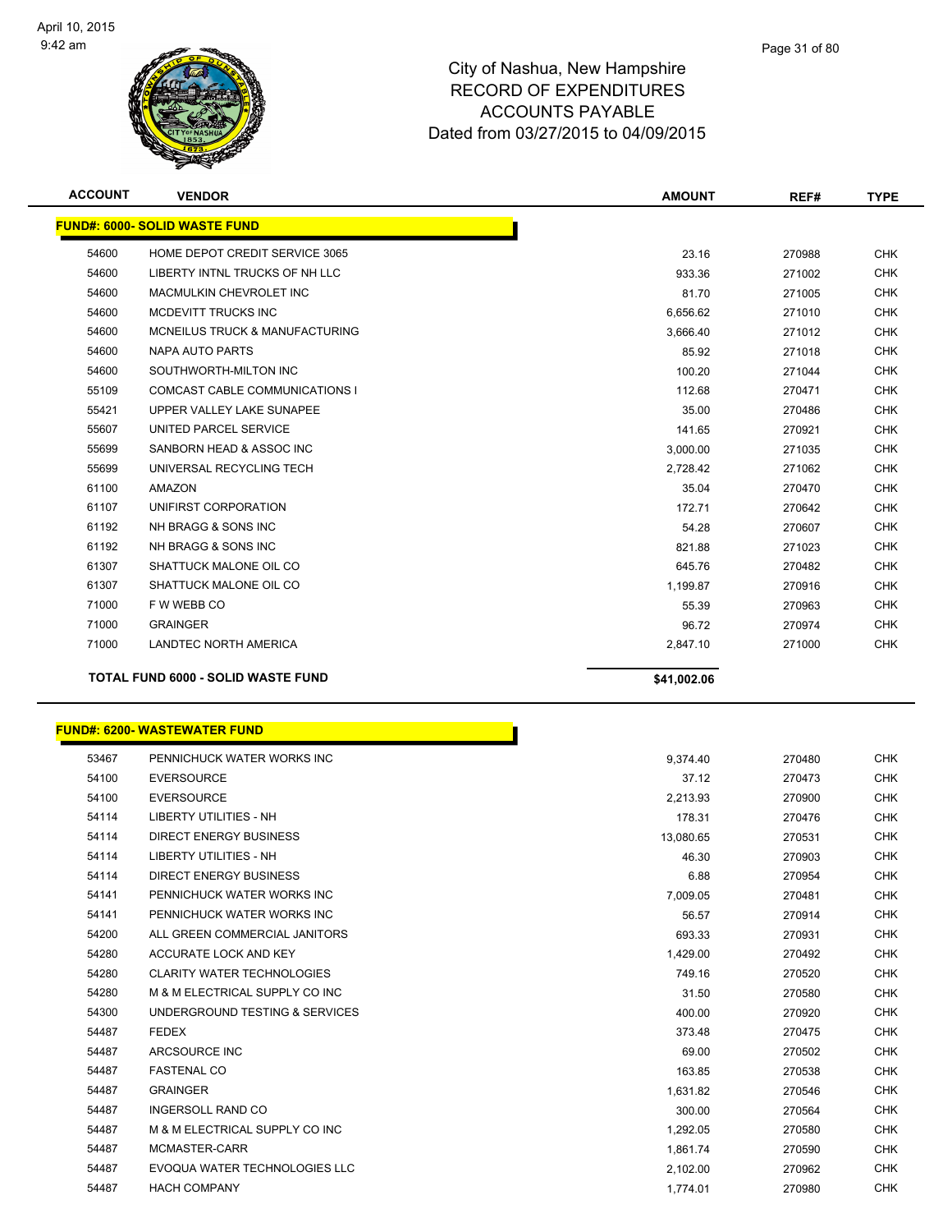

| <b>ACCOUNT</b> | <b>VENDOR</b>                             | <b>AMOUNT</b> | REF#   | <b>TYPE</b> |
|----------------|-------------------------------------------|---------------|--------|-------------|
|                | <b>FUND#: 6000- SOLID WASTE FUND</b>      |               |        |             |
| 54600          | HOME DEPOT CREDIT SERVICE 3065            | 23.16         | 270988 | <b>CHK</b>  |
| 54600          | LIBERTY INTNL TRUCKS OF NH LLC            | 933.36        | 271002 | <b>CHK</b>  |
| 54600          | MACMULKIN CHEVROLET INC                   | 81.70         | 271005 | <b>CHK</b>  |
| 54600          | MCDEVITT TRUCKS INC                       | 6,656.62      | 271010 | <b>CHK</b>  |
| 54600          | MCNEILUS TRUCK & MANUFACTURING            | 3,666.40      | 271012 | <b>CHK</b>  |
| 54600          | <b>NAPA AUTO PARTS</b>                    | 85.92         | 271018 | <b>CHK</b>  |
| 54600          | SOUTHWORTH-MILTON INC                     | 100.20        | 271044 | <b>CHK</b>  |
| 55109          | <b>COMCAST CABLE COMMUNICATIONS I</b>     | 112.68        | 270471 | <b>CHK</b>  |
| 55421          | UPPER VALLEY LAKE SUNAPEE                 | 35.00         | 270486 | <b>CHK</b>  |
| 55607          | UNITED PARCEL SERVICE                     | 141.65        | 270921 | <b>CHK</b>  |
| 55699          | SANBORN HEAD & ASSOC INC                  | 3,000.00      | 271035 | <b>CHK</b>  |
| 55699          | UNIVERSAL RECYCLING TECH                  | 2,728.42      | 271062 | <b>CHK</b>  |
| 61100          | <b>AMAZON</b>                             | 35.04         | 270470 | <b>CHK</b>  |
| 61107          | UNIFIRST CORPORATION                      | 172.71        | 270642 | <b>CHK</b>  |
| 61192          | NH BRAGG & SONS INC                       | 54.28         | 270607 | <b>CHK</b>  |
| 61192          | NH BRAGG & SONS INC                       | 821.88        | 271023 | <b>CHK</b>  |
| 61307          | SHATTUCK MALONE OIL CO                    | 645.76        | 270482 | <b>CHK</b>  |
| 61307          | SHATTUCK MALONE OIL CO                    | 1,199.87      | 270916 | <b>CHK</b>  |
| 71000          | F W WEBB CO                               | 55.39         | 270963 | <b>CHK</b>  |
| 71000          | <b>GRAINGER</b>                           | 96.72         | 270974 | <b>CHK</b>  |
| 71000          | <b>LANDTEC NORTH AMERICA</b>              | 2,847.10      | 271000 | <b>CHK</b>  |
|                | <b>TOTAL FUND 6000 - SOLID WASTE FUND</b> | \$41,002.06   |        |             |

| <b>FUND#: 6200- WASTEWATER FUND</b> |  |  |  |  |
|-------------------------------------|--|--|--|--|
|-------------------------------------|--|--|--|--|

| 53467 | PENNICHUCK WATER WORKS INC        | 9,374.40  |
|-------|-----------------------------------|-----------|
| 54100 | <b>EVERSOURCE</b>                 | 37.12     |
| 54100 | <b>EVERSOURCE</b>                 | 2,213.93  |
| 54114 | <b>LIBERTY UTILITIES - NH</b>     | 178.31    |
| 54114 | <b>DIRECT ENERGY BUSINESS</b>     | 13,080.65 |
| 54114 | <b>LIBERTY UTILITIES - NH</b>     | 46.30     |
| 54114 | DIRECT ENERGY BUSINESS            | 6.88      |
| 54141 | PENNICHUCK WATER WORKS INC        | 7,009.05  |
| 54141 | PENNICHUCK WATER WORKS INC        | 56.57     |
| 54200 | ALL GREEN COMMERCIAL JANITORS     | 693.33    |
| 54280 | ACCURATE LOCK AND KEY             | 1,429.00  |
| 54280 | <b>CLARITY WATER TECHNOLOGIES</b> | 749.16    |
| 54280 | M & M ELECTRICAL SUPPLY CO INC    | 31.50     |
| 54300 | UNDERGROUND TESTING & SERVICES    | 400.00    |
| 54487 | <b>FEDEX</b>                      | 373.48    |
| 54487 | ARCSOURCE INC                     | 69.00     |
| 54487 | <b>FASTENAL CO</b>                | 163.85    |
| 54487 | <b>GRAINGER</b>                   | 1,631.82  |
| 54487 | <b>INGERSOLL RAND CO</b>          | 300.00    |
| 54487 | M & M ELECTRICAL SUPPLY CO INC    | 1,292.05  |
| 54487 | MCMASTER-CARR                     | 1,861.74  |
| 54487 | EVOQUA WATER TECHNOLOGIES LLC     | 2,102.00  |
| 54487 | <b>HACH COMPANY</b>               | 1,774.01  |
|       |                                   |           |

'n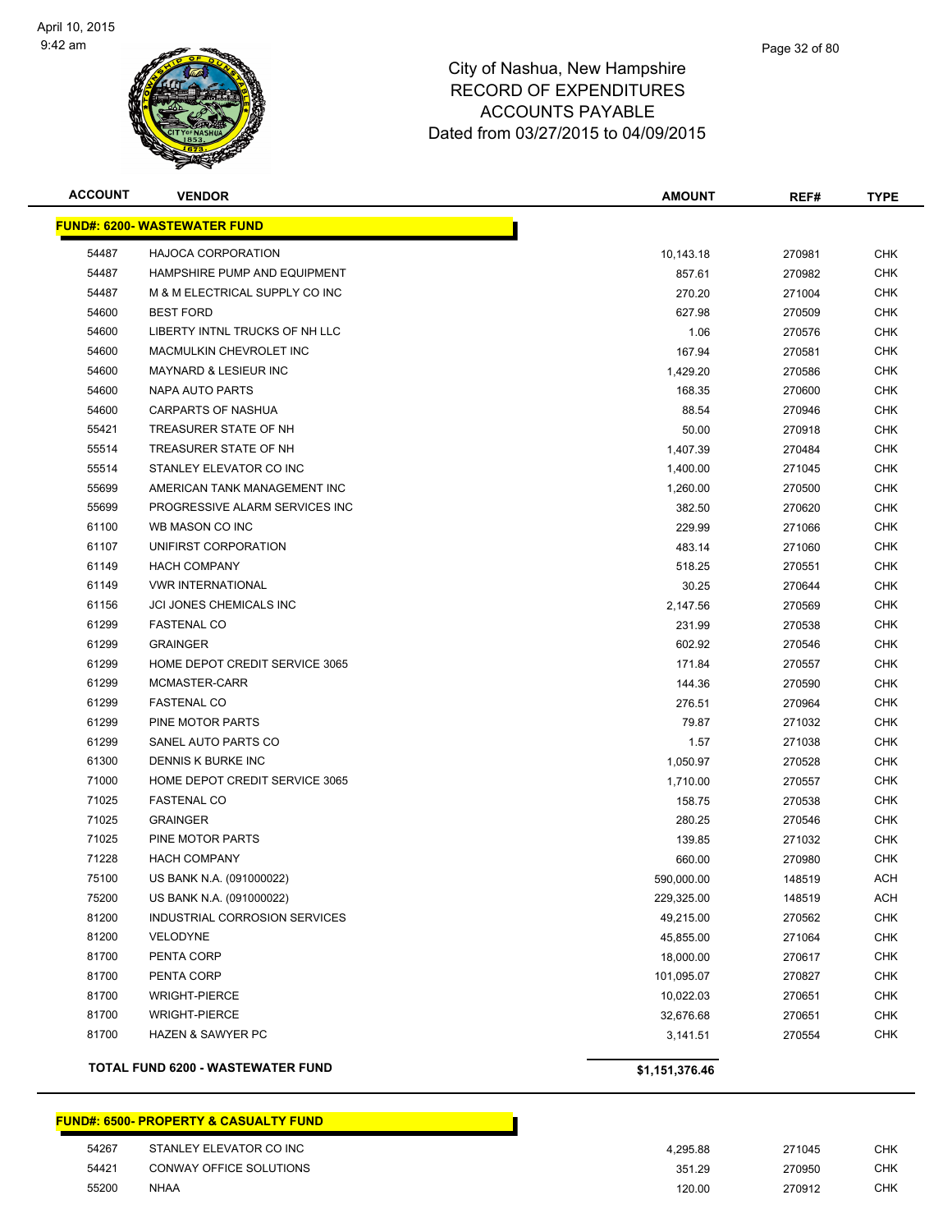

| <b>ACCOUNT</b> | <b>VENDOR</b>                            | <b>AMOUNT</b>  | REF#   | <b>TYPE</b> |
|----------------|------------------------------------------|----------------|--------|-------------|
|                | <u> FUND#: 6200- WASTEWATER FUND</u>     |                |        |             |
| 54487          | <b>HAJOCA CORPORATION</b>                | 10,143.18      | 270981 | <b>CHK</b>  |
| 54487          | HAMPSHIRE PUMP AND EQUIPMENT             | 857.61         | 270982 | <b>CHK</b>  |
| 54487          | M & M ELECTRICAL SUPPLY CO INC           | 270.20         | 271004 | CHK         |
| 54600          | <b>BEST FORD</b>                         | 627.98         | 270509 | <b>CHK</b>  |
| 54600          | LIBERTY INTNL TRUCKS OF NH LLC           | 1.06           | 270576 | <b>CHK</b>  |
| 54600          | MACMULKIN CHEVROLET INC                  | 167.94         | 270581 | <b>CHK</b>  |
| 54600          | <b>MAYNARD &amp; LESIEUR INC</b>         | 1,429.20       | 270586 | CHK         |
| 54600          | <b>NAPA AUTO PARTS</b>                   | 168.35         | 270600 | CHK         |
| 54600          | <b>CARPARTS OF NASHUA</b>                | 88.54          | 270946 | <b>CHK</b>  |
| 55421          | TREASURER STATE OF NH                    | 50.00          | 270918 | <b>CHK</b>  |
| 55514          | TREASURER STATE OF NH                    | 1,407.39       | 270484 | CHK         |
| 55514          | STANLEY ELEVATOR CO INC                  | 1,400.00       | 271045 | CHK         |
| 55699          | AMERICAN TANK MANAGEMENT INC             | 1,260.00       | 270500 | <b>CHK</b>  |
| 55699          | PROGRESSIVE ALARM SERVICES INC           | 382.50         | 270620 | <b>CHK</b>  |
| 61100          | WB MASON CO INC                          | 229.99         | 271066 | <b>CHK</b>  |
| 61107          | UNIFIRST CORPORATION                     | 483.14         | 271060 | CHK         |
| 61149          | <b>HACH COMPANY</b>                      | 518.25         | 270551 | <b>CHK</b>  |
| 61149          | <b>VWR INTERNATIONAL</b>                 | 30.25          | 270644 | CHK         |
| 61156          | JCI JONES CHEMICALS INC                  | 2,147.56       | 270569 | <b>CHK</b>  |
| 61299          | <b>FASTENAL CO</b>                       | 231.99         | 270538 | <b>CHK</b>  |
| 61299          | <b>GRAINGER</b>                          | 602.92         | 270546 | <b>CHK</b>  |
| 61299          | HOME DEPOT CREDIT SERVICE 3065           | 171.84         | 270557 | <b>CHK</b>  |
| 61299          | MCMASTER-CARR                            | 144.36         | 270590 | <b>CHK</b>  |
| 61299          | <b>FASTENAL CO</b>                       | 276.51         | 270964 | <b>CHK</b>  |
| 61299          | PINE MOTOR PARTS                         | 79.87          | 271032 | <b>CHK</b>  |
| 61299          | SANEL AUTO PARTS CO                      | 1.57           | 271038 | <b>CHK</b>  |
| 61300          | DENNIS K BURKE INC                       | 1,050.97       | 270528 | <b>CHK</b>  |
| 71000          | HOME DEPOT CREDIT SERVICE 3065           | 1,710.00       | 270557 | <b>CHK</b>  |
| 71025          | <b>FASTENAL CO</b>                       | 158.75         | 270538 | <b>CHK</b>  |
| 71025          | <b>GRAINGER</b>                          | 280.25         | 270546 | <b>CHK</b>  |
| 71025          | PINE MOTOR PARTS                         | 139.85         | 271032 | <b>CHK</b>  |
| 71228          | <b>HACH COMPANY</b>                      | 660.00         | 270980 | <b>CHK</b>  |
| 75100          | US BANK N.A. (091000022)                 | 590,000.00     | 148519 | <b>ACH</b>  |
| 75200          | US BANK N.A. (091000022)                 | 229,325.00     | 148519 | <b>ACH</b>  |
| 81200          | INDUSTRIAL CORROSION SERVICES            | 49,215.00      | 270562 | <b>CHK</b>  |
| 81200          | VELODYNE                                 | 45,855.00      | 271064 | <b>CHK</b>  |
| 81700          | PENTA CORP                               | 18,000.00      | 270617 | <b>CHK</b>  |
| 81700          | PENTA CORP                               | 101,095.07     | 270827 | <b>CHK</b>  |
| 81700          | <b>WRIGHT-PIERCE</b>                     | 10,022.03      | 270651 | <b>CHK</b>  |
| 81700          | <b>WRIGHT-PIERCE</b>                     | 32,676.68      | 270651 | <b>CHK</b>  |
| 81700          | HAZEN & SAWYER PC                        | 3,141.51       | 270554 | <b>CHK</b>  |
|                | <b>TOTAL FUND 6200 - WASTEWATER FUND</b> | \$1,151,376.46 |        |             |

# **FUND#: 6500- PROPERTY & CASUALTY FUND** STANLEY ELEVATOR CO INC 4,295.88 271045 CHK CONWAY OFFICE SOLUTIONS 351.29 270950 CHK NHAA 120.00 270912 CHK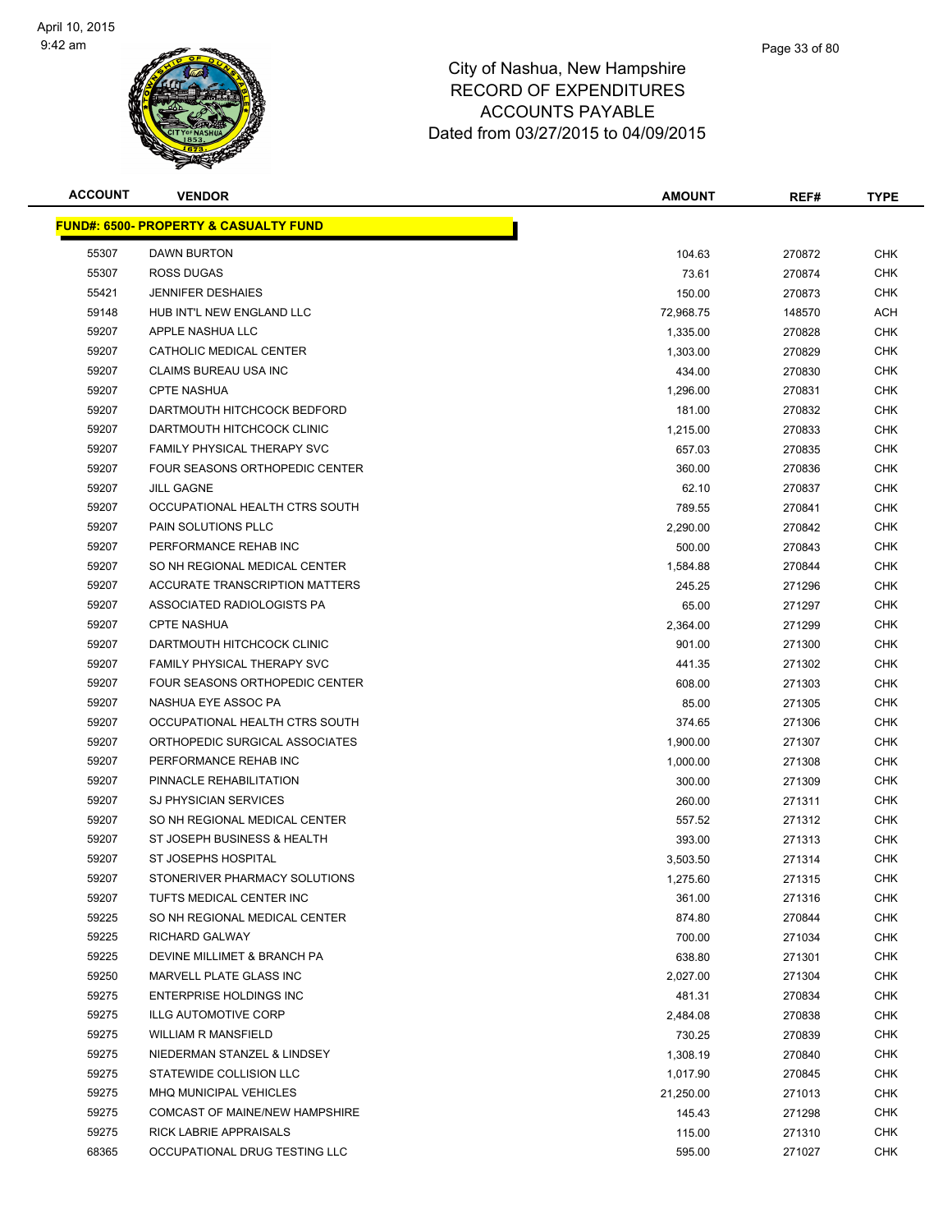

| <b>ACCOUNT</b> | <b>VENDOR</b>                                    | <b>AMOUNT</b> | REF#   | <b>TYPE</b> |
|----------------|--------------------------------------------------|---------------|--------|-------------|
|                | <b>FUND#: 6500- PROPERTY &amp; CASUALTY FUND</b> |               |        |             |
| 55307          | <b>DAWN BURTON</b>                               | 104.63        | 270872 | <b>CHK</b>  |
| 55307          | ROSS DUGAS                                       | 73.61         | 270874 | <b>CHK</b>  |
| 55421          | <b>JENNIFER DESHAIES</b>                         | 150.00        | 270873 | CHK         |
| 59148          | HUB INT'L NEW ENGLAND LLC                        | 72,968.75     | 148570 | ACH         |
| 59207          | APPLE NASHUA LLC                                 | 1,335.00      | 270828 | CHK         |
| 59207          | CATHOLIC MEDICAL CENTER                          | 1,303.00      | 270829 | <b>CHK</b>  |
| 59207          | <b>CLAIMS BUREAU USA INC</b>                     | 434.00        | 270830 | <b>CHK</b>  |
| 59207          | <b>CPTE NASHUA</b>                               | 1,296.00      | 270831 | <b>CHK</b>  |
| 59207          | DARTMOUTH HITCHCOCK BEDFORD                      | 181.00        | 270832 | <b>CHK</b>  |
| 59207          | DARTMOUTH HITCHCOCK CLINIC                       | 1,215.00      | 270833 | CHK         |
| 59207          | FAMILY PHYSICAL THERAPY SVC                      | 657.03        | 270835 | CHK         |
| 59207          | FOUR SEASONS ORTHOPEDIC CENTER                   | 360.00        | 270836 | CHK         |
| 59207          | <b>JILL GAGNE</b>                                | 62.10         | 270837 | CHK         |
| 59207          | OCCUPATIONAL HEALTH CTRS SOUTH                   | 789.55        | 270841 | CHK         |
| 59207          | PAIN SOLUTIONS PLLC                              | 2,290.00      | 270842 | <b>CHK</b>  |
| 59207          | PERFORMANCE REHAB INC                            | 500.00        | 270843 | <b>CHK</b>  |
| 59207          | SO NH REGIONAL MEDICAL CENTER                    | 1,584.88      | 270844 | <b>CHK</b>  |
| 59207          | ACCURATE TRANSCRIPTION MATTERS                   | 245.25        | 271296 | <b>CHK</b>  |
| 59207          | ASSOCIATED RADIOLOGISTS PA                       | 65.00         | 271297 | <b>CHK</b>  |
| 59207          | <b>CPTE NASHUA</b>                               | 2,364.00      | 271299 | <b>CHK</b>  |
| 59207          | DARTMOUTH HITCHCOCK CLINIC                       | 901.00        | 271300 | <b>CHK</b>  |
| 59207          | FAMILY PHYSICAL THERAPY SVC                      | 441.35        | 271302 | <b>CHK</b>  |
| 59207          | FOUR SEASONS ORTHOPEDIC CENTER                   | 608.00        | 271303 | <b>CHK</b>  |
| 59207          | NASHUA EYE ASSOC PA                              | 85.00         | 271305 | <b>CHK</b>  |
| 59207          | OCCUPATIONAL HEALTH CTRS SOUTH                   | 374.65        | 271306 | CHK         |
| 59207          | ORTHOPEDIC SURGICAL ASSOCIATES                   | 1,900.00      | 271307 | <b>CHK</b>  |
| 59207          | PERFORMANCE REHAB INC                            | 1,000.00      | 271308 | <b>CHK</b>  |
| 59207          | PINNACLE REHABILITATION                          | 300.00        | 271309 | <b>CHK</b>  |
| 59207          | <b>SJ PHYSICIAN SERVICES</b>                     | 260.00        | 271311 | CHK         |
| 59207          | SO NH REGIONAL MEDICAL CENTER                    | 557.52        | 271312 | CHK         |
| 59207          | ST JOSEPH BUSINESS & HEALTH                      | 393.00        | 271313 | CHK         |
| 59207          | ST JOSEPHS HOSPITAL                              | 3,503.50      | 271314 | CHK         |
| 59207          | STONERIVER PHARMACY SOLUTIONS                    | 1,275.60      | 271315 | <b>CHK</b>  |
| 59207          | TUFTS MEDICAL CENTER INC                         | 361.00        | 271316 | <b>CHK</b>  |
| 59225          | SO NH REGIONAL MEDICAL CENTER                    | 874.80        | 270844 | <b>CHK</b>  |
| 59225          | <b>RICHARD GALWAY</b>                            | 700.00        | 271034 | <b>CHK</b>  |
| 59225          | DEVINE MILLIMET & BRANCH PA                      | 638.80        | 271301 | <b>CHK</b>  |
| 59250          | MARVELL PLATE GLASS INC                          | 2,027.00      | 271304 | <b>CHK</b>  |
| 59275          | ENTERPRISE HOLDINGS INC                          | 481.31        | 270834 | <b>CHK</b>  |
| 59275          | <b>ILLG AUTOMOTIVE CORP</b>                      | 2,484.08      | 270838 | CHK         |
| 59275          | <b>WILLIAM R MANSFIELD</b>                       | 730.25        | 270839 | <b>CHK</b>  |
| 59275          | NIEDERMAN STANZEL & LINDSEY                      | 1,308.19      | 270840 | <b>CHK</b>  |
| 59275          | STATEWIDE COLLISION LLC                          | 1,017.90      | 270845 | <b>CHK</b>  |
| 59275          | MHQ MUNICIPAL VEHICLES                           | 21,250.00     | 271013 | <b>CHK</b>  |
| 59275          | COMCAST OF MAINE/NEW HAMPSHIRE                   | 145.43        | 271298 | <b>CHK</b>  |
| 59275          | RICK LABRIE APPRAISALS                           | 115.00        | 271310 | <b>CHK</b>  |
| 68365          | OCCUPATIONAL DRUG TESTING LLC                    | 595.00        | 271027 | <b>CHK</b>  |
|                |                                                  |               |        |             |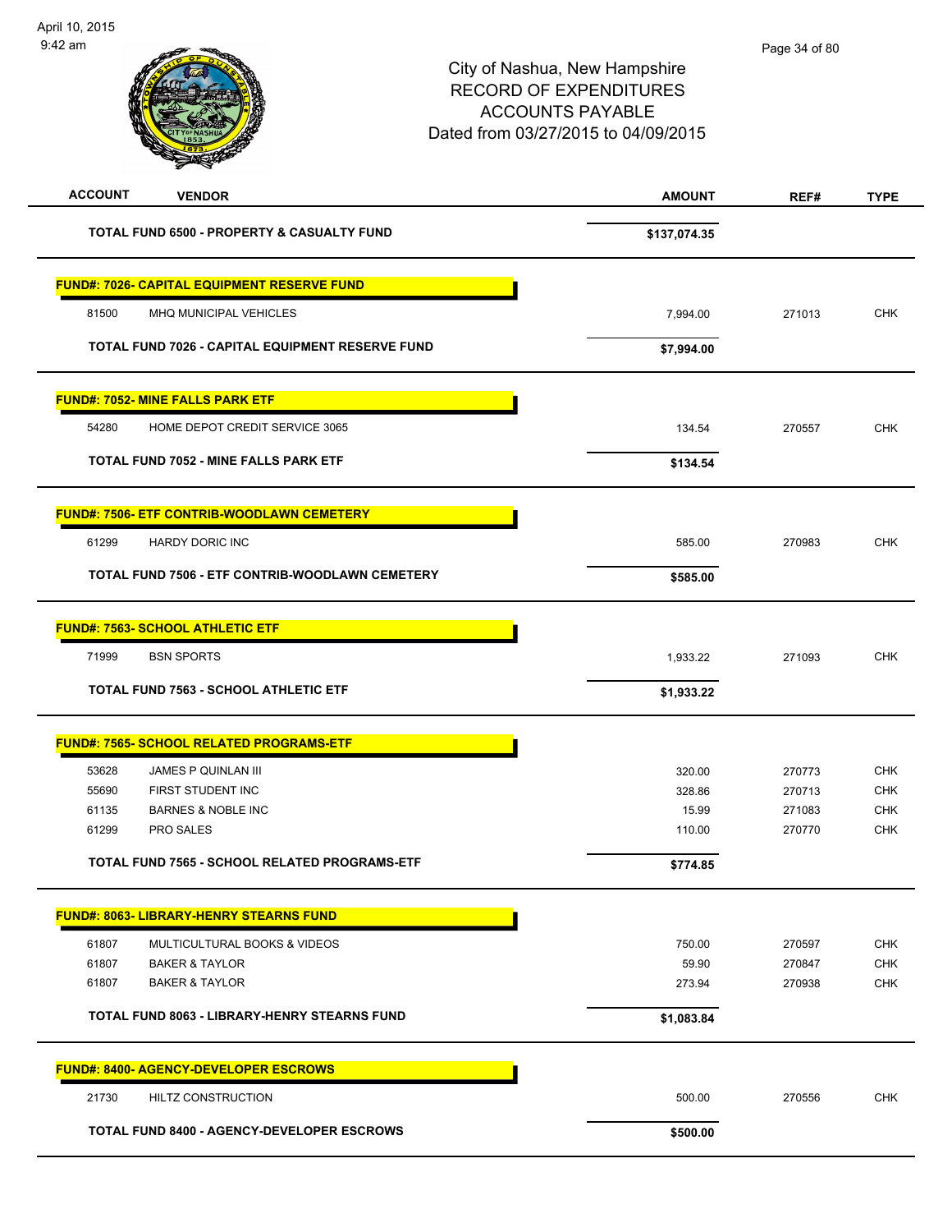| <b>ACCOUNT</b><br><b>VENDOR</b>                    | <b>AMOUNT</b> | REF#   | <b>TYPE</b> |
|----------------------------------------------------|---------------|--------|-------------|
| TOTAL FUND 6500 - PROPERTY & CASUALTY FUND         | \$137,074.35  |        |             |
| <b>FUND#: 7026- CAPITAL EQUIPMENT RESERVE FUND</b> |               |        |             |
| 81500<br>MHQ MUNICIPAL VEHICLES                    | 7,994.00      | 271013 | <b>CHK</b>  |
| TOTAL FUND 7026 - CAPITAL EQUIPMENT RESERVE FUND   | \$7,994.00    |        |             |
| <b>FUND#: 7052- MINE FALLS PARK ETF</b>            |               |        |             |
| 54280<br>HOME DEPOT CREDIT SERVICE 3065            | 134.54        | 270557 | <b>CHK</b>  |
| TOTAL FUND 7052 - MINE FALLS PARK ETF              | \$134.54      |        |             |
| <b>FUND#: 7506- ETF CONTRIB-WOODLAWN CEMETERY</b>  |               |        |             |
| 61299<br>HARDY DORIC INC                           | 585.00        | 270983 | <b>CHK</b>  |
| TOTAL FUND 7506 - ETF CONTRIB-WOODLAWN CEMETERY    | \$585.00      |        |             |
| <b>FUND#: 7563- SCHOOL ATHLETIC ETF</b>            |               |        |             |
| 71999<br><b>BSN SPORTS</b>                         | 1,933.22      | 271093 | <b>CHK</b>  |
| <b>TOTAL FUND 7563 - SCHOOL ATHLETIC ETF</b>       | \$1,933.22    |        |             |
| <b>FUND#: 7565- SCHOOL RELATED PROGRAMS-ETF</b>    |               |        |             |
| 53628<br><b>JAMES P QUINLAN III</b>                | 320.00        | 270773 | <b>CHK</b>  |
| 55690<br>FIRST STUDENT INC                         | 328.86        | 270713 | <b>CHK</b>  |
| <b>BARNES &amp; NOBLE INC</b><br>61135             | 15.99         | 271083 | <b>CHK</b>  |
| PRO SALES<br>61299                                 | 110.00        | 270770 | <b>CHK</b>  |
| TOTAL FUND 7565 - SCHOOL RELATED PROGRAMS-ETF      | \$774.85      |        |             |
| <b>FUND#: 8063- LIBRARY-HENRY STEARNS FUND</b>     |               |        |             |
| MULTICULTURAL BOOKS & VIDEOS<br>61807              | 750.00        | 270597 | <b>CHK</b>  |
| 61807<br><b>BAKER &amp; TAYLOR</b>                 | 59.90         | 270847 | <b>CHK</b>  |
| 61807<br><b>BAKER &amp; TAYLOR</b>                 | 273.94        | 270938 | <b>CHK</b>  |
|                                                    |               |        |             |
| TOTAL FUND 8063 - LIBRARY-HENRY STEARNS FUND       | \$1,083.84    |        |             |
| <b>FUND#: 8400- AGENCY-DEVELOPER ESCROWS</b>       |               |        |             |
| 21730<br>HILTZ CONSTRUCTION                        | 500.00        | 270556 | <b>CHK</b>  |
| TOTAL FUND 8400 - AGENCY-DEVELOPER ESCROWS         | \$500.00      |        |             |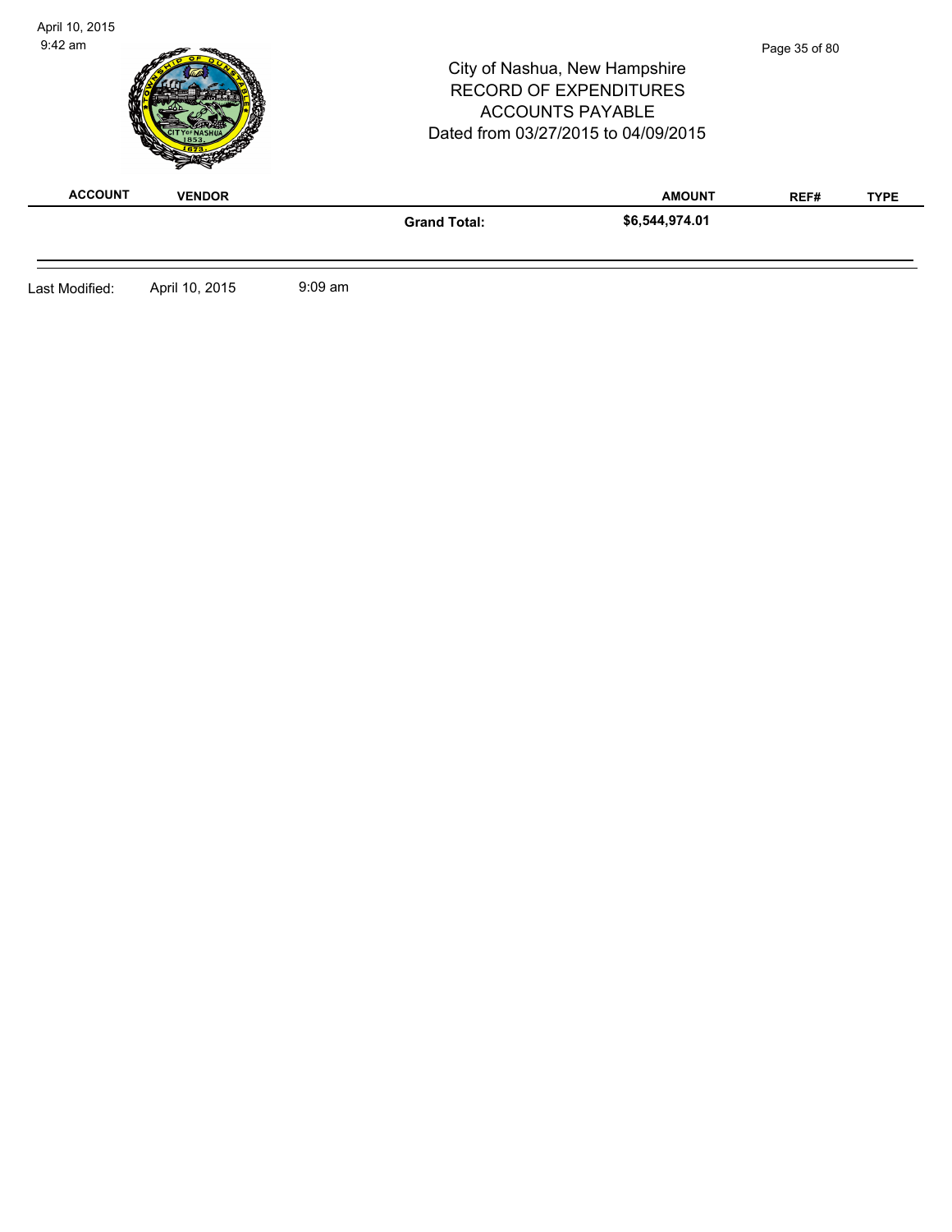| <b>ACCOUNT</b> | <b>VENDOR</b> |                     | <b>RECORD OF EXPENDITURES</b><br><b>ACCOUNTS PAYABLE</b><br>Dated from 03/27/2015 to 04/09/2015<br><b>AMOUNT</b> | REF# | <b>TYPE</b> |
|----------------|---------------|---------------------|------------------------------------------------------------------------------------------------------------------|------|-------------|
|                |               | <b>Grand Total:</b> | \$6,544,974.01                                                                                                   |      |             |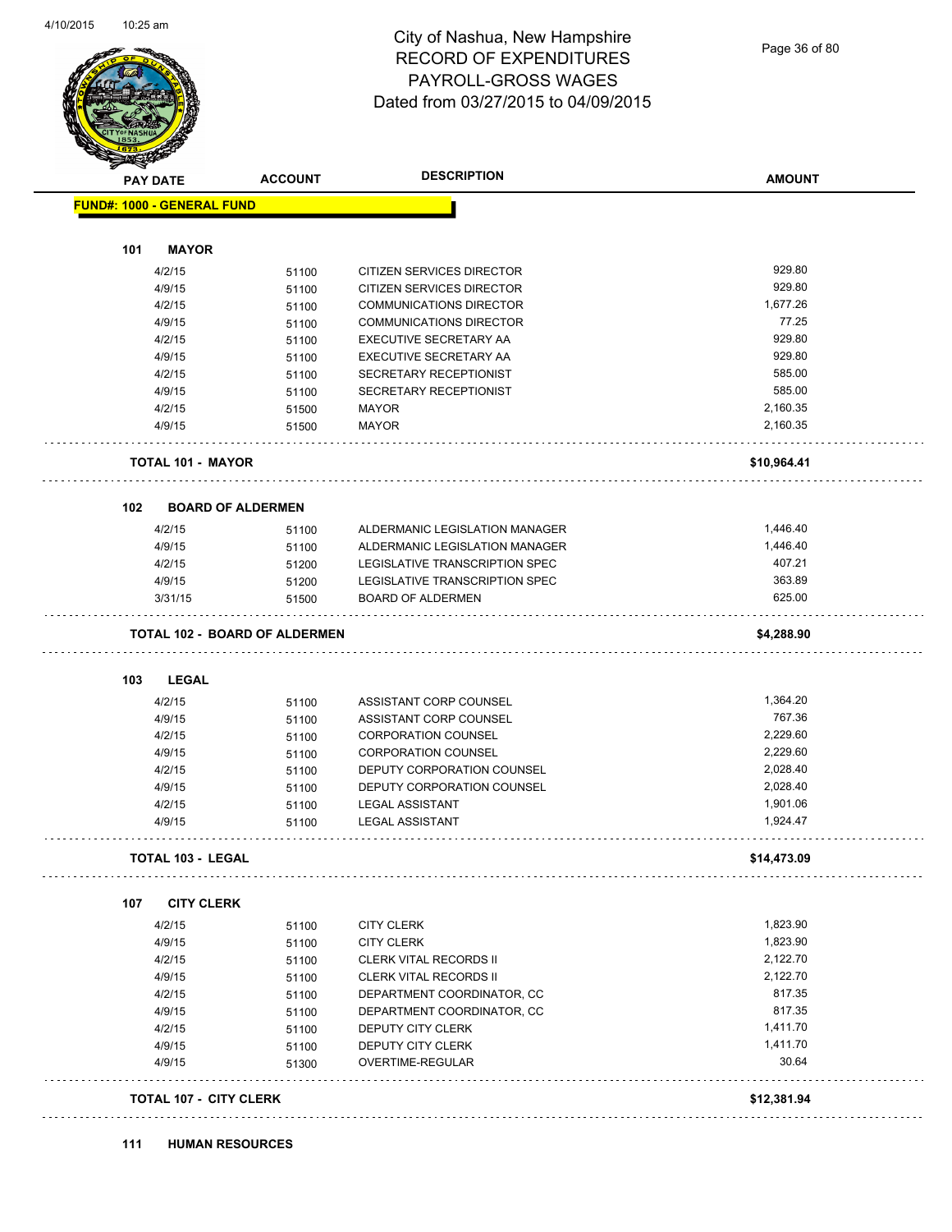#### City of Nashua, New Hampshire RECORD OF EXPENDITURES PAYROLL-GROSS WAGES Dated from 03/27/2015 to 04/09/2015

Page 36 of 80

| <b>SANGRA</b>   |                                    |                                      |                                  |                      |
|-----------------|------------------------------------|--------------------------------------|----------------------------------|----------------------|
| <b>PAY DATE</b> |                                    | <b>ACCOUNT</b>                       | <b>DESCRIPTION</b>               | <b>AMOUNT</b>        |
|                 | <b>FUND#: 1000 - GENERAL FUND</b>  |                                      |                                  |                      |
|                 | <b>MAYOR</b>                       |                                      |                                  |                      |
| 101             |                                    |                                      |                                  |                      |
|                 | 4/2/15                             | 51100                                | <b>CITIZEN SERVICES DIRECTOR</b> | 929.80               |
|                 | 4/9/15                             | 51100                                | CITIZEN SERVICES DIRECTOR        | 929.80               |
|                 | 4/2/15                             | 51100                                | <b>COMMUNICATIONS DIRECTOR</b>   | 1,677.26             |
|                 | 4/9/15                             | 51100                                | <b>COMMUNICATIONS DIRECTOR</b>   | 77.25                |
|                 | 4/2/15                             | 51100                                | EXECUTIVE SECRETARY AA           | 929.80               |
|                 | 4/9/15                             | 51100                                | EXECUTIVE SECRETARY AA           | 929.80               |
|                 | 4/2/15                             | 51100                                | SECRETARY RECEPTIONIST           | 585.00               |
|                 | 4/9/15                             | 51100                                | SECRETARY RECEPTIONIST           | 585.00               |
|                 | 4/2/15                             | 51500                                | <b>MAYOR</b>                     | 2,160.35             |
|                 | 4/9/15                             | 51500                                | <b>MAYOR</b>                     | 2,160.35             |
|                 | <b>TOTAL 101 - MAYOR</b>           |                                      |                                  | \$10,964.41          |
|                 |                                    |                                      |                                  |                      |
| 102             | <b>BOARD OF ALDERMEN</b><br>4/2/15 |                                      | ALDERMANIC LEGISLATION MANAGER   | 1,446.40             |
|                 | 4/9/15                             | 51100                                | ALDERMANIC LEGISLATION MANAGER   | 1,446.40             |
|                 |                                    | 51100                                |                                  | 407.21               |
|                 | 4/2/15                             | 51200                                | LEGISLATIVE TRANSCRIPTION SPEC   | 363.89               |
|                 | 4/9/15                             | 51200                                | LEGISLATIVE TRANSCRIPTION SPEC   | 625.00               |
|                 | 3/31/15                            | 51500                                | <b>BOARD OF ALDERMEN</b>         |                      |
|                 |                                    | <b>TOTAL 102 - BOARD OF ALDERMEN</b> |                                  | \$4,288.90           |
| 103             | <b>LEGAL</b>                       |                                      |                                  |                      |
|                 | 4/2/15                             | 51100                                | ASSISTANT CORP COUNSEL           | 1,364.20             |
|                 | 4/9/15                             | 51100                                | ASSISTANT CORP COUNSEL           | 767.36               |
|                 | 4/2/15                             | 51100                                | <b>CORPORATION COUNSEL</b>       | 2,229.60             |
|                 | 4/9/15                             | 51100                                | <b>CORPORATION COUNSEL</b>       | 2,229.60             |
|                 | 4/2/15                             | 51100                                | DEPUTY CORPORATION COUNSEL       | 2,028.40             |
|                 | 4/9/15                             | 51100                                | DEPUTY CORPORATION COUNSEL       | 2,028.40             |
|                 | 4/2/15                             | 51100                                | <b>LEGAL ASSISTANT</b>           | 1,901.06             |
|                 | 4/9/15                             | 51100                                | <b>LEGAL ASSISTANT</b>           | 1,924.47             |
|                 | TOTAL 103 - LEGAL                  |                                      |                                  | \$14,473.09          |
|                 |                                    |                                      |                                  |                      |
| 107             | <b>CITY CLERK</b>                  |                                      |                                  |                      |
|                 | 4/2/15                             | 51100                                | <b>CITY CLERK</b>                | 1,823.90<br>1,823.90 |
|                 | 4/9/15                             | 51100                                | <b>CITY CLERK</b>                |                      |
|                 | 4/2/15                             | 51100                                | CLERK VITAL RECORDS II           | 2,122.70             |
|                 | 4/9/15                             | 51100                                | <b>CLERK VITAL RECORDS II</b>    | 2,122.70             |
|                 | 4/2/15                             | 51100                                | DEPARTMENT COORDINATOR, CC       | 817.35               |
|                 | 4/9/15                             | 51100                                | DEPARTMENT COORDINATOR, CC       | 817.35               |
|                 | 4/2/15                             | 51100                                | DEPUTY CITY CLERK                | 1,411.70             |
|                 | 4/9/15                             | 51100                                | DEPUTY CITY CLERK                | 1,411.70             |
|                 | 4/9/15                             | 51300                                | OVERTIME-REGULAR                 | 30.64                |
|                 |                                    |                                      |                                  |                      |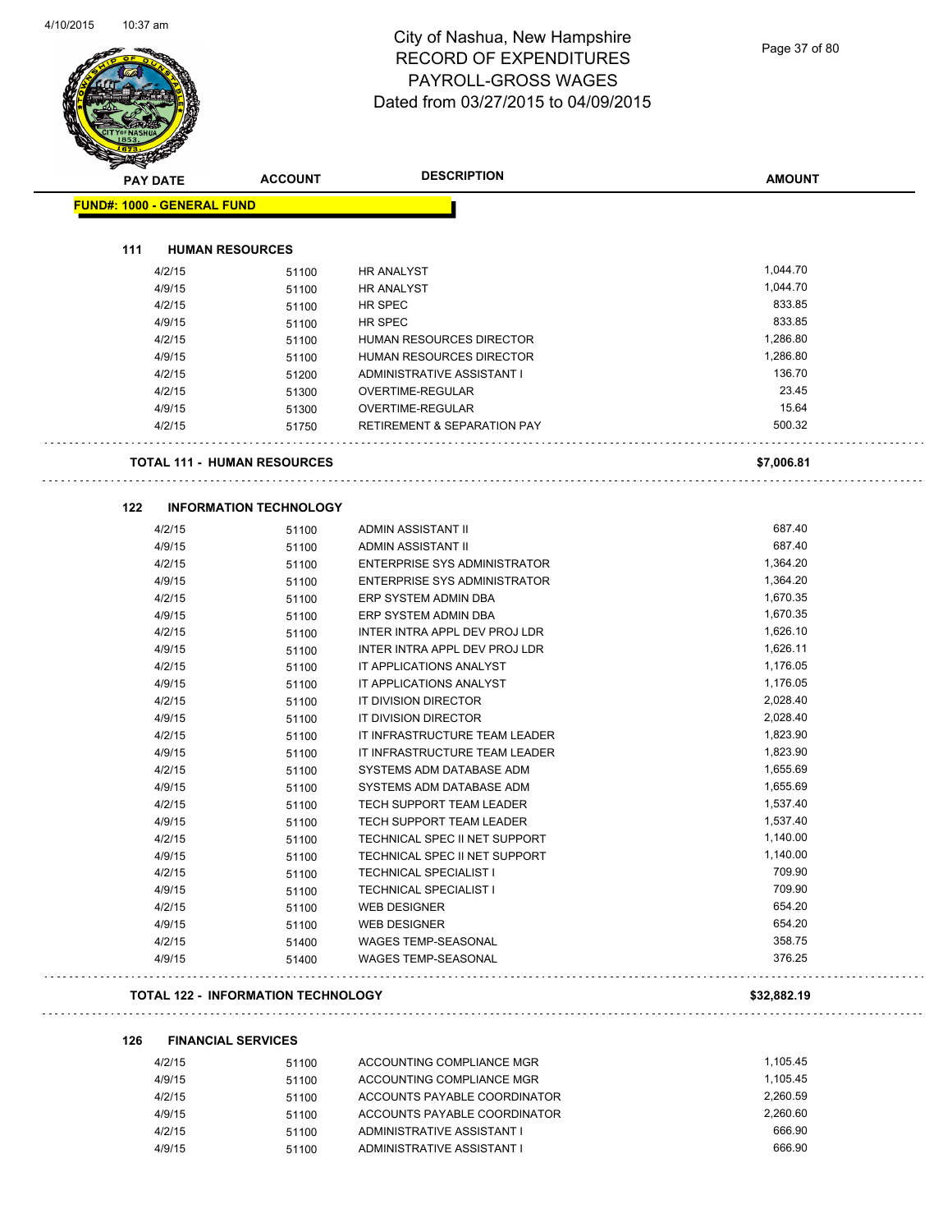Page 37 of 80

| <b>PAY DATE</b>                   | <b>ACCOUNT</b>                     | <b>DESCRIPTION</b>                     | <b>AMOUNT</b> |
|-----------------------------------|------------------------------------|----------------------------------------|---------------|
| <b>FUND#: 1000 - GENERAL FUND</b> |                                    |                                        |               |
|                                   |                                    |                                        |               |
| 111                               | <b>HUMAN RESOURCES</b>             |                                        |               |
| 4/2/15                            | 51100                              | <b>HR ANALYST</b>                      | 1,044.70      |
| 4/9/15                            | 51100                              | <b>HR ANALYST</b>                      | 1,044.70      |
| 4/2/15                            | 51100                              | <b>HR SPEC</b>                         | 833.85        |
| 4/9/15                            | 51100                              | HR SPEC                                | 833.85        |
| 4/2/15                            | 51100                              | HUMAN RESOURCES DIRECTOR               | 1,286.80      |
| 4/9/15                            | 51100                              | HUMAN RESOURCES DIRECTOR               | 1,286.80      |
| 4/2/15                            | 51200                              | ADMINISTRATIVE ASSISTANT I             | 136.70        |
| 4/2/15                            | 51300                              | OVERTIME-REGULAR                       | 23.45         |
| 4/9/15                            | 51300                              | OVERTIME-REGULAR                       | 15.64         |
| 4/2/15                            | 51750                              | <b>RETIREMENT &amp; SEPARATION PAY</b> | 500.32        |
|                                   | <b>TOTAL 111 - HUMAN RESOURCES</b> |                                        | \$7,006.81    |
|                                   |                                    |                                        |               |
| 122                               | <b>INFORMATION TECHNOLOGY</b>      |                                        | 687.40        |
| 4/2/15                            | 51100                              | ADMIN ASSISTANT II                     | 687.40        |
| 4/9/15                            | 51100                              | ADMIN ASSISTANT II                     |               |
| 4/2/15                            | 51100                              | ENTERPRISE SYS ADMINISTRATOR           | 1,364.20      |
| 4/9/15                            | 51100                              | ENTERPRISE SYS ADMINISTRATOR           | 1,364.20      |
| 4/2/15                            | 51100                              | ERP SYSTEM ADMIN DBA                   | 1,670.35      |
| 4/9/15                            | 51100                              | ERP SYSTEM ADMIN DBA                   | 1,670.35      |
| 4/2/15                            | 51100                              | INTER INTRA APPL DEV PROJ LDR          | 1,626.10      |
| 4/9/15                            | 51100                              | INTER INTRA APPL DEV PROJ LDR          | 1,626.11      |
| 4/2/15                            | 51100                              | IT APPLICATIONS ANALYST                | 1,176.05      |
| 4/9/15                            | 51100                              | IT APPLICATIONS ANALYST                | 1,176.05      |
| 4/2/15                            | 51100                              | IT DIVISION DIRECTOR                   | 2,028.40      |
| 4/9/15                            | 51100                              | IT DIVISION DIRECTOR                   | 2,028.40      |
| 4/2/15                            | 51100                              | IT INFRASTRUCTURE TEAM LEADER          | 1,823.90      |
| 4/9/15                            | 51100                              | IT INFRASTRUCTURE TEAM LEADER          | 1,823.90      |
| 4/2/15                            | 51100                              | SYSTEMS ADM DATABASE ADM               | 1,655.69      |
| 4/9/15                            | 51100                              | SYSTEMS ADM DATABASE ADM               | 1,655.69      |
| 4/2/15                            | 51100                              | <b>TECH SUPPORT TEAM LEADER</b>        | 1,537.40      |
| 4/9/15                            | 51100                              | TECH SUPPORT TEAM LEADER               | 1,537.40      |
| 4/2/15                            | 51100                              | TECHNICAL SPEC II NET SUPPORT          | 1,140.00      |
| 4/9/15                            | 51100                              | TECHNICAL SPEC II NET SUPPORT          | 1,140.00      |
| 4/2/15                            | 51100                              | <b>TECHNICAL SPECIALIST I</b>          | 709.90        |
| 4/9/15                            | 51100                              | <b>TECHNICAL SPECIALIST I</b>          | 709.90        |
| 4/2/15                            | 51100                              | <b>WEB DESIGNER</b>                    | 654.20        |
| 4/9/15                            | 51100                              | <b>WEB DESIGNER</b>                    | 654.20        |
| 4/2/15                            | 51400                              | WAGES TEMP-SEASONAL                    | 358.75        |
| 4/9/15                            | 51400                              | WAGES TEMP-SEASONAL                    | 376.25        |
|                                   |                                    |                                        |               |

| 4/2/15 | 51100 | ACCOUNTING COMPLIANCE MGR    | 1.105.45 |
|--------|-------|------------------------------|----------|
| 4/9/15 | 51100 | ACCOUNTING COMPLIANCE MGR    | 1.105.45 |
| 4/2/15 | 51100 | ACCOUNTS PAYABLE COORDINATOR | 2.260.59 |
| 4/9/15 | 51100 | ACCOUNTS PAYABLE COORDINATOR | 2.260.60 |
| 4/2/15 | 51100 | ADMINISTRATIVE ASSISTANT I   | 666.90   |
| 4/9/15 | 51100 | ADMINISTRATIVE ASSISTANT I   | 666.90   |
|        |       |                              |          |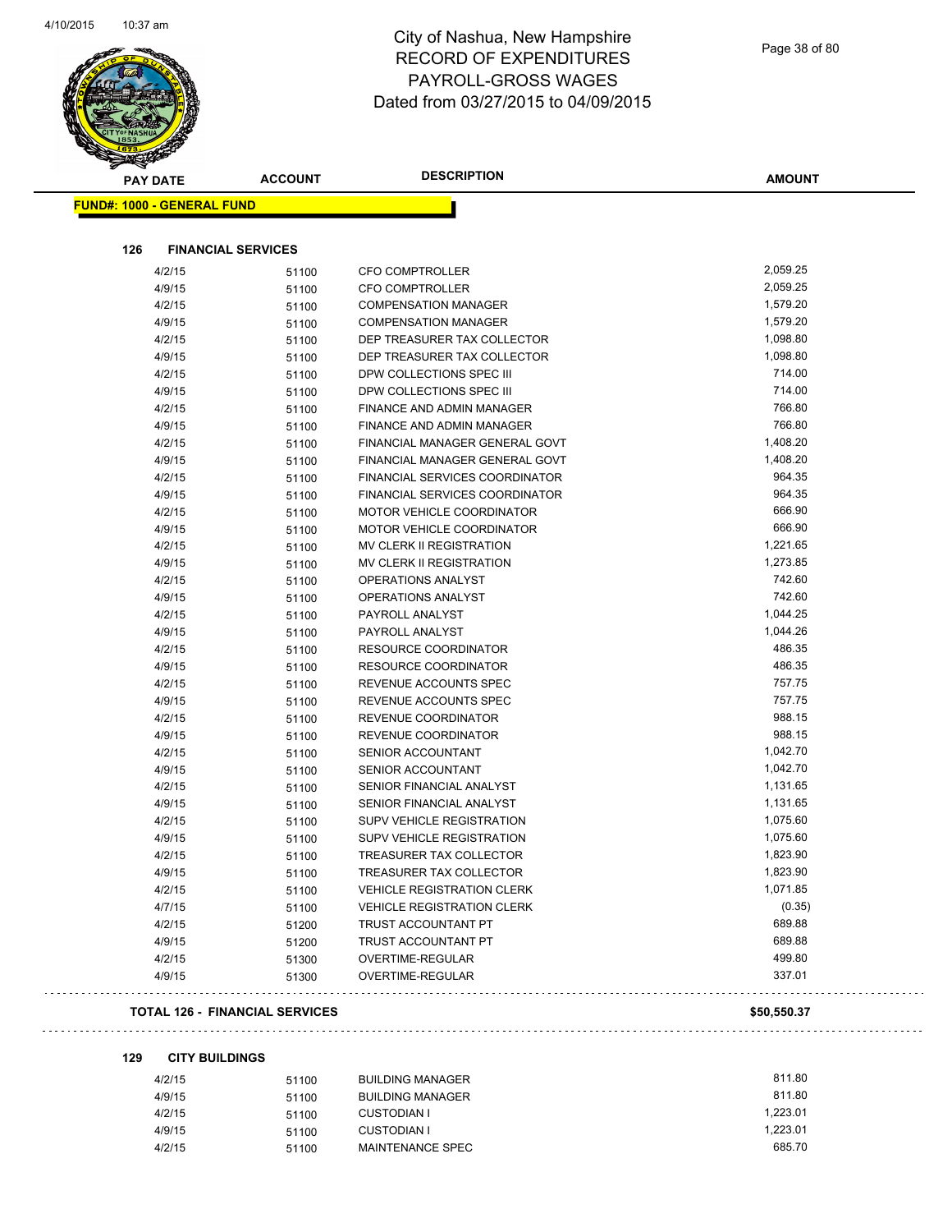

|     | <b>PAY DATE</b>                   | <b>ACCOUNT</b> | <b>DESCRIPTION</b>                | <b>AMOUNT</b> |
|-----|-----------------------------------|----------------|-----------------------------------|---------------|
|     | <b>FUND#: 1000 - GENERAL FUND</b> |                |                                   |               |
|     |                                   |                |                                   |               |
| 126 | <b>FINANCIAL SERVICES</b>         |                |                                   |               |
|     | 4/2/15                            | 51100          | <b>CFO COMPTROLLER</b>            | 2,059.25      |
|     | 4/9/15                            | 51100          | <b>CFO COMPTROLLER</b>            | 2,059.25      |
|     | 4/2/15                            | 51100          | <b>COMPENSATION MANAGER</b>       | 1,579.20      |
|     | 4/9/15                            | 51100          | <b>COMPENSATION MANAGER</b>       | 1,579.20      |
|     | 4/2/15                            | 51100          | DEP TREASURER TAX COLLECTOR       | 1,098.80      |
|     | 4/9/15                            | 51100          | DEP TREASURER TAX COLLECTOR       | 1,098.80      |
|     | 4/2/15                            | 51100          | DPW COLLECTIONS SPEC III          | 714.00        |
|     | 4/9/15                            | 51100          | DPW COLLECTIONS SPEC III          | 714.00        |
|     | 4/2/15                            | 51100          | FINANCE AND ADMIN MANAGER         | 766.80        |
|     | 4/9/15                            | 51100          | FINANCE AND ADMIN MANAGER         | 766.80        |
|     | 4/2/15                            | 51100          | FINANCIAL MANAGER GENERAL GOVT    | 1,408.20      |
|     | 4/9/15                            | 51100          | FINANCIAL MANAGER GENERAL GOVT    | 1,408.20      |
|     | 4/2/15                            | 51100          | FINANCIAL SERVICES COORDINATOR    | 964.35        |
|     | 4/9/15                            | 51100          | FINANCIAL SERVICES COORDINATOR    | 964.35        |
|     | 4/2/15                            | 51100          | <b>MOTOR VEHICLE COORDINATOR</b>  | 666.90        |
|     | 4/9/15                            | 51100          | MOTOR VEHICLE COORDINATOR         | 666.90        |
|     | 4/2/15                            | 51100          | <b>MV CLERK II REGISTRATION</b>   | 1,221.65      |
|     | 4/9/15                            | 51100          | MV CLERK II REGISTRATION          | 1,273.85      |
|     | 4/2/15                            | 51100          | <b>OPERATIONS ANALYST</b>         | 742.60        |
|     | 4/9/15                            | 51100          | <b>OPERATIONS ANALYST</b>         | 742.60        |
|     | 4/2/15                            | 51100          | PAYROLL ANALYST                   | 1,044.25      |
|     | 4/9/15                            | 51100          | PAYROLL ANALYST                   | 1,044.26      |
|     | 4/2/15                            | 51100          | <b>RESOURCE COORDINATOR</b>       | 486.35        |
|     | 4/9/15                            | 51100          | <b>RESOURCE COORDINATOR</b>       | 486.35        |
|     | 4/2/15                            | 51100          | REVENUE ACCOUNTS SPEC             | 757.75        |
|     | 4/9/15                            | 51100          | REVENUE ACCOUNTS SPEC             | 757.75        |
|     | 4/2/15                            | 51100          | REVENUE COORDINATOR               | 988.15        |
|     | 4/9/15                            | 51100          | REVENUE COORDINATOR               | 988.15        |
|     | 4/2/15                            | 51100          | SENIOR ACCOUNTANT                 | 1,042.70      |
|     | 4/9/15                            | 51100          | SENIOR ACCOUNTANT                 | 1,042.70      |
|     | 4/2/15                            | 51100          | SENIOR FINANCIAL ANALYST          | 1,131.65      |
|     | 4/9/15                            | 51100          | SENIOR FINANCIAL ANALYST          | 1,131.65      |
|     | 4/2/15                            | 51100          | SUPV VEHICLE REGISTRATION         | 1,075.60      |
|     | 4/9/15                            | 51100          | <b>SUPV VEHICLE REGISTRATION</b>  | 1,075.60      |
|     | 4/2/15                            | 51100          | <b>TREASURER TAX COLLECTOR</b>    | 1,823.90      |
|     | 4/9/15                            | 51100          | TREASURER TAX COLLECTOR           | 1,823.90      |
|     | 4/2/15                            | 51100          | <b>VEHICLE REGISTRATION CLERK</b> | 1,071.85      |
|     | 4/7/15                            | 51100          | <b>VEHICLE REGISTRATION CLERK</b> | (0.35)        |
|     | 4/2/15                            | 51200          | TRUST ACCOUNTANT PT               | 689.88        |
|     | 4/9/15                            | 51200          | TRUST ACCOUNTANT PT               | 689.88        |
|     | 4/2/15                            | 51300          | OVERTIME-REGULAR                  | 499.80        |
|     | 4/9/15                            | 51300          | OVERTIME-REGULAR                  | 337.01        |
|     |                                   |                |                                   |               |

#### **TOTAL 126 - FINANCIAL SERVICES \$50,550.37**

 $\sim$  . . . .

**129 CITY BUILDINGS**

| 4/2/15 | 51100 | <b>BUILDING MANAGER</b> | 811.80   |
|--------|-------|-------------------------|----------|
| 4/9/15 | 51100 | <b>BUILDING MANAGER</b> | 811.80   |
| 4/2/15 | 51100 | <b>CUSTODIAN I</b>      | 1.223.01 |
| 4/9/15 | 51100 | CUSTODIAN I             | 1.223.01 |
| 4/2/15 | 51100 | MAINTENANCE SPEC        | 685.70   |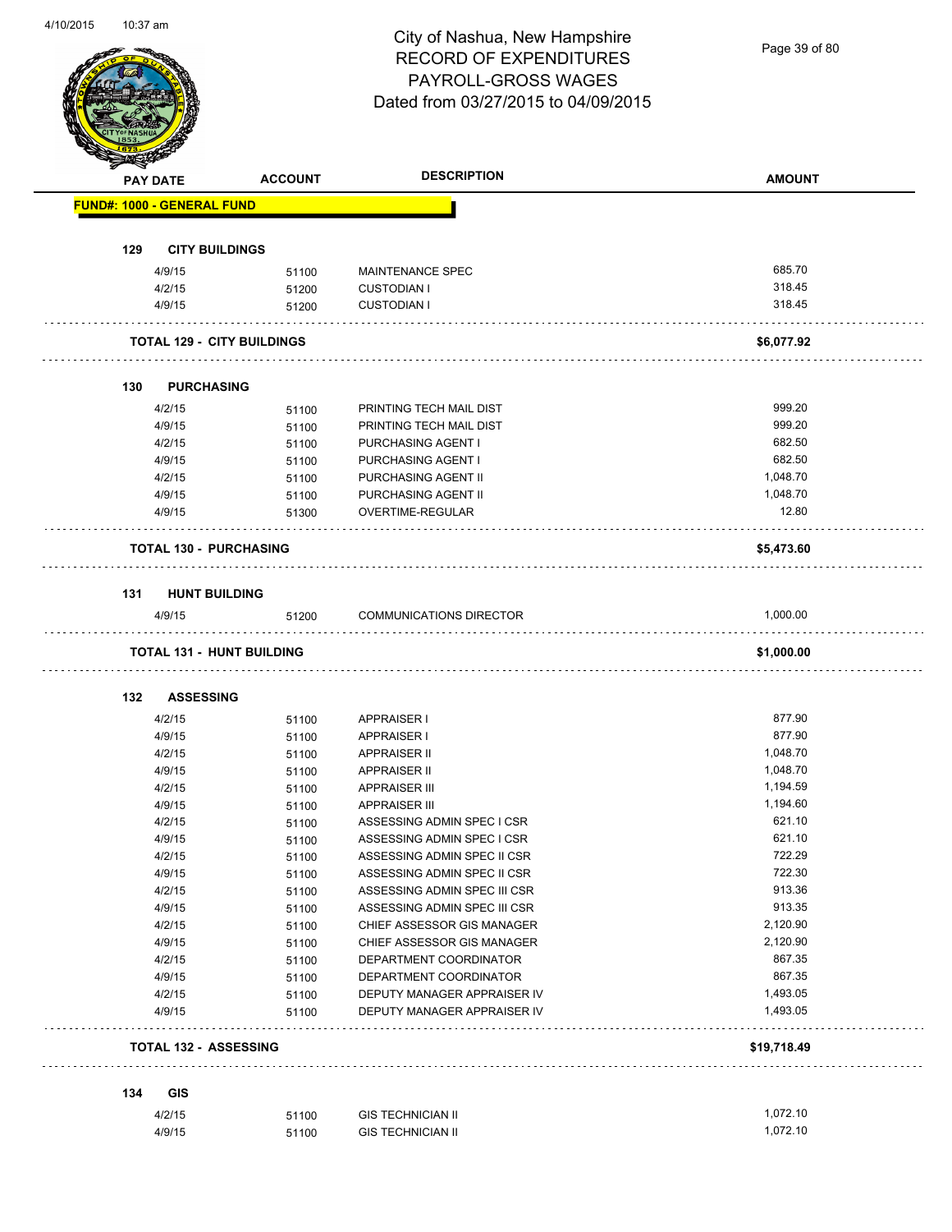Page 39 of 80

|     | <b>PAY DATE</b>                   | <b>ACCOUNT</b> | <b>DESCRIPTION</b>                            | <b>AMOUNT</b>    |
|-----|-----------------------------------|----------------|-----------------------------------------------|------------------|
|     | <b>FUND#: 1000 - GENERAL FUND</b> |                |                                               |                  |
|     |                                   |                |                                               |                  |
| 129 | <b>CITY BUILDINGS</b>             |                |                                               |                  |
|     | 4/9/15<br>4/2/15                  | 51100          | <b>MAINTENANCE SPEC</b><br><b>CUSTODIAN I</b> | 685.70<br>318.45 |
|     | 4/9/15                            | 51200<br>51200 | <b>CUSTODIAN I</b>                            | 318.45           |
|     |                                   |                |                                               |                  |
|     | <b>TOTAL 129 - CITY BUILDINGS</b> |                |                                               | \$6,077.92       |
| 130 | <b>PURCHASING</b>                 |                |                                               |                  |
|     | 4/2/15                            | 51100          | PRINTING TECH MAIL DIST                       | 999.20           |
|     | 4/9/15                            | 51100          | PRINTING TECH MAIL DIST                       | 999.20           |
|     | 4/2/15                            | 51100          | PURCHASING AGENT I                            | 682.50           |
|     | 4/9/15                            | 51100          | PURCHASING AGENT I                            | 682.50           |
|     | 4/2/15                            | 51100          | PURCHASING AGENT II                           | 1,048.70         |
|     | 4/9/15                            | 51100          | PURCHASING AGENT II                           | 1,048.70         |
|     | 4/9/15                            | 51300          | OVERTIME-REGULAR                              | 12.80            |
|     | <b>TOTAL 130 - PURCHASING</b>     |                |                                               | \$5,473.60       |
|     | 131 HUNT BUILDING                 |                |                                               |                  |
|     | 4/9/15                            | 51200          | <b>COMMUNICATIONS DIRECTOR</b>                | 1,000.00         |
|     |                                   |                |                                               |                  |
|     | <b>TOTAL 131 - HUNT BUILDING</b>  |                |                                               | \$1,000.00       |
| 132 | <b>ASSESSING</b>                  |                |                                               |                  |
|     |                                   | 51100          | APPRAISER I                                   | 877.90           |
|     | 4/2/15                            |                |                                               |                  |
|     | 4/9/15                            | 51100          | <b>APPRAISER I</b>                            | 877.90           |
|     | 4/2/15                            | 51100          | APPRAISER II                                  | 1,048.70         |
|     | 4/9/15                            | 51100          | APPRAISER II                                  | 1,048.70         |
|     | 4/2/15                            | 51100          | <b>APPRAISER III</b>                          | 1,194.59         |
|     | 4/9/15                            | 51100          | <b>APPRAISER III</b>                          | 1,194.60         |
|     | 4/2/15                            | 51100          | ASSESSING ADMIN SPEC I CSR                    | 621.10           |
|     | 4/9/15                            | 51100          | ASSESSING ADMIN SPEC I CSR                    | 621.10           |
|     | 4/2/15                            | 51100          | ASSESSING ADMIN SPEC II CSR                   | 722.29           |
|     | 4/9/15                            | 51100          | ASSESSING ADMIN SPEC II CSR                   | 722.30           |
|     | 4/2/15                            | 51100          | ASSESSING ADMIN SPEC III CSR                  | 913.36           |
|     | 4/9/15                            | 51100          | ASSESSING ADMIN SPEC III CSR                  | 913.35           |
|     | 4/2/15                            | 51100          | CHIEF ASSESSOR GIS MANAGER                    | 2,120.90         |
|     | 4/9/15                            | 51100          | CHIEF ASSESSOR GIS MANAGER                    | 2,120.90         |
|     | 4/2/15                            | 51100          | DEPARTMENT COORDINATOR                        | 867.35           |
|     | 4/9/15                            | 51100          | DEPARTMENT COORDINATOR                        | 867.35           |
|     | 4/2/15                            | 51100          | DEPUTY MANAGER APPRAISER IV                   | 1,493.05         |
|     | 4/9/15                            | 51100          | DEPUTY MANAGER APPRAISER IV                   | 1,493.05         |
|     | <b>TOTAL 132 - ASSESSING</b>      |                |                                               | \$19,718.49      |
|     |                                   |                |                                               |                  |
| 134 | <b>GIS</b><br>4/2/15              | 51100          | <b>GIS TECHNICIAN II</b>                      | 1,072.10         |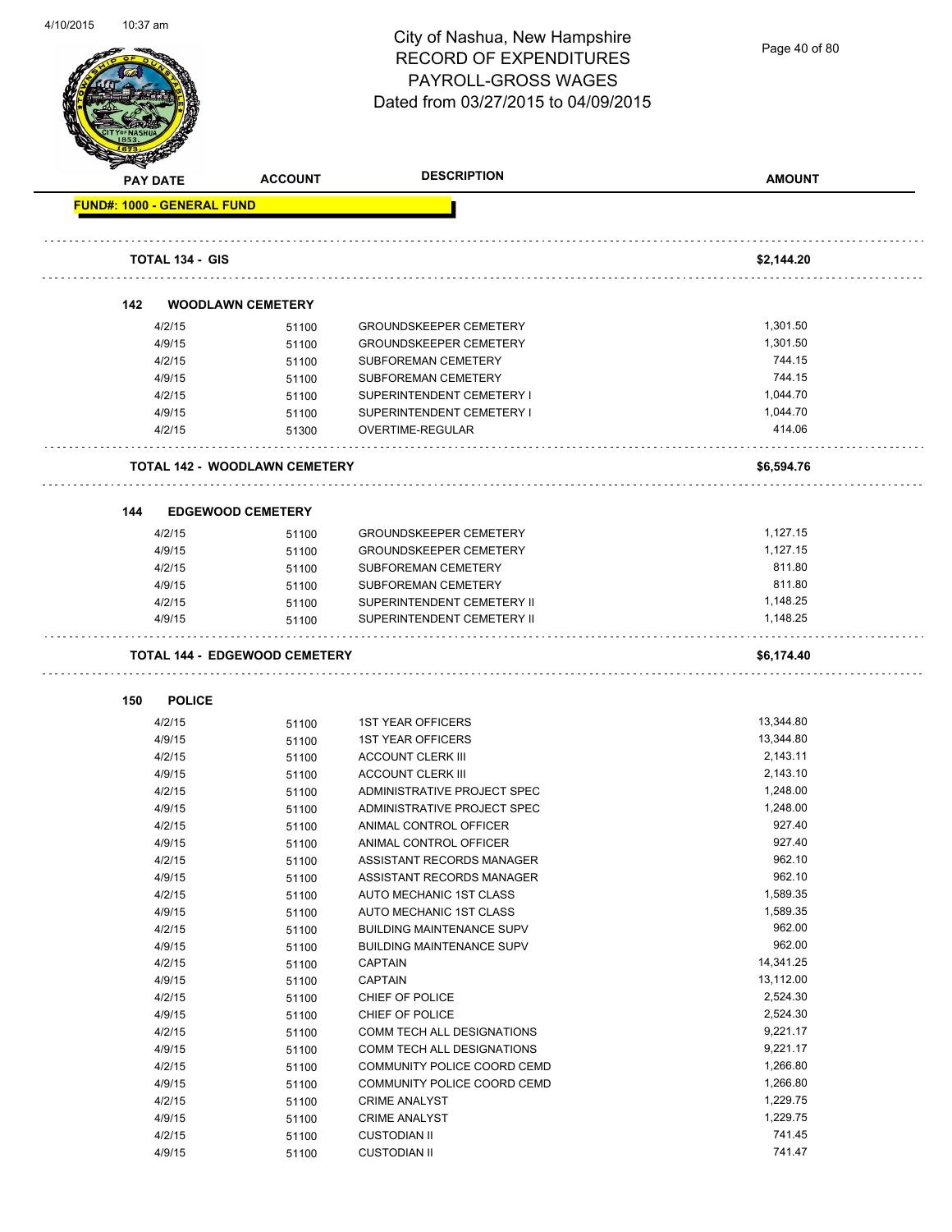

Page 40 of 80

| <b>SANGRAP</b>                    |                                      |                                  |               |
|-----------------------------------|--------------------------------------|----------------------------------|---------------|
| <b>PAY DATE</b>                   | <b>ACCOUNT</b>                       | <b>DESCRIPTION</b>               | <b>AMOUNT</b> |
| <b>FUND#: 1000 - GENERAL FUND</b> |                                      |                                  |               |
| <b>TOTAL 134 - GIS</b>            |                                      |                                  | \$2,144.20    |
|                                   |                                      |                                  |               |
| 142                               | <b>WOODLAWN CEMETERY</b>             |                                  |               |
| 4/2/15                            | 51100                                | <b>GROUNDSKEEPER CEMETERY</b>    | 1,301.50      |
| 4/9/15                            | 51100                                | <b>GROUNDSKEEPER CEMETERY</b>    | 1,301.50      |
| 4/2/15                            | 51100                                | <b>SUBFOREMAN CEMETERY</b>       | 744.15        |
| 4/9/15                            | 51100                                | SUBFOREMAN CEMETERY              | 744.15        |
| 4/2/15                            | 51100                                | SUPERINTENDENT CEMETERY I        | 1,044.70      |
| 4/9/15                            | 51100                                | SUPERINTENDENT CEMETERY I        | 1,044.70      |
| 4/2/15                            | 51300                                | OVERTIME-REGULAR                 | 414.06        |
|                                   | <b>TOTAL 142 - WOODLAWN CEMETERY</b> |                                  | \$6,594.76    |
| 144                               | <b>EDGEWOOD CEMETERY</b>             |                                  |               |
| 4/2/15                            | 51100                                | <b>GROUNDSKEEPER CEMETERY</b>    | 1,127.15      |
| 4/9/15                            | 51100                                | <b>GROUNDSKEEPER CEMETERY</b>    | 1,127.15      |
| 4/2/15                            | 51100                                | SUBFOREMAN CEMETERY              | 811.80        |
| 4/9/15                            | 51100                                | SUBFOREMAN CEMETERY              | 811.80        |
| 4/2/15                            | 51100                                | SUPERINTENDENT CEMETERY II       | 1,148.25      |
| 4/9/15                            | 51100                                | SUPERINTENDENT CEMETERY II       | 1,148.25      |
|                                   | <b>TOTAL 144 - EDGEWOOD CEMETERY</b> |                                  | \$6,174.40    |
| <b>POLICE</b><br>150              |                                      |                                  |               |
| 4/2/15                            | 51100                                | <b>1ST YEAR OFFICERS</b>         | 13,344.80     |
| 4/9/15                            | 51100                                | <b>1ST YEAR OFFICERS</b>         | 13,344.80     |
| 4/2/15                            | 51100                                | <b>ACCOUNT CLERK III</b>         | 2,143.11      |
| 4/9/15                            | 51100                                | <b>ACCOUNT CLERK III</b>         | 2,143.10      |
| 4/2/15                            | 51100                                | ADMINISTRATIVE PROJECT SPEC      | 1,248.00      |
| 4/9/15                            | 51100                                | ADMINISTRATIVE PROJECT SPEC      | 1,248.00      |
| 4/2/15                            | 51100                                | ANIMAL CONTROL OFFICER           | 927.40        |
| 4/9/15                            | 51100                                | ANIMAL CONTROL OFFICER           | 927.40        |
| 4/2/15                            | 51100                                | ASSISTANT RECORDS MANAGER        | 962.10        |
| 4/9/15                            | 51100                                | ASSISTANT RECORDS MANAGER        | 962.10        |
| 4/2/15                            | 51100                                | AUTO MECHANIC 1ST CLASS          | 1,589.35      |
| 4/9/15                            | 51100                                | AUTO MECHANIC 1ST CLASS          | 1,589.35      |
| 4/2/15                            | 51100                                | <b>BUILDING MAINTENANCE SUPV</b> | 962.00        |
| 4/9/15                            | 51100                                | <b>BUILDING MAINTENANCE SUPV</b> | 962.00        |
| 4/2/15                            | 51100                                | CAPTAIN                          | 14,341.25     |
| 4/9/15                            | 51100                                | <b>CAPTAIN</b>                   | 13,112.00     |
| 4/2/15                            | 51100                                | CHIEF OF POLICE                  | 2,524.30      |
| 4/9/15                            | 51100                                | CHIEF OF POLICE                  | 2,524.30      |
| 4/2/15                            | 51100                                | COMM TECH ALL DESIGNATIONS       | 9,221.17      |
| 4/9/15                            | 51100                                | COMM TECH ALL DESIGNATIONS       | 9,221.17      |
| 4/2/15                            | 51100                                | COMMUNITY POLICE COORD CEMD      | 1,266.80      |
| 4/9/15                            | 51100                                | COMMUNITY POLICE COORD CEMD      | 1,266.80      |
| 4/2/15                            | 51100                                | <b>CRIME ANALYST</b>             | 1,229.75      |
| 4/9/15                            | 51100                                | <b>CRIME ANALYST</b>             | 1,229.75      |
| 4/2/15                            | 51100                                | <b>CUSTODIAN II</b>              | 741.45        |
| 4/9/15                            | 51100                                | <b>CUSTODIAN II</b>              | 741.47        |
|                                   |                                      |                                  |               |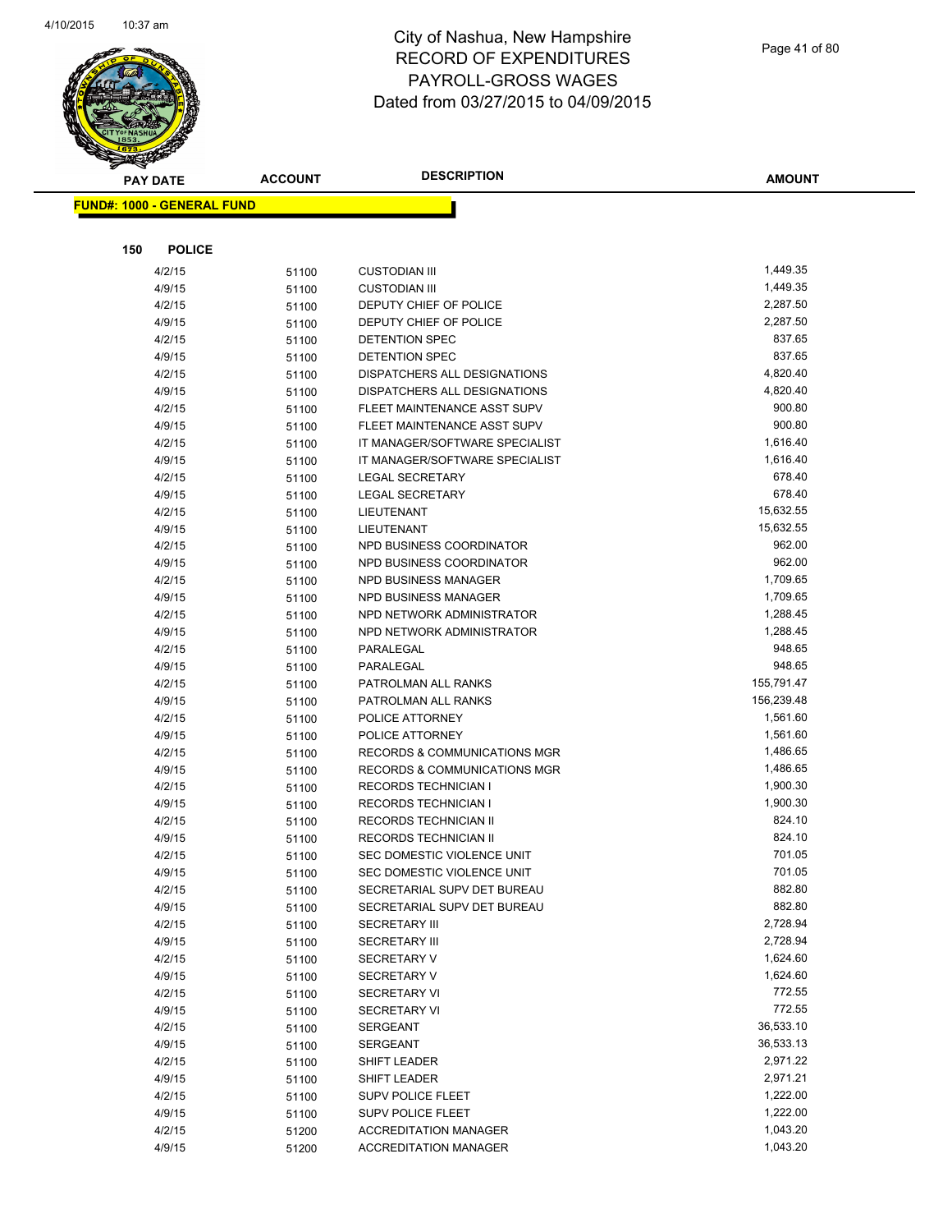

| Page 41 of 80 |  |
|---------------|--|
|---------------|--|

| <b>PAY DATE</b>                   | <b>ACCOUNT</b> | <b>DESCRIPTION</b>                                         | <b>AMOUNT</b>      |
|-----------------------------------|----------------|------------------------------------------------------------|--------------------|
| <b>FUND#: 1000 - GENERAL FUND</b> |                |                                                            |                    |
|                                   |                |                                                            |                    |
|                                   |                |                                                            |                    |
| <b>POLICE</b><br>150              |                |                                                            |                    |
| 4/2/15                            | 51100          | <b>CUSTODIAN III</b>                                       | 1,449.35           |
| 4/9/15                            | 51100          | <b>CUSTODIAN III</b>                                       | 1,449.35           |
| 4/2/15                            | 51100          | DEPUTY CHIEF OF POLICE                                     | 2,287.50           |
| 4/9/15                            | 51100          | DEPUTY CHIEF OF POLICE                                     | 2,287.50           |
| 4/2/15                            | 51100          | <b>DETENTION SPEC</b>                                      | 837.65             |
| 4/9/15                            | 51100          | DETENTION SPEC                                             | 837.65             |
| 4/2/15                            | 51100          | DISPATCHERS ALL DESIGNATIONS                               | 4,820.40           |
| 4/9/15                            | 51100          | DISPATCHERS ALL DESIGNATIONS                               | 4,820.40<br>900.80 |
| 4/2/15<br>4/9/15                  | 51100          | FLEET MAINTENANCE ASST SUPV<br>FLEET MAINTENANCE ASST SUPV | 900.80             |
| 4/2/15                            | 51100          | IT MANAGER/SOFTWARE SPECIALIST                             | 1,616.40           |
| 4/9/15                            | 51100          | IT MANAGER/SOFTWARE SPECIALIST                             | 1,616.40           |
| 4/2/15                            | 51100<br>51100 | <b>LEGAL SECRETARY</b>                                     | 678.40             |
| 4/9/15                            | 51100          | <b>LEGAL SECRETARY</b>                                     | 678.40             |
| 4/2/15                            | 51100          | LIEUTENANT                                                 | 15,632.55          |
| 4/9/15                            | 51100          | LIEUTENANT                                                 | 15,632.55          |
| 4/2/15                            | 51100          | NPD BUSINESS COORDINATOR                                   | 962.00             |
| 4/9/15                            | 51100          | NPD BUSINESS COORDINATOR                                   | 962.00             |
| 4/2/15                            | 51100          | NPD BUSINESS MANAGER                                       | 1,709.65           |
| 4/9/15                            | 51100          | <b>NPD BUSINESS MANAGER</b>                                | 1,709.65           |
| 4/2/15                            | 51100          | NPD NETWORK ADMINISTRATOR                                  | 1,288.45           |
| 4/9/15                            | 51100          | NPD NETWORK ADMINISTRATOR                                  | 1,288.45           |
| 4/2/15                            | 51100          | PARALEGAL                                                  | 948.65             |
| 4/9/15                            | 51100          | PARALEGAL                                                  | 948.65             |
| 4/2/15                            | 51100          | PATROLMAN ALL RANKS                                        | 155,791.47         |
| 4/9/15                            | 51100          | PATROLMAN ALL RANKS                                        | 156,239.48         |
| 4/2/15                            | 51100          | POLICE ATTORNEY                                            | 1,561.60           |
| 4/9/15                            | 51100          | POLICE ATTORNEY                                            | 1,561.60           |
| 4/2/15                            | 51100          | <b>RECORDS &amp; COMMUNICATIONS MGR</b>                    | 1,486.65           |
| 4/9/15                            | 51100          | <b>RECORDS &amp; COMMUNICATIONS MGR</b>                    | 1,486.65           |
| 4/2/15                            | 51100          | <b>RECORDS TECHNICIAN I</b>                                | 1,900.30           |
| 4/9/15                            | 51100          | <b>RECORDS TECHNICIAN I</b>                                | 1,900.30           |
| 4/2/15                            | 51100          | <b>RECORDS TECHNICIAN II</b>                               | 824.10             |
| 4/9/15                            | 51100          | RECORDS TECHNICIAN II                                      | 824.10             |
| 4/2/15                            | 51100          | SEC DOMESTIC VIOLENCE UNIT                                 | 701.05             |
| 4/9/15                            | 51100          | SEC DOMESTIC VIOLENCE UNIT                                 | 701.05             |
| 4/2/15                            | 51100          | SECRETARIAL SUPV DET BUREAU                                | 882.80             |
| 4/9/15                            | 51100          | SECRETARIAL SUPV DET BUREAU                                | 882.80             |
| 4/2/15                            | 51100          | <b>SECRETARY III</b>                                       | 2,728.94           |
| 4/9/15                            | 51100          | <b>SECRETARY III</b>                                       | 2,728.94           |
| 4/2/15                            | 51100          | <b>SECRETARY V</b>                                         | 1,624.60           |
| 4/9/15                            | 51100          | SECRETARY V                                                | 1,624.60<br>772.55 |
| 4/2/15                            | 51100          | <b>SECRETARY VI</b>                                        | 772.55             |
| 4/9/15<br>4/2/15                  | 51100          | <b>SECRETARY VI</b><br><b>SERGEANT</b>                     | 36,533.10          |
| 4/9/15                            | 51100<br>51100 | <b>SERGEANT</b>                                            | 36,533.13          |
| 4/2/15                            | 51100          | SHIFT LEADER                                               | 2,971.22           |
| 4/9/15                            | 51100          | SHIFT LEADER                                               | 2,971.21           |
| 4/2/15                            | 51100          | <b>SUPV POLICE FLEET</b>                                   | 1,222.00           |
| 4/9/15                            | 51100          | SUPV POLICE FLEET                                          | 1,222.00           |
| 4/2/15                            | 51200          | <b>ACCREDITATION MANAGER</b>                               | 1,043.20           |
| 4/9/15                            | 51200          | <b>ACCREDITATION MANAGER</b>                               | 1,043.20           |
|                                   |                |                                                            |                    |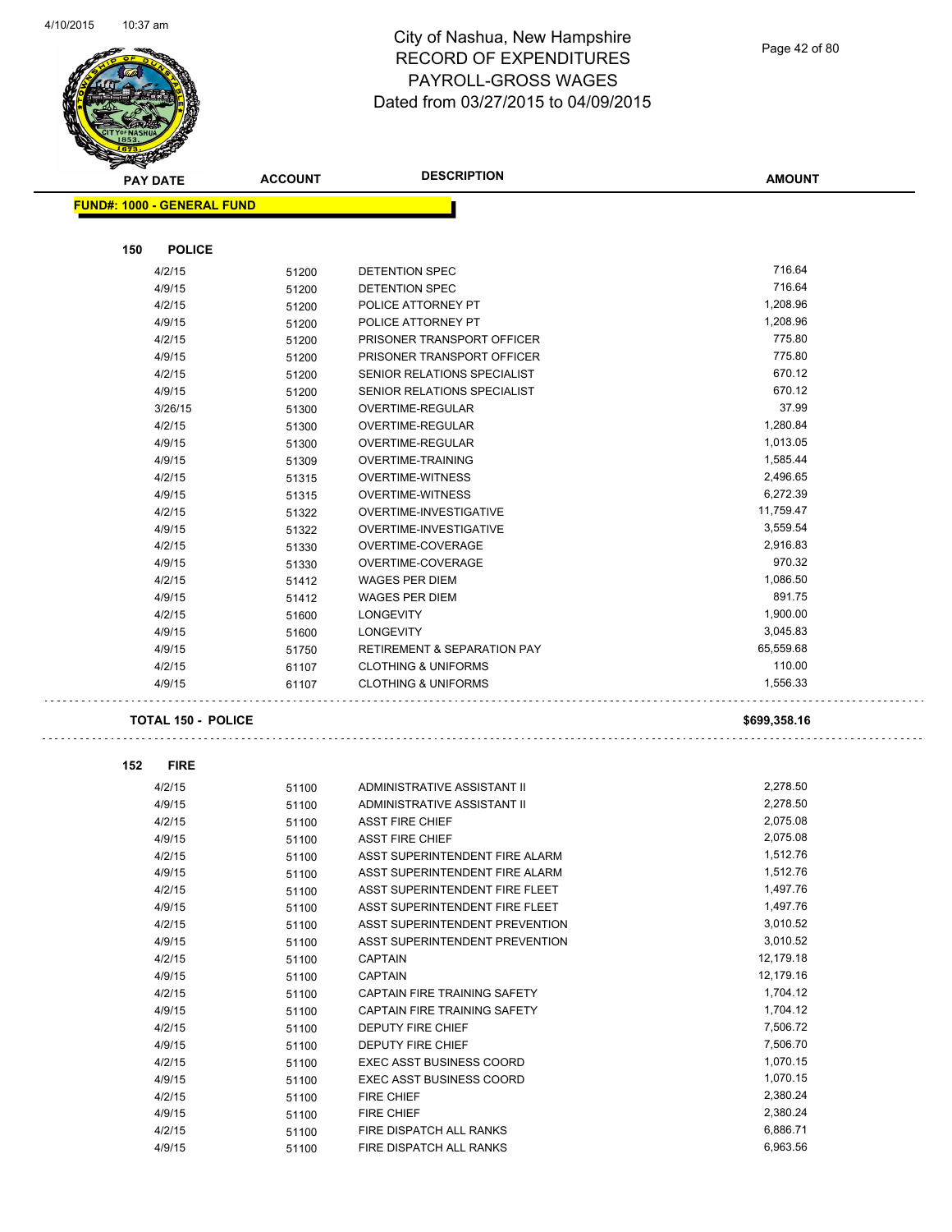

Page 42 of 80

| <b>STARKER</b>  |                                   |                |                                        |               |
|-----------------|-----------------------------------|----------------|----------------------------------------|---------------|
| <b>PAY DATE</b> |                                   | <b>ACCOUNT</b> | <b>DESCRIPTION</b>                     | <b>AMOUNT</b> |
|                 | <b>FUND#: 1000 - GENERAL FUND</b> |                |                                        |               |
|                 |                                   |                |                                        |               |
| 150             | <b>POLICE</b>                     |                |                                        |               |
|                 | 4/2/15                            | 51200          | DETENTION SPEC                         | 716.64        |
|                 | 4/9/15                            | 51200          | DETENTION SPEC                         | 716.64        |
|                 |                                   |                |                                        | 1,208.96      |
|                 | 4/2/15                            | 51200          | POLICE ATTORNEY PT                     |               |
|                 | 4/9/15                            | 51200          | POLICE ATTORNEY PT                     | 1,208.96      |
|                 | 4/2/15                            | 51200          | PRISONER TRANSPORT OFFICER             | 775.80        |
|                 | 4/9/15                            | 51200          | PRISONER TRANSPORT OFFICER             | 775.80        |
|                 | 4/2/15                            | 51200          | SENIOR RELATIONS SPECIALIST            | 670.12        |
|                 | 4/9/15                            | 51200          | SENIOR RELATIONS SPECIALIST            | 670.12        |
|                 | 3/26/15                           | 51300          | OVERTIME-REGULAR                       | 37.99         |
|                 | 4/2/15                            | 51300          | OVERTIME-REGULAR                       | 1,280.84      |
|                 | 4/9/15                            | 51300          | OVERTIME-REGULAR                       | 1,013.05      |
|                 | 4/9/15                            | 51309          | <b>OVERTIME-TRAINING</b>               | 1,585.44      |
|                 | 4/2/15                            | 51315          | <b>OVERTIME-WITNESS</b>                | 2,496.65      |
|                 | 4/9/15                            | 51315          | <b>OVERTIME-WITNESS</b>                | 6,272.39      |
|                 | 4/2/15                            | 51322          | OVERTIME-INVESTIGATIVE                 | 11,759.47     |
|                 | 4/9/15                            | 51322          | OVERTIME-INVESTIGATIVE                 | 3,559.54      |
|                 | 4/2/15                            | 51330          | OVERTIME-COVERAGE                      | 2,916.83      |
|                 | 4/9/15                            | 51330          | OVERTIME-COVERAGE                      | 970.32        |
|                 | 4/2/15                            | 51412          | <b>WAGES PER DIEM</b>                  | 1,086.50      |
|                 | 4/9/15                            | 51412          | <b>WAGES PER DIEM</b>                  | 891.75        |
|                 | 4/2/15                            | 51600          | <b>LONGEVITY</b>                       | 1,900.00      |
|                 | 4/9/15                            | 51600          | <b>LONGEVITY</b>                       | 3,045.83      |
|                 | 4/9/15                            | 51750          | <b>RETIREMENT &amp; SEPARATION PAY</b> | 65,559.68     |
|                 | 4/2/15                            | 61107          | <b>CLOTHING &amp; UNIFORMS</b>         | 110.00        |
|                 | 4/9/15                            | 61107          | <b>CLOTHING &amp; UNIFORMS</b>         | 1,556.33      |
|                 |                                   |                |                                        |               |
|                 | <b>TOTAL 150 - POLICE</b>         |                |                                        | \$699,358.16  |
|                 |                                   |                |                                        |               |
| 152             | <b>FIRE</b>                       |                |                                        |               |
|                 | 4/2/15                            | 51100          | ADMINISTRATIVE ASSISTANT II            | 2,278.50      |
|                 | 4/9/15                            | 51100          | ADMINISTRATIVE ASSISTANT II            | 2,278.50      |
|                 | 4/2/15                            | 51100          | <b>ASST FIRE CHIEF</b>                 | 2,075.08      |
|                 | 4/9/15                            | 51100          | <b>ASST FIRE CHIEF</b>                 | 2,075.08      |
|                 | 4/2/15                            | 51100          | ASST SUPERINTENDENT FIRE ALARM         | 1,512.76      |
|                 | 4/9/15                            | 51100          | ASST SUPERINTENDENT FIRE ALARM         | 1,512.76      |
|                 | 4/2/15                            | 51100          | ASST SUPERINTENDENT FIRE FLEET         | 1,497.76      |
|                 | 4/9/15                            | 51100          | ASST SUPERINTENDENT FIRE FLEET         | 1,497.76      |
|                 | 4/2/15                            | 51100          | ASST SUPERINTENDENT PREVENTION         | 3,010.52      |
|                 | 4/9/15                            | 51100          | ASST SUPERINTENDENT PREVENTION         | 3,010.52      |
|                 | 4/2/15                            | 51100          | <b>CAPTAIN</b>                         | 12,179.18     |
|                 | 4/9/15                            | 51100          | <b>CAPTAIN</b>                         | 12,179.16     |
|                 | 4/2/15                            |                | CAPTAIN FIRE TRAINING SAFETY           | 1,704.12      |
|                 | 4/9/15                            | 51100          | CAPTAIN FIRE TRAINING SAFETY           | 1,704.12      |
|                 | 4/2/15                            | 51100          | <b>DEPUTY FIRE CHIEF</b>               | 7,506.72      |
|                 | 4/9/15                            | 51100          | DEPUTY FIRE CHIEF                      | 7,506.70      |
|                 | 4/2/15                            | 51100          | <b>EXEC ASST BUSINESS COORD</b>        | 1,070.15      |
|                 | 4/9/15                            | 51100          | <b>EXEC ASST BUSINESS COORD</b>        | 1,070.15      |
|                 |                                   | 51100          |                                        | 2,380.24      |
|                 | 4/2/15                            | 51100          | <b>FIRE CHIEF</b>                      | 2,380.24      |
|                 | 4/9/15                            | 51100          | FIRE CHIEF                             | 6,886.71      |
|                 | 4/2/15                            | 51100          | FIRE DISPATCH ALL RANKS                | 6,963.56      |
|                 | 4/9/15                            | 51100          | FIRE DISPATCH ALL RANKS                |               |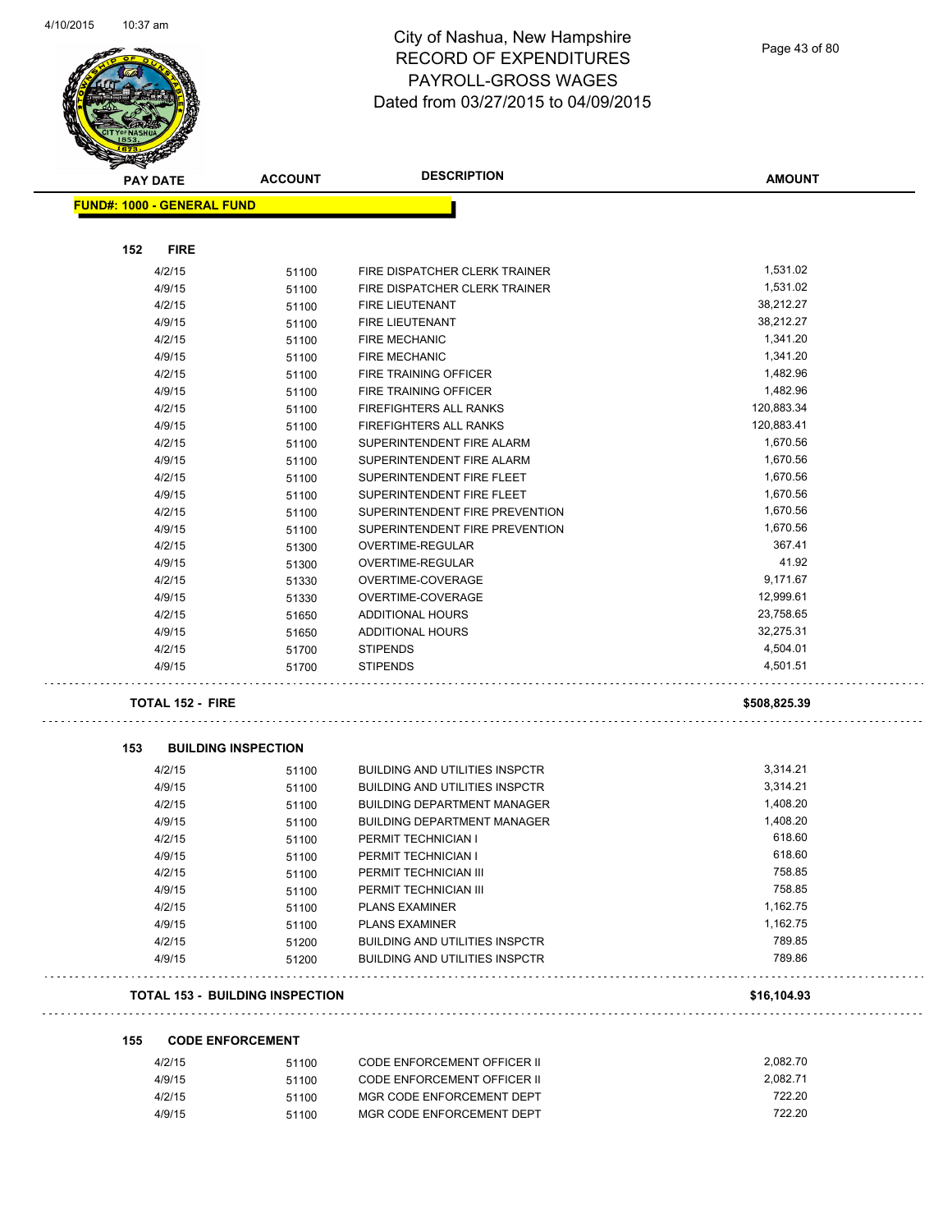$\overline{\phantom{0}}$ 



## City of Nashua, New Hampshire RECORD OF EXPENDITURES PAYROLL-GROSS WAGES Dated from 03/27/2015 to 04/09/2015

Page 43 of 80

| <b>RANGAR</b>                          |                |                                       |               |
|----------------------------------------|----------------|---------------------------------------|---------------|
| <b>PAY DATE</b>                        | <b>ACCOUNT</b> | <b>DESCRIPTION</b>                    | <b>AMOUNT</b> |
| <b>FUND#: 1000 - GENERAL FUND</b>      |                |                                       |               |
|                                        |                |                                       |               |
| <b>FIRE</b><br>152                     |                |                                       |               |
| 4/2/15                                 | 51100          | FIRE DISPATCHER CLERK TRAINER         | 1,531.02      |
| 4/9/15                                 | 51100          | FIRE DISPATCHER CLERK TRAINER         | 1,531.02      |
| 4/2/15                                 | 51100          | <b>FIRE LIEUTENANT</b>                | 38,212.27     |
| 4/9/15                                 | 51100          | <b>FIRE LIEUTENANT</b>                | 38,212.27     |
| 4/2/15                                 | 51100          | <b>FIRE MECHANIC</b>                  | 1,341.20      |
| 4/9/15                                 | 51100          | <b>FIRE MECHANIC</b>                  | 1,341.20      |
| 4/2/15                                 | 51100          | <b>FIRE TRAINING OFFICER</b>          | 1,482.96      |
| 4/9/15                                 | 51100          | FIRE TRAINING OFFICER                 | 1,482.96      |
| 4/2/15                                 | 51100          | FIREFIGHTERS ALL RANKS                | 120,883.34    |
| 4/9/15                                 | 51100          | FIREFIGHTERS ALL RANKS                | 120,883.41    |
| 4/2/15                                 | 51100          | SUPERINTENDENT FIRE ALARM             | 1,670.56      |
| 4/9/15                                 | 51100          | SUPERINTENDENT FIRE ALARM             | 1,670.56      |
| 4/2/15                                 | 51100          | SUPERINTENDENT FIRE FLEET             | 1,670.56      |
| 4/9/15                                 | 51100          | SUPERINTENDENT FIRE FLEET             | 1,670.56      |
| 4/2/15                                 | 51100          | SUPERINTENDENT FIRE PREVENTION        | 1,670.56      |
| 4/9/15                                 | 51100          | SUPERINTENDENT FIRE PREVENTION        | 1,670.56      |
| 4/2/15                                 | 51300          | OVERTIME-REGULAR                      | 367.41        |
| 4/9/15                                 | 51300          | OVERTIME-REGULAR                      | 41.92         |
| 4/2/15                                 | 51330          | OVERTIME-COVERAGE                     | 9,171.67      |
| 4/9/15                                 | 51330          | OVERTIME-COVERAGE                     | 12,999.61     |
| 4/2/15                                 | 51650          | <b>ADDITIONAL HOURS</b>               | 23,758.65     |
| 4/9/15                                 | 51650          | <b>ADDITIONAL HOURS</b>               | 32,275.31     |
| 4/2/15                                 | 51700          | <b>STIPENDS</b>                       | 4,504.01      |
| 4/9/15                                 | 51700          | <b>STIPENDS</b>                       | 4,501.51      |
| <b>TOTAL 152 - FIRE</b>                |                |                                       | \$508,825.39  |
| 153<br><b>BUILDING INSPECTION</b>      |                |                                       |               |
| 4/2/15                                 | 51100          | <b>BUILDING AND UTILITIES INSPCTR</b> | 3,314.21      |
| 4/9/15                                 | 51100          | <b>BUILDING AND UTILITIES INSPCTR</b> | 3,314.21      |
| 4/2/15                                 | 51100          | <b>BUILDING DEPARTMENT MANAGER</b>    | 1,408.20      |
| 4/9/15                                 | 51100          | <b>BUILDING DEPARTMENT MANAGER</b>    | 1,408.20      |
| 4/2/15                                 | 51100          | PERMIT TECHNICIAN I                   | 618.60        |
| 4/9/15                                 | 51100          | PERMIT TECHNICIAN I                   | 618.60        |
| 4/2/15                                 | 51100          | PERMIT TECHNICIAN III                 | 758.85        |
| 4/9/15                                 | 51100          | PERMIT TECHNICIAN III                 | 758.85        |
| 4/2/15                                 | 51100          | <b>PLANS EXAMINER</b>                 | 1,162.75      |
| 4/9/15                                 | 51100          | <b>PLANS EXAMINER</b>                 | 1,162.75      |
| 4/2/15                                 | 51200          | <b>BUILDING AND UTILITIES INSPCTR</b> | 789.85        |
| 4/9/15                                 | 51200          | <b>BUILDING AND UTILITIES INSPCTR</b> | 789.86        |
| <b>TOTAL 153 - BUILDING INSPECTION</b> |                |                                       | \$16,104.93   |
| 155<br><b>CODE ENFORCEMENT</b>         |                |                                       |               |
| 4/2/15                                 | 51100          | CODE ENFORCEMENT OFFICER II           | 2,082.70      |
| 4/9/15                                 | 51100          | CODE ENFORCEMENT OFFICER II           | 2.082.71      |

| 4/2/15 | 51100 | CODE ENFORCEMENT OFFICER II | 2.082.70 |
|--------|-------|-----------------------------|----------|
| 4/9/15 | 51100 | CODE ENFORCEMENT OFFICER II | 2.082.71 |
| 4/2/15 | 51100 | MGR CODE ENFORCEMENT DEPT   | 722.20   |
| 4/9/15 | 51100 | MGR CODE ENFORCEMENT DEPT   | 722.20   |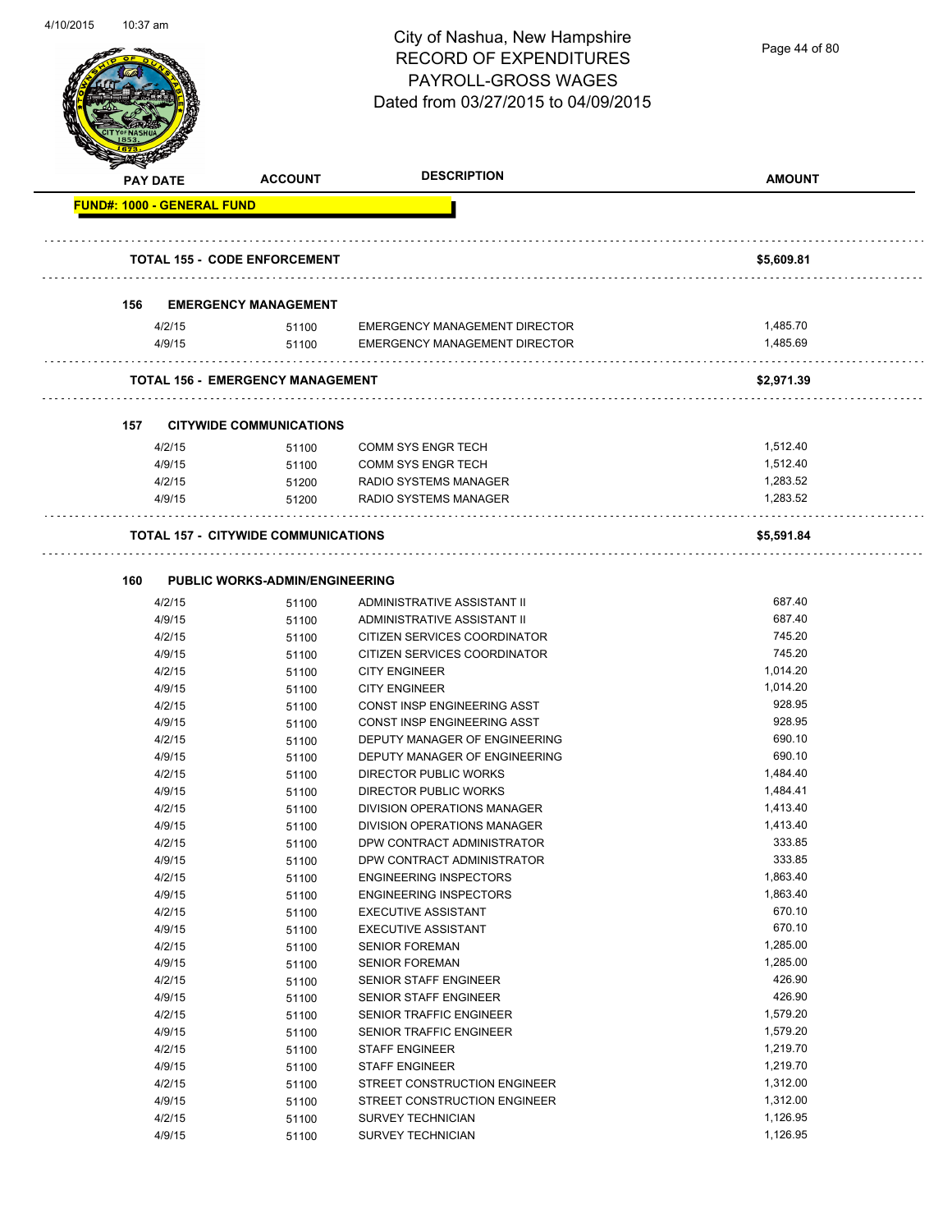

|     | <b>PAY DATE</b>                   | <b>ACCOUNT</b>                             | <b>DESCRIPTION</b>            | <b>AMOUNT</b> |
|-----|-----------------------------------|--------------------------------------------|-------------------------------|---------------|
|     | <b>FUND#: 1000 - GENERAL FUND</b> |                                            |                               |               |
|     |                                   | <b>TOTAL 155 - CODE ENFORCEMENT</b>        |                               | \$5,609.81    |
| 156 |                                   | <b>EMERGENCY MANAGEMENT</b>                |                               |               |
|     | 4/2/15                            | 51100                                      | EMERGENCY MANAGEMENT DIRECTOR | 1,485.70      |
|     | 4/9/15                            | 51100                                      | EMERGENCY MANAGEMENT DIRECTOR | 1,485.69      |
|     |                                   | <b>TOTAL 156 - EMERGENCY MANAGEMENT</b>    |                               | \$2,971.39    |
|     |                                   |                                            |                               |               |
| 157 |                                   | <b>CITYWIDE COMMUNICATIONS</b>             |                               |               |
|     | 4/2/15                            | 51100                                      | <b>COMM SYS ENGR TECH</b>     | 1,512.40      |
|     | 4/9/15                            | 51100                                      | <b>COMM SYS ENGR TECH</b>     | 1,512.40      |
|     | 4/2/15                            | 51200                                      | <b>RADIO SYSTEMS MANAGER</b>  | 1,283.52      |
|     | 4/9/15                            | 51200                                      | RADIO SYSTEMS MANAGER         | 1,283.52      |
|     |                                   | <b>TOTAL 157 - CITYWIDE COMMUNICATIONS</b> |                               | \$5,591.84    |
| 160 |                                   | <b>PUBLIC WORKS-ADMIN/ENGINEERING</b>      |                               |               |
|     | 4/2/15                            | 51100                                      | ADMINISTRATIVE ASSISTANT II   | 687.40        |
|     | 4/9/15                            | 51100                                      | ADMINISTRATIVE ASSISTANT II   | 687.40        |
|     | 4/2/15                            | 51100                                      | CITIZEN SERVICES COORDINATOR  | 745.20        |
|     | 4/9/15                            | 51100                                      | CITIZEN SERVICES COORDINATOR  | 745.20        |
|     | 4/2/15                            | 51100                                      | <b>CITY ENGINEER</b>          | 1,014.20      |
|     | 4/9/15                            | 51100                                      | <b>CITY ENGINEER</b>          | 1,014.20      |
|     | 4/2/15                            | 51100                                      | CONST INSP ENGINEERING ASST   | 928.95        |
|     | 4/9/15                            | 51100                                      | CONST INSP ENGINEERING ASST   | 928.95        |
|     | 4/2/15                            | 51100                                      | DEPUTY MANAGER OF ENGINEERING | 690.10        |
|     | 4/9/15                            | 51100                                      | DEPUTY MANAGER OF ENGINEERING | 690.10        |
|     | 4/2/15                            | 51100                                      | DIRECTOR PUBLIC WORKS         | 1,484.40      |
|     | 4/9/15                            | 51100                                      | <b>DIRECTOR PUBLIC WORKS</b>  | 1,484.41      |
|     | 4/2/15                            | 51100                                      | DIVISION OPERATIONS MANAGER   | 1,413.40      |
|     | 4/9/15                            | 51100                                      | DIVISION OPERATIONS MANAGER   | 1,413.40      |
|     | 4/2/15                            | 51100                                      | DPW CONTRACT ADMINISTRATOR    | 333.85        |
|     | 4/9/15                            | 51100                                      | DPW CONTRACT ADMINISTRATOR    | 333.85        |
|     | 4/2/15                            | 51100                                      | <b>ENGINEERING INSPECTORS</b> | 1,863.40      |
|     | 4/9/15                            | 51100                                      | <b>ENGINEERING INSPECTORS</b> | 1,863.40      |
|     | 4/2/15                            | 51100                                      | <b>EXECUTIVE ASSISTANT</b>    | 670.10        |
|     | 4/9/15                            | 51100                                      | <b>EXECUTIVE ASSISTANT</b>    | 670.10        |
|     | 4/2/15                            | 51100                                      | <b>SENIOR FOREMAN</b>         | 1,285.00      |
|     | 4/9/15                            | 51100                                      | <b>SENIOR FOREMAN</b>         | 1,285.00      |
|     | 4/2/15                            | 51100                                      | SENIOR STAFF ENGINEER         | 426.90        |
|     | 4/9/15                            | 51100                                      | SENIOR STAFF ENGINEER         | 426.90        |
|     | 4/2/15                            | 51100                                      | SENIOR TRAFFIC ENGINEER       | 1,579.20      |
|     | 4/9/15                            | 51100                                      | SENIOR TRAFFIC ENGINEER       | 1,579.20      |
|     | 4/2/15                            | 51100                                      | <b>STAFF ENGINEER</b>         | 1,219.70      |
|     | 4/9/15                            | 51100                                      | <b>STAFF ENGINEER</b>         | 1,219.70      |
|     | 4/2/15                            | 51100                                      | STREET CONSTRUCTION ENGINEER  | 1,312.00      |
|     | 4/9/15                            | 51100                                      | STREET CONSTRUCTION ENGINEER  | 1,312.00      |
|     | 4/2/15                            | 51100                                      | <b>SURVEY TECHNICIAN</b>      | 1,126.95      |
|     |                                   |                                            | <b>SURVEY TECHNICIAN</b>      | 1,126.95      |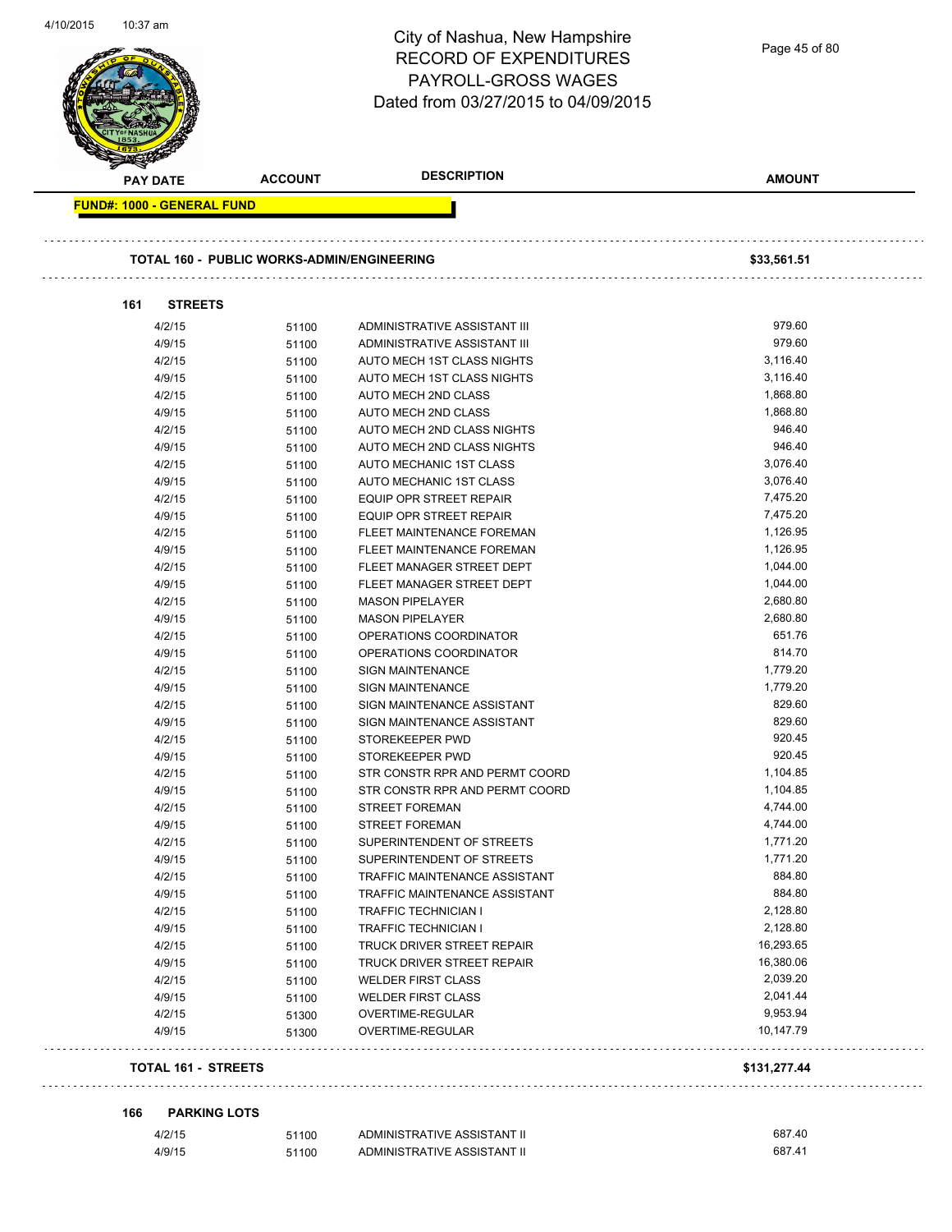|                                   |                                                   | City of Nashua, New Hampshire<br><b>RECORD OF EXPENDITURES</b> | Page 45 of 80 |
|-----------------------------------|---------------------------------------------------|----------------------------------------------------------------|---------------|
|                                   |                                                   | <b>PAYROLL-GROSS WAGES</b>                                     |               |
|                                   |                                                   |                                                                |               |
|                                   |                                                   | Dated from 03/27/2015 to 04/09/2015                            |               |
|                                   |                                                   |                                                                |               |
|                                   |                                                   |                                                                |               |
|                                   | <b>ACCOUNT</b>                                    | <b>DESCRIPTION</b>                                             | <b>AMOUNT</b> |
| PAY DATE                          |                                                   |                                                                |               |
| <b>FUND#: 1000 - GENERAL FUND</b> |                                                   |                                                                |               |
|                                   |                                                   |                                                                |               |
|                                   | <b>TOTAL 160 - PUBLIC WORKS-ADMIN/ENGINEERING</b> |                                                                | \$33,561.51   |
| <b>STREETS</b><br>161             |                                                   |                                                                |               |
| 4/2/15                            | 51100                                             | ADMINISTRATIVE ASSISTANT III                                   | 979.60        |
| 4/9/15                            | 51100                                             | ADMINISTRATIVE ASSISTANT III                                   | 979.60        |
| 4/2/15                            |                                                   | <b>AUTO MECH 1ST CLASS NIGHTS</b>                              | 3,116.40      |
|                                   | 51100                                             |                                                                | 3,116.40      |
| 4/9/15                            | 51100                                             | AUTO MECH 1ST CLASS NIGHTS                                     |               |
| 4/2/15                            | 51100                                             | <b>AUTO MECH 2ND CLASS</b>                                     | 1,868.80      |
| 4/9/15                            | 51100                                             | AUTO MECH 2ND CLASS                                            | 1,868.80      |
| 4/2/15                            | 51100                                             | AUTO MECH 2ND CLASS NIGHTS                                     | 946.40        |
| 4/9/15                            | 51100                                             | AUTO MECH 2ND CLASS NIGHTS                                     | 946.40        |
| 4/2/15                            | 51100                                             | AUTO MECHANIC 1ST CLASS                                        | 3,076.40      |
| 4/9/15                            | 51100                                             | <b>AUTO MECHANIC 1ST CLASS</b>                                 | 3,076.40      |
| 4/2/15                            | 51100                                             | <b>EQUIP OPR STREET REPAIR</b>                                 | 7,475.20      |
| 4/9/15                            | 51100                                             | <b>EQUIP OPR STREET REPAIR</b>                                 | 7,475.20      |
| 4/2/15                            | 51100                                             | FLEET MAINTENANCE FOREMAN                                      | 1,126.95      |
| 4/9/15                            | 51100                                             | FLEET MAINTENANCE FOREMAN                                      | 1,126.95      |
| 4/2/15                            | 51100                                             | FLEET MANAGER STREET DEPT                                      | 1,044.00      |
| 4/9/15                            | 51100                                             | FLEET MANAGER STREET DEPT                                      | 1,044.00      |
| 4/2/15                            | 51100                                             | <b>MASON PIPELAYER</b>                                         | 2,680.80      |
| 4/9/15                            | 51100                                             | <b>MASON PIPELAYER</b>                                         | 2,680.80      |
| 4/2/15                            | 51100                                             | OPERATIONS COORDINATOR                                         | 651.76        |
| 4/9/15                            | 51100                                             | OPERATIONS COORDINATOR                                         | 814.70        |
| 4/2/15                            | 51100                                             | <b>SIGN MAINTENANCE</b>                                        | 1,779.20      |
| 4/9/15                            | 51100                                             | <b>SIGN MAINTENANCE</b>                                        | 1,779.20      |
| 4/2/15                            | 51100                                             | SIGN MAINTENANCE ASSISTANT                                     | 829.60        |
| 4/9/15                            | 51100                                             | SIGN MAINTENANCE ASSISTANT                                     | 829.60        |
| 4/2/15                            | 51100                                             | STOREKEEPER PWD                                                | 920.45        |
| 4/9/15                            | 51100                                             | STOREKEEPER PWD                                                | 920.45        |
| 4/2/15                            | 51100                                             | STR CONSTR RPR AND PERMT COORD                                 | 1,104.85      |
|                                   |                                                   | STR CONSTR RPR AND PERMT COORD                                 | 1,104.85      |
| 4/9/15                            | 51100                                             |                                                                | 4,744.00      |
| 4/2/15                            | 51100                                             | <b>STREET FOREMAN</b>                                          |               |
| 4/9/15                            | 51100                                             | <b>STREET FOREMAN</b>                                          | 4,744.00      |
| 4/2/15                            | 51100                                             | SUPERINTENDENT OF STREETS                                      | 1,771.20      |
| 4/9/15                            | 51100                                             | SUPERINTENDENT OF STREETS                                      | 1,771.20      |
| 4/2/15                            | 51100                                             | TRAFFIC MAINTENANCE ASSISTANT                                  | 884.80        |
| 4/9/15                            | 51100                                             | TRAFFIC MAINTENANCE ASSISTANT                                  | 884.80        |
| 4/2/15                            | 51100                                             | TRAFFIC TECHNICIAN I                                           | 2,128.80      |
| 4/9/15                            | 51100                                             | TRAFFIC TECHNICIAN I                                           | 2,128.80      |
| 4/2/15                            | 51100                                             | TRUCK DRIVER STREET REPAIR                                     | 16,293.65     |
| 4/9/15                            | 51100                                             | TRUCK DRIVER STREET REPAIR                                     | 16,380.06     |
| 4/2/15                            | 51100                                             | <b>WELDER FIRST CLASS</b>                                      | 2,039.20      |
| 4/9/15                            | 51100                                             | <b>WELDER FIRST CLASS</b>                                      | 2,041.44      |
| 4/2/15                            | 51300                                             | OVERTIME-REGULAR                                               | 9,953.94      |
| 4/9/15                            | 51300                                             | OVERTIME-REGULAR                                               | 10,147.79     |
|                                   |                                                   |                                                                |               |
| <b>TOTAL 161 - STREETS</b>        |                                                   |                                                                | \$131,277.44  |
|                                   |                                                   |                                                                |               |
| 166<br><b>PARKING LOTS</b>        |                                                   |                                                                |               |
| 4/2/15                            | 51100                                             | ADMINISTRATIVE ASSISTANT II                                    | 687.40        |
| 4/9/15                            | 51100                                             | ADMINISTRATIVE ASSISTANT II                                    | 687.41        |

4/10/2015 10:37 am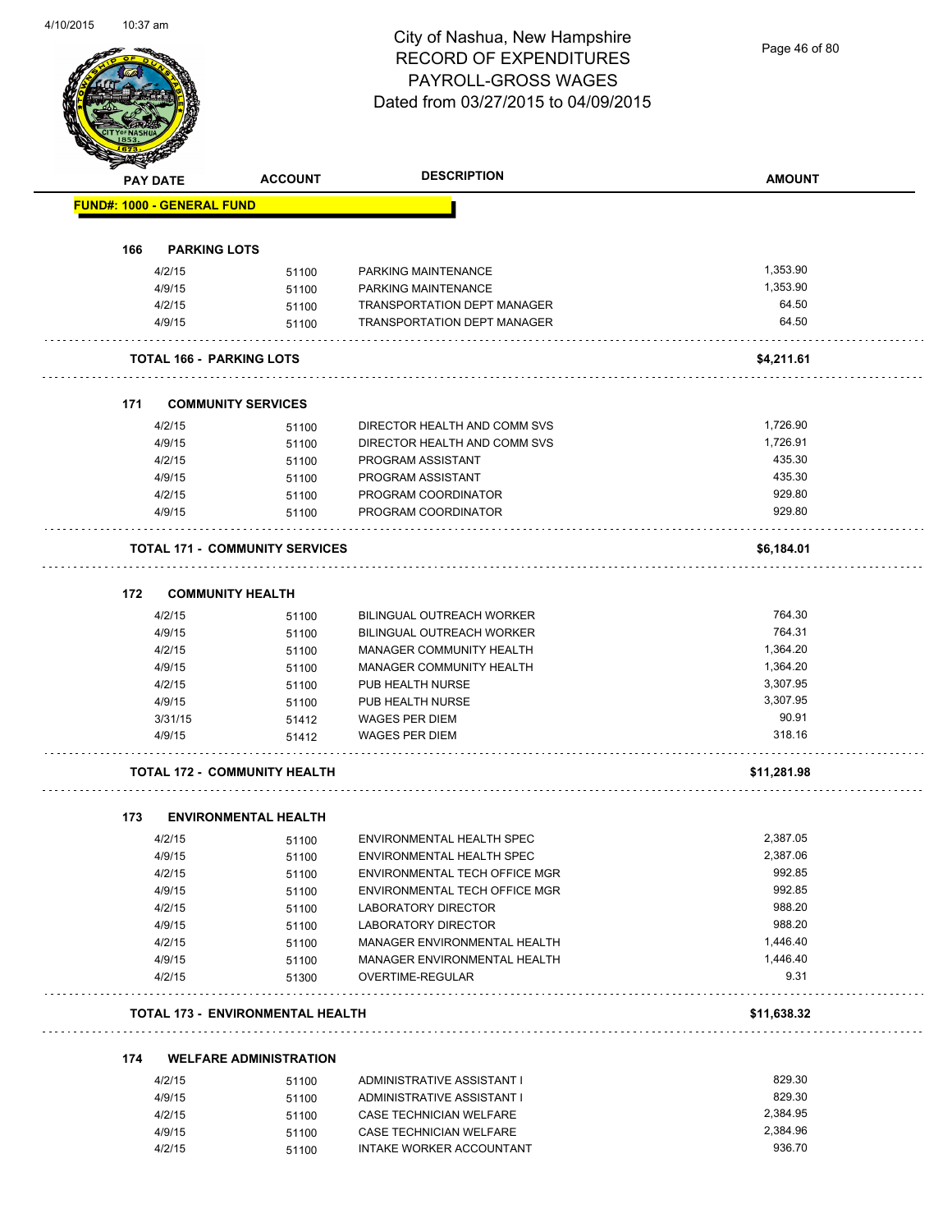Page 46 of 80

|     | <b>PAY DATE</b>                   | <b>ACCOUNT</b>                          | <b>DESCRIPTION</b>                 | <b>AMOUNT</b> |
|-----|-----------------------------------|-----------------------------------------|------------------------------------|---------------|
|     | <b>FUND#: 1000 - GENERAL FUND</b> |                                         |                                    |               |
| 166 | <b>PARKING LOTS</b>               |                                         |                                    |               |
|     | 4/2/15                            | 51100                                   | PARKING MAINTENANCE                | 1,353.90      |
|     | 4/9/15                            | 51100                                   | PARKING MAINTENANCE                | 1,353.90      |
|     | 4/2/15                            | 51100                                   | TRANSPORTATION DEPT MANAGER        | 64.50         |
|     | 4/9/15                            | 51100                                   | <b>TRANSPORTATION DEPT MANAGER</b> | 64.50         |
|     |                                   | <b>TOTAL 166 - PARKING LOTS</b>         |                                    | \$4,211.61    |
| 171 |                                   | <b>COMMUNITY SERVICES</b>               |                                    |               |
|     | 4/2/15                            | 51100                                   | DIRECTOR HEALTH AND COMM SVS       | 1,726.90      |
|     | 4/9/15                            | 51100                                   | DIRECTOR HEALTH AND COMM SVS       | 1,726.91      |
|     | 4/2/15                            | 51100                                   | PROGRAM ASSISTANT                  | 435.30        |
|     | 4/9/15                            | 51100                                   | PROGRAM ASSISTANT                  | 435.30        |
|     | 4/2/15                            | 51100                                   | PROGRAM COORDINATOR                | 929.80        |
|     | 4/9/15                            | 51100                                   | PROGRAM COORDINATOR                | 929.80        |
|     |                                   | <b>TOTAL 171 - COMMUNITY SERVICES</b>   |                                    | \$6,184.01    |
| 172 |                                   | <b>COMMUNITY HEALTH</b>                 |                                    |               |
|     | 4/2/15                            | 51100                                   | BILINGUAL OUTREACH WORKER          | 764.30        |
|     | 4/9/15                            | 51100                                   | BILINGUAL OUTREACH WORKER          | 764.31        |
|     | 4/2/15                            | 51100                                   | MANAGER COMMUNITY HEALTH           | 1,364.20      |
|     | 4/9/15                            | 51100                                   | MANAGER COMMUNITY HEALTH           | 1,364.20      |
|     | 4/2/15                            | 51100                                   | PUB HEALTH NURSE                   | 3,307.95      |
|     | 4/9/15                            | 51100                                   | PUB HEALTH NURSE                   | 3,307.95      |
|     | 3/31/15                           | 51412                                   | <b>WAGES PER DIEM</b>              | 90.91         |
|     | 4/9/15                            | 51412                                   | <b>WAGES PER DIEM</b>              | 318.16        |
|     |                                   | <b>TOTAL 172 - COMMUNITY HEALTH</b>     |                                    | \$11,281.98   |
| 173 |                                   | <b>ENVIRONMENTAL HEALTH</b>             |                                    |               |
|     | 4/2/15                            | 51100                                   | ENVIRONMENTAL HEALTH SPEC          | 2,387.05      |
|     | 4/9/15                            | 51100                                   | ENVIRONMENTAL HEALTH SPEC          | 2,387.06      |
|     | 4/2/15                            | 51100                                   | ENVIRONMENTAL TECH OFFICE MGR      | 992.85        |
|     | 4/9/15                            | 51100                                   | ENVIRONMENTAL TECH OFFICE MGR      | 992.85        |
|     | 4/2/15                            | 51100                                   | LABORATORY DIRECTOR                | 988.20        |
|     | 4/9/15                            | 51100                                   | <b>LABORATORY DIRECTOR</b>         | 988.20        |
|     | 4/2/15                            | 51100                                   | MANAGER ENVIRONMENTAL HEALTH       | 1,446.40      |
|     | 4/9/15                            | 51100                                   | MANAGER ENVIRONMENTAL HEALTH       | 1,446.40      |
|     | 4/2/15                            | 51300                                   | OVERTIME-REGULAR                   | 9.31          |
|     |                                   | <b>TOTAL 173 - ENVIRONMENTAL HEALTH</b> |                                    | \$11,638.32   |
| 174 |                                   | <b>WELFARE ADMINISTRATION</b>           |                                    |               |
|     | 4/2/15                            | 51100                                   | ADMINISTRATIVE ASSISTANT I         | 829.30        |
|     | 4/9/15                            | 51100                                   | ADMINISTRATIVE ASSISTANT I         | 829.30        |
|     | 4/2/15                            | 51100                                   | CASE TECHNICIAN WELFARE            | 2,384.95      |
|     | 4/9/15                            | 51100                                   | CASE TECHNICIAN WELFARE            | 2,384.96      |
|     | 4/2/15                            | 51100                                   | INTAKE WORKER ACCOUNTANT           | 936.70        |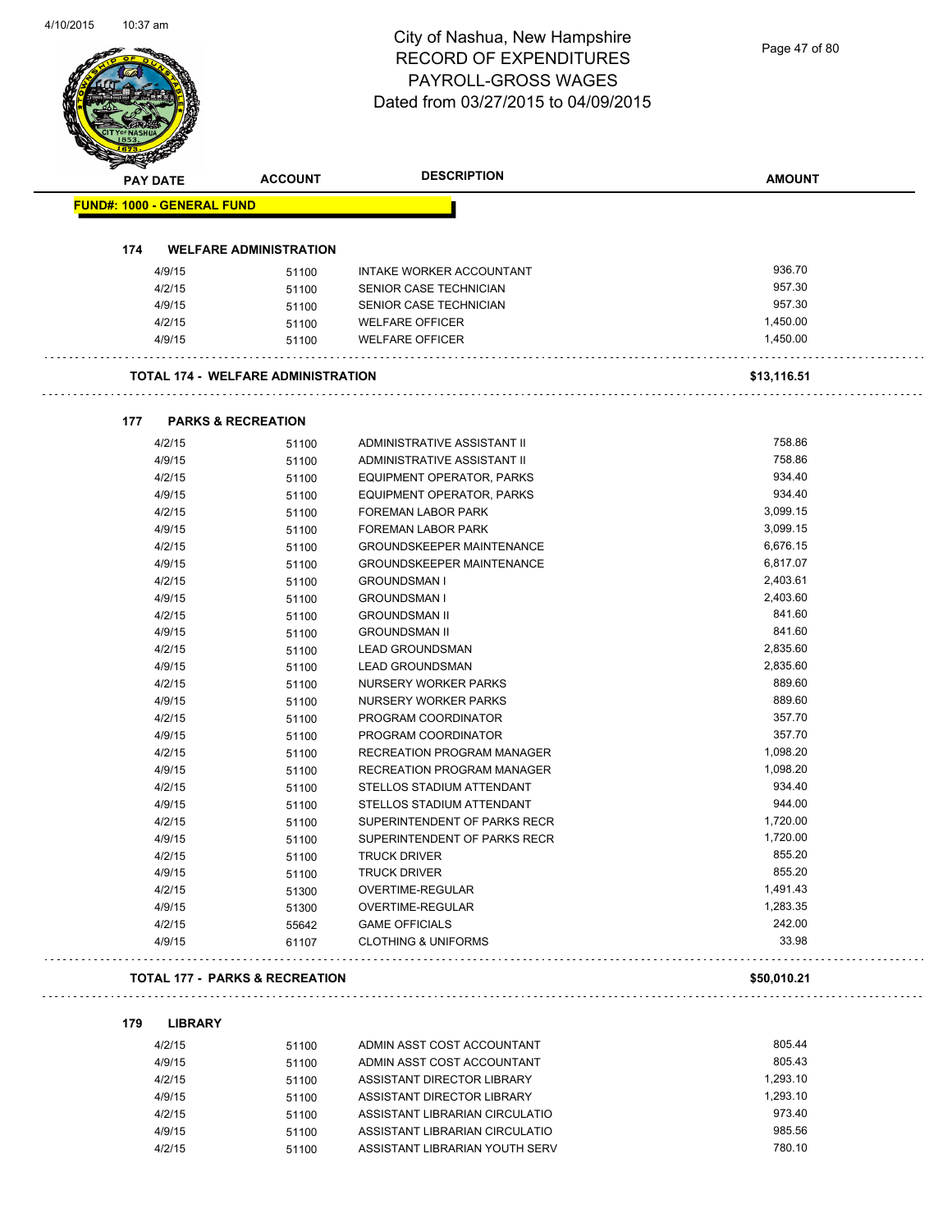$\overline{\phantom{a}}$ 

# City of Nashua, New Hampshire RECORD OF EXPENDITURES PAYROLL-GROSS WAGES

| <b>FUND#: 1000 - GENERAL FUND</b><br>174<br><b>WELFARE ADMINISTRATION</b><br>936.70<br>4/9/15<br><b>INTAKE WORKER ACCOUNTANT</b><br>51100<br>957.30<br>4/2/15<br>SENIOR CASE TECHNICIAN<br>51100<br>957.30<br>4/9/15<br>51100<br>SENIOR CASE TECHNICIAN<br>4/2/15<br><b>WELFARE OFFICER</b><br>1,450.00<br>51100<br>1,450.00<br>4/9/15<br>51100<br><b>WELFARE OFFICER</b><br><b>TOTAL 174 - WELFARE ADMINISTRATION</b><br>\$13,116.51<br><b>PARKS &amp; RECREATION</b><br>177<br>758.86<br>ADMINISTRATIVE ASSISTANT II<br>4/2/15<br>51100<br>758.86<br>4/9/15<br>ADMINISTRATIVE ASSISTANT II<br>51100<br>934.40<br>4/2/15<br>EQUIPMENT OPERATOR, PARKS<br>51100<br>934.40<br>4/9/15<br>EQUIPMENT OPERATOR, PARKS<br>51100<br>3,099.15<br>4/2/15<br><b>FOREMAN LABOR PARK</b><br>51100<br>3,099.15<br>4/9/15<br><b>FOREMAN LABOR PARK</b><br>51100<br>6,676.15<br>4/2/15<br><b>GROUNDSKEEPER MAINTENANCE</b><br>51100<br>6,817.07<br>4/9/15<br><b>GROUNDSKEEPER MAINTENANCE</b><br>51100<br>2,403.61<br>4/2/15<br>51100<br><b>GROUNDSMAN I</b><br>4/9/15<br>2,403.60<br><b>GROUNDSMAN I</b><br>51100<br>841.60<br>4/2/15<br>51100<br><b>GROUNDSMAN II</b><br>841.60<br>4/9/15<br><b>GROUNDSMAN II</b><br>51100<br>2,835.60<br>4/2/15<br><b>LEAD GROUNDSMAN</b><br>51100<br>2,835.60<br>4/9/15<br><b>LEAD GROUNDSMAN</b><br>51100<br>889.60<br>4/2/15<br>NURSERY WORKER PARKS<br>51100<br>889.60<br>4/9/15<br>NURSERY WORKER PARKS<br>51100<br>357.70<br>4/2/15<br>PROGRAM COORDINATOR<br>51100<br>357.70<br>4/9/15<br>PROGRAM COORDINATOR<br>51100<br>4/2/15<br>1,098.20<br><b>RECREATION PROGRAM MANAGER</b><br>51100<br>1,098.20<br>RECREATION PROGRAM MANAGER<br>4/9/15<br>51100<br>4/2/15<br>934.40<br>STELLOS STADIUM ATTENDANT<br>51100<br>944.00<br>4/9/15<br>STELLOS STADIUM ATTENDANT<br>51100<br>4/2/15<br>1,720.00<br>SUPERINTENDENT OF PARKS RECR<br>51100<br>1,720.00<br>4/9/15<br>51100<br>SUPERINTENDENT OF PARKS RECR<br>855.20<br>4/2/15<br><b>TRUCK DRIVER</b><br>51100<br>855.20<br>4/9/15<br>51100<br><b>TRUCK DRIVER</b><br>1,491.43<br>4/2/15<br>OVERTIME-REGULAR<br>51300<br>1,283.35<br>4/9/15<br>51300<br>OVERTIME-REGULAR<br>4/2/15<br>242.00<br><b>GAME OFFICIALS</b><br>55642<br>33.98<br>4/9/15<br>61107<br><b>CLOTHING &amp; UNIFORMS</b> | <b>PAY DATE</b> | <b>ACCOUNT</b> | <b>DESCRIPTION</b> | <b>AMOUNT</b> |
|------------------------------------------------------------------------------------------------------------------------------------------------------------------------------------------------------------------------------------------------------------------------------------------------------------------------------------------------------------------------------------------------------------------------------------------------------------------------------------------------------------------------------------------------------------------------------------------------------------------------------------------------------------------------------------------------------------------------------------------------------------------------------------------------------------------------------------------------------------------------------------------------------------------------------------------------------------------------------------------------------------------------------------------------------------------------------------------------------------------------------------------------------------------------------------------------------------------------------------------------------------------------------------------------------------------------------------------------------------------------------------------------------------------------------------------------------------------------------------------------------------------------------------------------------------------------------------------------------------------------------------------------------------------------------------------------------------------------------------------------------------------------------------------------------------------------------------------------------------------------------------------------------------------------------------------------------------------------------------------------------------------------------------------------------------------------------------------------------------------------------------------------------------------------------------------------------------------------------------------------------------------------|-----------------|----------------|--------------------|---------------|
|                                                                                                                                                                                                                                                                                                                                                                                                                                                                                                                                                                                                                                                                                                                                                                                                                                                                                                                                                                                                                                                                                                                                                                                                                                                                                                                                                                                                                                                                                                                                                                                                                                                                                                                                                                                                                                                                                                                                                                                                                                                                                                                                                                                                                                                                        |                 |                |                    |               |
|                                                                                                                                                                                                                                                                                                                                                                                                                                                                                                                                                                                                                                                                                                                                                                                                                                                                                                                                                                                                                                                                                                                                                                                                                                                                                                                                                                                                                                                                                                                                                                                                                                                                                                                                                                                                                                                                                                                                                                                                                                                                                                                                                                                                                                                                        |                 |                |                    |               |
|                                                                                                                                                                                                                                                                                                                                                                                                                                                                                                                                                                                                                                                                                                                                                                                                                                                                                                                                                                                                                                                                                                                                                                                                                                                                                                                                                                                                                                                                                                                                                                                                                                                                                                                                                                                                                                                                                                                                                                                                                                                                                                                                                                                                                                                                        |                 |                |                    |               |
|                                                                                                                                                                                                                                                                                                                                                                                                                                                                                                                                                                                                                                                                                                                                                                                                                                                                                                                                                                                                                                                                                                                                                                                                                                                                                                                                                                                                                                                                                                                                                                                                                                                                                                                                                                                                                                                                                                                                                                                                                                                                                                                                                                                                                                                                        |                 |                |                    |               |
|                                                                                                                                                                                                                                                                                                                                                                                                                                                                                                                                                                                                                                                                                                                                                                                                                                                                                                                                                                                                                                                                                                                                                                                                                                                                                                                                                                                                                                                                                                                                                                                                                                                                                                                                                                                                                                                                                                                                                                                                                                                                                                                                                                                                                                                                        |                 |                |                    |               |
|                                                                                                                                                                                                                                                                                                                                                                                                                                                                                                                                                                                                                                                                                                                                                                                                                                                                                                                                                                                                                                                                                                                                                                                                                                                                                                                                                                                                                                                                                                                                                                                                                                                                                                                                                                                                                                                                                                                                                                                                                                                                                                                                                                                                                                                                        |                 |                |                    |               |
|                                                                                                                                                                                                                                                                                                                                                                                                                                                                                                                                                                                                                                                                                                                                                                                                                                                                                                                                                                                                                                                                                                                                                                                                                                                                                                                                                                                                                                                                                                                                                                                                                                                                                                                                                                                                                                                                                                                                                                                                                                                                                                                                                                                                                                                                        |                 |                |                    |               |
|                                                                                                                                                                                                                                                                                                                                                                                                                                                                                                                                                                                                                                                                                                                                                                                                                                                                                                                                                                                                                                                                                                                                                                                                                                                                                                                                                                                                                                                                                                                                                                                                                                                                                                                                                                                                                                                                                                                                                                                                                                                                                                                                                                                                                                                                        |                 |                |                    |               |
|                                                                                                                                                                                                                                                                                                                                                                                                                                                                                                                                                                                                                                                                                                                                                                                                                                                                                                                                                                                                                                                                                                                                                                                                                                                                                                                                                                                                                                                                                                                                                                                                                                                                                                                                                                                                                                                                                                                                                                                                                                                                                                                                                                                                                                                                        |                 |                |                    |               |
|                                                                                                                                                                                                                                                                                                                                                                                                                                                                                                                                                                                                                                                                                                                                                                                                                                                                                                                                                                                                                                                                                                                                                                                                                                                                                                                                                                                                                                                                                                                                                                                                                                                                                                                                                                                                                                                                                                                                                                                                                                                                                                                                                                                                                                                                        |                 |                |                    |               |
|                                                                                                                                                                                                                                                                                                                                                                                                                                                                                                                                                                                                                                                                                                                                                                                                                                                                                                                                                                                                                                                                                                                                                                                                                                                                                                                                                                                                                                                                                                                                                                                                                                                                                                                                                                                                                                                                                                                                                                                                                                                                                                                                                                                                                                                                        |                 |                |                    |               |
|                                                                                                                                                                                                                                                                                                                                                                                                                                                                                                                                                                                                                                                                                                                                                                                                                                                                                                                                                                                                                                                                                                                                                                                                                                                                                                                                                                                                                                                                                                                                                                                                                                                                                                                                                                                                                                                                                                                                                                                                                                                                                                                                                                                                                                                                        |                 |                |                    |               |
|                                                                                                                                                                                                                                                                                                                                                                                                                                                                                                                                                                                                                                                                                                                                                                                                                                                                                                                                                                                                                                                                                                                                                                                                                                                                                                                                                                                                                                                                                                                                                                                                                                                                                                                                                                                                                                                                                                                                                                                                                                                                                                                                                                                                                                                                        |                 |                |                    |               |
|                                                                                                                                                                                                                                                                                                                                                                                                                                                                                                                                                                                                                                                                                                                                                                                                                                                                                                                                                                                                                                                                                                                                                                                                                                                                                                                                                                                                                                                                                                                                                                                                                                                                                                                                                                                                                                                                                                                                                                                                                                                                                                                                                                                                                                                                        |                 |                |                    |               |
|                                                                                                                                                                                                                                                                                                                                                                                                                                                                                                                                                                                                                                                                                                                                                                                                                                                                                                                                                                                                                                                                                                                                                                                                                                                                                                                                                                                                                                                                                                                                                                                                                                                                                                                                                                                                                                                                                                                                                                                                                                                                                                                                                                                                                                                                        |                 |                |                    |               |
|                                                                                                                                                                                                                                                                                                                                                                                                                                                                                                                                                                                                                                                                                                                                                                                                                                                                                                                                                                                                                                                                                                                                                                                                                                                                                                                                                                                                                                                                                                                                                                                                                                                                                                                                                                                                                                                                                                                                                                                                                                                                                                                                                                                                                                                                        |                 |                |                    |               |
|                                                                                                                                                                                                                                                                                                                                                                                                                                                                                                                                                                                                                                                                                                                                                                                                                                                                                                                                                                                                                                                                                                                                                                                                                                                                                                                                                                                                                                                                                                                                                                                                                                                                                                                                                                                                                                                                                                                                                                                                                                                                                                                                                                                                                                                                        |                 |                |                    |               |
|                                                                                                                                                                                                                                                                                                                                                                                                                                                                                                                                                                                                                                                                                                                                                                                                                                                                                                                                                                                                                                                                                                                                                                                                                                                                                                                                                                                                                                                                                                                                                                                                                                                                                                                                                                                                                                                                                                                                                                                                                                                                                                                                                                                                                                                                        |                 |                |                    |               |
|                                                                                                                                                                                                                                                                                                                                                                                                                                                                                                                                                                                                                                                                                                                                                                                                                                                                                                                                                                                                                                                                                                                                                                                                                                                                                                                                                                                                                                                                                                                                                                                                                                                                                                                                                                                                                                                                                                                                                                                                                                                                                                                                                                                                                                                                        |                 |                |                    |               |
|                                                                                                                                                                                                                                                                                                                                                                                                                                                                                                                                                                                                                                                                                                                                                                                                                                                                                                                                                                                                                                                                                                                                                                                                                                                                                                                                                                                                                                                                                                                                                                                                                                                                                                                                                                                                                                                                                                                                                                                                                                                                                                                                                                                                                                                                        |                 |                |                    |               |
|                                                                                                                                                                                                                                                                                                                                                                                                                                                                                                                                                                                                                                                                                                                                                                                                                                                                                                                                                                                                                                                                                                                                                                                                                                                                                                                                                                                                                                                                                                                                                                                                                                                                                                                                                                                                                                                                                                                                                                                                                                                                                                                                                                                                                                                                        |                 |                |                    |               |
|                                                                                                                                                                                                                                                                                                                                                                                                                                                                                                                                                                                                                                                                                                                                                                                                                                                                                                                                                                                                                                                                                                                                                                                                                                                                                                                                                                                                                                                                                                                                                                                                                                                                                                                                                                                                                                                                                                                                                                                                                                                                                                                                                                                                                                                                        |                 |                |                    |               |
|                                                                                                                                                                                                                                                                                                                                                                                                                                                                                                                                                                                                                                                                                                                                                                                                                                                                                                                                                                                                                                                                                                                                                                                                                                                                                                                                                                                                                                                                                                                                                                                                                                                                                                                                                                                                                                                                                                                                                                                                                                                                                                                                                                                                                                                                        |                 |                |                    |               |
|                                                                                                                                                                                                                                                                                                                                                                                                                                                                                                                                                                                                                                                                                                                                                                                                                                                                                                                                                                                                                                                                                                                                                                                                                                                                                                                                                                                                                                                                                                                                                                                                                                                                                                                                                                                                                                                                                                                                                                                                                                                                                                                                                                                                                                                                        |                 |                |                    |               |
|                                                                                                                                                                                                                                                                                                                                                                                                                                                                                                                                                                                                                                                                                                                                                                                                                                                                                                                                                                                                                                                                                                                                                                                                                                                                                                                                                                                                                                                                                                                                                                                                                                                                                                                                                                                                                                                                                                                                                                                                                                                                                                                                                                                                                                                                        |                 |                |                    |               |
|                                                                                                                                                                                                                                                                                                                                                                                                                                                                                                                                                                                                                                                                                                                                                                                                                                                                                                                                                                                                                                                                                                                                                                                                                                                                                                                                                                                                                                                                                                                                                                                                                                                                                                                                                                                                                                                                                                                                                                                                                                                                                                                                                                                                                                                                        |                 |                |                    |               |
|                                                                                                                                                                                                                                                                                                                                                                                                                                                                                                                                                                                                                                                                                                                                                                                                                                                                                                                                                                                                                                                                                                                                                                                                                                                                                                                                                                                                                                                                                                                                                                                                                                                                                                                                                                                                                                                                                                                                                                                                                                                                                                                                                                                                                                                                        |                 |                |                    |               |
|                                                                                                                                                                                                                                                                                                                                                                                                                                                                                                                                                                                                                                                                                                                                                                                                                                                                                                                                                                                                                                                                                                                                                                                                                                                                                                                                                                                                                                                                                                                                                                                                                                                                                                                                                                                                                                                                                                                                                                                                                                                                                                                                                                                                                                                                        |                 |                |                    |               |
|                                                                                                                                                                                                                                                                                                                                                                                                                                                                                                                                                                                                                                                                                                                                                                                                                                                                                                                                                                                                                                                                                                                                                                                                                                                                                                                                                                                                                                                                                                                                                                                                                                                                                                                                                                                                                                                                                                                                                                                                                                                                                                                                                                                                                                                                        |                 |                |                    |               |
|                                                                                                                                                                                                                                                                                                                                                                                                                                                                                                                                                                                                                                                                                                                                                                                                                                                                                                                                                                                                                                                                                                                                                                                                                                                                                                                                                                                                                                                                                                                                                                                                                                                                                                                                                                                                                                                                                                                                                                                                                                                                                                                                                                                                                                                                        |                 |                |                    |               |
|                                                                                                                                                                                                                                                                                                                                                                                                                                                                                                                                                                                                                                                                                                                                                                                                                                                                                                                                                                                                                                                                                                                                                                                                                                                                                                                                                                                                                                                                                                                                                                                                                                                                                                                                                                                                                                                                                                                                                                                                                                                                                                                                                                                                                                                                        |                 |                |                    |               |
|                                                                                                                                                                                                                                                                                                                                                                                                                                                                                                                                                                                                                                                                                                                                                                                                                                                                                                                                                                                                                                                                                                                                                                                                                                                                                                                                                                                                                                                                                                                                                                                                                                                                                                                                                                                                                                                                                                                                                                                                                                                                                                                                                                                                                                                                        |                 |                |                    |               |
|                                                                                                                                                                                                                                                                                                                                                                                                                                                                                                                                                                                                                                                                                                                                                                                                                                                                                                                                                                                                                                                                                                                                                                                                                                                                                                                                                                                                                                                                                                                                                                                                                                                                                                                                                                                                                                                                                                                                                                                                                                                                                                                                                                                                                                                                        |                 |                |                    |               |
|                                                                                                                                                                                                                                                                                                                                                                                                                                                                                                                                                                                                                                                                                                                                                                                                                                                                                                                                                                                                                                                                                                                                                                                                                                                                                                                                                                                                                                                                                                                                                                                                                                                                                                                                                                                                                                                                                                                                                                                                                                                                                                                                                                                                                                                                        |                 |                |                    |               |
|                                                                                                                                                                                                                                                                                                                                                                                                                                                                                                                                                                                                                                                                                                                                                                                                                                                                                                                                                                                                                                                                                                                                                                                                                                                                                                                                                                                                                                                                                                                                                                                                                                                                                                                                                                                                                                                                                                                                                                                                                                                                                                                                                                                                                                                                        |                 |                |                    |               |
|                                                                                                                                                                                                                                                                                                                                                                                                                                                                                                                                                                                                                                                                                                                                                                                                                                                                                                                                                                                                                                                                                                                                                                                                                                                                                                                                                                                                                                                                                                                                                                                                                                                                                                                                                                                                                                                                                                                                                                                                                                                                                                                                                                                                                                                                        |                 |                |                    |               |
|                                                                                                                                                                                                                                                                                                                                                                                                                                                                                                                                                                                                                                                                                                                                                                                                                                                                                                                                                                                                                                                                                                                                                                                                                                                                                                                                                                                                                                                                                                                                                                                                                                                                                                                                                                                                                                                                                                                                                                                                                                                                                                                                                                                                                                                                        |                 |                |                    |               |
|                                                                                                                                                                                                                                                                                                                                                                                                                                                                                                                                                                                                                                                                                                                                                                                                                                                                                                                                                                                                                                                                                                                                                                                                                                                                                                                                                                                                                                                                                                                                                                                                                                                                                                                                                                                                                                                                                                                                                                                                                                                                                                                                                                                                                                                                        |                 |                |                    |               |
|                                                                                                                                                                                                                                                                                                                                                                                                                                                                                                                                                                                                                                                                                                                                                                                                                                                                                                                                                                                                                                                                                                                                                                                                                                                                                                                                                                                                                                                                                                                                                                                                                                                                                                                                                                                                                                                                                                                                                                                                                                                                                                                                                                                                                                                                        |                 |                |                    |               |

| 4/2/15 | 51100 | ADMIN ASST COST ACCOUNTANT     | 805.44   |
|--------|-------|--------------------------------|----------|
| 4/9/15 | 51100 | ADMIN ASST COST ACCOUNTANT     | 805.43   |
| 4/2/15 | 51100 | ASSISTANT DIRECTOR LIBRARY     | 1.293.10 |
| 4/9/15 | 51100 | ASSISTANT DIRECTOR LIBRARY     | 1.293.10 |
| 4/2/15 | 51100 | ASSISTANT LIBRARIAN CIRCULATIO | 973.40   |
| 4/9/15 | 51100 | ASSISTANT LIBRARIAN CIRCULATIO | 985.56   |
| 4/2/15 | 51100 | ASSISTANT LIBRARIAN YOUTH SERV | 780.10   |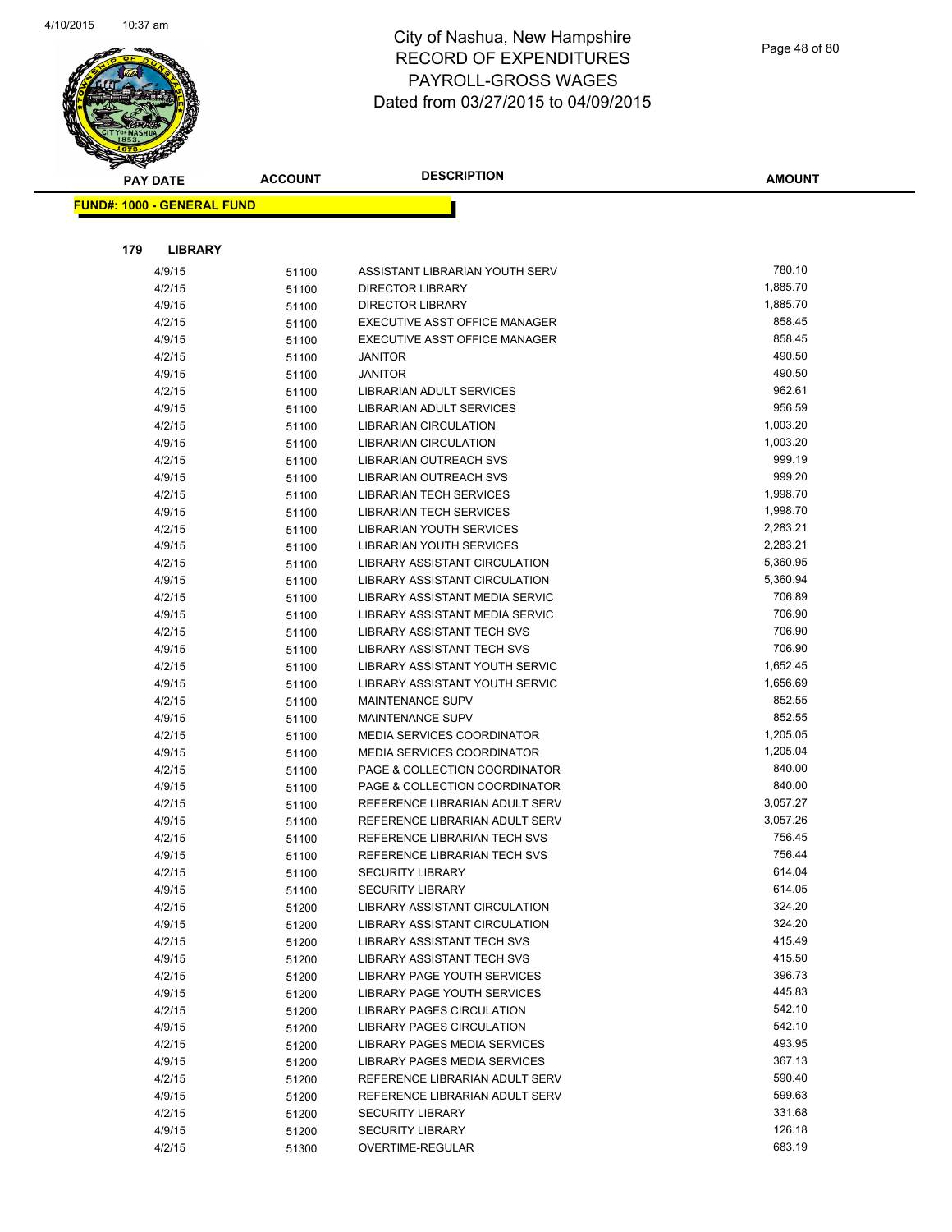

Page 48 of 80

| <b>PAY DATE</b>                   | <b>ACCOUNT</b> | <b>DESCRIPTION</b>                               | <b>AMOUNT</b>    |
|-----------------------------------|----------------|--------------------------------------------------|------------------|
| <b>FUND#: 1000 - GENERAL FUND</b> |                |                                                  |                  |
|                                   |                |                                                  |                  |
|                                   |                |                                                  |                  |
| 179<br><b>LIBRARY</b>             |                |                                                  |                  |
| 4/9/15                            | 51100          | ASSISTANT LIBRARIAN YOUTH SERV                   | 780.10           |
| 4/2/15                            | 51100          | <b>DIRECTOR LIBRARY</b>                          | 1,885.70         |
| 4/9/15                            | 51100          | <b>DIRECTOR LIBRARY</b>                          | 1,885.70         |
| 4/2/15                            | 51100          | EXECUTIVE ASST OFFICE MANAGER                    | 858.45           |
| 4/9/15                            | 51100          | EXECUTIVE ASST OFFICE MANAGER                    | 858.45           |
| 4/2/15                            | 51100          | <b>JANITOR</b>                                   | 490.50           |
| 4/9/15                            | 51100          | <b>JANITOR</b>                                   | 490.50           |
| 4/2/15                            | 51100          | LIBRARIAN ADULT SERVICES                         | 962.61<br>956.59 |
| 4/9/15                            | 51100          | LIBRARIAN ADULT SERVICES                         | 1,003.20         |
| 4/2/15                            | 51100          | <b>LIBRARIAN CIRCULATION</b>                     | 1,003.20         |
| 4/9/15                            | 51100          | <b>LIBRARIAN CIRCULATION</b>                     | 999.19           |
| 4/2/15<br>4/9/15                  | 51100          | LIBRARIAN OUTREACH SVS<br>LIBRARIAN OUTREACH SVS | 999.20           |
| 4/2/15                            | 51100          | LIBRARIAN TECH SERVICES                          | 1,998.70         |
| 4/9/15                            | 51100          | <b>LIBRARIAN TECH SERVICES</b>                   | 1,998.70         |
| 4/2/15                            | 51100<br>51100 | LIBRARIAN YOUTH SERVICES                         | 2,283.21         |
| 4/9/15                            | 51100          | LIBRARIAN YOUTH SERVICES                         | 2,283.21         |
| 4/2/15                            | 51100          | LIBRARY ASSISTANT CIRCULATION                    | 5,360.95         |
| 4/9/15                            | 51100          | LIBRARY ASSISTANT CIRCULATION                    | 5,360.94         |
| 4/2/15                            | 51100          | LIBRARY ASSISTANT MEDIA SERVIC                   | 706.89           |
| 4/9/15                            | 51100          | LIBRARY ASSISTANT MEDIA SERVIC                   | 706.90           |
| 4/2/15                            | 51100          | LIBRARY ASSISTANT TECH SVS                       | 706.90           |
| 4/9/15                            | 51100          | LIBRARY ASSISTANT TECH SVS                       | 706.90           |
| 4/2/15                            | 51100          | LIBRARY ASSISTANT YOUTH SERVIC                   | 1,652.45         |
| 4/9/15                            | 51100          | LIBRARY ASSISTANT YOUTH SERVIC                   | 1,656.69         |
| 4/2/15                            | 51100          | <b>MAINTENANCE SUPV</b>                          | 852.55           |
| 4/9/15                            | 51100          | <b>MAINTENANCE SUPV</b>                          | 852.55           |
| 4/2/15                            | 51100          | <b>MEDIA SERVICES COORDINATOR</b>                | 1,205.05         |
| 4/9/15                            | 51100          | <b>MEDIA SERVICES COORDINATOR</b>                | 1,205.04         |
| 4/2/15                            | 51100          | PAGE & COLLECTION COORDINATOR                    | 840.00           |
| 4/9/15                            | 51100          | PAGE & COLLECTION COORDINATOR                    | 840.00           |
| 4/2/15                            | 51100          | REFERENCE LIBRARIAN ADULT SERV                   | 3,057.27         |
| 4/9/15                            | 51100          | REFERENCE LIBRARIAN ADULT SERV                   | 3,057.26         |
| 4/2/15                            | 51100          | REFERENCE LIBRARIAN TECH SVS                     | 756.45           |
| 4/9/15                            | 51100          | REFERENCE LIBRARIAN TECH SVS                     | 756.44           |
| 4/2/15                            | 51100          | <b>SECURITY LIBRARY</b>                          | 614.04           |
| 4/9/15                            | 51100          | <b>SECURITY LIBRARY</b>                          | 614.05           |
| 4/2/15                            | 51200          | LIBRARY ASSISTANT CIRCULATION                    | 324.20           |
| 4/9/15                            | 51200          | LIBRARY ASSISTANT CIRCULATION                    | 324.20           |
| 4/2/15                            | 51200          | LIBRARY ASSISTANT TECH SVS                       | 415.49           |
| 4/9/15                            | 51200          | LIBRARY ASSISTANT TECH SVS                       | 415.50           |
| 4/2/15                            | 51200          | LIBRARY PAGE YOUTH SERVICES                      | 396.73           |
| 4/9/15                            | 51200          | LIBRARY PAGE YOUTH SERVICES                      | 445.83           |
| 4/2/15                            | 51200          | LIBRARY PAGES CIRCULATION                        | 542.10           |
| 4/9/15                            | 51200          | <b>LIBRARY PAGES CIRCULATION</b>                 | 542.10           |
| 4/2/15                            | 51200          | LIBRARY PAGES MEDIA SERVICES                     | 493.95           |
| 4/9/15                            | 51200          | LIBRARY PAGES MEDIA SERVICES                     | 367.13           |
| 4/2/15                            | 51200          | REFERENCE LIBRARIAN ADULT SERV                   | 590.40           |
| 4/9/15                            | 51200          | REFERENCE LIBRARIAN ADULT SERV                   | 599.63           |
| 4/2/15                            | 51200          | <b>SECURITY LIBRARY</b>                          | 331.68           |
| 4/9/15                            | 51200          | <b>SECURITY LIBRARY</b>                          | 126.18           |
| 4/2/15                            | 51300          | OVERTIME-REGULAR                                 | 683.19           |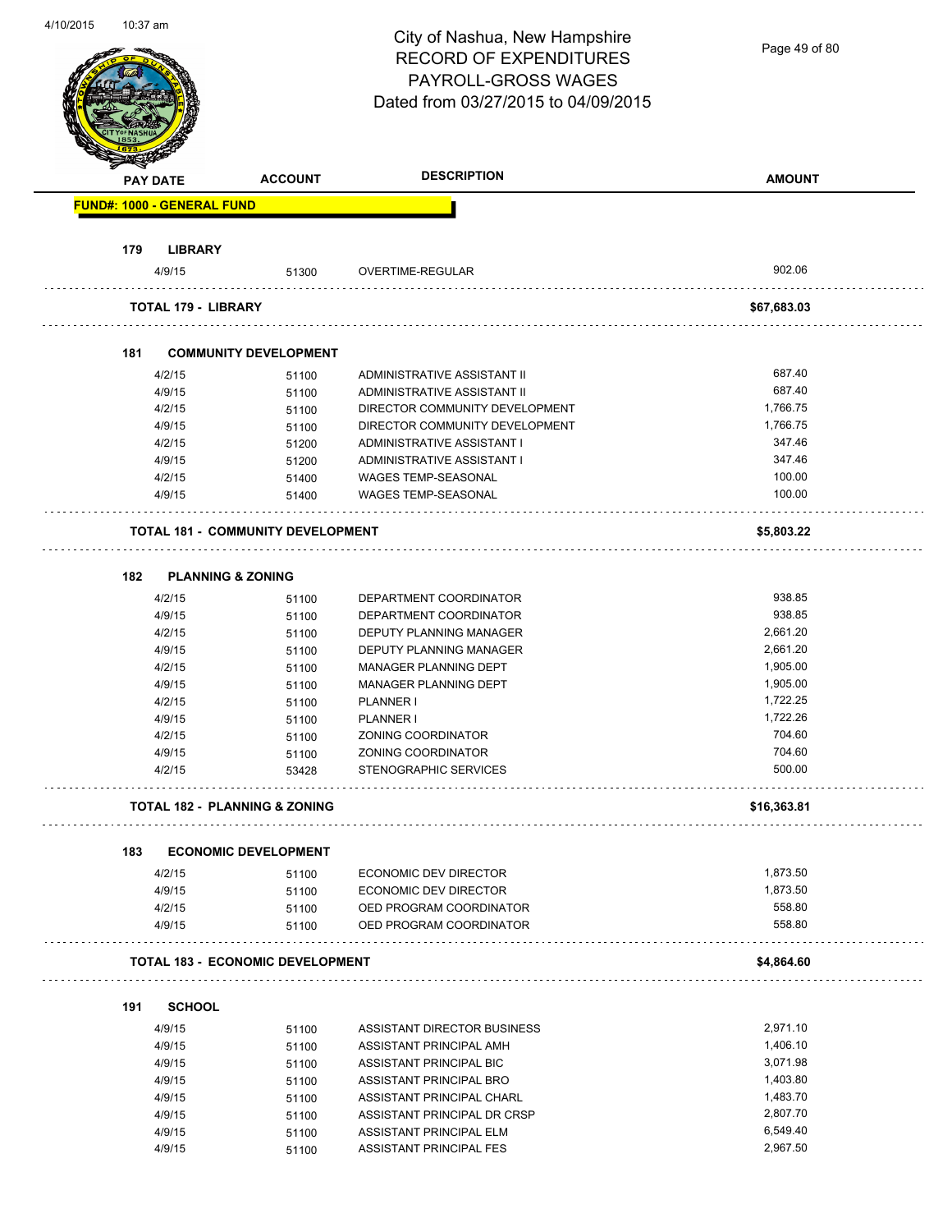Page 49 of 80

|     | <b>PAY DATE</b>                   | <b>ACCOUNT</b>                           | <b>DESCRIPTION</b>                             | <b>AMOUNT</b>        |
|-----|-----------------------------------|------------------------------------------|------------------------------------------------|----------------------|
|     | <b>FUND#: 1000 - GENERAL FUND</b> |                                          |                                                |                      |
| 179 | <b>LIBRARY</b>                    |                                          |                                                |                      |
|     | 4/9/15                            | 51300                                    | <b>OVERTIME-REGULAR</b>                        | 902.06               |
|     | <b>TOTAL 179 - LIBRARY</b>        |                                          |                                                | \$67,683.03          |
| 181 |                                   | <b>COMMUNITY DEVELOPMENT</b>             |                                                |                      |
|     | 4/2/15                            | 51100                                    | ADMINISTRATIVE ASSISTANT II                    | 687.40               |
|     | 4/9/15                            | 51100                                    | ADMINISTRATIVE ASSISTANT II                    | 687.40               |
|     | 4/2/15                            | 51100                                    | DIRECTOR COMMUNITY DEVELOPMENT                 | 1.766.75             |
|     | 4/9/15                            | 51100                                    | DIRECTOR COMMUNITY DEVELOPMENT                 | 1,766.75             |
|     | 4/2/15                            | 51200                                    | ADMINISTRATIVE ASSISTANT I                     | 347.46               |
|     | 4/9/15                            | 51200                                    | ADMINISTRATIVE ASSISTANT I                     | 347.46               |
|     | 4/2/15                            | 51400                                    | WAGES TEMP-SEASONAL                            | 100.00               |
|     | 4/9/15                            | 51400                                    | <b>WAGES TEMP-SEASONAL</b>                     | 100.00               |
|     |                                   | <b>TOTAL 181 - COMMUNITY DEVELOPMENT</b> |                                                | \$5,803.22           |
| 182 | <b>PLANNING &amp; ZONING</b>      |                                          |                                                |                      |
|     |                                   |                                          |                                                | 938.85               |
|     | 4/2/15                            | 51100                                    | DEPARTMENT COORDINATOR                         | 938.85               |
|     | 4/9/15                            | 51100                                    | DEPARTMENT COORDINATOR                         |                      |
|     | 4/2/15                            | 51100                                    | DEPUTY PLANNING MANAGER                        | 2,661.20             |
|     | 4/9/15                            | 51100                                    | DEPUTY PLANNING MANAGER                        | 2,661.20             |
|     | 4/2/15                            | 51100                                    | MANAGER PLANNING DEPT                          | 1,905.00             |
|     | 4/9/15                            | 51100                                    | MANAGER PLANNING DEPT                          | 1,905.00<br>1,722.25 |
|     | 4/2/15<br>4/9/15                  | 51100                                    | PLANNER I<br><b>PLANNER I</b>                  | 1,722.26             |
|     | 4/2/15                            | 51100                                    |                                                | 704.60               |
|     |                                   | 51100                                    | ZONING COORDINATOR                             | 704.60               |
|     | 4/9/15<br>4/2/15                  | 51100<br>53428                           | ZONING COORDINATOR<br>STENOGRAPHIC SERVICES    | 500.00               |
|     |                                   | TOTAL 182 - PLANNING & ZONING            |                                                | \$16,363.81          |
|     |                                   |                                          |                                                |                      |
| 183 |                                   | <b>ECONOMIC DEVELOPMENT</b>              |                                                | 1,873.50             |
|     | 4/2/15<br>4/9/15                  | 51100                                    | ECONOMIC DEV DIRECTOR<br>ECONOMIC DEV DIRECTOR | 1,873.50             |
|     | 4/2/15                            | 51100<br>51100                           | OED PROGRAM COORDINATOR                        | 558.80               |
|     | 4/9/15                            | 51100                                    | OED PROGRAM COORDINATOR                        | 558.80               |
|     |                                   | <b>TOTAL 183 - ECONOMIC DEVELOPMENT</b>  |                                                | \$4,864.60           |
| 191 | <b>SCHOOL</b>                     |                                          |                                                |                      |
|     |                                   |                                          |                                                | 2,971.10             |
|     | 4/9/15                            | 51100                                    | ASSISTANT DIRECTOR BUSINESS                    | 1,406.10             |
|     | 4/9/15                            | 51100                                    | ASSISTANT PRINCIPAL AMH                        |                      |
|     | 4/9/15                            | 51100                                    | ASSISTANT PRINCIPAL BIC                        | 3,071.98<br>1,403.80 |
|     | 4/9/15                            | 51100                                    | ASSISTANT PRINCIPAL BRO                        |                      |
|     | 4/9/15                            | 51100                                    | ASSISTANT PRINCIPAL CHARL                      | 1,483.70<br>2,807.70 |
|     | 4/9/15                            | 51100                                    | ASSISTANT PRINCIPAL DR CRSP                    |                      |
|     | 4/9/15                            | 51100                                    | ASSISTANT PRINCIPAL ELM                        | 6,549.40             |
|     | 4/9/15                            | 51100                                    | ASSISTANT PRINCIPAL FES                        | 2,967.50             |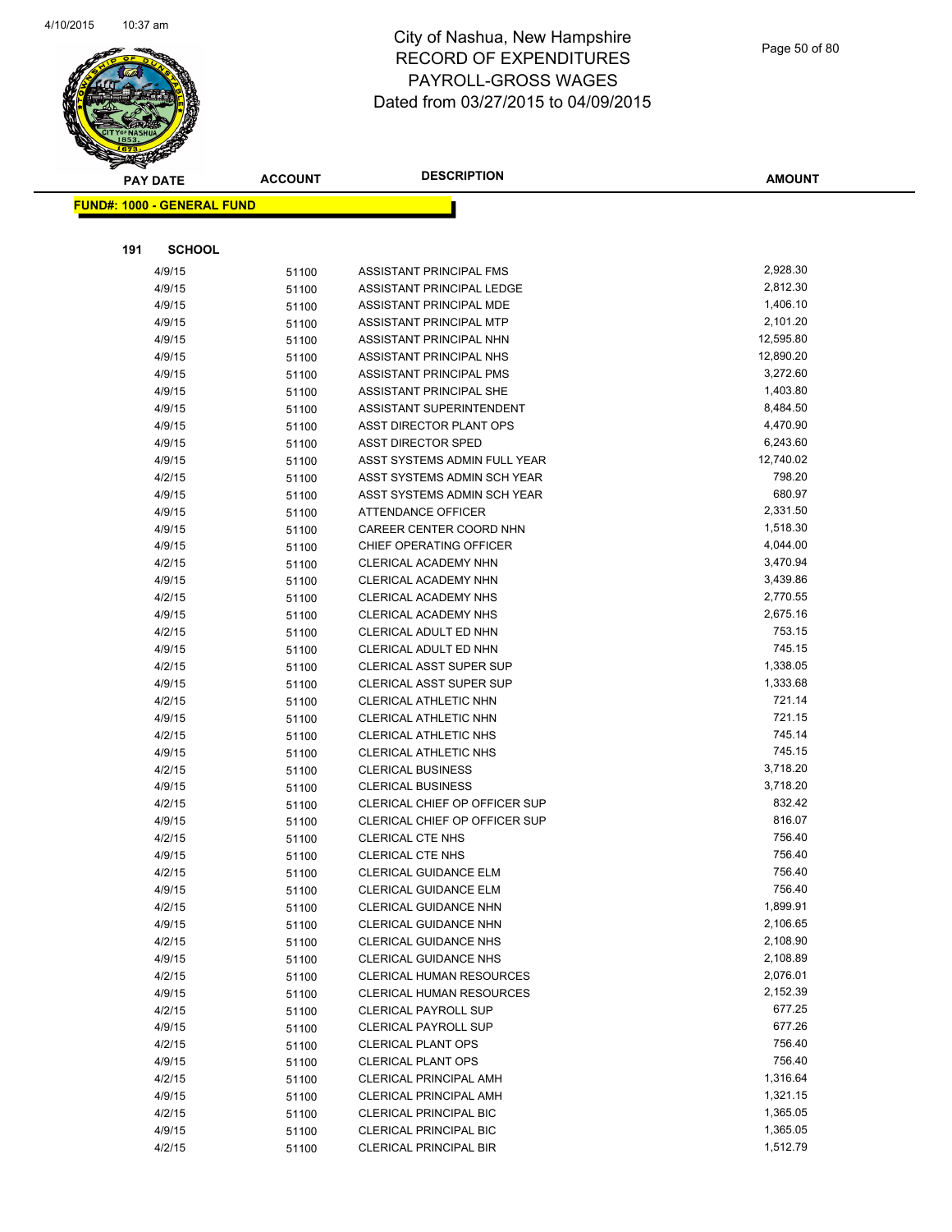

#### Page 50 of 80

| <b>PAY DATE</b>                   | <b>ACCOUNT</b> | <b>DESCRIPTION</b>                   | <b>AMOUNT</b> |
|-----------------------------------|----------------|--------------------------------------|---------------|
| <b>FUND#: 1000 - GENERAL FUND</b> |                |                                      |               |
|                                   |                |                                      |               |
|                                   |                |                                      |               |
| 191<br><b>SCHOOL</b>              |                |                                      |               |
| 4/9/15                            | 51100          | ASSISTANT PRINCIPAL FMS              | 2,928.30      |
| 4/9/15                            | 51100          | ASSISTANT PRINCIPAL LEDGE            | 2,812.30      |
| 4/9/15                            | 51100          | ASSISTANT PRINCIPAL MDE              | 1,406.10      |
| 4/9/15                            | 51100          | ASSISTANT PRINCIPAL MTP              | 2,101.20      |
| 4/9/15                            | 51100          | ASSISTANT PRINCIPAL NHN              | 12,595.80     |
| 4/9/15                            | 51100          | ASSISTANT PRINCIPAL NHS              | 12,890.20     |
| 4/9/15                            | 51100          | ASSISTANT PRINCIPAL PMS              | 3,272.60      |
| 4/9/15                            | 51100          | ASSISTANT PRINCIPAL SHE              | 1,403.80      |
| 4/9/15                            | 51100          | ASSISTANT SUPERINTENDENT             | 8,484.50      |
| 4/9/15                            | 51100          | ASST DIRECTOR PLANT OPS              | 4,470.90      |
| 4/9/15                            | 51100          | <b>ASST DIRECTOR SPED</b>            | 6,243.60      |
| 4/9/15                            | 51100          | ASST SYSTEMS ADMIN FULL YEAR         | 12,740.02     |
| 4/2/15                            | 51100          | ASST SYSTEMS ADMIN SCH YEAR          | 798.20        |
| 4/9/15                            | 51100          | ASST SYSTEMS ADMIN SCH YEAR          | 680.97        |
| 4/9/15                            | 51100          | ATTENDANCE OFFICER                   | 2,331.50      |
| 4/9/15                            | 51100          | CAREER CENTER COORD NHN              | 1,518.30      |
| 4/9/15                            | 51100          | CHIEF OPERATING OFFICER              | 4,044.00      |
| 4/2/15                            | 51100          | CLERICAL ACADEMY NHN                 | 3,470.94      |
| 4/9/15                            | 51100          | CLERICAL ACADEMY NHN                 | 3,439.86      |
| 4/2/15                            | 51100          | CLERICAL ACADEMY NHS                 | 2,770.55      |
| 4/9/15                            | 51100          | CLERICAL ACADEMY NHS                 | 2,675.16      |
| 4/2/15                            | 51100          | CLERICAL ADULT ED NHN                | 753.15        |
| 4/9/15                            | 51100          | CLERICAL ADULT ED NHN                | 745.15        |
| 4/2/15                            | 51100          | CLERICAL ASST SUPER SUP              | 1,338.05      |
| 4/9/15                            | 51100          | CLERICAL ASST SUPER SUP              | 1,333.68      |
| 4/2/15                            | 51100          | CLERICAL ATHLETIC NHN                | 721.14        |
| 4/9/15                            | 51100          | CLERICAL ATHLETIC NHN                | 721.15        |
| 4/2/15                            | 51100          | CLERICAL ATHLETIC NHS                | 745.14        |
| 4/9/15                            | 51100          | CLERICAL ATHLETIC NHS                | 745.15        |
| 4/2/15                            | 51100          | <b>CLERICAL BUSINESS</b>             | 3,718.20      |
| 4/9/15                            | 51100          | <b>CLERICAL BUSINESS</b>             | 3,718.20      |
| 4/2/15                            | 51100          | CLERICAL CHIEF OP OFFICER SUP        | 832.42        |
| 4/9/15                            | 51100          | <b>CLERICAL CHIEF OP OFFICER SUP</b> | 816.07        |
| 4/2/15                            | 51100          | <b>CLERICAL CTE NHS</b>              | 756.40        |
| 4/9/15                            | 51100          | <b>CLERICAL CTE NHS</b>              | 756.40        |
| 4/2/15                            | 51100          | CLERICAL GUIDANCE ELM                | 756.40        |
| 4/9/15                            | 51100          | CLERICAL GUIDANCE ELM                | 756.40        |
| 4/2/15                            | 51100          | CLERICAL GUIDANCE NHN                | 1,899.91      |
| 4/9/15                            | 51100          | CLERICAL GUIDANCE NHN                | 2,106.65      |
| 4/2/15                            | 51100          | <b>CLERICAL GUIDANCE NHS</b>         | 2,108.90      |
| 4/9/15                            | 51100          | CLERICAL GUIDANCE NHS                | 2,108.89      |
| 4/2/15                            | 51100          | CLERICAL HUMAN RESOURCES             | 2,076.01      |
| 4/9/15                            | 51100          | CLERICAL HUMAN RESOURCES             | 2,152.39      |
| 4/2/15                            | 51100          | <b>CLERICAL PAYROLL SUP</b>          | 677.25        |
| 4/9/15                            | 51100          | <b>CLERICAL PAYROLL SUP</b>          | 677.26        |
| 4/2/15                            | 51100          | <b>CLERICAL PLANT OPS</b>            | 756.40        |
| 4/9/15                            | 51100          | <b>CLERICAL PLANT OPS</b>            | 756.40        |
| 4/2/15                            | 51100          | <b>CLERICAL PRINCIPAL AMH</b>        | 1,316.64      |
| 4/9/15                            | 51100          | <b>CLERICAL PRINCIPAL AMH</b>        | 1,321.15      |
| 4/2/15                            | 51100          | <b>CLERICAL PRINCIPAL BIC</b>        | 1,365.05      |
| 4/9/15                            | 51100          | CLERICAL PRINCIPAL BIC               | 1,365.05      |
| 4/2/15                            | 51100          | <b>CLERICAL PRINCIPAL BIR</b>        | 1,512.79      |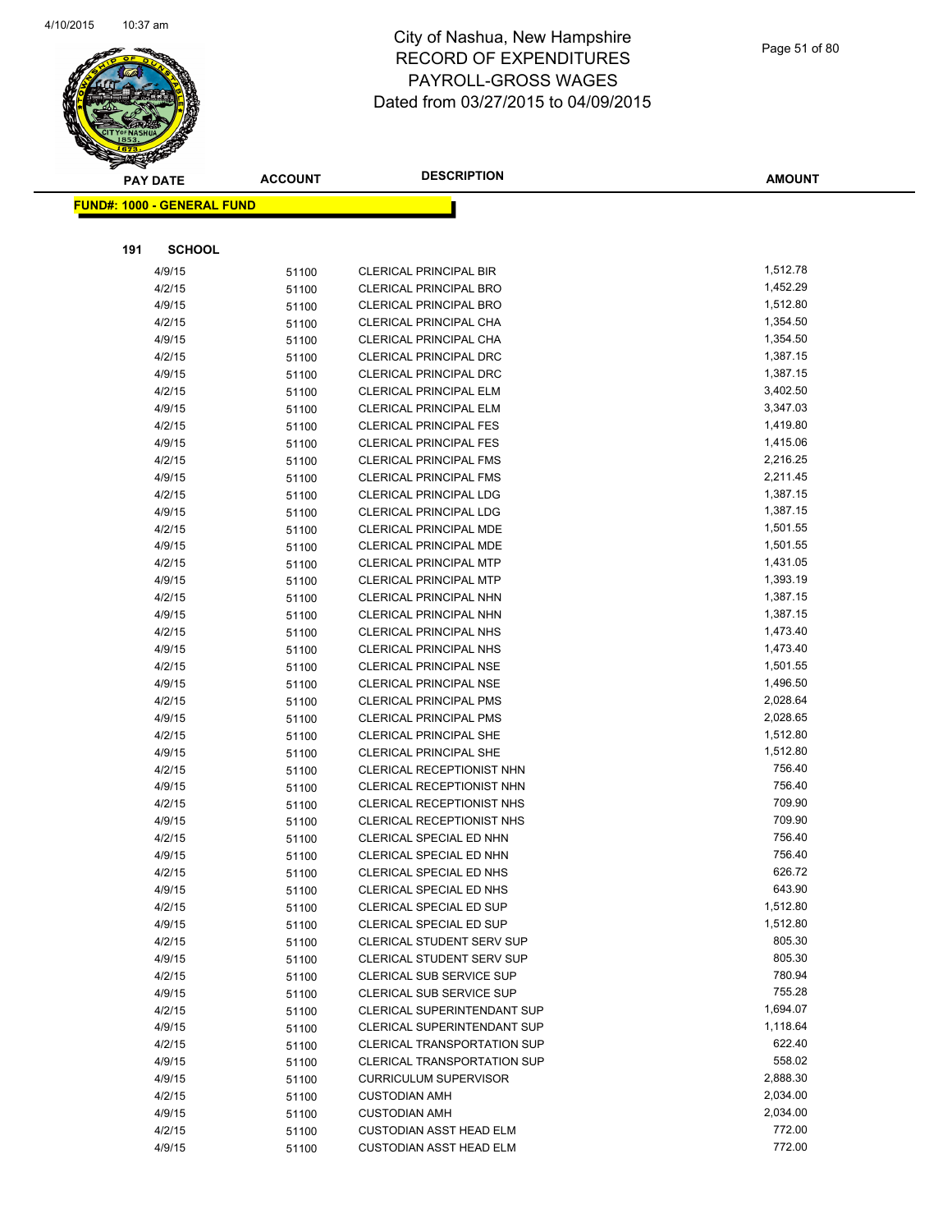

|     | <b>PAY DATE</b>                   | <b>ACCOUNT</b> | <b>DESCRIPTION</b>                                      | <b>AMOUNT</b>        |
|-----|-----------------------------------|----------------|---------------------------------------------------------|----------------------|
|     | <b>FUND#: 1000 - GENERAL FUND</b> |                |                                                         |                      |
|     |                                   |                |                                                         |                      |
|     |                                   |                |                                                         |                      |
| 191 | <b>SCHOOL</b>                     |                |                                                         |                      |
|     | 4/9/15                            | 51100          | <b>CLERICAL PRINCIPAL BIR</b>                           | 1,512.78             |
|     | 4/2/15                            | 51100          | <b>CLERICAL PRINCIPAL BRO</b>                           | 1,452.29             |
|     | 4/9/15                            | 51100          | <b>CLERICAL PRINCIPAL BRO</b>                           | 1,512.80             |
|     | 4/2/15                            | 51100          | CLERICAL PRINCIPAL CHA                                  | 1,354.50             |
|     | 4/9/15                            | 51100          | <b>CLERICAL PRINCIPAL CHA</b>                           | 1,354.50             |
|     | 4/2/15                            | 51100          | <b>CLERICAL PRINCIPAL DRC</b>                           | 1,387.15             |
|     | 4/9/15                            | 51100          | CLERICAL PRINCIPAL DRC                                  | 1,387.15             |
|     | 4/2/15                            | 51100          | CLERICAL PRINCIPAL ELM                                  | 3,402.50             |
|     | 4/9/15                            | 51100          | <b>CLERICAL PRINCIPAL ELM</b>                           | 3,347.03             |
|     | 4/2/15                            | 51100          | <b>CLERICAL PRINCIPAL FES</b>                           | 1,419.80             |
|     | 4/9/15                            | 51100          | <b>CLERICAL PRINCIPAL FES</b>                           | 1,415.06             |
|     | 4/2/15                            | 51100          | <b>CLERICAL PRINCIPAL FMS</b>                           | 2,216.25<br>2,211.45 |
|     | 4/9/15                            | 51100          | <b>CLERICAL PRINCIPAL FMS</b>                           | 1,387.15             |
|     | 4/2/15                            | 51100          | CLERICAL PRINCIPAL LDG<br><b>CLERICAL PRINCIPAL LDG</b> | 1,387.15             |
|     | 4/9/15                            | 51100          |                                                         | 1,501.55             |
|     | 4/2/15<br>4/9/15                  | 51100          | CLERICAL PRINCIPAL MDE<br>CLERICAL PRINCIPAL MDE        | 1,501.55             |
|     | 4/2/15                            | 51100          | <b>CLERICAL PRINCIPAL MTP</b>                           | 1,431.05             |
|     | 4/9/15                            | 51100          | <b>CLERICAL PRINCIPAL MTP</b>                           | 1,393.19             |
|     | 4/2/15                            | 51100          | CLERICAL PRINCIPAL NHN                                  | 1,387.15             |
|     | 4/9/15                            | 51100          | CLERICAL PRINCIPAL NHN                                  | 1,387.15             |
|     | 4/2/15                            | 51100<br>51100 | <b>CLERICAL PRINCIPAL NHS</b>                           | 1,473.40             |
|     | 4/9/15                            | 51100          | <b>CLERICAL PRINCIPAL NHS</b>                           | 1,473.40             |
|     | 4/2/15                            | 51100          | <b>CLERICAL PRINCIPAL NSE</b>                           | 1,501.55             |
|     | 4/9/15                            | 51100          | <b>CLERICAL PRINCIPAL NSE</b>                           | 1,496.50             |
|     | 4/2/15                            | 51100          | <b>CLERICAL PRINCIPAL PMS</b>                           | 2,028.64             |
|     | 4/9/15                            | 51100          | <b>CLERICAL PRINCIPAL PMS</b>                           | 2,028.65             |
|     | 4/2/15                            | 51100          | <b>CLERICAL PRINCIPAL SHE</b>                           | 1,512.80             |
|     | 4/9/15                            | 51100          | <b>CLERICAL PRINCIPAL SHE</b>                           | 1,512.80             |
|     | 4/2/15                            | 51100          | <b>CLERICAL RECEPTIONIST NHN</b>                        | 756.40               |
|     | 4/9/15                            | 51100          | CLERICAL RECEPTIONIST NHN                               | 756.40               |
|     | 4/2/15                            | 51100          | CLERICAL RECEPTIONIST NHS                               | 709.90               |
|     | 4/9/15                            | 51100          | CLERICAL RECEPTIONIST NHS                               | 709.90               |
|     | 4/2/15                            | 51100          | CLERICAL SPECIAL ED NHN                                 | 756.40               |
|     | 4/9/15                            | 51100          | CLERICAL SPECIAL ED NHN                                 | 756.40               |
|     | 4/2/15                            | 51100          | CLERICAL SPECIAL ED NHS                                 | 626.72               |
|     | 4/9/15                            | 51100          | CLERICAL SPECIAL ED NHS                                 | 643.90               |
|     | 4/2/15                            | 51100          | CLERICAL SPECIAL ED SUP                                 | 1,512.80             |
|     | 4/9/15                            | 51100          | CLERICAL SPECIAL ED SUP                                 | 1,512.80             |
|     | 4/2/15                            | 51100          | <b>CLERICAL STUDENT SERV SUP</b>                        | 805.30               |
|     | 4/9/15                            | 51100          | CLERICAL STUDENT SERV SUP                               | 805.30               |
|     | 4/2/15                            | 51100          | CLERICAL SUB SERVICE SUP                                | 780.94               |
|     | 4/9/15                            | 51100          | CLERICAL SUB SERVICE SUP                                | 755.28               |
|     | 4/2/15                            | 51100          | <b>CLERICAL SUPERINTENDANT SUP</b>                      | 1,694.07             |
|     | 4/9/15                            | 51100          | <b>CLERICAL SUPERINTENDANT SUP</b>                      | 1,118.64             |
|     | 4/2/15                            | 51100          | <b>CLERICAL TRANSPORTATION SUP</b>                      | 622.40               |
|     | 4/9/15                            | 51100          | CLERICAL TRANSPORTATION SUP                             | 558.02               |
|     | 4/9/15                            | 51100          | <b>CURRICULUM SUPERVISOR</b>                            | 2,888.30             |
|     | 4/2/15                            | 51100          | <b>CUSTODIAN AMH</b>                                    | 2,034.00             |
|     | 4/9/15                            | 51100          | <b>CUSTODIAN AMH</b>                                    | 2,034.00             |
|     | 4/2/15                            | 51100          | <b>CUSTODIAN ASST HEAD ELM</b>                          | 772.00               |
|     | 4/9/15                            | 51100          | <b>CUSTODIAN ASST HEAD ELM</b>                          | 772.00               |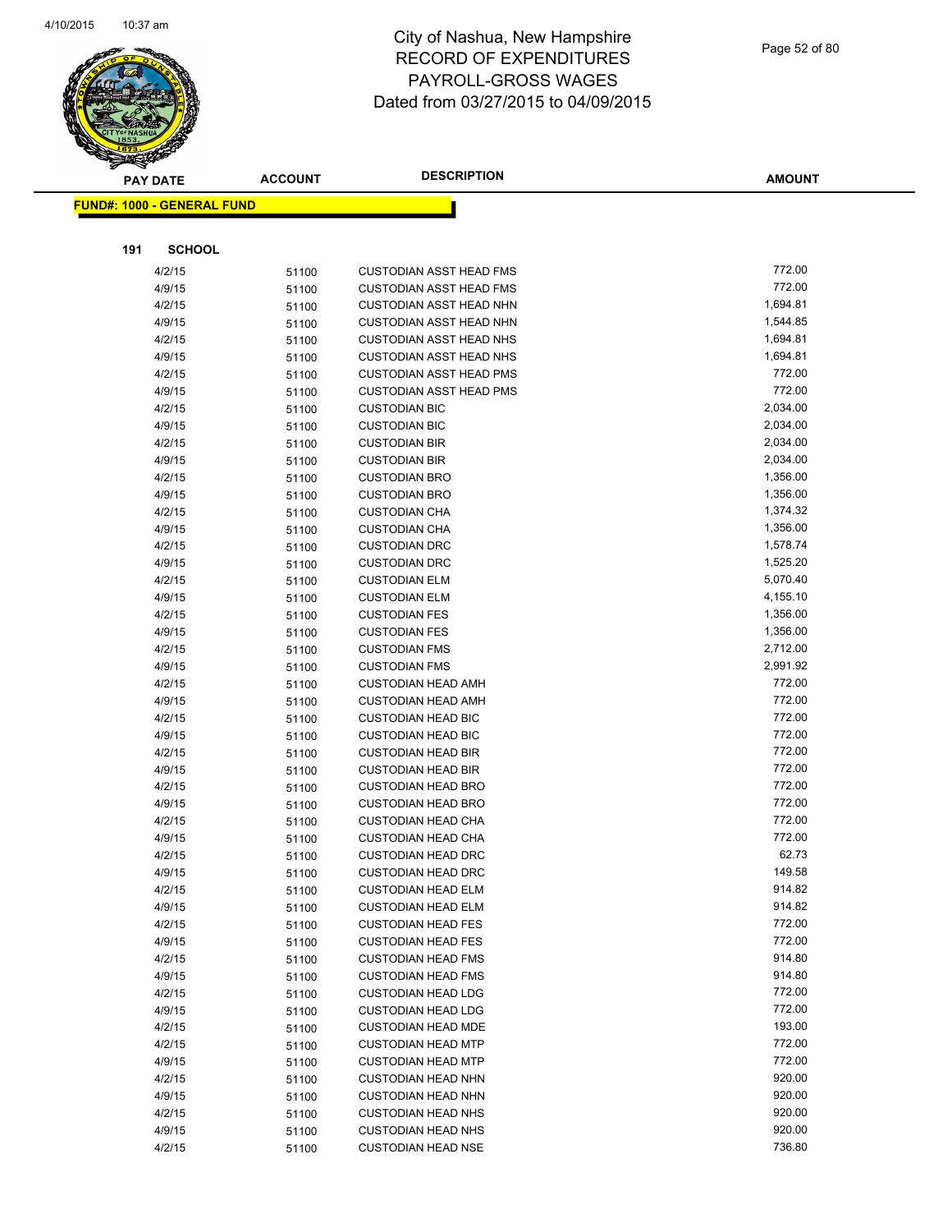

|     | <b>PAY DATE</b>                   | <b>ACCOUNT</b> | <b>DESCRIPTION</b>             | <b>AMOUNT</b> |  |
|-----|-----------------------------------|----------------|--------------------------------|---------------|--|
|     | <b>FUND#: 1000 - GENERAL FUND</b> |                |                                |               |  |
|     |                                   |                |                                |               |  |
|     |                                   |                |                                |               |  |
| 191 | <b>SCHOOL</b>                     |                |                                |               |  |
|     | 4/2/15                            | 51100          | <b>CUSTODIAN ASST HEAD FMS</b> | 772.00        |  |
|     | 4/9/15                            | 51100          | <b>CUSTODIAN ASST HEAD FMS</b> | 772.00        |  |
|     | 4/2/15                            | 51100          | <b>CUSTODIAN ASST HEAD NHN</b> | 1,694.81      |  |
|     | 4/9/15                            | 51100          | <b>CUSTODIAN ASST HEAD NHN</b> | 1,544.85      |  |
|     | 4/2/15                            | 51100          | <b>CUSTODIAN ASST HEAD NHS</b> | 1,694.81      |  |
|     | 4/9/15                            | 51100          | <b>CUSTODIAN ASST HEAD NHS</b> | 1,694.81      |  |
|     | 4/2/15                            | 51100          | <b>CUSTODIAN ASST HEAD PMS</b> | 772.00        |  |
|     | 4/9/15                            | 51100          | <b>CUSTODIAN ASST HEAD PMS</b> | 772.00        |  |
|     | 4/2/15                            | 51100          | <b>CUSTODIAN BIC</b>           | 2,034.00      |  |
|     | 4/9/15                            | 51100          | <b>CUSTODIAN BIC</b>           | 2,034.00      |  |
|     | 4/2/15                            | 51100          | <b>CUSTODIAN BIR</b>           | 2,034.00      |  |
|     | 4/9/15                            | 51100          | <b>CUSTODIAN BIR</b>           | 2,034.00      |  |
|     | 4/2/15                            | 51100          | <b>CUSTODIAN BRO</b>           | 1,356.00      |  |
|     | 4/9/15                            | 51100          | <b>CUSTODIAN BRO</b>           | 1,356.00      |  |
|     | 4/2/15                            | 51100          | <b>CUSTODIAN CHA</b>           | 1,374.32      |  |
|     | 4/9/15                            | 51100          | <b>CUSTODIAN CHA</b>           | 1,356.00      |  |
|     | 4/2/15                            | 51100          | <b>CUSTODIAN DRC</b>           | 1,578.74      |  |
|     | 4/9/15                            | 51100          | <b>CUSTODIAN DRC</b>           | 1,525.20      |  |
|     | 4/2/15                            | 51100          | <b>CUSTODIAN ELM</b>           | 5,070.40      |  |
|     | 4/9/15                            | 51100          | <b>CUSTODIAN ELM</b>           | 4,155.10      |  |
|     | 4/2/15                            | 51100          | <b>CUSTODIAN FES</b>           | 1,356.00      |  |
|     | 4/9/15                            | 51100          | <b>CUSTODIAN FES</b>           | 1,356.00      |  |
|     | 4/2/15                            | 51100          | <b>CUSTODIAN FMS</b>           | 2,712.00      |  |
|     | 4/9/15                            | 51100          | <b>CUSTODIAN FMS</b>           | 2,991.92      |  |
|     | 4/2/15                            | 51100          | <b>CUSTODIAN HEAD AMH</b>      | 772.00        |  |
|     | 4/9/15                            | 51100          | <b>CUSTODIAN HEAD AMH</b>      | 772.00        |  |
|     | 4/2/15                            | 51100          | <b>CUSTODIAN HEAD BIC</b>      | 772.00        |  |
|     | 4/9/15                            | 51100          | <b>CUSTODIAN HEAD BIC</b>      | 772.00        |  |
|     | 4/2/15                            | 51100          | <b>CUSTODIAN HEAD BIR</b>      | 772.00        |  |
|     | 4/9/15                            | 51100          | <b>CUSTODIAN HEAD BIR</b>      | 772.00        |  |
|     | 4/2/15                            | 51100          | <b>CUSTODIAN HEAD BRO</b>      | 772.00        |  |
|     | 4/9/15                            | 51100          | <b>CUSTODIAN HEAD BRO</b>      | 772.00        |  |
|     | 4/2/15                            | 51100          | <b>CUSTODIAN HEAD CHA</b>      | 772.00        |  |
|     | 4/9/15                            | 51100          | <b>CUSTODIAN HEAD CHA</b>      | 772.00        |  |
|     | 4/2/15                            | 51100          | <b>CUSTODIAN HEAD DRC</b>      | 62.73         |  |
|     | 4/9/15                            | 51100          | <b>CUSTODIAN HEAD DRC</b>      | 149.58        |  |
|     | 4/2/15                            | 51100          | <b>CUSTODIAN HEAD ELM</b>      | 914.82        |  |
|     | 4/9/15                            | 51100          | <b>CUSTODIAN HEAD ELM</b>      | 914.82        |  |
|     | 4/2/15                            | 51100          | <b>CUSTODIAN HEAD FES</b>      | 772.00        |  |
|     | 4/9/15                            | 51100          | <b>CUSTODIAN HEAD FES</b>      | 772.00        |  |
|     | 4/2/15                            | 51100          | <b>CUSTODIAN HEAD FMS</b>      | 914.80        |  |
|     | 4/9/15                            | 51100          | <b>CUSTODIAN HEAD FMS</b>      | 914.80        |  |
|     | 4/2/15                            | 51100          | <b>CUSTODIAN HEAD LDG</b>      | 772.00        |  |
|     | 4/9/15                            | 51100          | <b>CUSTODIAN HEAD LDG</b>      | 772.00        |  |
|     | 4/2/15                            | 51100          | <b>CUSTODIAN HEAD MDE</b>      | 193.00        |  |
|     | 4/2/15                            | 51100          | <b>CUSTODIAN HEAD MTP</b>      | 772.00        |  |
|     | 4/9/15                            | 51100          | <b>CUSTODIAN HEAD MTP</b>      | 772.00        |  |
|     | 4/2/15                            | 51100          | <b>CUSTODIAN HEAD NHN</b>      | 920.00        |  |
|     | 4/9/15                            | 51100          | <b>CUSTODIAN HEAD NHN</b>      | 920.00        |  |
|     | 4/2/15                            | 51100          | <b>CUSTODIAN HEAD NHS</b>      | 920.00        |  |
|     | 4/9/15                            | 51100          | <b>CUSTODIAN HEAD NHS</b>      | 920.00        |  |
|     | 4/2/15                            | 51100          | <b>CUSTODIAN HEAD NSE</b>      | 736.80        |  |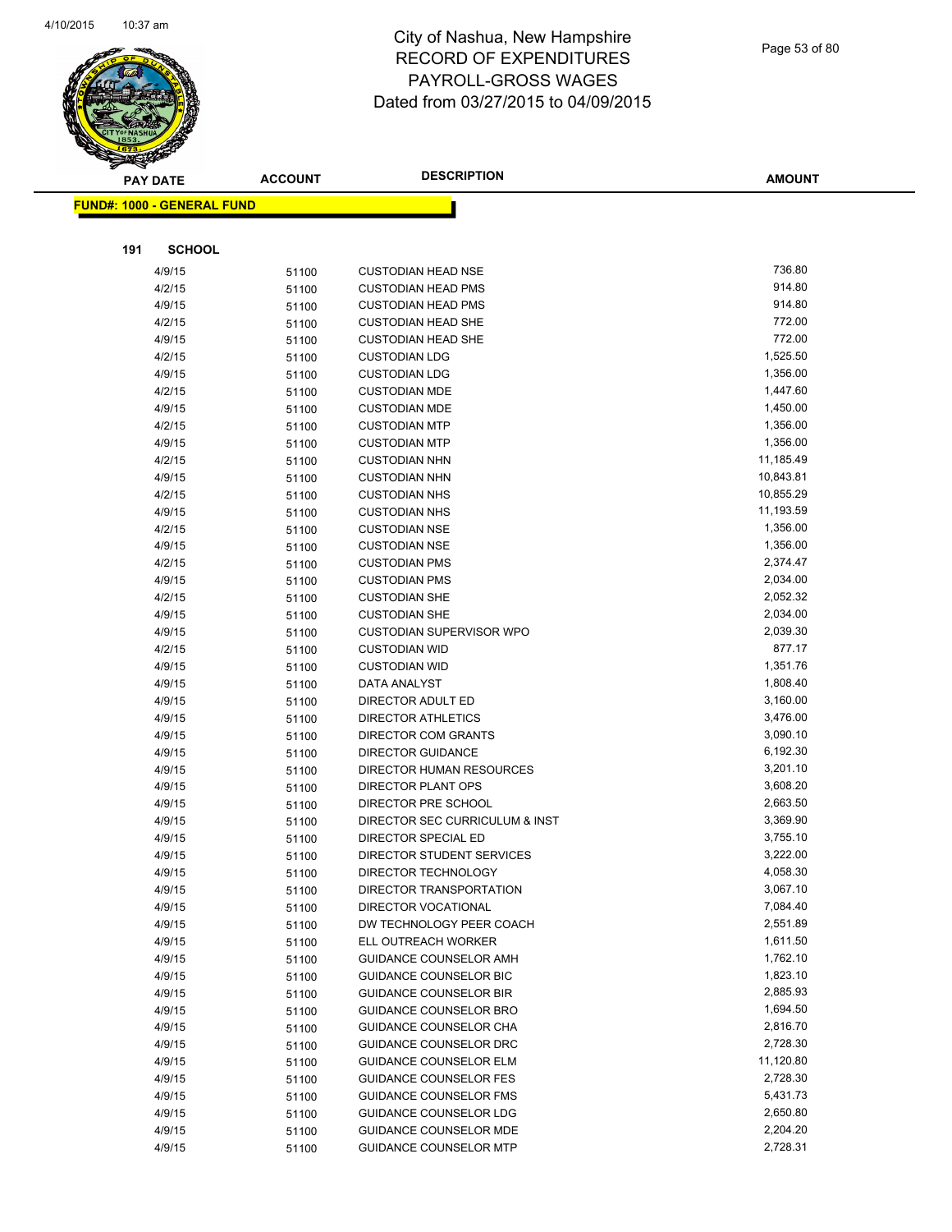

#### Page 53 of 80

|     | <b>PAY DATE</b>            | <b>ACCOUNT</b> | <b>DESCRIPTION</b>                                             | <b>AMOUNT</b>        |
|-----|----------------------------|----------------|----------------------------------------------------------------|----------------------|
|     | FUND#: 1000 - GENERAL FUND |                |                                                                |                      |
|     |                            |                |                                                                |                      |
| 191 | <b>SCHOOL</b>              |                |                                                                |                      |
|     | 4/9/15                     |                | <b>CUSTODIAN HEAD NSE</b>                                      | 736.80               |
|     | 4/2/15                     | 51100          | <b>CUSTODIAN HEAD PMS</b>                                      | 914.80               |
|     | 4/9/15                     | 51100          | <b>CUSTODIAN HEAD PMS</b>                                      | 914.80               |
|     | 4/2/15                     | 51100          | <b>CUSTODIAN HEAD SHE</b>                                      | 772.00               |
|     |                            | 51100          |                                                                | 772.00               |
|     | 4/9/15                     | 51100          | <b>CUSTODIAN HEAD SHE</b>                                      |                      |
|     | 4/2/15                     | 51100          | <b>CUSTODIAN LDG</b>                                           | 1,525.50<br>1,356.00 |
|     | 4/9/15                     | 51100          | <b>CUSTODIAN LDG</b>                                           |                      |
|     | 4/2/15                     | 51100          | <b>CUSTODIAN MDE</b>                                           | 1,447.60<br>1,450.00 |
|     | 4/9/15                     | 51100          | <b>CUSTODIAN MDE</b>                                           | 1,356.00             |
|     | 4/2/15                     | 51100          | <b>CUSTODIAN MTP</b>                                           |                      |
|     | 4/9/15                     | 51100          | <b>CUSTODIAN MTP</b>                                           | 1,356.00             |
|     | 4/2/15                     | 51100          | <b>CUSTODIAN NHN</b>                                           | 11,185.49            |
|     | 4/9/15                     | 51100          | <b>CUSTODIAN NHN</b>                                           | 10,843.81            |
|     | 4/2/15                     | 51100          | <b>CUSTODIAN NHS</b>                                           | 10,855.29            |
|     | 4/9/15                     | 51100          | <b>CUSTODIAN NHS</b>                                           | 11,193.59            |
|     | 4/2/15                     | 51100          | <b>CUSTODIAN NSE</b>                                           | 1,356.00             |
|     | 4/9/15                     | 51100          | <b>CUSTODIAN NSE</b>                                           | 1,356.00             |
|     | 4/2/15                     | 51100          | <b>CUSTODIAN PMS</b>                                           | 2,374.47             |
|     | 4/9/15                     | 51100          | <b>CUSTODIAN PMS</b>                                           | 2,034.00             |
|     | 4/2/15                     | 51100          | <b>CUSTODIAN SHE</b>                                           | 2,052.32             |
|     | 4/9/15                     | 51100          | <b>CUSTODIAN SHE</b>                                           | 2,034.00             |
|     | 4/9/15                     | 51100          | <b>CUSTODIAN SUPERVISOR WPO</b>                                | 2,039.30             |
|     | 4/2/15                     | 51100          | <b>CUSTODIAN WID</b>                                           | 877.17               |
|     | 4/9/15                     | 51100          | <b>CUSTODIAN WID</b>                                           | 1,351.76             |
|     | 4/9/15                     | 51100          | DATA ANALYST                                                   | 1,808.40             |
|     | 4/9/15                     | 51100          | DIRECTOR ADULT ED                                              | 3,160.00             |
|     | 4/9/15                     | 51100          | <b>DIRECTOR ATHLETICS</b>                                      | 3,476.00             |
|     | 4/9/15                     | 51100          | DIRECTOR COM GRANTS                                            | 3,090.10             |
|     | 4/9/15                     | 51100          | <b>DIRECTOR GUIDANCE</b>                                       | 6,192.30             |
|     | 4/9/15                     | 51100          | DIRECTOR HUMAN RESOURCES                                       | 3,201.10             |
|     | 4/9/15                     | 51100          | DIRECTOR PLANT OPS                                             | 3,608.20             |
|     | 4/9/15                     | 51100          | DIRECTOR PRE SCHOOL                                            | 2,663.50             |
|     | 4/9/15                     | 51100          | DIRECTOR SEC CURRICULUM & INST                                 | 3,369.90             |
|     | 4/9/15                     | 51100          | DIRECTOR SPECIAL ED                                            | 3,755.10             |
|     | 4/9/15                     | 51100          | DIRECTOR STUDENT SERVICES                                      | 3,222.00             |
|     | 4/9/15                     | 51100          | DIRECTOR TECHNOLOGY                                            | 4,058.30             |
|     | 4/9/15                     | 51100          | DIRECTOR TRANSPORTATION                                        | 3,067.10             |
|     | 4/9/15                     | 51100          | DIRECTOR VOCATIONAL<br>DW TECHNOLOGY PEER COACH                | 7,084.40             |
|     | 4/9/15                     | 51100          |                                                                | 2,551.89<br>1,611.50 |
|     | 4/9/15                     | 51100          | ELL OUTREACH WORKER                                            | 1,762.10             |
|     | 4/9/15<br>4/9/15           | 51100          | <b>GUIDANCE COUNSELOR AMH</b><br><b>GUIDANCE COUNSELOR BIC</b> | 1,823.10             |
|     |                            | 51100          | <b>GUIDANCE COUNSELOR BIR</b>                                  | 2,885.93             |
|     | 4/9/15                     | 51100          | <b>GUIDANCE COUNSELOR BRO</b>                                  | 1,694.50             |
|     | 4/9/15<br>4/9/15           | 51100          | GUIDANCE COUNSELOR CHA                                         | 2,816.70             |
|     | 4/9/15                     | 51100          | GUIDANCE COUNSELOR DRC                                         | 2,728.30             |
|     | 4/9/15                     | 51100          | <b>GUIDANCE COUNSELOR ELM</b>                                  | 11,120.80            |
|     | 4/9/15                     | 51100          | <b>GUIDANCE COUNSELOR FES</b>                                  | 2,728.30             |
|     | 4/9/15                     | 51100          | <b>GUIDANCE COUNSELOR FMS</b>                                  | 5,431.73             |
|     | 4/9/15                     | 51100          | GUIDANCE COUNSELOR LDG                                         | 2,650.80             |
|     | 4/9/15                     | 51100          | GUIDANCE COUNSELOR MDE                                         | 2,204.20             |
|     |                            | 51100          |                                                                | 2,728.31             |
|     | 4/9/15                     | 51100          | <b>GUIDANCE COUNSELOR MTP</b>                                  |                      |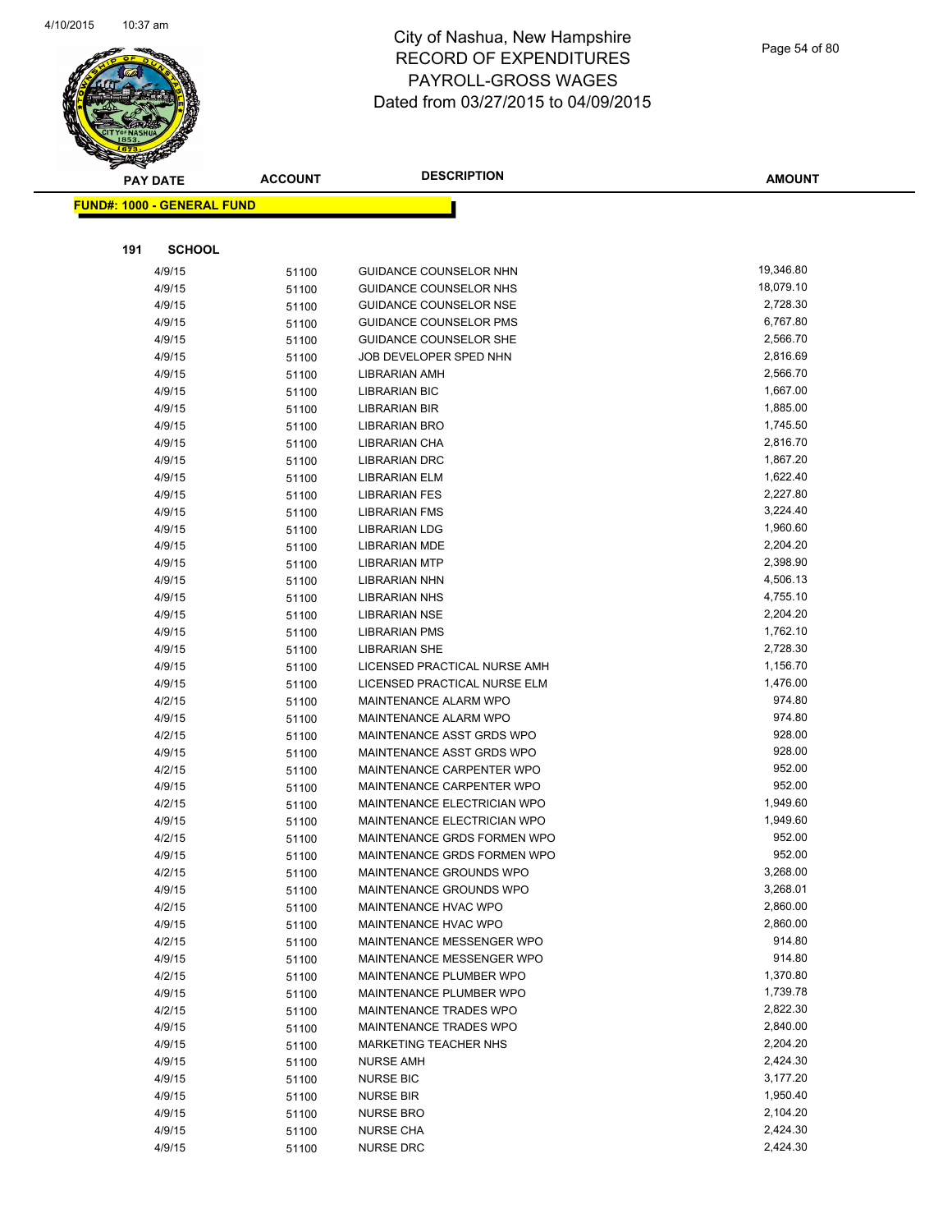

|     | <b>PAY DATE</b>            | <b>ACCOUNT</b> | <b>DESCRIPTION</b>            | <b>AMOUNT</b> |
|-----|----------------------------|----------------|-------------------------------|---------------|
|     | FUND#: 1000 - GENERAL FUND |                |                               |               |
|     |                            |                |                               |               |
|     |                            |                |                               |               |
| 191 | <b>SCHOOL</b>              |                |                               |               |
|     | 4/9/15                     | 51100          | <b>GUIDANCE COUNSELOR NHN</b> | 19,346.80     |
|     | 4/9/15                     | 51100          | GUIDANCE COUNSELOR NHS        | 18,079.10     |
|     | 4/9/15                     | 51100          | <b>GUIDANCE COUNSELOR NSE</b> | 2,728.30      |
|     | 4/9/15                     | 51100          | <b>GUIDANCE COUNSELOR PMS</b> | 6,767.80      |
|     | 4/9/15                     | 51100          | <b>GUIDANCE COUNSELOR SHE</b> | 2,566.70      |
|     | 4/9/15                     | 51100          | JOB DEVELOPER SPED NHN        | 2,816.69      |
|     | 4/9/15                     | 51100          | LIBRARIAN AMH                 | 2,566.70      |
|     | 4/9/15                     | 51100          | LIBRARIAN BIC                 | 1,667.00      |
|     | 4/9/15                     | 51100          | <b>LIBRARIAN BIR</b>          | 1,885.00      |
|     | 4/9/15                     | 51100          | LIBRARIAN BRO                 | 1,745.50      |
|     | 4/9/15                     | 51100          | LIBRARIAN CHA                 | 2,816.70      |
|     | 4/9/15                     | 51100          | LIBRARIAN DRC                 | 1,867.20      |
|     | 4/9/15                     | 51100          | LIBRARIAN ELM                 | 1,622.40      |
|     | 4/9/15                     | 51100          | <b>LIBRARIAN FES</b>          | 2,227.80      |
|     | 4/9/15                     | 51100          | <b>LIBRARIAN FMS</b>          | 3,224.40      |
|     | 4/9/15                     | 51100          | <b>LIBRARIAN LDG</b>          | 1,960.60      |
|     | 4/9/15                     | 51100          | <b>LIBRARIAN MDE</b>          | 2,204.20      |
|     | 4/9/15                     | 51100          | <b>LIBRARIAN MTP</b>          | 2,398.90      |
|     | 4/9/15                     | 51100          | LIBRARIAN NHN                 | 4,506.13      |
|     | 4/9/15                     | 51100          | <b>LIBRARIAN NHS</b>          | 4,755.10      |
|     | 4/9/15                     | 51100          | <b>LIBRARIAN NSE</b>          | 2,204.20      |
|     | 4/9/15                     | 51100          | <b>LIBRARIAN PMS</b>          | 1,762.10      |
|     | 4/9/15                     | 51100          | <b>LIBRARIAN SHE</b>          | 2,728.30      |
|     | 4/9/15                     | 51100          | LICENSED PRACTICAL NURSE AMH  | 1,156.70      |
|     | 4/9/15                     | 51100          | LICENSED PRACTICAL NURSE ELM  | 1,476.00      |
|     | 4/2/15                     | 51100          | MAINTENANCE ALARM WPO         | 974.80        |
|     | 4/9/15                     | 51100          | MAINTENANCE ALARM WPO         | 974.80        |
|     | 4/2/15                     | 51100          | MAINTENANCE ASST GRDS WPO     | 928.00        |
|     | 4/9/15                     | 51100          | MAINTENANCE ASST GRDS WPO     | 928.00        |
|     | 4/2/15                     | 51100          | MAINTENANCE CARPENTER WPO     | 952.00        |
|     | 4/9/15                     | 51100          | MAINTENANCE CARPENTER WPO     | 952.00        |
|     | 4/2/15                     | 51100          | MAINTENANCE ELECTRICIAN WPO   | 1,949.60      |
|     | 4/9/15                     | 51100          | MAINTENANCE ELECTRICIAN WPO   | 1,949.60      |
|     | 4/2/15                     |                | MAINTENANCE GRDS FORMEN WPO   | 952.00        |
|     | 4/9/15                     | 51100          | MAINTENANCE GRDS FORMEN WPO   | 952.00        |
|     | 4/2/15                     | 51100          |                               | 3,268.00      |
|     |                            | 51100          | MAINTENANCE GROUNDS WPO       | 3,268.01      |
|     | 4/9/15<br>4/2/15           | 51100          | MAINTENANCE GROUNDS WPO       | 2,860.00      |
|     |                            | 51100          | MAINTENANCE HVAC WPO          | 2,860.00      |
|     | 4/9/15                     | 51100          | MAINTENANCE HVAC WPO          | 914.80        |
|     | 4/2/15                     | 51100          | MAINTENANCE MESSENGER WPO     |               |
|     | 4/9/15                     | 51100          | MAINTENANCE MESSENGER WPO     | 914.80        |
|     | 4/2/15                     | 51100          | MAINTENANCE PLUMBER WPO       | 1,370.80      |
|     | 4/9/15                     | 51100          | MAINTENANCE PLUMBER WPO       | 1,739.78      |
|     | 4/2/15                     | 51100          | MAINTENANCE TRADES WPO        | 2,822.30      |
|     | 4/9/15                     | 51100          | MAINTENANCE TRADES WPO        | 2,840.00      |
|     | 4/9/15                     | 51100          | <b>MARKETING TEACHER NHS</b>  | 2,204.20      |
|     | 4/9/15                     | 51100          | <b>NURSE AMH</b>              | 2,424.30      |
|     | 4/9/15                     | 51100          | <b>NURSE BIC</b>              | 3,177.20      |
|     | 4/9/15                     | 51100          | <b>NURSE BIR</b>              | 1,950.40      |
|     | 4/9/15                     | 51100          | <b>NURSE BRO</b>              | 2,104.20      |
|     | 4/9/15                     | 51100          | <b>NURSE CHA</b>              | 2,424.30      |
|     | 4/9/15                     | 51100          | <b>NURSE DRC</b>              | 2,424.30      |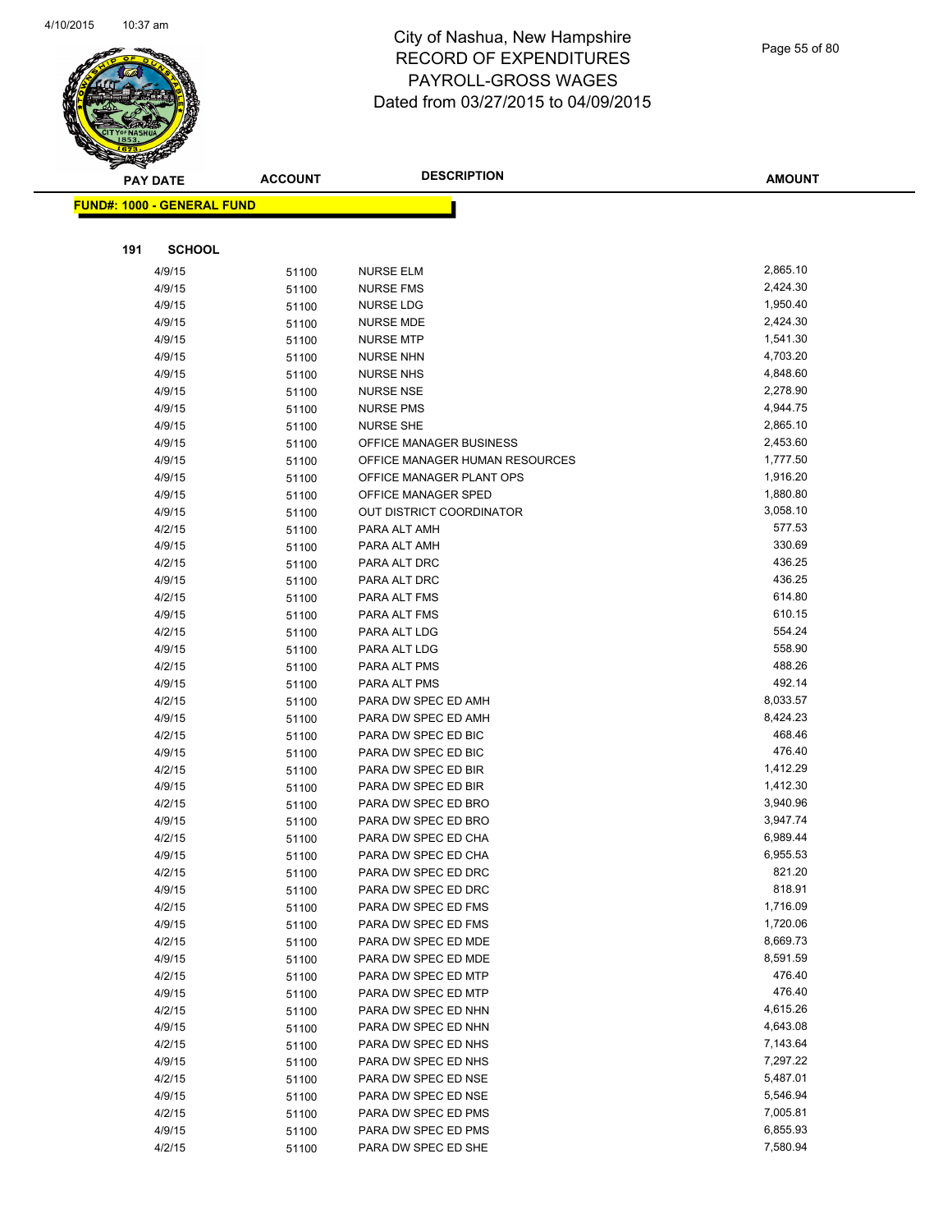

Page 55 of 80

| ॼ<br><b>PAY DATE</b>              | <b>ACCOUNT</b> | <b>DESCRIPTION</b>                              | <b>AMOUNT</b>        |
|-----------------------------------|----------------|-------------------------------------------------|----------------------|
| <b>FUND#: 1000 - GENERAL FUND</b> |                |                                                 |                      |
|                                   |                |                                                 |                      |
|                                   |                |                                                 |                      |
| <b>SCHOOL</b><br>191              |                |                                                 |                      |
| 4/9/15                            | 51100          | <b>NURSE ELM</b>                                | 2,865.10             |
| 4/9/15                            | 51100          | <b>NURSE FMS</b>                                | 2,424.30             |
| 4/9/15                            | 51100          | <b>NURSE LDG</b>                                | 1,950.40             |
| 4/9/15                            | 51100          | <b>NURSE MDE</b>                                | 2,424.30             |
| 4/9/15                            | 51100          | <b>NURSE MTP</b>                                | 1,541.30             |
| 4/9/15                            | 51100          | <b>NURSE NHN</b>                                | 4,703.20             |
| 4/9/15                            | 51100          | <b>NURSE NHS</b>                                | 4,848.60             |
| 4/9/15                            | 51100          | <b>NURSE NSE</b>                                | 2,278.90             |
| 4/9/15                            | 51100          | <b>NURSE PMS</b>                                | 4,944.75             |
| 4/9/15                            | 51100          | <b>NURSE SHE</b>                                | 2,865.10             |
| 4/9/15                            | 51100          | OFFICE MANAGER BUSINESS                         | 2,453.60             |
| 4/9/15                            | 51100          | OFFICE MANAGER HUMAN RESOURCES                  | 1,777.50             |
| 4/9/15<br>4/9/15                  | 51100          | OFFICE MANAGER PLANT OPS<br>OFFICE MANAGER SPED | 1,916.20<br>1,880.80 |
| 4/9/15                            | 51100          | OUT DISTRICT COORDINATOR                        | 3,058.10             |
| 4/2/15                            | 51100<br>51100 | PARA ALT AMH                                    | 577.53               |
| 4/9/15                            | 51100          | PARA ALT AMH                                    | 330.69               |
| 4/2/15                            | 51100          | PARA ALT DRC                                    | 436.25               |
| 4/9/15                            | 51100          | PARA ALT DRC                                    | 436.25               |
| 4/2/15                            | 51100          | PARA ALT FMS                                    | 614.80               |
| 4/9/15                            | 51100          | PARA ALT FMS                                    | 610.15               |
| 4/2/15                            | 51100          | PARA ALT LDG                                    | 554.24               |
| 4/9/15                            | 51100          | PARA ALT LDG                                    | 558.90               |
| 4/2/15                            | 51100          | PARA ALT PMS                                    | 488.26               |
| 4/9/15                            | 51100          | PARA ALT PMS                                    | 492.14               |
| 4/2/15                            | 51100          | PARA DW SPEC ED AMH                             | 8,033.57             |
| 4/9/15                            | 51100          | PARA DW SPEC ED AMH                             | 8,424.23             |
| 4/2/15                            | 51100          | PARA DW SPEC ED BIC                             | 468.46               |
| 4/9/15                            | 51100          | PARA DW SPEC ED BIC                             | 476.40               |
| 4/2/15                            | 51100          | PARA DW SPEC ED BIR                             | 1,412.29             |
| 4/9/15                            | 51100          | PARA DW SPEC ED BIR                             | 1,412.30             |
| 4/2/15                            | 51100          | PARA DW SPEC ED BRO                             | 3,940.96             |
| 4/9/15                            | 51100          | PARA DW SPEC ED BRO                             | 3,947.74             |
| 4/2/15                            | 51100          | PARA DW SPEC ED CHA                             | 6,989.44             |
| 4/9/15                            | 51100          | PARA DW SPEC ED CHA                             | 6,955.53             |
| 4/2/15                            | 51100          | PARA DW SPEC ED DRC                             | 821.20               |
| 4/9/15                            | 51100          | PARA DW SPEC ED DRC                             | 818.91               |
| 4/2/15                            | 51100          | PARA DW SPEC ED FMS                             | 1,716.09             |
| 4/9/15                            | 51100          | PARA DW SPEC ED FMS                             | 1,720.06             |
| 4/2/15                            | 51100          | PARA DW SPEC ED MDE                             | 8,669.73             |
| 4/9/15                            | 51100          | PARA DW SPEC ED MDE                             | 8,591.59             |
| 4/2/15                            | 51100          | PARA DW SPEC ED MTP                             | 476.40               |
| 4/9/15                            | 51100          | PARA DW SPEC ED MTP                             | 476.40               |
| 4/2/15                            | 51100          | PARA DW SPEC ED NHN                             | 4,615.26             |
| 4/9/15                            | 51100          | PARA DW SPEC ED NHN                             | 4,643.08             |
| 4/2/15                            | 51100          | PARA DW SPEC ED NHS                             | 7,143.64             |
| 4/9/15                            | 51100          | PARA DW SPEC ED NHS                             | 7,297.22<br>5,487.01 |
| 4/2/15                            | 51100          | PARA DW SPEC ED NSE<br>PARA DW SPEC ED NSE      | 5,546.94             |
| 4/9/15<br>4/2/15                  | 51100          | PARA DW SPEC ED PMS                             | 7,005.81             |
| 4/9/15                            | 51100          | PARA DW SPEC ED PMS                             | 6,855.93             |
| 4/2/15                            | 51100          | PARA DW SPEC ED SHE                             | 7,580.94             |
|                                   | 51100          |                                                 |                      |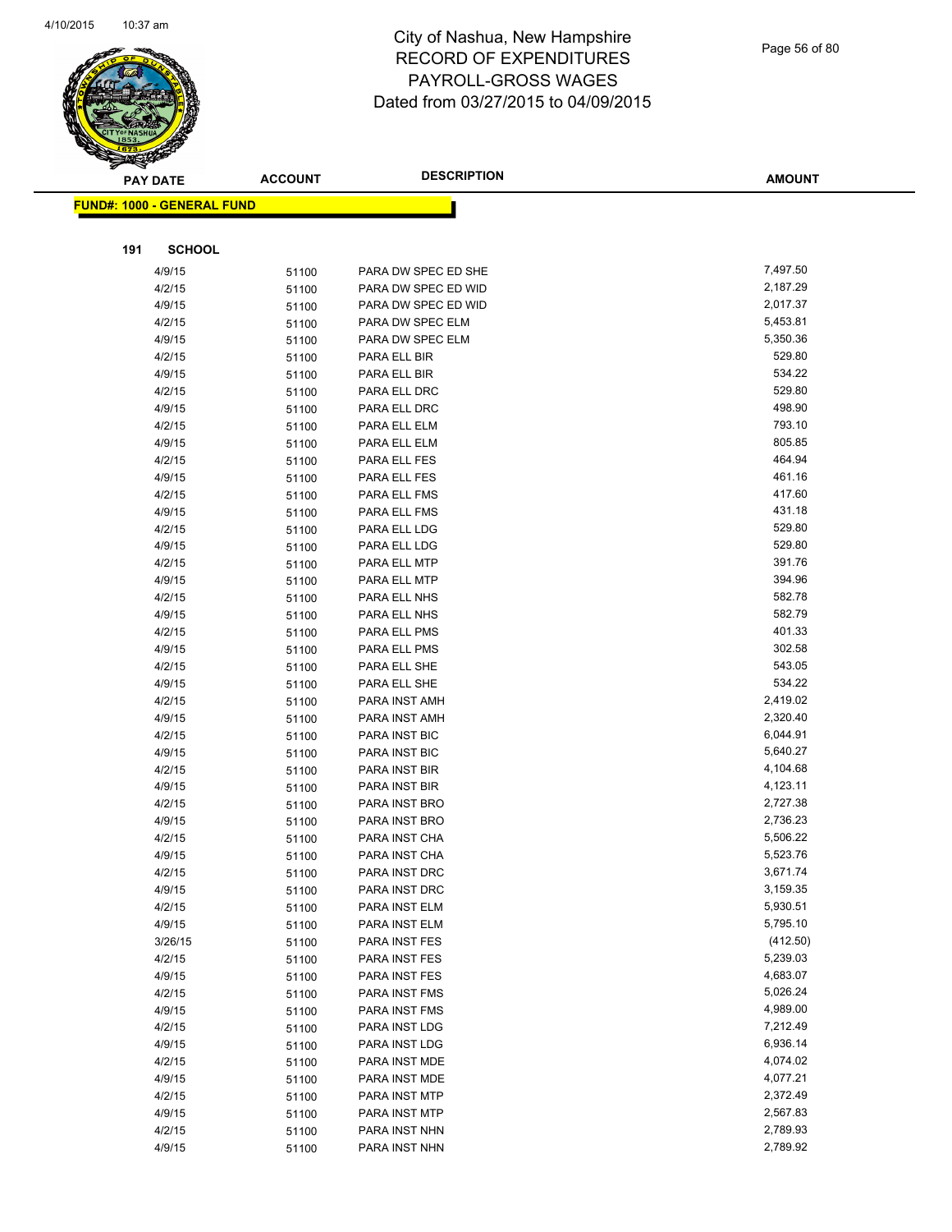

Page 56 of 80

| <b>PAY DATE</b>                   | <b>ACCOUNT</b> | <b>DESCRIPTION</b>  | <b>AMOUNT</b> |
|-----------------------------------|----------------|---------------------|---------------|
| <b>FUND#: 1000 - GENERAL FUND</b> |                |                     |               |
|                                   |                |                     |               |
|                                   |                |                     |               |
| 191                               | <b>SCHOOL</b>  |                     |               |
| 4/9/15                            | 51100          | PARA DW SPEC ED SHE | 7,497.50      |
| 4/2/15                            | 51100          | PARA DW SPEC ED WID | 2,187.29      |
| 4/9/15                            | 51100          | PARA DW SPEC ED WID | 2,017.37      |
| 4/2/15                            | 51100          | PARA DW SPEC ELM    | 5,453.81      |
| 4/9/15                            | 51100          | PARA DW SPEC ELM    | 5,350.36      |
| 4/2/15                            | 51100          | PARA ELL BIR        | 529.80        |
| 4/9/15                            | 51100          | PARA ELL BIR        | 534.22        |
| 4/2/15                            | 51100          | PARA ELL DRC        | 529.80        |
| 4/9/15                            | 51100          | PARA ELL DRC        | 498.90        |
| 4/2/15                            | 51100          | PARA ELL ELM        | 793.10        |
| 4/9/15                            | 51100          | PARA ELL ELM        | 805.85        |
| 4/2/15                            | 51100          | PARA ELL FES        | 464.94        |
| 4/9/15                            | 51100          | PARA ELL FES        | 461.16        |
| 4/2/15                            | 51100          | PARA ELL FMS        | 417.60        |
| 4/9/15                            | 51100          | PARA ELL FMS        | 431.18        |
| 4/2/15                            | 51100          | PARA ELL LDG        | 529.80        |
| 4/9/15                            | 51100          | PARA ELL LDG        | 529.80        |
| 4/2/15                            | 51100          | PARA ELL MTP        | 391.76        |
| 4/9/15                            | 51100          | PARA ELL MTP        | 394.96        |
| 4/2/15                            | 51100          | PARA ELL NHS        | 582.78        |
| 4/9/15                            | 51100          | PARA ELL NHS        | 582.79        |
| 4/2/15                            | 51100          | PARA ELL PMS        | 401.33        |
| 4/9/15                            | 51100          | PARA ELL PMS        | 302.58        |
| 4/2/15                            | 51100          | PARA ELL SHE        | 543.05        |
| 4/9/15                            | 51100          | PARA ELL SHE        | 534.22        |
| 4/2/15                            | 51100          | PARA INST AMH       | 2,419.02      |
| 4/9/15                            | 51100          | PARA INST AMH       | 2,320.40      |
| 4/2/15                            | 51100          | PARA INST BIC       | 6,044.91      |
| 4/9/15                            | 51100          | PARA INST BIC       | 5,640.27      |
| 4/2/15                            | 51100          | PARA INST BIR       | 4,104.68      |
| 4/9/15                            | 51100          | PARA INST BIR       | 4,123.11      |
| 4/2/15                            | 51100          | PARA INST BRO       | 2,727.38      |
| 4/9/15                            | 51100          | PARA INST BRO       | 2,736.23      |
| 4/2/15                            | 51100          | PARA INST CHA       | 5,506.22      |
| 4/9/15                            | 51100          | PARA INST CHA       | 5,523.76      |
| 4/2/15                            | 51100          | PARA INST DRC       | 3,671.74      |
| 4/9/15                            | 51100          | PARA INST DRC       | 3,159.35      |
| 4/2/15                            | 51100          | PARA INST ELM       | 5,930.51      |
| 4/9/15                            | 51100          | PARA INST ELM       | 5,795.10      |
| 3/26/15                           | 51100          | PARA INST FES       | (412.50)      |
| 4/2/15                            | 51100          | PARA INST FES       | 5,239.03      |
| 4/9/15                            | 51100          | PARA INST FES       | 4,683.07      |
| 4/2/15                            | 51100          | PARA INST FMS       | 5,026.24      |
| 4/9/15                            | 51100          | PARA INST FMS       | 4,989.00      |
| 4/2/15                            | 51100          | PARA INST LDG       | 7,212.49      |
| 4/9/15                            | 51100          | PARA INST LDG       | 6,936.14      |
| 4/2/15                            | 51100          | PARA INST MDE       | 4,074.02      |
| 4/9/15                            | 51100          | PARA INST MDE       | 4,077.21      |
| 4/2/15                            | 51100          | PARA INST MTP       | 2,372.49      |
| 4/9/15                            | 51100          | PARA INST MTP       | 2,567.83      |
| 4/2/15                            | 51100          | PARA INST NHN       | 2,789.93      |
| 4/9/15                            | 51100          | PARA INST NHN       | 2,789.92      |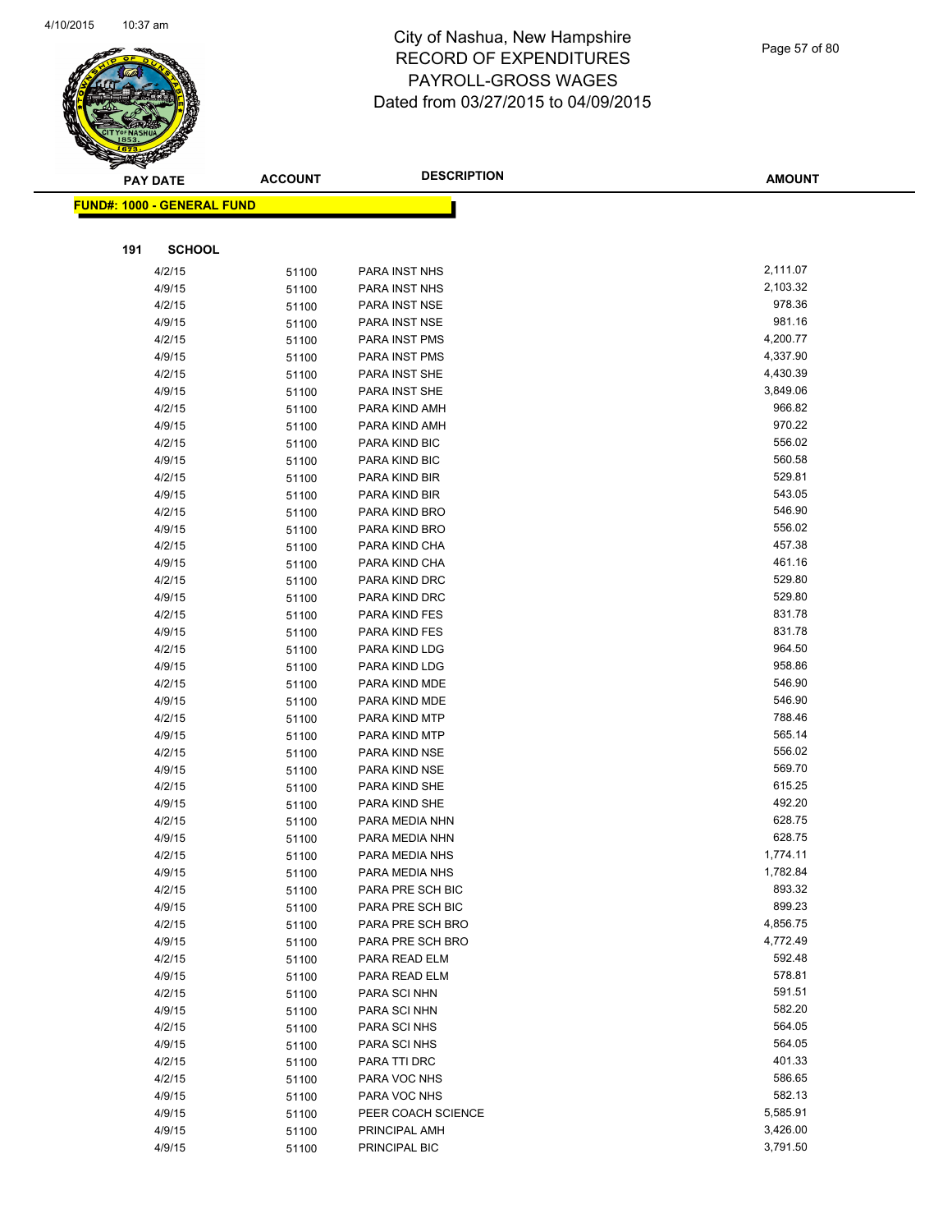

| <b>PAY DATE</b> |                            | <b>ACCOUNT</b> | <b>DESCRIPTION</b>             | <b>AMOUNT</b>      |
|-----------------|----------------------------|----------------|--------------------------------|--------------------|
|                 | FUND#: 1000 - GENERAL FUND |                |                                |                    |
|                 |                            |                |                                |                    |
| 191             | <b>SCHOOL</b>              |                |                                |                    |
|                 |                            |                |                                |                    |
|                 | 4/2/15                     | 51100          | PARA INST NHS                  | 2,111.07           |
|                 | 4/9/15                     | 51100          | PARA INST NHS                  | 2,103.32<br>978.36 |
|                 | 4/2/15                     | 51100          | PARA INST NSE                  | 981.16             |
|                 | 4/9/15                     | 51100          | PARA INST NSE                  | 4,200.77           |
|                 | 4/2/15<br>4/9/15           | 51100          | PARA INST PMS<br>PARA INST PMS | 4,337.90           |
|                 | 4/2/15                     | 51100<br>51100 | PARA INST SHE                  | 4,430.39           |
|                 | 4/9/15                     |                | PARA INST SHE                  | 3,849.06           |
|                 | 4/2/15                     | 51100<br>51100 | PARA KIND AMH                  | 966.82             |
|                 | 4/9/15                     | 51100          | PARA KIND AMH                  | 970.22             |
|                 | 4/2/15                     | 51100          | PARA KIND BIC                  | 556.02             |
|                 | 4/9/15                     | 51100          | PARA KIND BIC                  | 560.58             |
|                 | 4/2/15                     | 51100          | PARA KIND BIR                  | 529.81             |
|                 | 4/9/15                     | 51100          | PARA KIND BIR                  | 543.05             |
|                 | 4/2/15                     | 51100          | PARA KIND BRO                  | 546.90             |
|                 | 4/9/15                     | 51100          | PARA KIND BRO                  | 556.02             |
|                 | 4/2/15                     | 51100          | PARA KIND CHA                  | 457.38             |
|                 | 4/9/15                     | 51100          | PARA KIND CHA                  | 461.16             |
|                 | 4/2/15                     | 51100          | PARA KIND DRC                  | 529.80             |
|                 | 4/9/15                     | 51100          | PARA KIND DRC                  | 529.80             |
|                 | 4/2/15                     | 51100          | PARA KIND FES                  | 831.78             |
|                 | 4/9/15                     | 51100          | PARA KIND FES                  | 831.78             |
|                 | 4/2/15                     | 51100          | PARA KIND LDG                  | 964.50             |
|                 | 4/9/15                     | 51100          | PARA KIND LDG                  | 958.86             |
|                 | 4/2/15                     | 51100          | PARA KIND MDE                  | 546.90             |
|                 | 4/9/15                     | 51100          | PARA KIND MDE                  | 546.90             |
|                 | 4/2/15                     | 51100          | PARA KIND MTP                  | 788.46             |
|                 | 4/9/15                     | 51100          | PARA KIND MTP                  | 565.14             |
|                 | 4/2/15                     | 51100          | PARA KIND NSE                  | 556.02             |
|                 | 4/9/15                     | 51100          | PARA KIND NSE                  | 569.70             |
|                 | 4/2/15                     | 51100          | PARA KIND SHE                  | 615.25             |
|                 | 4/9/15                     | 51100          | PARA KIND SHE                  | 492.20             |
|                 | 4/2/15                     | 51100          | PARA MEDIA NHN                 | 628.75             |
|                 | 4/9/15                     | 51100          | PARA MEDIA NHN                 | 628.75             |
|                 | 4/2/15                     | 51100          | PARA MEDIA NHS                 | 1,774.11           |
|                 | 4/9/15                     | 51100          | PARA MEDIA NHS                 | 1,782.84           |
|                 | 4/2/15                     | 51100          | PARA PRE SCH BIC               | 893.32             |
|                 | 4/9/15                     | 51100          | PARA PRE SCH BIC               | 899.23             |
|                 | 4/2/15                     | 51100          | PARA PRE SCH BRO               | 4,856.75           |
|                 | 4/9/15                     | 51100          | PARA PRE SCH BRO               | 4,772.49           |
|                 | 4/2/15                     | 51100          | PARA READ ELM                  | 592.48             |
|                 | 4/9/15                     | 51100          | PARA READ ELM                  | 578.81             |
|                 | 4/2/15                     | 51100          | PARA SCI NHN                   | 591.51             |
|                 | 4/9/15                     | 51100          | PARA SCI NHN                   | 582.20             |
|                 | 4/2/15                     | 51100          | PARA SCI NHS                   | 564.05             |
|                 | 4/9/15                     | 51100          | PARA SCI NHS                   | 564.05             |
|                 | 4/2/15                     | 51100          | PARA TTI DRC                   | 401.33             |
|                 | 4/2/15                     | 51100          | PARA VOC NHS                   | 586.65             |
|                 | 4/9/15                     | 51100          | PARA VOC NHS                   | 582.13             |
|                 | 4/9/15                     | 51100          | PEER COACH SCIENCE             | 5,585.91           |
|                 | 4/9/15                     | 51100          | PRINCIPAL AMH                  | 3,426.00           |
|                 | 4/9/15                     | 51100          | PRINCIPAL BIC                  | 3,791.50           |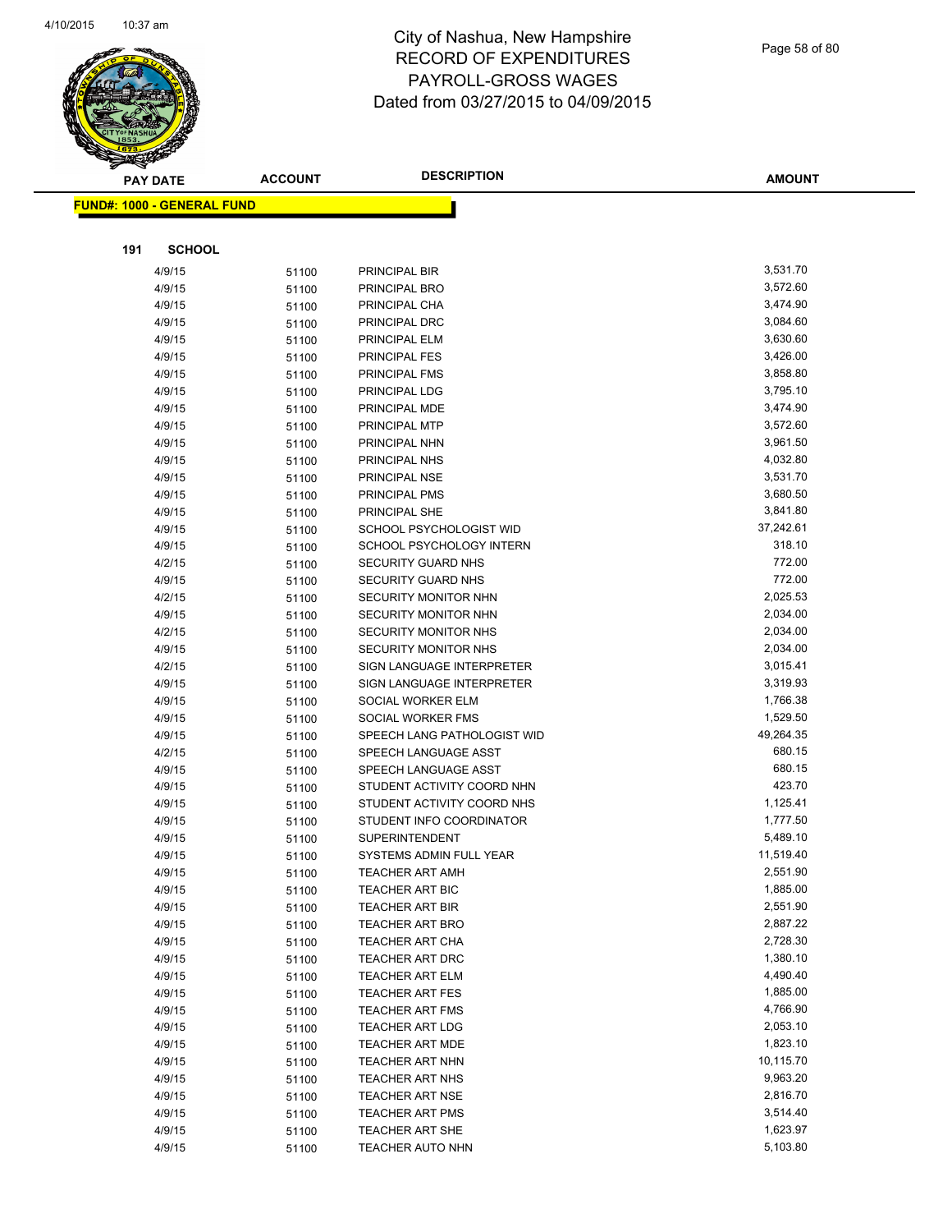

|     | <b>PAY DATE</b>                   | <b>ACCOUNT</b> | <b>DESCRIPTION</b>                               | <b>AMOUNT</b>         |
|-----|-----------------------------------|----------------|--------------------------------------------------|-----------------------|
|     | <b>FUND#: 1000 - GENERAL FUND</b> |                |                                                  |                       |
|     |                                   |                |                                                  |                       |
|     |                                   |                |                                                  |                       |
| 191 | <b>SCHOOL</b>                     |                |                                                  |                       |
|     | 4/9/15                            | 51100          | PRINCIPAL BIR                                    | 3,531.70              |
|     | 4/9/15                            | 51100          | PRINCIPAL BRO                                    | 3,572.60              |
|     | 4/9/15                            | 51100          | PRINCIPAL CHA                                    | 3,474.90              |
|     | 4/9/15                            | 51100          | PRINCIPAL DRC                                    | 3,084.60              |
|     | 4/9/15                            | 51100          | PRINCIPAL ELM                                    | 3,630.60              |
|     | 4/9/15                            | 51100          | PRINCIPAL FES                                    | 3,426.00              |
|     | 4/9/15                            | 51100          | <b>PRINCIPAL FMS</b>                             | 3,858.80              |
|     | 4/9/15                            | 51100          | PRINCIPAL LDG                                    | 3,795.10              |
|     | 4/9/15                            | 51100          | PRINCIPAL MDE                                    | 3,474.90              |
|     | 4/9/15                            | 51100          | PRINCIPAL MTP                                    | 3,572.60              |
|     | 4/9/15                            | 51100          | PRINCIPAL NHN                                    | 3,961.50              |
|     | 4/9/15                            | 51100          | PRINCIPAL NHS                                    | 4,032.80              |
|     | 4/9/15                            | 51100          | PRINCIPAL NSE                                    | 3,531.70<br>3,680.50  |
|     | 4/9/15                            | 51100          | PRINCIPAL PMS                                    | 3,841.80              |
|     | 4/9/15<br>4/9/15                  | 51100          | PRINCIPAL SHE<br>SCHOOL PSYCHOLOGIST WID         | 37,242.61             |
|     | 4/9/15                            | 51100          | SCHOOL PSYCHOLOGY INTERN                         | 318.10                |
|     | 4/2/15                            | 51100<br>51100 | SECURITY GUARD NHS                               | 772.00                |
|     | 4/9/15                            | 51100          | SECURITY GUARD NHS                               | 772.00                |
|     | 4/2/15                            | 51100          | SECURITY MONITOR NHN                             | 2,025.53              |
|     | 4/9/15                            | 51100          | SECURITY MONITOR NHN                             | 2,034.00              |
|     | 4/2/15                            | 51100          | SECURITY MONITOR NHS                             | 2,034.00              |
|     | 4/9/15                            | 51100          | SECURITY MONITOR NHS                             | 2,034.00              |
|     | 4/2/15                            | 51100          | SIGN LANGUAGE INTERPRETER                        | 3,015.41              |
|     | 4/9/15                            | 51100          | SIGN LANGUAGE INTERPRETER                        | 3,319.93              |
|     | 4/9/15                            | 51100          | SOCIAL WORKER ELM                                | 1,766.38              |
|     | 4/9/15                            | 51100          | SOCIAL WORKER FMS                                | 1,529.50              |
|     | 4/9/15                            | 51100          | SPEECH LANG PATHOLOGIST WID                      | 49,264.35             |
|     | 4/2/15                            | 51100          | SPEECH LANGUAGE ASST                             | 680.15                |
|     | 4/9/15                            | 51100          | SPEECH LANGUAGE ASST                             | 680.15                |
|     | 4/9/15                            | 51100          | STUDENT ACTIVITY COORD NHN                       | 423.70                |
|     | 4/9/15                            | 51100          | STUDENT ACTIVITY COORD NHS                       | 1,125.41              |
|     | 4/9/15                            | 51100          | STUDENT INFO COORDINATOR                         | 1,777.50              |
|     | 4/9/15                            | 51100          | <b>SUPERINTENDENT</b>                            | 5,489.10              |
|     | 4/9/15                            | 51100          | SYSTEMS ADMIN FULL YEAR                          | 11,519.40             |
|     | 4/9/15                            | 51100          | <b>TEACHER ART AMH</b>                           | 2,551.90              |
|     | 4/9/15                            | 51100          | TEACHER ART BIC                                  | 1,885.00              |
|     | 4/9/15                            | 51100          | <b>TEACHER ART BIR</b>                           | 2,551.90              |
|     | 4/9/15                            | 51100          | <b>TEACHER ART BRO</b>                           | 2,887.22              |
|     | 4/9/15                            | 51100          | <b>TEACHER ART CHA</b>                           | 2,728.30              |
|     | 4/9/15                            | 51100          | <b>TEACHER ART DRC</b>                           | 1,380.10              |
|     | 4/9/15                            | 51100          | <b>TEACHER ART ELM</b>                           | 4,490.40              |
|     | 4/9/15                            | 51100          | <b>TEACHER ART FES</b>                           | 1,885.00              |
|     | 4/9/15                            | 51100          | <b>TEACHER ART FMS</b>                           | 4,766.90              |
|     | 4/9/15                            | 51100          | <b>TEACHER ART LDG</b>                           | 2,053.10              |
|     | 4/9/15                            | 51100          | <b>TEACHER ART MDE</b>                           | 1,823.10              |
|     | 4/9/15<br>4/9/15                  | 51100          | TEACHER ART NHN                                  | 10,115.70<br>9,963.20 |
|     | 4/9/15                            | 51100          | <b>TEACHER ART NHS</b><br><b>TEACHER ART NSE</b> | 2,816.70              |
|     | 4/9/15                            | 51100          | <b>TEACHER ART PMS</b>                           | 3,514.40              |
|     | 4/9/15                            | 51100<br>51100 | TEACHER ART SHE                                  | 1,623.97              |
|     | 4/9/15                            | 51100          | <b>TEACHER AUTO NHN</b>                          | 5,103.80              |
|     |                                   |                |                                                  |                       |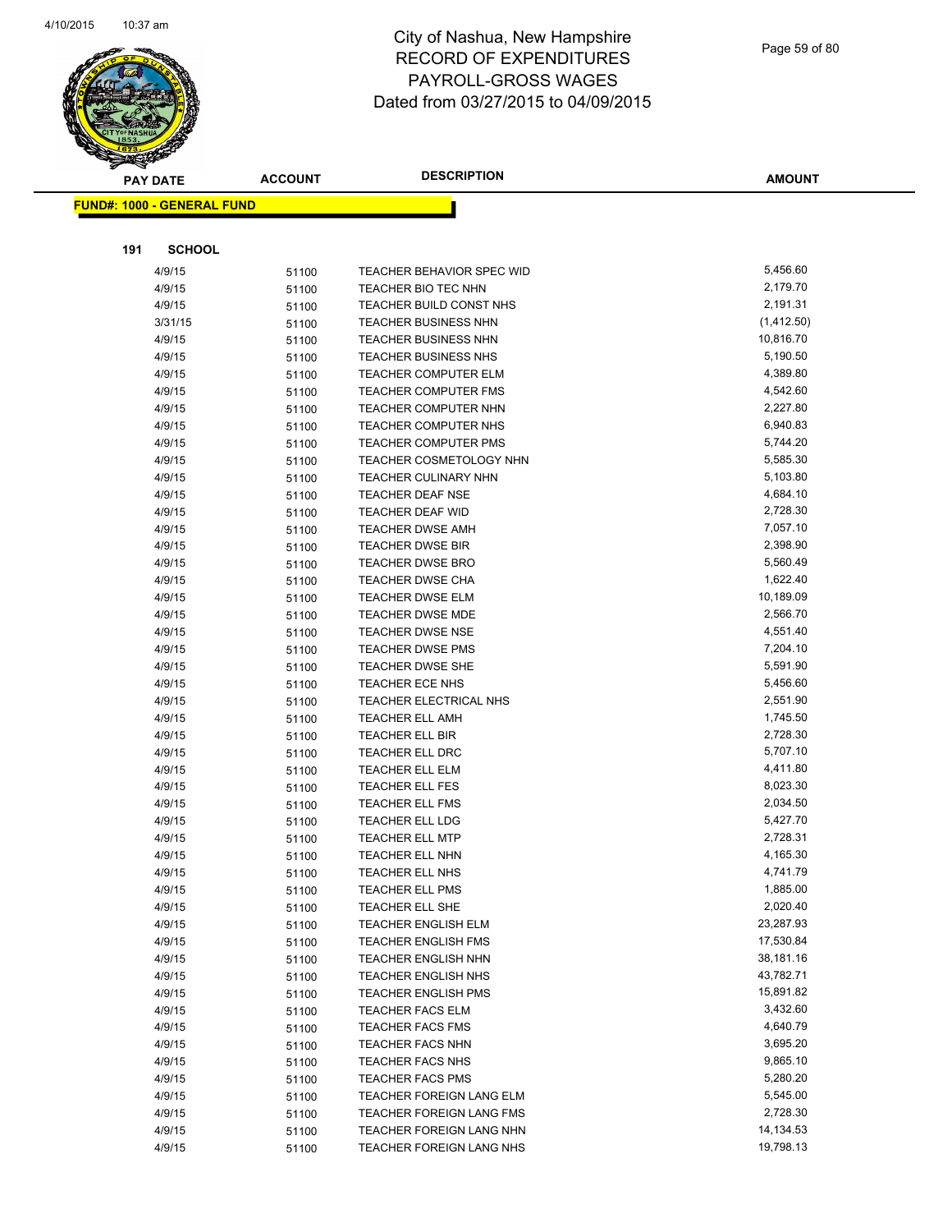

Page 59 of 80

| <b>PAY DATE</b> |                                   | <b>ACCOUNT</b> | <b>DESCRIPTION</b>                                     | <b>AMOUNT</b>        |
|-----------------|-----------------------------------|----------------|--------------------------------------------------------|----------------------|
|                 | <b>FUND#: 1000 - GENERAL FUND</b> |                |                                                        |                      |
|                 |                                   |                |                                                        |                      |
|                 |                                   |                |                                                        |                      |
| 191             | <b>SCHOOL</b>                     |                |                                                        |                      |
|                 | 4/9/15                            | 51100          | <b>TEACHER BEHAVIOR SPEC WID</b>                       | 5,456.60             |
|                 | 4/9/15                            | 51100          | TEACHER BIO TEC NHN                                    | 2,179.70             |
|                 | 4/9/15                            | 51100          | TEACHER BUILD CONST NHS                                | 2,191.31             |
|                 | 3/31/15                           | 51100          | <b>TEACHER BUSINESS NHN</b>                            | (1,412.50)           |
|                 | 4/9/15                            | 51100          | <b>TEACHER BUSINESS NHN</b>                            | 10,816.70            |
|                 | 4/9/15                            | 51100          | <b>TEACHER BUSINESS NHS</b>                            | 5,190.50             |
|                 | 4/9/15                            | 51100          | <b>TEACHER COMPUTER ELM</b>                            | 4,389.80             |
|                 | 4/9/15                            | 51100          | <b>TEACHER COMPUTER FMS</b>                            | 4,542.60             |
|                 | 4/9/15                            | 51100          | TEACHER COMPUTER NHN                                   | 2,227.80<br>6,940.83 |
|                 | 4/9/15<br>4/9/15                  | 51100          | TEACHER COMPUTER NHS                                   | 5,744.20             |
|                 | 4/9/15                            | 51100          | <b>TEACHER COMPUTER PMS</b><br>TEACHER COSMETOLOGY NHN | 5,585.30             |
|                 | 4/9/15                            | 51100<br>51100 | <b>TEACHER CULINARY NHN</b>                            | 5,103.80             |
|                 | 4/9/15                            |                | TEACHER DEAF NSE                                       | 4,684.10             |
|                 | 4/9/15                            | 51100<br>51100 | <b>TEACHER DEAF WID</b>                                | 2,728.30             |
|                 | 4/9/15                            | 51100          | <b>TEACHER DWSE AMH</b>                                | 7,057.10             |
|                 | 4/9/15                            | 51100          | <b>TEACHER DWSE BIR</b>                                | 2,398.90             |
|                 | 4/9/15                            | 51100          | <b>TEACHER DWSE BRO</b>                                | 5,560.49             |
|                 | 4/9/15                            | 51100          | <b>TEACHER DWSE CHA</b>                                | 1,622.40             |
|                 | 4/9/15                            | 51100          | <b>TEACHER DWSE ELM</b>                                | 10,189.09            |
|                 | 4/9/15                            | 51100          | <b>TEACHER DWSE MDE</b>                                | 2,566.70             |
|                 | 4/9/15                            | 51100          | <b>TEACHER DWSE NSE</b>                                | 4,551.40             |
|                 | 4/9/15                            | 51100          | <b>TEACHER DWSE PMS</b>                                | 7,204.10             |
|                 | 4/9/15                            | 51100          | <b>TEACHER DWSE SHE</b>                                | 5,591.90             |
|                 | 4/9/15                            | 51100          | TEACHER ECE NHS                                        | 5,456.60             |
|                 | 4/9/15                            | 51100          | TEACHER ELECTRICAL NHS                                 | 2,551.90             |
|                 | 4/9/15                            | 51100          | <b>TEACHER ELL AMH</b>                                 | 1,745.50             |
|                 | 4/9/15                            | 51100          | TEACHER ELL BIR                                        | 2,728.30             |
|                 | 4/9/15                            | 51100          | <b>TEACHER ELL DRC</b>                                 | 5,707.10             |
|                 | 4/9/15                            | 51100          | <b>TEACHER ELL ELM</b>                                 | 4,411.80             |
|                 | 4/9/15                            | 51100          | TEACHER ELL FES                                        | 8,023.30             |
|                 | 4/9/15                            | 51100          | <b>TEACHER ELL FMS</b>                                 | 2,034.50             |
|                 | 4/9/15                            | 51100          | <b>TEACHER ELL LDG</b>                                 | 5,427.70             |
|                 | 4/9/15                            | 51100          | <b>TEACHER ELL MTP</b>                                 | 2,728.31             |
|                 | 4/9/15                            | 51100          | <b>TEACHER ELL NHN</b>                                 | 4,165.30             |
|                 | 4/9/15                            | 51100          | <b>TEACHER ELL NHS</b>                                 | 4,741.79             |
|                 | 4/9/15                            | 51100          | <b>TEACHER ELL PMS</b>                                 | 1,885.00             |
|                 | 4/9/15                            | 51100          | <b>TEACHER ELL SHE</b>                                 | 2,020.40             |
|                 | 4/9/15                            | 51100          | <b>TEACHER ENGLISH ELM</b>                             | 23,287.93            |
|                 | 4/9/15                            | 51100          | <b>TEACHER ENGLISH FMS</b>                             | 17,530.84            |
|                 | 4/9/15                            | 51100          | <b>TEACHER ENGLISH NHN</b>                             | 38,181.16            |
|                 | 4/9/15                            | 51100          | <b>TEACHER ENGLISH NHS</b>                             | 43,782.71            |
|                 | 4/9/15                            | 51100          | <b>TEACHER ENGLISH PMS</b>                             | 15,891.82            |
|                 | 4/9/15                            | 51100          | TEACHER FACS ELM                                       | 3,432.60             |
|                 | 4/9/15                            | 51100          | <b>TEACHER FACS FMS</b>                                | 4,640.79             |
|                 | 4/9/15                            | 51100          | <b>TEACHER FACS NHN</b>                                | 3,695.20             |
|                 | 4/9/15                            | 51100          | <b>TEACHER FACS NHS</b>                                | 9,865.10             |
|                 | 4/9/15                            | 51100          | <b>TEACHER FACS PMS</b>                                | 5,280.20             |
|                 | 4/9/15                            | 51100          | TEACHER FOREIGN LANG ELM                               | 5,545.00             |
|                 | 4/9/15                            | 51100          | TEACHER FOREIGN LANG FMS                               | 2,728.30             |
|                 | 4/9/15                            | 51100          | TEACHER FOREIGN LANG NHN                               | 14,134.53            |
|                 | 4/9/15                            | 51100          | TEACHER FOREIGN LANG NHS                               | 19,798.13            |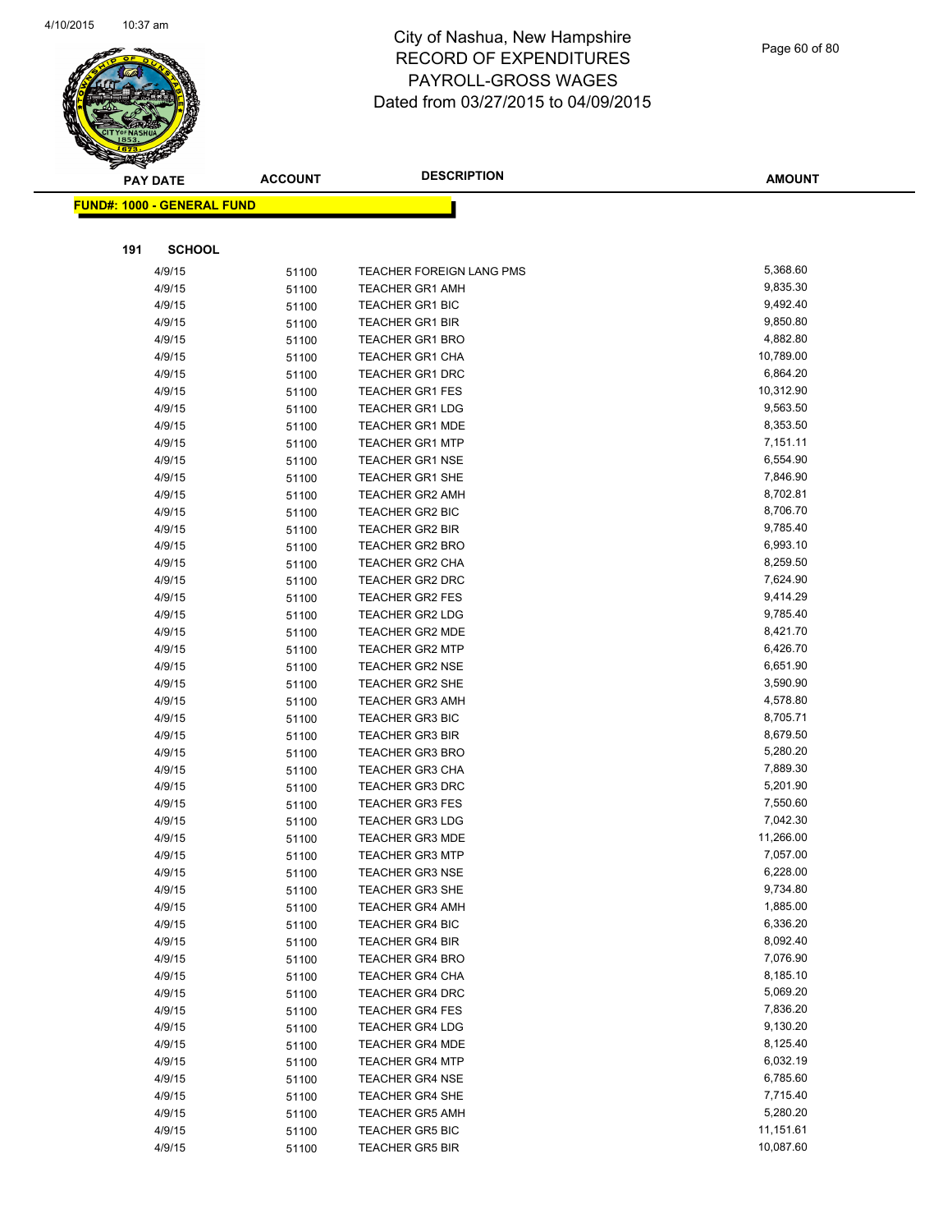

| Page 60 of 80 |  |  |  |
|---------------|--|--|--|
|---------------|--|--|--|

| <b>PAY DATE</b>                   | <b>ACCOUNT</b> | <b>DESCRIPTION</b>                               | <b>AMOUNT</b>        |
|-----------------------------------|----------------|--------------------------------------------------|----------------------|
| <b>FUND#: 1000 - GENERAL FUND</b> |                |                                                  |                      |
|                                   |                |                                                  |                      |
|                                   |                |                                                  |                      |
| 191<br><b>SCHOOL</b>              |                |                                                  |                      |
| 4/9/15                            | 51100          | TEACHER FOREIGN LANG PMS                         | 5,368.60             |
| 4/9/15                            | 51100          | <b>TEACHER GR1 AMH</b>                           | 9,835.30             |
| 4/9/15                            | 51100          | <b>TEACHER GR1 BIC</b>                           | 9,492.40             |
| 4/9/15                            | 51100          | <b>TEACHER GR1 BIR</b>                           | 9,850.80             |
| 4/9/15                            | 51100          | <b>TEACHER GR1 BRO</b>                           | 4,882.80             |
| 4/9/15                            | 51100          | TEACHER GR1 CHA                                  | 10,789.00            |
| 4/9/15                            | 51100          | TEACHER GR1 DRC                                  | 6,864.20             |
| 4/9/15                            | 51100          | <b>TEACHER GR1 FES</b>                           | 10,312.90            |
| 4/9/15                            | 51100          | <b>TEACHER GR1 LDG</b>                           | 9,563.50             |
| 4/9/15                            | 51100          | <b>TEACHER GR1 MDE</b>                           | 8,353.50             |
| 4/9/15                            | 51100          | <b>TEACHER GR1 MTP</b>                           | 7,151.11             |
| 4/9/15<br>4/9/15                  | 51100          | <b>TEACHER GR1 NSE</b><br><b>TEACHER GR1 SHE</b> | 6,554.90<br>7,846.90 |
| 4/9/15                            | 51100          | <b>TEACHER GR2 AMH</b>                           | 8,702.81             |
| 4/9/15                            | 51100<br>51100 | <b>TEACHER GR2 BIC</b>                           | 8,706.70             |
| 4/9/15                            | 51100          | <b>TEACHER GR2 BIR</b>                           | 9,785.40             |
| 4/9/15                            | 51100          | <b>TEACHER GR2 BRO</b>                           | 6,993.10             |
| 4/9/15                            | 51100          | TEACHER GR2 CHA                                  | 8,259.50             |
| 4/9/15                            | 51100          | TEACHER GR2 DRC                                  | 7,624.90             |
| 4/9/15                            | 51100          | <b>TEACHER GR2 FES</b>                           | 9,414.29             |
| 4/9/15                            | 51100          | <b>TEACHER GR2 LDG</b>                           | 9,785.40             |
| 4/9/15                            | 51100          | <b>TEACHER GR2 MDE</b>                           | 8,421.70             |
| 4/9/15                            | 51100          | <b>TEACHER GR2 MTP</b>                           | 6,426.70             |
| 4/9/15                            | 51100          | <b>TEACHER GR2 NSE</b>                           | 6,651.90             |
| 4/9/15                            | 51100          | TEACHER GR2 SHE                                  | 3,590.90             |
| 4/9/15                            | 51100          | <b>TEACHER GR3 AMH</b>                           | 4,578.80             |
| 4/9/15                            | 51100          | <b>TEACHER GR3 BIC</b>                           | 8,705.71             |
| 4/9/15                            | 51100          | <b>TEACHER GR3 BIR</b>                           | 8,679.50             |
| 4/9/15                            | 51100          | <b>TEACHER GR3 BRO</b>                           | 5,280.20             |
| 4/9/15                            | 51100          | <b>TEACHER GR3 CHA</b>                           | 7,889.30             |
| 4/9/15                            | 51100          | <b>TEACHER GR3 DRC</b>                           | 5,201.90             |
| 4/9/15                            | 51100          | <b>TEACHER GR3 FES</b>                           | 7,550.60             |
| 4/9/15                            | 51100          | <b>TEACHER GR3 LDG</b>                           | 7,042.30             |
| 4/9/15                            | 51100          | <b>TEACHER GR3 MDE</b>                           | 11,266.00            |
| 4/9/15                            | 51100          | <b>TEACHER GR3 MTP</b>                           | 7,057.00             |
| 4/9/15                            | 51100          | TEACHER GR3 NSE                                  | 6,228.00             |
| 4/9/15                            | 51100          | TEACHER GR3 SHE                                  | 9,734.80             |
| 4/9/15                            | 51100          | <b>TEACHER GR4 AMH</b>                           | 1,885.00             |
| 4/9/15                            | 51100          | <b>TEACHER GR4 BIC</b>                           | 6,336.20             |
| 4/9/15                            | 51100          | <b>TEACHER GR4 BIR</b>                           | 8,092.40             |
| 4/9/15                            | 51100          | <b>TEACHER GR4 BRO</b>                           | 7,076.90<br>8,185.10 |
| 4/9/15<br>4/9/15                  | 51100          | <b>TEACHER GR4 CHA</b><br><b>TEACHER GR4 DRC</b> | 5,069.20             |
| 4/9/15                            | 51100          | <b>TEACHER GR4 FES</b>                           | 7,836.20             |
| 4/9/15                            | 51100<br>51100 | <b>TEACHER GR4 LDG</b>                           | 9,130.20             |
| 4/9/15                            | 51100          | <b>TEACHER GR4 MDE</b>                           | 8,125.40             |
| 4/9/15                            | 51100          | <b>TEACHER GR4 MTP</b>                           | 6,032.19             |
| 4/9/15                            | 51100          | <b>TEACHER GR4 NSE</b>                           | 6,785.60             |
| 4/9/15                            | 51100          | TEACHER GR4 SHE                                  | 7,715.40             |
| 4/9/15                            | 51100          | <b>TEACHER GR5 AMH</b>                           | 5,280.20             |
| 4/9/15                            | 51100          | <b>TEACHER GR5 BIC</b>                           | 11,151.61            |
| 4/9/15                            | 51100          | TEACHER GR5 BIR                                  | 10,087.60            |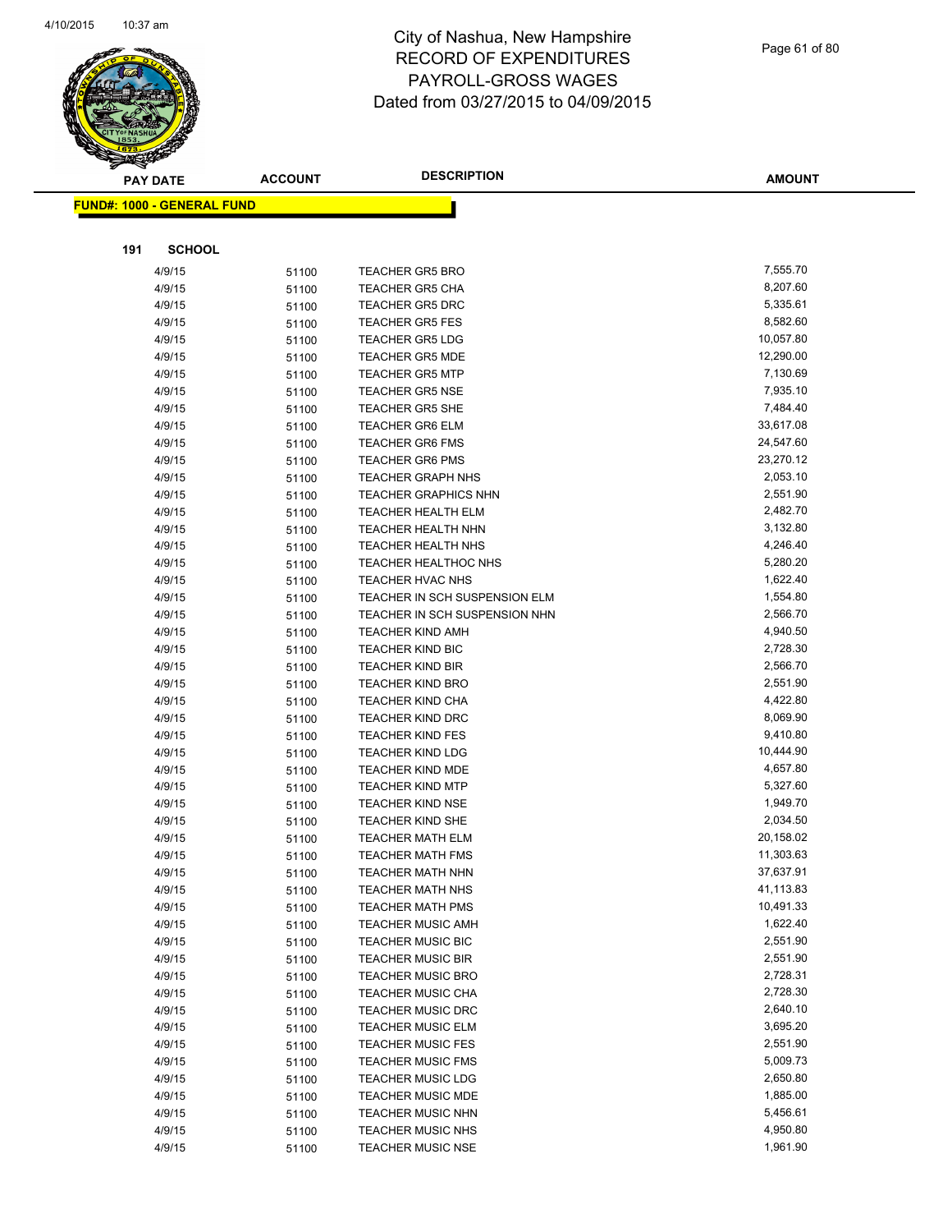

#### Page 61 of 80

|     | <b>PAY DATE</b>                   | <b>ACCOUNT</b> | <b>DESCRIPTION</b>                                       | <b>AMOUNT</b>        |
|-----|-----------------------------------|----------------|----------------------------------------------------------|----------------------|
|     | <b>FUND#: 1000 - GENERAL FUND</b> |                |                                                          |                      |
|     |                                   |                |                                                          |                      |
|     |                                   |                |                                                          |                      |
| 191 | <b>SCHOOL</b>                     |                |                                                          |                      |
|     | 4/9/15                            | 51100          | <b>TEACHER GR5 BRO</b>                                   | 7,555.70             |
|     | 4/9/15                            | 51100          | <b>TEACHER GR5 CHA</b>                                   | 8,207.60             |
|     | 4/9/15                            | 51100          | <b>TEACHER GR5 DRC</b>                                   | 5,335.61             |
|     | 4/9/15                            | 51100          | <b>TEACHER GR5 FES</b>                                   | 8,582.60             |
|     | 4/9/15                            | 51100          | <b>TEACHER GR5 LDG</b>                                   | 10,057.80            |
|     | 4/9/15                            | 51100          | <b>TEACHER GR5 MDE</b>                                   | 12,290.00            |
|     | 4/9/15                            | 51100          | <b>TEACHER GR5 MTP</b>                                   | 7,130.69             |
|     | 4/9/15                            | 51100          | <b>TEACHER GR5 NSE</b>                                   | 7,935.10             |
|     | 4/9/15                            | 51100          | <b>TEACHER GR5 SHE</b>                                   | 7,484.40             |
|     | 4/9/15                            | 51100          | <b>TEACHER GR6 ELM</b>                                   | 33,617.08            |
|     | 4/9/15                            | 51100          | <b>TEACHER GR6 FMS</b>                                   | 24,547.60            |
|     | 4/9/15                            | 51100          | <b>TEACHER GR6 PMS</b>                                   | 23,270.12            |
|     | 4/9/15                            | 51100          | <b>TEACHER GRAPH NHS</b>                                 | 2,053.10             |
|     | 4/9/15                            | 51100          | <b>TEACHER GRAPHICS NHN</b>                              | 2,551.90             |
|     | 4/9/15                            | 51100          | <b>TEACHER HEALTH ELM</b>                                | 2,482.70             |
|     | 4/9/15                            | 51100          | TEACHER HEALTH NHN                                       | 3,132.80             |
|     | 4/9/15                            | 51100          | <b>TEACHER HEALTH NHS</b><br><b>TEACHER HEALTHOC NHS</b> | 4,246.40<br>5,280.20 |
|     | 4/9/15<br>4/9/15                  | 51100          | TEACHER HVAC NHS                                         | 1,622.40             |
|     |                                   | 51100          | TEACHER IN SCH SUSPENSION ELM                            | 1,554.80             |
|     | 4/9/15<br>4/9/15                  | 51100          | TEACHER IN SCH SUSPENSION NHN                            | 2,566.70             |
|     | 4/9/15                            | 51100          | <b>TEACHER KIND AMH</b>                                  | 4,940.50             |
|     | 4/9/15                            | 51100          | <b>TEACHER KIND BIC</b>                                  | 2,728.30             |
|     | 4/9/15                            | 51100<br>51100 | <b>TEACHER KIND BIR</b>                                  | 2,566.70             |
|     | 4/9/15                            | 51100          | <b>TEACHER KIND BRO</b>                                  | 2,551.90             |
|     | 4/9/15                            | 51100          | <b>TEACHER KIND CHA</b>                                  | 4,422.80             |
|     | 4/9/15                            | 51100          | <b>TEACHER KIND DRC</b>                                  | 8,069.90             |
|     | 4/9/15                            | 51100          | <b>TEACHER KIND FES</b>                                  | 9,410.80             |
|     | 4/9/15                            | 51100          | <b>TEACHER KIND LDG</b>                                  | 10,444.90            |
|     | 4/9/15                            | 51100          | TEACHER KIND MDE                                         | 4,657.80             |
|     | 4/9/15                            | 51100          | <b>TEACHER KIND MTP</b>                                  | 5,327.60             |
|     | 4/9/15                            | 51100          | <b>TEACHER KIND NSE</b>                                  | 1,949.70             |
|     | 4/9/15                            | 51100          | <b>TEACHER KIND SHE</b>                                  | 2,034.50             |
|     | 4/9/15                            | 51100          | <b>TEACHER MATH ELM</b>                                  | 20,158.02            |
|     | 4/9/15                            | 51100          | <b>TEACHER MATH FMS</b>                                  | 11,303.63            |
|     | 4/9/15                            | 51100          | <b>TEACHER MATH NHN</b>                                  | 37,637.91            |
|     | 4/9/15                            | 51100          | <b>TEACHER MATH NHS</b>                                  | 41,113.83            |
|     | 4/9/15                            | 51100          | <b>TEACHER MATH PMS</b>                                  | 10,491.33            |
|     | 4/9/15                            | 51100          | <b>TEACHER MUSIC AMH</b>                                 | 1,622.40             |
|     | 4/9/15                            | 51100          | <b>TEACHER MUSIC BIC</b>                                 | 2,551.90             |
|     | 4/9/15                            | 51100          | <b>TEACHER MUSIC BIR</b>                                 | 2,551.90             |
|     | 4/9/15                            | 51100          | <b>TEACHER MUSIC BRO</b>                                 | 2,728.31             |
|     | 4/9/15                            | 51100          | <b>TEACHER MUSIC CHA</b>                                 | 2,728.30             |
|     | 4/9/15                            | 51100          | <b>TEACHER MUSIC DRC</b>                                 | 2,640.10             |
|     | 4/9/15                            | 51100          | <b>TEACHER MUSIC ELM</b>                                 | 3,695.20             |
|     | 4/9/15                            | 51100          | <b>TEACHER MUSIC FES</b>                                 | 2,551.90             |
|     | 4/9/15                            | 51100          | <b>TEACHER MUSIC FMS</b>                                 | 5,009.73             |
|     | 4/9/15                            | 51100          | <b>TEACHER MUSIC LDG</b>                                 | 2,650.80             |
|     | 4/9/15                            | 51100          | <b>TEACHER MUSIC MDE</b>                                 | 1,885.00             |
|     | 4/9/15                            | 51100          | <b>TEACHER MUSIC NHN</b>                                 | 5,456.61             |
|     | 4/9/15                            | 51100          | <b>TEACHER MUSIC NHS</b>                                 | 4,950.80             |
|     | 4/9/15                            | 51100          | <b>TEACHER MUSIC NSE</b>                                 | 1,961.90             |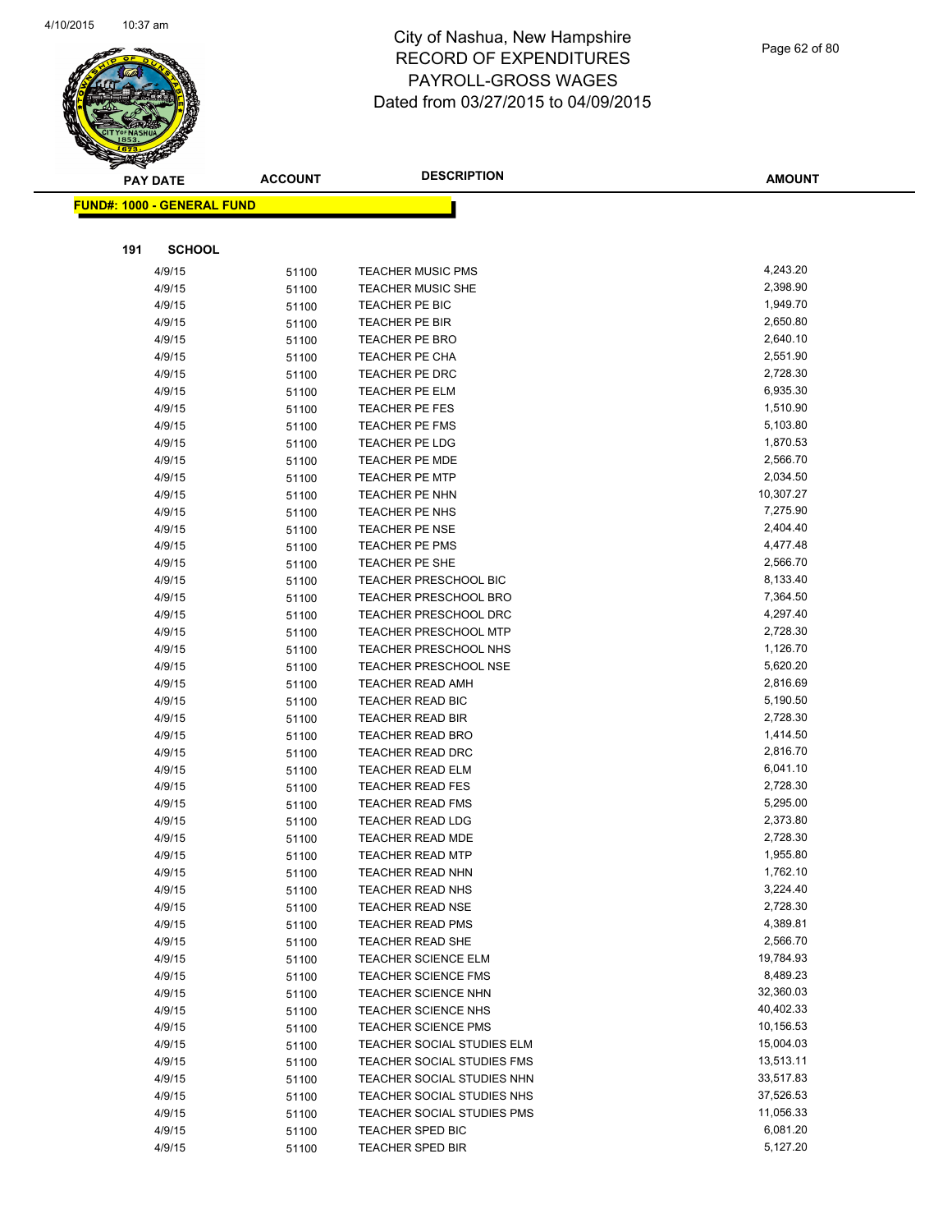

| Page 62 of 80 |  |  |
|---------------|--|--|
|               |  |  |

**AMOUNT PAY DATE ACCOUNT DESCRIPTION FUND#: 1000 - GENERAL FUND 191 SCHOOL** 4/9/15 51100 TEACHER MUSIC PMS 4,243.20 4/9/15 51100 TEACHER MUSIC SHE 2,398.90 4/9/15 51100 TEACHER PE BIC 1,949.70 4/9/15 51100 TEACHER PE BIR 2,650.80 4/9/15 51100 TEACHER PE BRO 2,640.10 4/9/15 51100 TEACHER PE CHA 2,551.90 4/9/15 51100 TEACHER PE DRC 2,728.30 4/9/15 51100 TEACHER PE ELM 6,935.30 4/9/15 51100 TEACHER PE FES 1,510.90 4/9/15 51100 TEACHER PE FMS 5,103.80 4/9/15 51100 TEACHER PE LDG 1,870.53 4/9/15 51100 TEACHER PE MDE 4/9/15 51100 TEACHER PE MTP 2,034.50 4/9/15 51100 TEACHER PE NHN 10,307.27 4/9/15 51100 TEACHER PE NHS 51100 51100 51100 4/9/15 51100 TEACHER PE NSE 2,404.40 4/9/15 51100 TEACHER PE PMS 4,477.48 4/9/15 51100 TEACHER PE SHE 2,566.70 4/9/15 51100 TEACHER PRESCHOOL BIC 3,133.40 4/9/15 51100 TEACHER PRESCHOOL BRO 7,364.50 4/9/15 51100 TEACHER PRESCHOOL DRC 4,297.40 4/9/15 51100 TEACHER PRESCHOOL MTP 3/728.30 4/9/15 51100 TEACHER PRESCHOOL NHS 1,126.70 4/9/15 5.520.20 51100 TEACHER PRESCHOOL NSE 5,620.20 4/9/15 51100 TEACHER READ AMH 2,816.69 4/9/15 51100 TEACHER READ BIC 5,190.50 4/9/15 51100 TEACHER READ BIR 2,728.30 4/9/15 51100 TEACHER READ BRO 1,414.50 4/9/15 51100 TEACHER READ DRC 2,816.70 4/9/15 51100 TEACHER READ ELM 6,041.10 4/9/15 51100 TEACHER READ FES 2,728.30 4/9/15 51100 TEACHER READ FMS 5,295.00 4/9/15 51100 TEACHER READ LDG 2,373.80 4/9/15 51100 TEACHER READ MDE 2,728.30 4/9/15 51100 TEACHER READ MTP 1,955.80 4/9/15 51100 TEACHER READ NHN 1,762.10 4/9/15 51100 TEACHER READ NHS 3,224.40 4/9/15 51100 TEACHER READ NSE 2,728.30 4/9/15 51100 TEACHER READ PMS 4,389.81 4/9/15 51100 TEACHER READ SHE 2,566.70 4/9/15 51100 TEACHER SCIENCE ELM 19,784.93 4/9/15 51100 TEACHER SCIENCE FMS 8,489.23 4/9/15 51100 TEACHER SCIENCE NHN 32,360.03 4/9/15 51100 TEACHER SCIENCE NHS 40,402.33 4/9/15 51100 TEACHER SCIENCE PMS 10,156.53 4/9/15 51100 TEACHER SOCIAL STUDIES ELM 15,004.03 4/9/15 51100 TEACHER SOCIAL STUDIES FMS 13,513.11 4/9/15 51100 TEACHER SOCIAL STUDIES NHN 33,517.83 4/9/15 51100 TEACHER SOCIAL STUDIES NHS 37,526.53 4/9/15 51100 TEACHER SOCIAL STUDIES PMS 11,056.33 4/9/15 51100 TEACHER SPED BIC 6,081.20 4/9/15 51100 TEACHER SPED BIR 5,127.20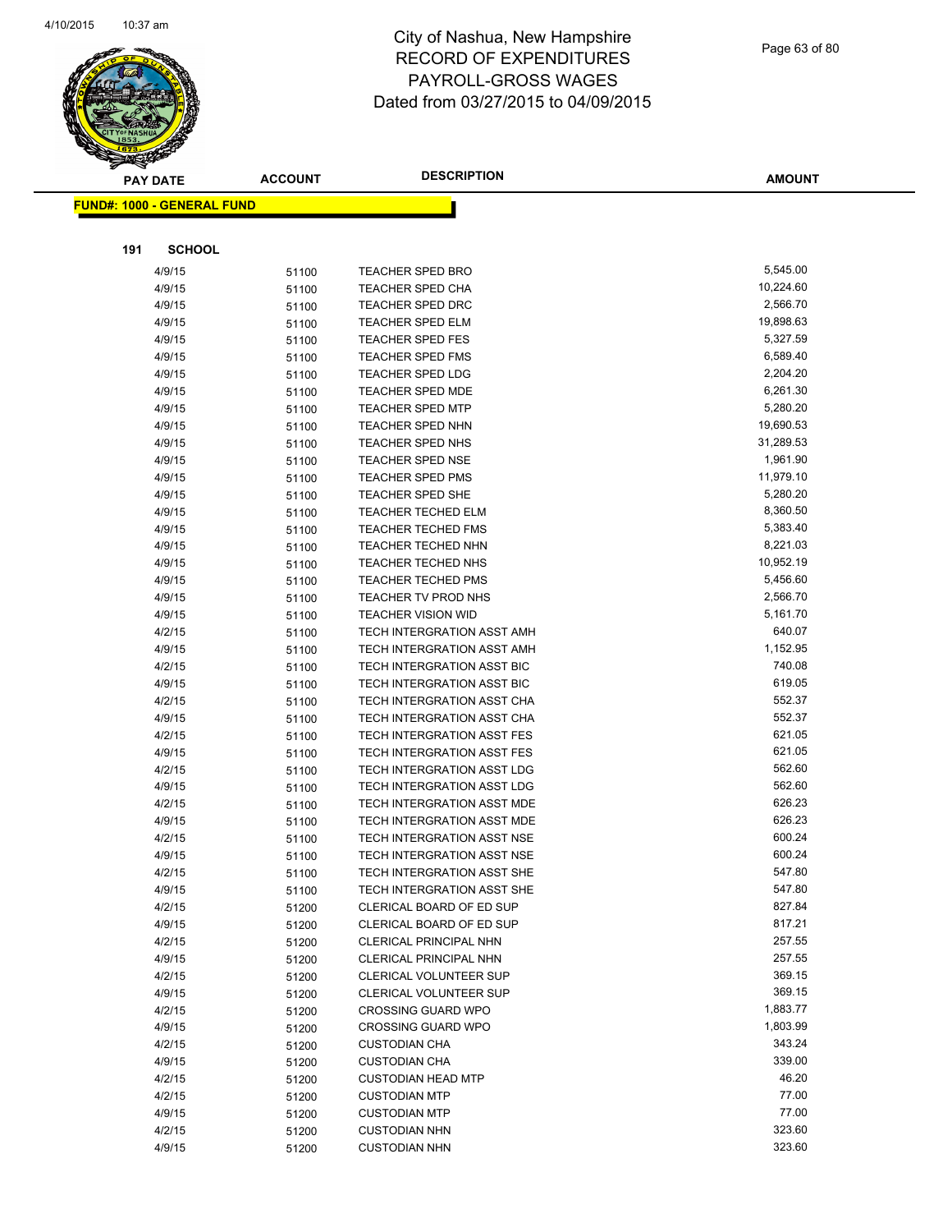

#### Page 63 of 80

| <b>PAY DATE</b>                   | <b>ACCOUNT</b> | <b>DESCRIPTION</b>                | <b>AMOUNT</b> |
|-----------------------------------|----------------|-----------------------------------|---------------|
| <b>FUND#: 1000 - GENERAL FUND</b> |                |                                   |               |
|                                   |                |                                   |               |
| 191<br><b>SCHOOL</b>              |                |                                   |               |
| 4/9/15                            | 51100          | <b>TEACHER SPED BRO</b>           | 5,545.00      |
| 4/9/15                            | 51100          | <b>TEACHER SPED CHA</b>           | 10,224.60     |
| 4/9/15                            | 51100          | <b>TEACHER SPED DRC</b>           | 2,566.70      |
| 4/9/15                            | 51100          | <b>TEACHER SPED ELM</b>           | 19,898.63     |
| 4/9/15                            | 51100          | <b>TEACHER SPED FES</b>           | 5,327.59      |
| 4/9/15                            | 51100          | <b>TEACHER SPED FMS</b>           | 6,589.40      |
| 4/9/15                            | 51100          | TEACHER SPED LDG                  | 2,204.20      |
| 4/9/15                            | 51100          | <b>TEACHER SPED MDE</b>           | 6,261.30      |
| 4/9/15                            | 51100          | <b>TEACHER SPED MTP</b>           | 5,280.20      |
| 4/9/15                            | 51100          | <b>TEACHER SPED NHN</b>           | 19,690.53     |
| 4/9/15                            | 51100          | TEACHER SPED NHS                  | 31,289.53     |
| 4/9/15                            | 51100          | <b>TEACHER SPED NSE</b>           | 1,961.90      |
| 4/9/15                            | 51100          | <b>TEACHER SPED PMS</b>           | 11,979.10     |
| 4/9/15                            | 51100          | <b>TEACHER SPED SHE</b>           | 5,280.20      |
| 4/9/15                            | 51100          | <b>TEACHER TECHED ELM</b>         | 8,360.50      |
| 4/9/15                            | 51100          | <b>TEACHER TECHED FMS</b>         | 5,383.40      |
| 4/9/15                            | 51100          | <b>TEACHER TECHED NHN</b>         | 8,221.03      |
| 4/9/15                            | 51100          | TEACHER TECHED NHS                | 10,952.19     |
| 4/9/15                            | 51100          | <b>TEACHER TECHED PMS</b>         | 5,456.60      |
| 4/9/15                            | 51100          | TEACHER TV PROD NHS               | 2,566.70      |
| 4/9/15                            | 51100          | <b>TEACHER VISION WID</b>         | 5,161.70      |
| 4/2/15                            | 51100          | TECH INTERGRATION ASST AMH        | 640.07        |
| 4/9/15                            | 51100          | TECH INTERGRATION ASST AMH        | 1,152.95      |
| 4/2/15                            | 51100          | TECH INTERGRATION ASST BIC        | 740.08        |
| 4/9/15                            | 51100          | TECH INTERGRATION ASST BIC        | 619.05        |
| 4/2/15                            | 51100          | TECH INTERGRATION ASST CHA        | 552.37        |
| 4/9/15                            | 51100          | TECH INTERGRATION ASST CHA        | 552.37        |
| 4/2/15                            | 51100          | <b>TECH INTERGRATION ASST FES</b> | 621.05        |
| 4/9/15                            | 51100          | <b>TECH INTERGRATION ASST FES</b> | 621.05        |
| 4/2/15                            | 51100          | TECH INTERGRATION ASST LDG        | 562.60        |
| 4/9/15                            | 51100          | TECH INTERGRATION ASST LDG        | 562.60        |
| 4/2/15                            | 51100          | TECH INTERGRATION ASST MDE        | 626.23        |
| 4/9/15                            | 51100          | TECH INTERGRATION ASST MDE        | 626.23        |
| 4/2/15                            | 51100          | TECH INTERGRATION ASST NSE        | 600.24        |
| 4/9/15                            | 51100          | <b>TECH INTERGRATION ASST NSE</b> | 600.24        |
| 4/2/15                            | 51100          | TECH INTERGRATION ASST SHE        | 547.80        |
| 4/9/15                            | 51100          | <b>TECH INTERGRATION ASST SHE</b> | 547.80        |
| 4/2/15                            | 51200          | CLERICAL BOARD OF ED SUP          | 827.84        |
| 4/9/15                            | 51200          | CLERICAL BOARD OF ED SUP          | 817.21        |
| 4/2/15                            | 51200          | CLERICAL PRINCIPAL NHN            | 257.55        |
| 4/9/15                            | 51200          | CLERICAL PRINCIPAL NHN            | 257.55        |
| 4/2/15                            | 51200          | CLERICAL VOLUNTEER SUP            | 369.15        |
| 4/9/15                            | 51200          | CLERICAL VOLUNTEER SUP            | 369.15        |
| 4/2/15                            | 51200          | <b>CROSSING GUARD WPO</b>         | 1,883.77      |
| 4/9/15                            | 51200          | <b>CROSSING GUARD WPO</b>         | 1,803.99      |
| 4/2/15                            | 51200          | <b>CUSTODIAN CHA</b>              | 343.24        |
| 4/9/15                            | 51200          | <b>CUSTODIAN CHA</b>              | 339.00        |
| 4/2/15                            | 51200          | <b>CUSTODIAN HEAD MTP</b>         | 46.20         |
| 4/2/15                            | 51200          | <b>CUSTODIAN MTP</b>              | 77.00         |
| 4/9/15                            | 51200          | <b>CUSTODIAN MTP</b>              | 77.00         |
| 4/2/15                            | 51200          | <b>CUSTODIAN NHN</b>              | 323.60        |
| 4/9/15                            | 51200          | <b>CUSTODIAN NHN</b>              | 323.60        |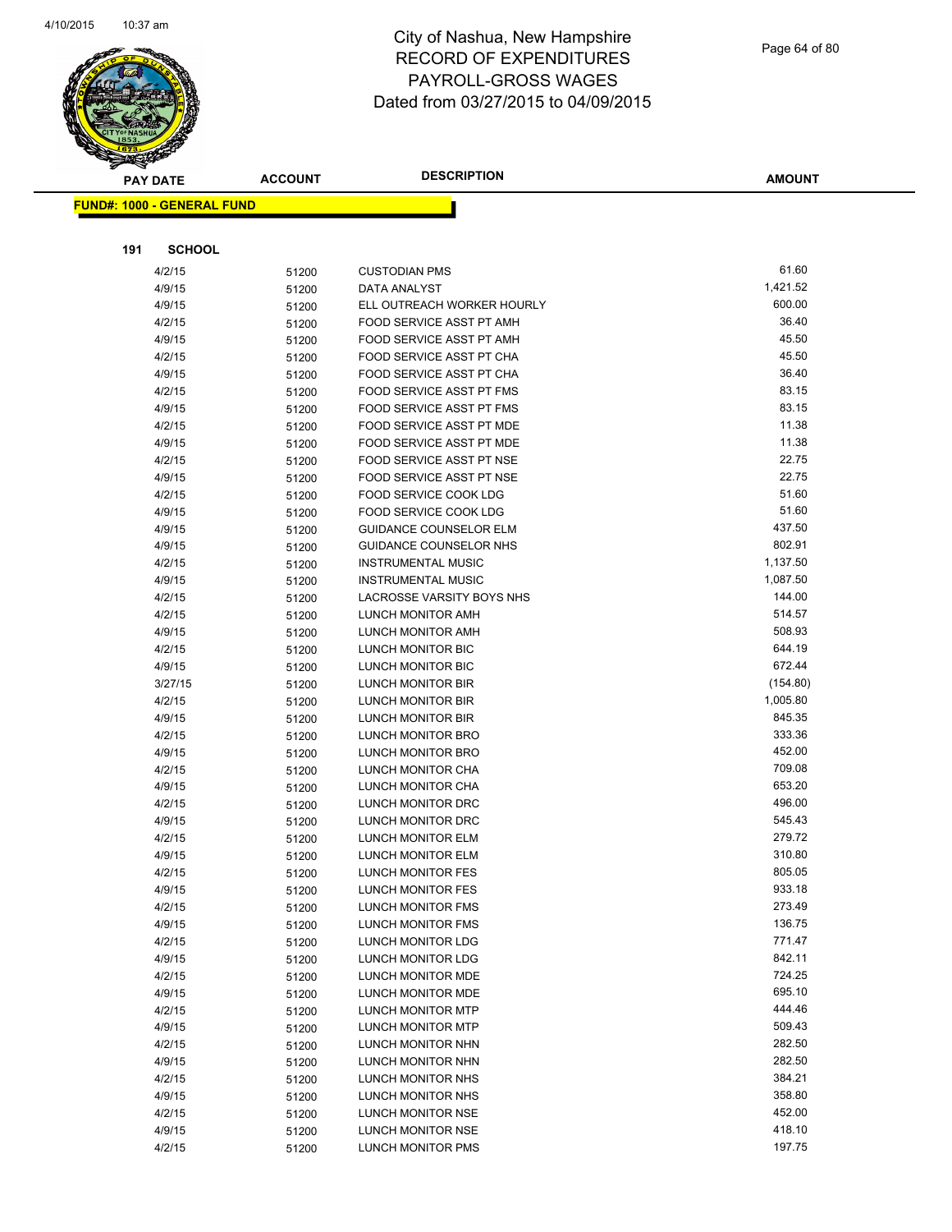

#### Page 64 of 80

| <b>PAY DATE</b> |                                   | <b>ACCOUNT</b> | <b>DESCRIPTION</b>                     | <b>AMOUNT</b>      |
|-----------------|-----------------------------------|----------------|----------------------------------------|--------------------|
|                 | <b>FUND#: 1000 - GENERAL FUND</b> |                |                                        |                    |
|                 |                                   |                |                                        |                    |
|                 |                                   |                |                                        |                    |
| 191             | <b>SCHOOL</b>                     |                |                                        |                    |
|                 | 4/2/15                            | 51200          | <b>CUSTODIAN PMS</b>                   | 61.60              |
|                 | 4/9/15                            | 51200          | DATA ANALYST                           | 1,421.52           |
|                 | 4/9/15                            | 51200          | ELL OUTREACH WORKER HOURLY             | 600.00             |
|                 | 4/2/15                            | 51200          | FOOD SERVICE ASST PT AMH               | 36.40              |
|                 | 4/9/15                            | 51200          | FOOD SERVICE ASST PT AMH               | 45.50              |
|                 | 4/2/15                            | 51200          | FOOD SERVICE ASST PT CHA               | 45.50              |
|                 | 4/9/15                            | 51200          | FOOD SERVICE ASST PT CHA               | 36.40              |
|                 | 4/2/15                            | 51200          | FOOD SERVICE ASST PT FMS               | 83.15              |
|                 | 4/9/15                            | 51200          | FOOD SERVICE ASST PT FMS               | 83.15              |
|                 | 4/2/15                            | 51200          | FOOD SERVICE ASST PT MDE               | 11.38              |
|                 | 4/9/15                            | 51200          | FOOD SERVICE ASST PT MDE               | 11.38              |
|                 | 4/2/15                            | 51200          | FOOD SERVICE ASST PT NSE               | 22.75              |
|                 | 4/9/15                            | 51200          | FOOD SERVICE ASST PT NSE               | 22.75              |
|                 | 4/2/15                            | 51200          | FOOD SERVICE COOK LDG                  | 51.60              |
|                 | 4/9/15                            | 51200          | FOOD SERVICE COOK LDG                  | 51.60              |
|                 | 4/9/15                            | 51200          | <b>GUIDANCE COUNSELOR ELM</b>          | 437.50             |
|                 | 4/9/15                            | 51200          | GUIDANCE COUNSELOR NHS                 | 802.91<br>1,137.50 |
|                 | 4/2/15                            | 51200          | <b>INSTRUMENTAL MUSIC</b>              | 1,087.50           |
|                 | 4/9/15                            | 51200          | <b>INSTRUMENTAL MUSIC</b>              | 144.00             |
|                 | 4/2/15<br>4/2/15                  | 51200          | LACROSSE VARSITY BOYS NHS              | 514.57             |
|                 |                                   | 51200          | LUNCH MONITOR AMH                      | 508.93             |
|                 | 4/9/15<br>4/2/15                  | 51200          | LUNCH MONITOR AMH<br>LUNCH MONITOR BIC | 644.19             |
|                 | 4/9/15                            | 51200          | LUNCH MONITOR BIC                      | 672.44             |
|                 | 3/27/15                           | 51200          | LUNCH MONITOR BIR                      | (154.80)           |
|                 | 4/2/15                            | 51200<br>51200 | LUNCH MONITOR BIR                      | 1,005.80           |
|                 | 4/9/15                            | 51200          | LUNCH MONITOR BIR                      | 845.35             |
|                 | 4/2/15                            | 51200          | LUNCH MONITOR BRO                      | 333.36             |
|                 | 4/9/15                            | 51200          | LUNCH MONITOR BRO                      | 452.00             |
|                 | 4/2/15                            | 51200          | LUNCH MONITOR CHA                      | 709.08             |
|                 | 4/9/15                            | 51200          | LUNCH MONITOR CHA                      | 653.20             |
|                 | 4/2/15                            | 51200          | LUNCH MONITOR DRC                      | 496.00             |
|                 | 4/9/15                            | 51200          | LUNCH MONITOR DRC                      | 545.43             |
|                 | 4/2/15                            | 51200          | LUNCH MONITOR ELM                      | 279.72             |
|                 | 4/9/15                            | 51200          | <b>LUNCH MONITOR ELM</b>               | 310.80             |
|                 | 4/2/15                            | 51200          | LUNCH MONITOR FES                      | 805.05             |
|                 | 4/9/15                            | 51200          | <b>LUNCH MONITOR FES</b>               | 933.18             |
|                 | 4/2/15                            | 51200          | LUNCH MONITOR FMS                      | 273.49             |
|                 | 4/9/15                            | 51200          | LUNCH MONITOR FMS                      | 136.75             |
|                 | 4/2/15                            | 51200          | LUNCH MONITOR LDG                      | 771.47             |
|                 | 4/9/15                            | 51200          | LUNCH MONITOR LDG                      | 842.11             |
|                 | 4/2/15                            | 51200          | LUNCH MONITOR MDE                      | 724.25             |
|                 | 4/9/15                            | 51200          | LUNCH MONITOR MDE                      | 695.10             |
|                 | 4/2/15                            | 51200          | <b>LUNCH MONITOR MTP</b>               | 444.46             |
|                 | 4/9/15                            | 51200          | LUNCH MONITOR MTP                      | 509.43             |
|                 | 4/2/15                            | 51200          | LUNCH MONITOR NHN                      | 282.50             |
|                 | 4/9/15                            | 51200          | LUNCH MONITOR NHN                      | 282.50             |
|                 | 4/2/15                            | 51200          | LUNCH MONITOR NHS                      | 384.21             |
|                 | 4/9/15                            | 51200          | LUNCH MONITOR NHS                      | 358.80             |
|                 | 4/2/15                            | 51200          | LUNCH MONITOR NSE                      | 452.00             |
|                 | 4/9/15                            | 51200          | LUNCH MONITOR NSE                      | 418.10             |
|                 | 4/2/15                            | 51200          | LUNCH MONITOR PMS                      | 197.75             |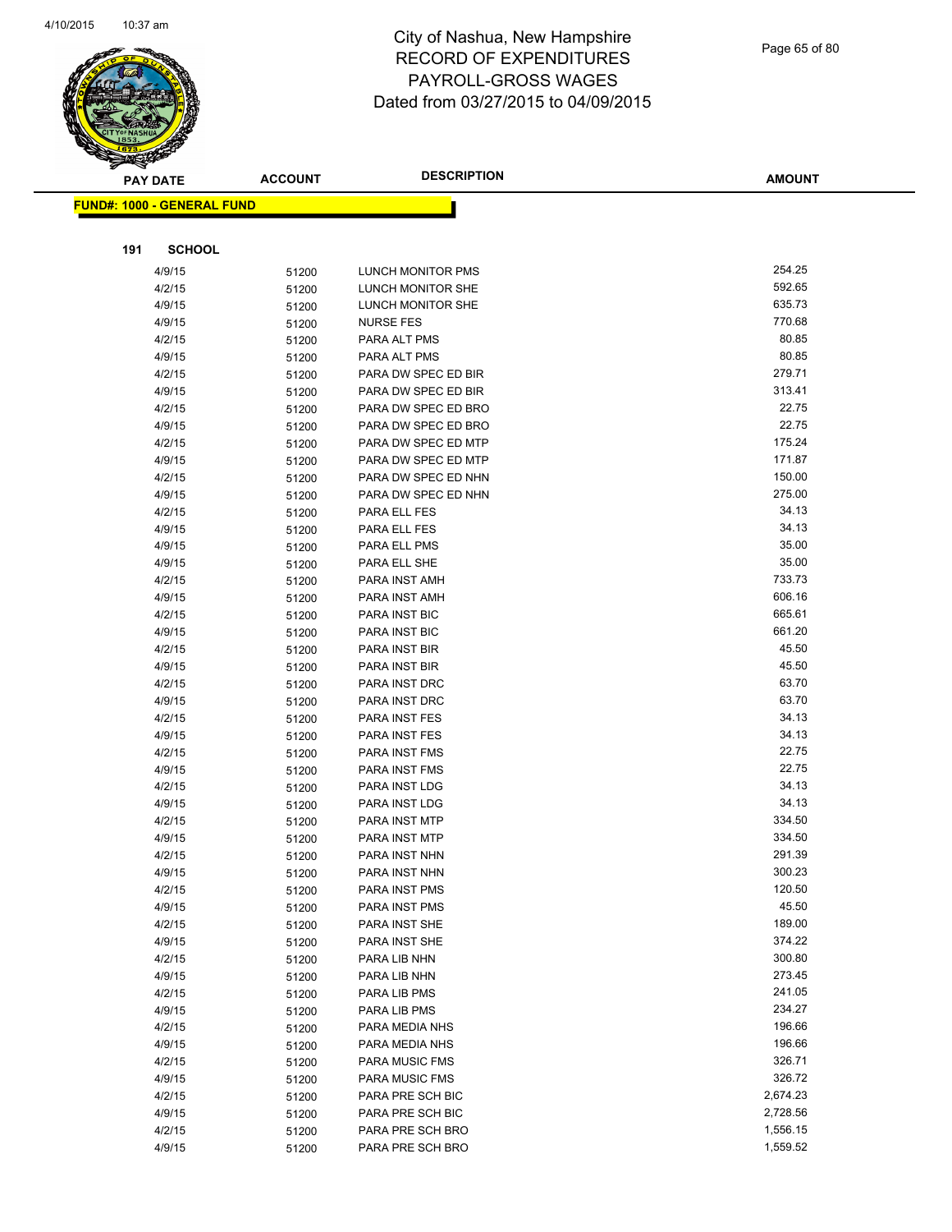

#### Page 65 of 80

| $\tilde{\phantom{a}}$ | <b>PAY DATE</b>                   | <b>ACCOUNT</b> | <b>DESCRIPTION</b>             | <b>AMOUNT</b>    |
|-----------------------|-----------------------------------|----------------|--------------------------------|------------------|
|                       | <b>FUND#: 1000 - GENERAL FUND</b> |                |                                |                  |
|                       |                                   |                |                                |                  |
|                       |                                   |                |                                |                  |
| 191                   | <b>SCHOOL</b>                     |                |                                |                  |
|                       | 4/9/15                            | 51200          | LUNCH MONITOR PMS              | 254.25           |
|                       | 4/2/15                            | 51200          | LUNCH MONITOR SHE              | 592.65           |
|                       | 4/9/15                            | 51200          | LUNCH MONITOR SHE              | 635.73           |
|                       | 4/9/15                            | 51200          | <b>NURSE FES</b>               | 770.68           |
|                       | 4/2/15                            | 51200          | PARA ALT PMS                   | 80.85            |
|                       | 4/9/15                            | 51200          | PARA ALT PMS                   | 80.85            |
|                       | 4/2/15                            | 51200          | PARA DW SPEC ED BIR            | 279.71           |
|                       | 4/9/15                            | 51200          | PARA DW SPEC ED BIR            | 313.41           |
|                       | 4/2/15                            | 51200          | PARA DW SPEC ED BRO            | 22.75            |
|                       | 4/9/15                            | 51200          | PARA DW SPEC ED BRO            | 22.75            |
|                       | 4/2/15                            | 51200          | PARA DW SPEC ED MTP            | 175.24           |
|                       | 4/9/15                            | 51200          | PARA DW SPEC ED MTP            | 171.87           |
|                       | 4/2/15                            | 51200          | PARA DW SPEC ED NHN            | 150.00           |
|                       | 4/9/15                            | 51200          | PARA DW SPEC ED NHN            | 275.00           |
|                       | 4/2/15                            | 51200          | PARA ELL FES                   | 34.13            |
|                       | 4/9/15                            | 51200          | PARA ELL FES                   | 34.13            |
|                       | 4/9/15                            | 51200          | PARA ELL PMS                   | 35.00            |
|                       | 4/9/15                            | 51200          | PARA ELL SHE                   | 35.00            |
|                       | 4/2/15                            | 51200          | PARA INST AMH                  | 733.73           |
|                       | 4/9/15                            | 51200          | PARA INST AMH                  | 606.16           |
|                       | 4/2/15                            | 51200          | PARA INST BIC                  | 665.61<br>661.20 |
|                       | 4/9/15                            | 51200          | PARA INST BIC                  |                  |
|                       | 4/2/15                            | 51200          | PARA INST BIR                  | 45.50<br>45.50   |
|                       | 4/9/15                            | 51200          | PARA INST BIR                  | 63.70            |
|                       | 4/2/15                            | 51200          | PARA INST DRC                  | 63.70            |
|                       | 4/9/15<br>4/2/15                  | 51200          | PARA INST DRC<br>PARA INST FES | 34.13            |
|                       | 4/9/15                            | 51200          | PARA INST FES                  | 34.13            |
|                       | 4/2/15                            | 51200<br>51200 | PARA INST FMS                  | 22.75            |
|                       | 4/9/15                            | 51200          | PARA INST FMS                  | 22.75            |
|                       | 4/2/15                            | 51200          | PARA INST LDG                  | 34.13            |
|                       | 4/9/15                            | 51200          | PARA INST LDG                  | 34.13            |
|                       | 4/2/15                            | 51200          | PARA INST MTP                  | 334.50           |
|                       | 4/9/15                            | 51200          | PARA INST MTP                  | 334.50           |
|                       | 4/2/15                            | 51200          | PARA INST NHN                  | 291.39           |
|                       | 4/9/15                            | 51200          | PARA INST NHN                  | 300.23           |
|                       | 4/2/15                            | 51200          | PARA INST PMS                  | 120.50           |
|                       | 4/9/15                            | 51200          | PARA INST PMS                  | 45.50            |
|                       | 4/2/15                            | 51200          | PARA INST SHE                  | 189.00           |
|                       | 4/9/15                            | 51200          | PARA INST SHE                  | 374.22           |
|                       | 4/2/15                            | 51200          | PARA LIB NHN                   | 300.80           |
|                       | 4/9/15                            | 51200          | PARA LIB NHN                   | 273.45           |
|                       | 4/2/15                            | 51200          | PARA LIB PMS                   | 241.05           |
|                       | 4/9/15                            | 51200          | PARA LIB PMS                   | 234.27           |
|                       | 4/2/15                            | 51200          | PARA MEDIA NHS                 | 196.66           |
|                       | 4/9/15                            | 51200          | PARA MEDIA NHS                 | 196.66           |
|                       | 4/2/15                            | 51200          | <b>PARA MUSIC FMS</b>          | 326.71           |
|                       | 4/9/15                            | 51200          | PARA MUSIC FMS                 | 326.72           |
|                       | 4/2/15                            | 51200          | PARA PRE SCH BIC               | 2,674.23         |
|                       | 4/9/15                            | 51200          | PARA PRE SCH BIC               | 2,728.56         |
|                       | 4/2/15                            | 51200          | PARA PRE SCH BRO               | 1,556.15         |
|                       | 4/9/15                            | 51200          | PARA PRE SCH BRO               | 1,559.52         |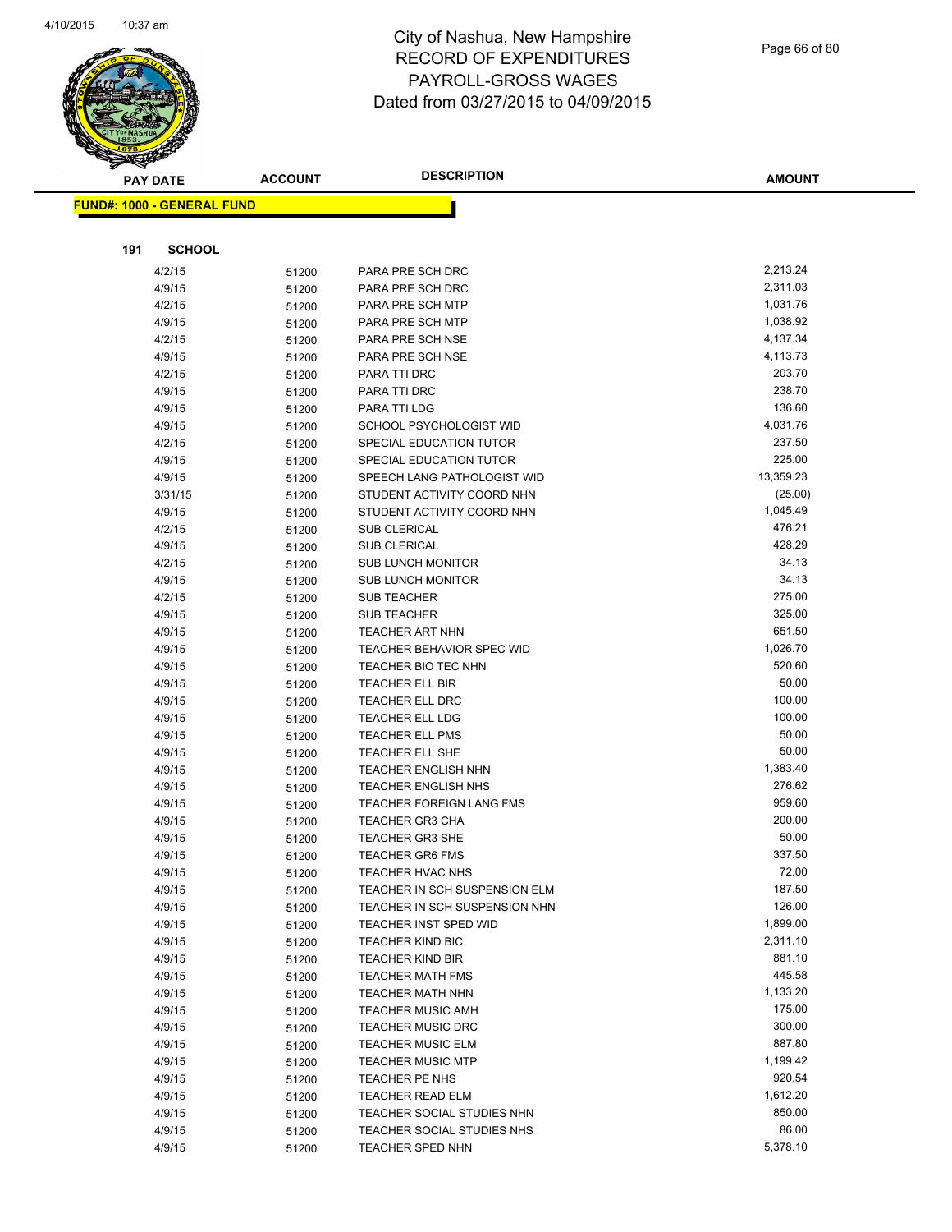

#### Page 66 of 80

| $\tilde{\phantom{a}}$<br><b>PAY DATE</b> |               | <b>ACCOUNT</b> | <b>DESCRIPTION</b>                                     | <b>AMOUNT</b>      |
|------------------------------------------|---------------|----------------|--------------------------------------------------------|--------------------|
| <b>FUND#: 1000 - GENERAL FUND</b>        |               |                |                                                        |                    |
|                                          |               |                |                                                        |                    |
|                                          |               |                |                                                        |                    |
| 191                                      | <b>SCHOOL</b> |                |                                                        |                    |
| 4/2/15                                   |               | 51200          | PARA PRE SCH DRC                                       | 2,213.24           |
| 4/9/15                                   |               | 51200          | PARA PRE SCH DRC                                       | 2,311.03           |
| 4/2/15                                   |               | 51200          | PARA PRE SCH MTP                                       | 1,031.76           |
| 4/9/15                                   |               | 51200          | PARA PRE SCH MTP                                       | 1,038.92           |
| 4/2/15                                   |               | 51200          | PARA PRE SCH NSE                                       | 4,137.34           |
| 4/9/15                                   |               | 51200          | PARA PRE SCH NSE                                       | 4,113.73           |
| 4/2/15                                   |               | 51200          | PARA TTI DRC                                           | 203.70             |
| 4/9/15                                   |               | 51200          | PARA TTI DRC                                           | 238.70             |
| 4/9/15                                   |               | 51200          | PARA TTI LDG                                           | 136.60             |
| 4/9/15                                   |               | 51200          | SCHOOL PSYCHOLOGIST WID                                | 4,031.76           |
| 4/2/15                                   |               | 51200          | SPECIAL EDUCATION TUTOR                                | 237.50             |
| 4/9/15                                   |               | 51200          | SPECIAL EDUCATION TUTOR                                | 225.00             |
| 4/9/15                                   |               | 51200          | SPEECH LANG PATHOLOGIST WID                            | 13,359.23          |
|                                          | 3/31/15       | 51200          | STUDENT ACTIVITY COORD NHN                             | (25.00)            |
| 4/9/15                                   |               | 51200          | STUDENT ACTIVITY COORD NHN                             | 1,045.49           |
| 4/2/15                                   |               | 51200          | SUB CLERICAL                                           | 476.21             |
| 4/9/15                                   |               | 51200          | <b>SUB CLERICAL</b>                                    | 428.29             |
| 4/2/15                                   |               | 51200          | <b>SUB LUNCH MONITOR</b>                               | 34.13              |
| 4/9/15                                   |               | 51200          | <b>SUB LUNCH MONITOR</b>                               | 34.13              |
| 4/2/15                                   |               | 51200          | <b>SUB TEACHER</b>                                     | 275.00             |
| 4/9/15                                   |               | 51200          | <b>SUB TEACHER</b>                                     | 325.00             |
| 4/9/15                                   |               | 51200          | <b>TEACHER ART NHN</b>                                 | 651.50             |
| 4/9/15                                   |               | 51200          | <b>TEACHER BEHAVIOR SPEC WID</b>                       | 1,026.70           |
| 4/9/15                                   |               | 51200          | TEACHER BIO TEC NHN                                    | 520.60             |
| 4/9/15                                   |               | 51200          | <b>TEACHER ELL BIR</b>                                 | 50.00              |
| 4/9/15                                   |               | 51200          | <b>TEACHER ELL DRC</b>                                 | 100.00             |
| 4/9/15                                   |               | 51200          | <b>TEACHER ELL LDG</b>                                 | 100.00             |
| 4/9/15                                   |               | 51200          | <b>TEACHER ELL PMS</b>                                 | 50.00              |
| 4/9/15                                   |               | 51200          | <b>TEACHER ELL SHE</b>                                 | 50.00              |
| 4/9/15                                   |               | 51200          | <b>TEACHER ENGLISH NHN</b>                             | 1,383.40           |
| 4/9/15                                   |               | 51200          | <b>TEACHER ENGLISH NHS</b>                             | 276.62             |
| 4/9/15                                   |               | 51200          | TEACHER FOREIGN LANG FMS                               | 959.60             |
| 4/9/15                                   |               | 51200          | <b>TEACHER GR3 CHA</b>                                 | 200.00             |
| 4/9/15                                   |               | 51200          | <b>TEACHER GR3 SHE</b>                                 | 50.00              |
| 4/9/15                                   |               | 51200          | <b>TEACHER GR6 FMS</b>                                 | 337.50             |
| 4/9/15                                   |               | 51200          | TEACHER HVAC NHS                                       | 72.00              |
| 4/9/15                                   |               | 51200          | TEACHER IN SCH SUSPENSION ELM                          | 187.50             |
| 4/9/15                                   |               | 51200          | TEACHER IN SCH SUSPENSION NHN<br>TEACHER INST SPED WID | 126.00<br>1,899.00 |
| 4/9/15                                   |               | 51200          | <b>TEACHER KIND BIC</b>                                | 2,311.10           |
| 4/9/15                                   |               | 51200          |                                                        | 881.10             |
| 4/9/15<br>4/9/15                         |               | 51200          | <b>TEACHER KIND BIR</b><br><b>TEACHER MATH FMS</b>     | 445.58             |
| 4/9/15                                   |               | 51200          | TEACHER MATH NHN                                       | 1,133.20           |
| 4/9/15                                   |               | 51200          | <b>TEACHER MUSIC AMH</b>                               | 175.00             |
| 4/9/15                                   |               | 51200          | <b>TEACHER MUSIC DRC</b>                               | 300.00             |
| 4/9/15                                   |               | 51200<br>51200 | <b>TEACHER MUSIC ELM</b>                               | 887.80             |
| 4/9/15                                   |               |                | <b>TEACHER MUSIC MTP</b>                               | 1,199.42           |
| 4/9/15                                   |               | 51200<br>51200 | TEACHER PE NHS                                         | 920.54             |
| 4/9/15                                   |               | 51200          | <b>TEACHER READ ELM</b>                                | 1,612.20           |
| 4/9/15                                   |               | 51200          | TEACHER SOCIAL STUDIES NHN                             | 850.00             |
| 4/9/15                                   |               | 51200          | TEACHER SOCIAL STUDIES NHS                             | 86.00              |
| 4/9/15                                   |               | 51200          | TEACHER SPED NHN                                       | 5,378.10           |
|                                          |               |                |                                                        |                    |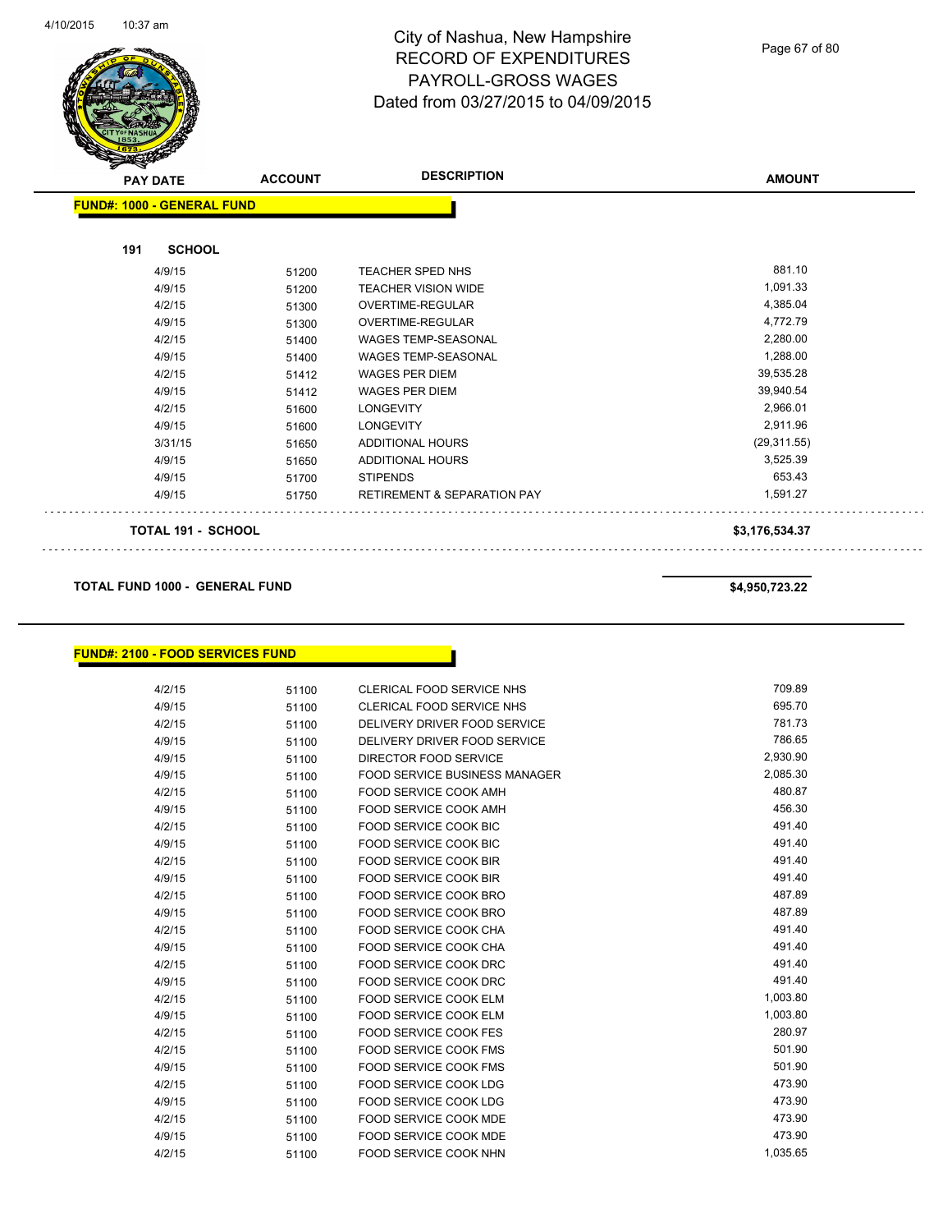

#### Page 67 of 80

| <b>PAY DATE</b>                   | <b>ACCOUNT</b> | <b>DESCRIPTION</b>                     | <b>AMOUNT</b>  |
|-----------------------------------|----------------|----------------------------------------|----------------|
| <b>FUND#: 1000 - GENERAL FUND</b> |                |                                        |                |
| <b>SCHOOL</b><br>191              |                |                                        |                |
| 4/9/15                            | 51200          | TEACHER SPED NHS                       | 881.10         |
| 4/9/15                            | 51200          | <b>TEACHER VISION WIDE</b>             | 1,091.33       |
| 4/2/15                            | 51300          | OVERTIME-REGULAR                       | 4,385.04       |
| 4/9/15                            | 51300          | OVERTIME-REGULAR                       | 4,772.79       |
| 4/2/15                            | 51400          | WAGES TEMP-SEASONAL                    | 2,280.00       |
| 4/9/15                            | 51400          | <b>WAGES TEMP-SEASONAL</b>             | 1,288.00       |
| 4/2/15                            | 51412          | <b>WAGES PER DIEM</b>                  | 39,535.28      |
| 4/9/15                            | 51412          | <b>WAGES PER DIEM</b>                  | 39,940.54      |
| 4/2/15                            | 51600          | <b>LONGEVITY</b>                       | 2,966.01       |
| 4/9/15                            | 51600          | <b>LONGEVITY</b>                       | 2,911.96       |
| 3/31/15                           | 51650          | ADDITIONAL HOURS                       | (29, 311.55)   |
| 4/9/15                            | 51650          | <b>ADDITIONAL HOURS</b>                | 3,525.39       |
| 4/9/15                            | 51700          | <b>STIPENDS</b>                        | 653.43         |
| 4/9/15                            | 51750          | <b>RETIREMENT &amp; SEPARATION PAY</b> | 1,591.27       |
| <b>TOTAL 191 - SCHOOL</b>         |                |                                        | \$3,176,534.37 |

**TOTAL FUND 1000 - GENERAL FUND \$4,950,723.22** 

#### **FUND#: 2100 - FOOD SERVICES FUND**

| 4/2/15 | 51100 | <b>CLERICAL FOOD SERVICE NHS</b>     | 709.89   |
|--------|-------|--------------------------------------|----------|
| 4/9/15 | 51100 | <b>CLERICAL FOOD SERVICE NHS</b>     | 695.70   |
| 4/2/15 | 51100 | DELIVERY DRIVER FOOD SERVICE         | 781.73   |
| 4/9/15 | 51100 | DELIVERY DRIVER FOOD SERVICE         | 786.65   |
| 4/9/15 | 51100 | DIRECTOR FOOD SERVICE                | 2,930.90 |
| 4/9/15 | 51100 | <b>FOOD SERVICE BUSINESS MANAGER</b> | 2,085.30 |
| 4/2/15 | 51100 | <b>FOOD SERVICE COOK AMH</b>         | 480.87   |
| 4/9/15 | 51100 | <b>FOOD SERVICE COOK AMH</b>         | 456.30   |
| 4/2/15 | 51100 | <b>FOOD SERVICE COOK BIC</b>         | 491.40   |
| 4/9/15 | 51100 | <b>FOOD SERVICE COOK BIC</b>         | 491.40   |
| 4/2/15 | 51100 | <b>FOOD SERVICE COOK BIR</b>         | 491.40   |
| 4/9/15 | 51100 | <b>FOOD SERVICE COOK BIR</b>         | 491.40   |
| 4/2/15 | 51100 | <b>FOOD SERVICE COOK BRO</b>         | 487.89   |
| 4/9/15 | 51100 | <b>FOOD SERVICE COOK BRO</b>         | 487.89   |
| 4/2/15 | 51100 | <b>FOOD SERVICE COOK CHA</b>         | 491.40   |
| 4/9/15 | 51100 | <b>FOOD SERVICE COOK CHA</b>         | 491.40   |
| 4/2/15 | 51100 | <b>FOOD SERVICE COOK DRC</b>         | 491.40   |
| 4/9/15 | 51100 | FOOD SERVICE COOK DRC                | 491.40   |
| 4/2/15 | 51100 | <b>FOOD SERVICE COOK ELM</b>         | 1,003.80 |
| 4/9/15 | 51100 | <b>FOOD SERVICE COOK ELM</b>         | 1,003.80 |
| 4/2/15 | 51100 | <b>FOOD SERVICE COOK FES</b>         | 280.97   |
| 4/2/15 | 51100 | <b>FOOD SERVICE COOK FMS</b>         | 501.90   |
| 4/9/15 | 51100 | <b>FOOD SERVICE COOK FMS</b>         | 501.90   |
| 4/2/15 | 51100 | <b>FOOD SERVICE COOK LDG</b>         | 473.90   |
| 4/9/15 | 51100 | <b>FOOD SERVICE COOK LDG</b>         | 473.90   |
| 4/2/15 | 51100 | <b>FOOD SERVICE COOK MDE</b>         | 473.90   |
| 4/9/15 | 51100 | <b>FOOD SERVICE COOK MDE</b>         | 473.90   |
| 4/2/15 | 51100 | <b>FOOD SERVICE COOK NHN</b>         | 1,035.65 |

distribution district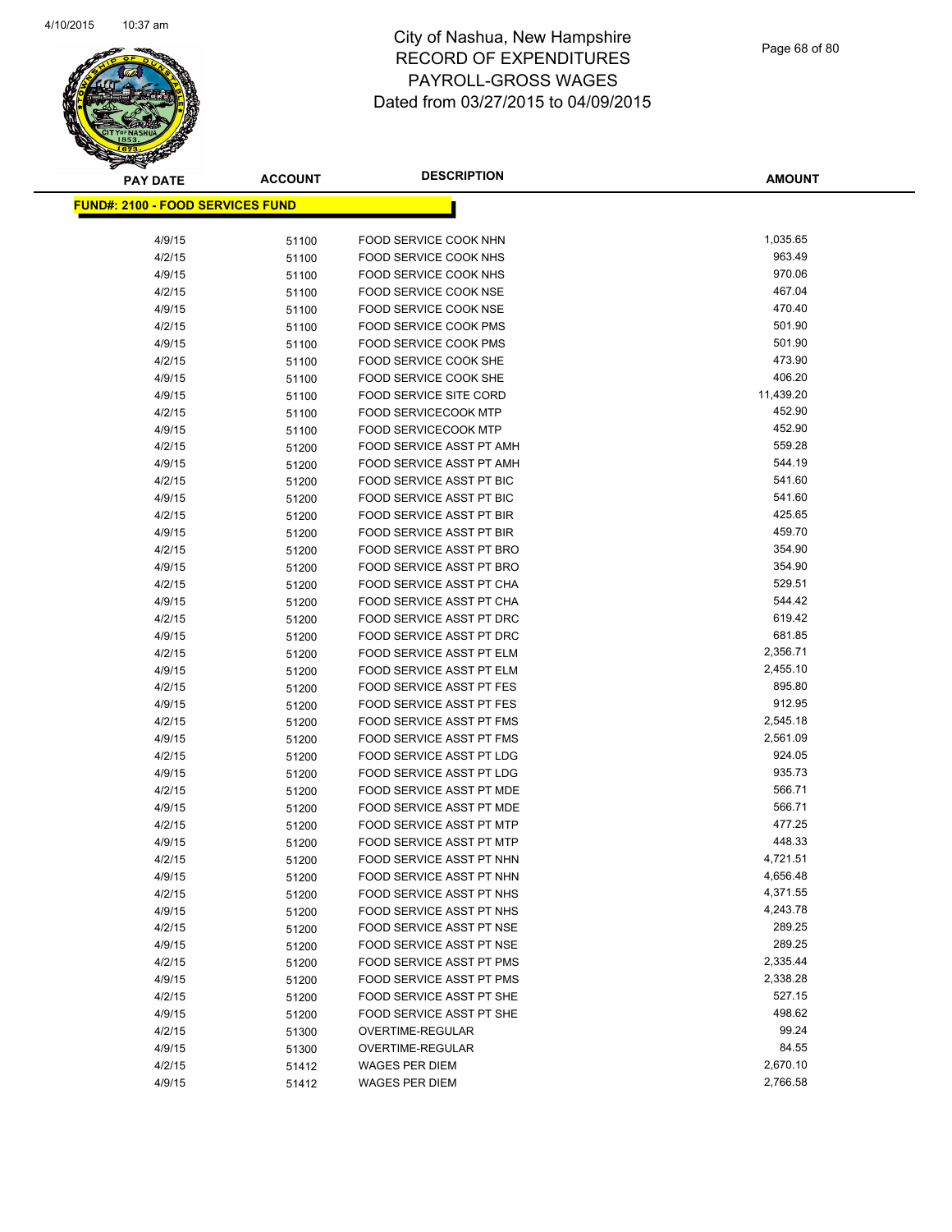| <b>PAY DATE</b>                          | <b>ACCOUNT</b> | <b>DESCRIPTION</b>            | <b>AMOUNT</b> |
|------------------------------------------|----------------|-------------------------------|---------------|
| <u> FUND#: 2100 - FOOD SERVICES FUND</u> |                |                               |               |
|                                          |                |                               |               |
| 4/9/15                                   | 51100          | FOOD SERVICE COOK NHN         | 1,035.65      |
| 4/2/15                                   | 51100          | FOOD SERVICE COOK NHS         | 963.49        |
| 4/9/15                                   | 51100          | FOOD SERVICE COOK NHS         | 970.06        |
| 4/2/15                                   | 51100          | FOOD SERVICE COOK NSE         | 467.04        |
| 4/9/15                                   | 51100          | FOOD SERVICE COOK NSE         | 470.40        |
| 4/2/15                                   | 51100          | FOOD SERVICE COOK PMS         | 501.90        |
| 4/9/15                                   | 51100          | <b>FOOD SERVICE COOK PMS</b>  | 501.90        |
| 4/2/15                                   | 51100          | FOOD SERVICE COOK SHE         | 473.90        |
| 4/9/15                                   | 51100          | FOOD SERVICE COOK SHE         | 406.20        |
| 4/9/15                                   | 51100          | <b>FOOD SERVICE SITE CORD</b> | 11,439.20     |
| 4/2/15                                   | 51100          | <b>FOOD SERVICECOOK MTP</b>   | 452.90        |
| 4/9/15                                   | 51100          | <b>FOOD SERVICECOOK MTP</b>   | 452.90        |
| 4/2/15                                   | 51200          | FOOD SERVICE ASST PT AMH      | 559.28        |
| 4/9/15                                   | 51200          | FOOD SERVICE ASST PT AMH      | 544.19        |
| 4/2/15                                   | 51200          | FOOD SERVICE ASST PT BIC      | 541.60        |
| 4/9/15                                   | 51200          | FOOD SERVICE ASST PT BIC      | 541.60        |
| 4/2/15                                   | 51200          | FOOD SERVICE ASST PT BIR      | 425.65        |
| 4/9/15                                   | 51200          | FOOD SERVICE ASST PT BIR      | 459.70        |
| 4/2/15                                   | 51200          | FOOD SERVICE ASST PT BRO      | 354.90        |
| 4/9/15                                   | 51200          | FOOD SERVICE ASST PT BRO      | 354.90        |
| 4/2/15                                   | 51200          | FOOD SERVICE ASST PT CHA      | 529.51        |
| 4/9/15                                   | 51200          | FOOD SERVICE ASST PT CHA      | 544.42        |
| 4/2/15                                   | 51200          | FOOD SERVICE ASST PT DRC      | 619.42        |
| 4/9/15                                   | 51200          | FOOD SERVICE ASST PT DRC      | 681.85        |
| 4/2/15                                   | 51200          | FOOD SERVICE ASST PT ELM      | 2,356.71      |
| 4/9/15                                   | 51200          | FOOD SERVICE ASST PT ELM      | 2,455.10      |
| 4/2/15                                   | 51200          | FOOD SERVICE ASST PT FES      | 895.80        |
| 4/9/15                                   | 51200          | FOOD SERVICE ASST PT FES      | 912.95        |
| 4/2/15                                   | 51200          | FOOD SERVICE ASST PT FMS      | 2,545.18      |
| 4/9/15                                   | 51200          | FOOD SERVICE ASST PT FMS      | 2,561.09      |
| 4/2/15                                   | 51200          | FOOD SERVICE ASST PT LDG      | 924.05        |
| 4/9/15                                   | 51200          | FOOD SERVICE ASST PT LDG      | 935.73        |
| 4/2/15                                   | 51200          | FOOD SERVICE ASST PT MDE      | 566.71        |
| 4/9/15                                   | 51200          | FOOD SERVICE ASST PT MDE      | 566.71        |
| 4/2/15                                   | 51200          | FOOD SERVICE ASST PT MTP      | 477.25        |
| 4/9/15                                   | 51200          | FOOD SERVICE ASST PT MTP      | 448.33        |
| 4/2/15                                   | 51200          | FOOD SERVICE ASST PT NHN      | 4,721.51      |
| 4/9/15                                   | 51200          | FOOD SERVICE ASST PT NHN      | 4,656.48      |
| 4/2/15                                   | 51200          | FOOD SERVICE ASST PT NHS      | 4,371.55      |
| 4/9/15                                   | 51200          | FOOD SERVICE ASST PT NHS      | 4,243.78      |
| 4/2/15                                   | 51200          | FOOD SERVICE ASST PT NSE      | 289.25        |
| 4/9/15                                   | 51200          | FOOD SERVICE ASST PT NSE      | 289.25        |
| 4/2/15                                   | 51200          | FOOD SERVICE ASST PT PMS      | 2,335.44      |
| 4/9/15                                   | 51200          | FOOD SERVICE ASST PT PMS      | 2,338.28      |
| 4/2/15                                   | 51200          | FOOD SERVICE ASST PT SHE      | 527.15        |
| 4/9/15                                   | 51200          | FOOD SERVICE ASST PT SHE      | 498.62        |
| 4/2/15                                   | 51300          | OVERTIME-REGULAR              | 99.24         |
| 4/9/15                                   | 51300          | OVERTIME-REGULAR              | 84.55         |
| 4/2/15                                   | 51412          | <b>WAGES PER DIEM</b>         | 2,670.10      |
| 4/9/15                                   | 51412          | <b>WAGES PER DIEM</b>         | 2,766.58      |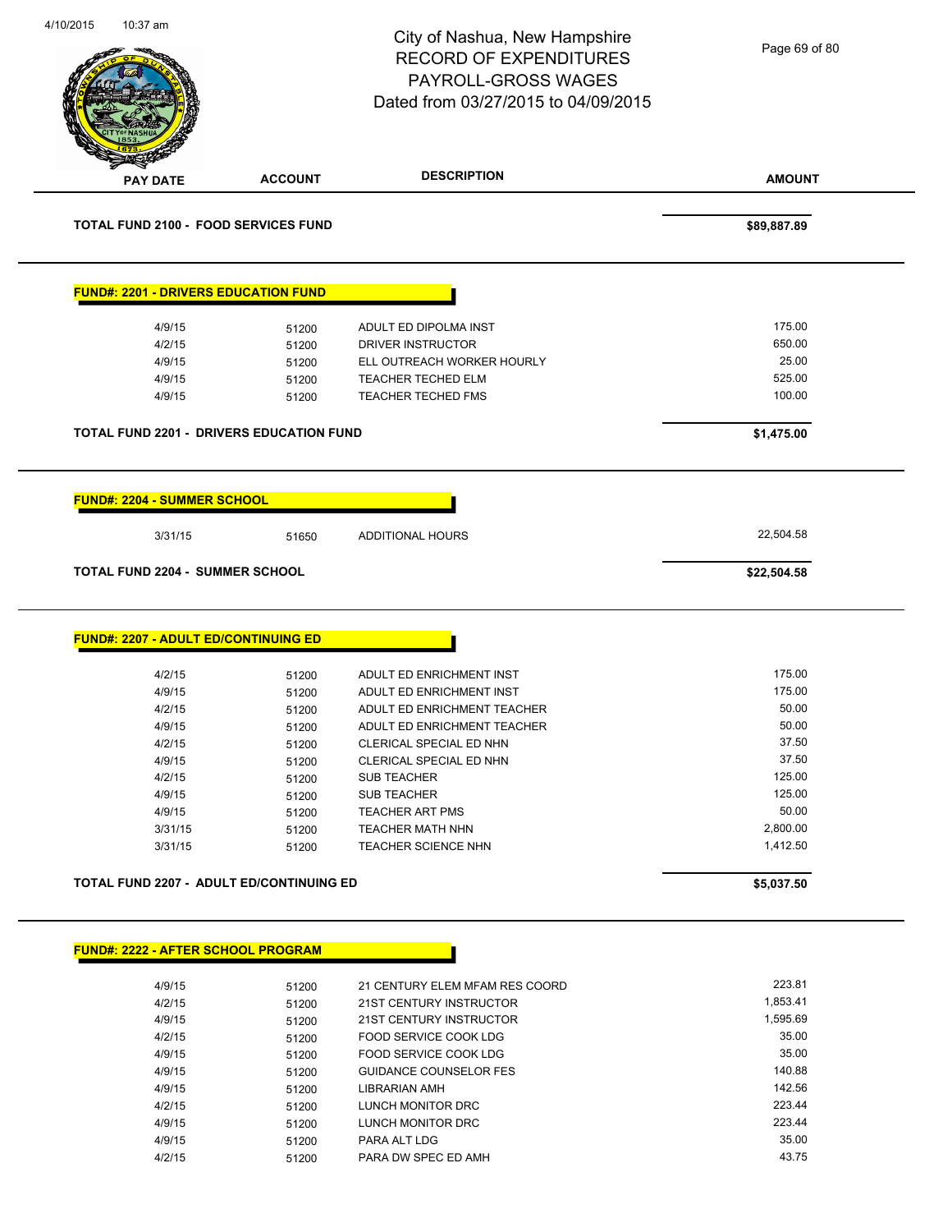| 4/10/2015<br>10:37 am |                                             | City of Nashua, New Hampshire<br><b>RECORD OF EXPENDITURES</b><br>PAYROLL-GROSS WAGES<br>Dated from 03/27/2015 to 04/09/2015 | Page 69 of 80    |
|-----------------------|---------------------------------------------|------------------------------------------------------------------------------------------------------------------------------|------------------|
| <b>PAY DATE</b>       | <b>ACCOUNT</b>                              | <b>DESCRIPTION</b>                                                                                                           | <b>AMOUNT</b>    |
|                       | <b>TOTAL FUND 2100 - FOOD SERVICES FUND</b> |                                                                                                                              | \$89,887.89      |
|                       | <b>FUND#: 2201 - DRIVERS EDUCATION FUND</b> |                                                                                                                              |                  |
|                       | 4/9/15<br>51200                             | ADULT ED DIPOLMA INST                                                                                                        | 175.00           |
|                       | 4/2/15<br>51200                             | DRIVER INSTRUCTOR                                                                                                            | 650.00           |
|                       | 4/9/15<br>51200                             | ELL OUTREACH WORKER HOURLY                                                                                                   | 25.00            |
|                       | 4/9/15<br>51200                             | <b>TEACHER TECHED ELM</b>                                                                                                    | 525.00           |
|                       | 4/9/15<br>51200                             | TEACHER TECHED FMS                                                                                                           | 100.00           |
|                       | TOTAL FUND 2201 - DRIVERS EDUCATION FUND    |                                                                                                                              | \$1,475.00       |
|                       | <b>FUND#: 2204 - SUMMER SCHOOL</b>          |                                                                                                                              |                  |
|                       | 3/31/15<br>51650                            | <b>ADDITIONAL HOURS</b>                                                                                                      | 22,504.58        |
|                       | <b>TOTAL FUND 2204 - SUMMER SCHOOL</b>      |                                                                                                                              | \$22,504.58      |
|                       | <b>FUND#: 2207 - ADULT ED/CONTINUING ED</b> |                                                                                                                              | 175.00           |
|                       | 4/2/15<br>51200<br>4/9/15<br>51200          | ADULT ED ENRICHMENT INST<br>ADULT ED ENRICHMENT INST                                                                         | 175.00           |
|                       | 4/2/15<br>51200                             | ADULT ED ENRICHMENT TEACHER                                                                                                  | 50.00            |
|                       | 4/9/15<br>51200                             | ADULT ED ENRICHMENT TEACHER                                                                                                  | 50.00            |
|                       | 4/2/15<br>51200                             | CLERICAL SPECIAL ED NHN                                                                                                      | 37.50            |
|                       | 4/9/15<br>51200                             | CLERICAL SPECIAL ED NHN                                                                                                      | 37.50            |
|                       | 4/2/15<br>51200                             | <b>SUB TEACHER</b>                                                                                                           | 125.00           |
|                       | 4/9/15<br>51200                             | SUB TEACHER                                                                                                                  | 125.00           |
|                       | 4/9/15<br>51200                             | <b>TEACHER ART PMS</b>                                                                                                       | 50.00            |
|                       | 3/31/15<br>51200                            | <b>TEACHER MATH NHN</b>                                                                                                      | 2,800.00         |
|                       | 3/31/15<br>51200                            | <b>TEACHER SCIENCE NHN</b>                                                                                                   | 1,412.50         |
|                       | TOTAL FUND 2207 - ADULT ED/CONTINUING ED    |                                                                                                                              | \$5,037.50       |
|                       | <b>FUND#: 2222 - AFTER SCHOOL PROGRAM</b>   |                                                                                                                              |                  |
|                       |                                             |                                                                                                                              |                  |
|                       | 4/9/15<br>51200                             | 21 CENTURY ELEM MFAM RES COORD                                                                                               | 223.81           |
|                       | 4/2/15<br>51200                             | 21ST CENTURY INSTRUCTOR                                                                                                      | 1,853.41         |
|                       | 4/9/15<br>51200                             | 21ST CENTURY INSTRUCTOR                                                                                                      | 1,595.69         |
|                       | 4/2/15<br>51200                             | FOOD SERVICE COOK LDG                                                                                                        | 35.00            |
|                       | 4/9/15<br>51200                             | FOOD SERVICE COOK LDG                                                                                                        | 35.00            |
|                       | 4/9/15<br>51200                             | <b>GUIDANCE COUNSELOR FES</b>                                                                                                | 140.88           |
|                       | 4/9/15<br>51200                             | LIBRARIAN AMH                                                                                                                | 142.56<br>223.44 |
|                       | 4/2/15<br>51200                             | LUNCH MONITOR DRC                                                                                                            | 223.44           |
|                       | 4/9/15<br>51200                             | LUNCH MONITOR DRC                                                                                                            | 35.00            |
|                       | 4/9/15<br>51200                             | PARA ALT LDG                                                                                                                 |                  |
|                       | 4/2/15<br>51200                             | PARA DW SPEC ED AMH                                                                                                          | 43.75            |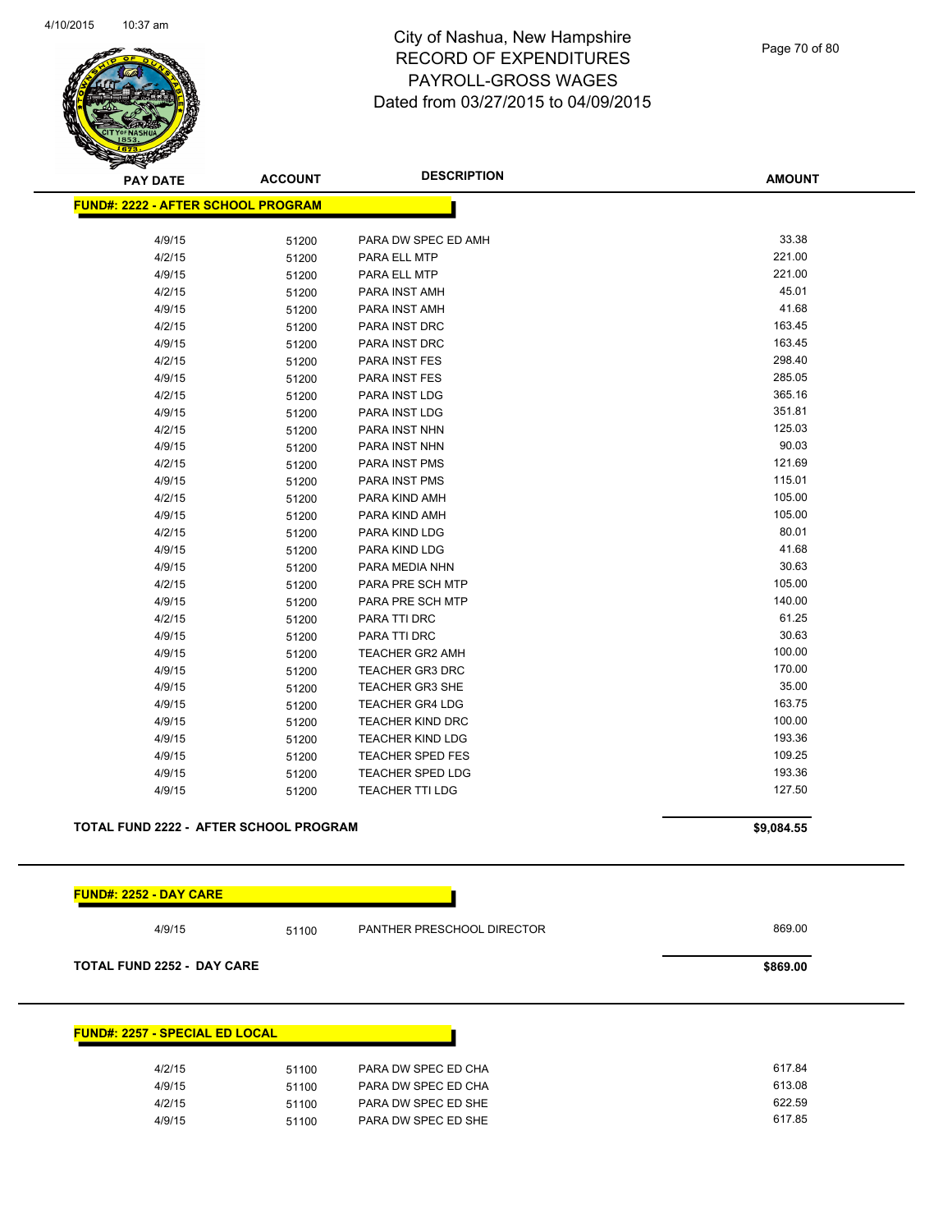

Page 70 of 80

| <b>PAY DATE</b>                           | <b>ACCOUNT</b> | <b>DESCRIPTION</b>         | <b>AMOUNT</b> |
|-------------------------------------------|----------------|----------------------------|---------------|
| <b>FUND#: 2222 - AFTER SCHOOL PROGRAM</b> |                |                            |               |
| 4/9/15                                    | 51200          | PARA DW SPEC ED AMH        | 33.38         |
| 4/2/15                                    | 51200          | PARA ELL MTP               | 221.00        |
| 4/9/15                                    | 51200          | PARA ELL MTP               | 221.00        |
| 4/2/15                                    | 51200          | PARA INST AMH              | 45.01         |
| 4/9/15                                    | 51200          | PARA INST AMH              | 41.68         |
| 4/2/15                                    | 51200          | PARA INST DRC              | 163.45        |
| 4/9/15                                    | 51200          | PARA INST DRC              | 163.45        |
| 4/2/15                                    | 51200          | PARA INST FES              | 298.40        |
| 4/9/15                                    | 51200          | PARA INST FES              | 285.05        |
| 4/2/15                                    | 51200          | PARA INST LDG              | 365.16        |
| 4/9/15                                    | 51200          | PARA INST LDG              | 351.81        |
| 4/2/15                                    | 51200          | PARA INST NHN              | 125.03        |
| 4/9/15                                    | 51200          | PARA INST NHN              | 90.03         |
| 4/2/15                                    | 51200          | PARA INST PMS              | 121.69        |
| 4/9/15                                    | 51200          | PARA INST PMS              | 115.01        |
| 4/2/15                                    | 51200          | PARA KIND AMH              | 105.00        |
| 4/9/15                                    | 51200          | PARA KIND AMH              | 105.00        |
| 4/2/15                                    | 51200          | PARA KIND LDG              | 80.01         |
| 4/9/15                                    | 51200          | PARA KIND LDG              | 41.68         |
| 4/9/15                                    | 51200          | PARA MEDIA NHN             | 30.63         |
| 4/2/15                                    | 51200          | PARA PRE SCH MTP           | 105.00        |
| 4/9/15                                    | 51200          | PARA PRE SCH MTP           | 140.00        |
| 4/2/15                                    | 51200          | PARA TTI DRC               | 61.25         |
| 4/9/15                                    | 51200          | PARA TTI DRC               | 30.63         |
| 4/9/15                                    | 51200          | <b>TEACHER GR2 AMH</b>     | 100.00        |
| 4/9/15                                    | 51200          | <b>TEACHER GR3 DRC</b>     | 170.00        |
| 4/9/15                                    | 51200          | <b>TEACHER GR3 SHE</b>     | 35.00         |
| 4/9/15                                    | 51200          | <b>TEACHER GR4 LDG</b>     | 163.75        |
| 4/9/15                                    | 51200          | <b>TEACHER KIND DRC</b>    | 100.00        |
| 4/9/15                                    | 51200          | <b>TEACHER KIND LDG</b>    | 193.36        |
| 4/9/15                                    | 51200          | <b>TEACHER SPED FES</b>    | 109.25        |
| 4/9/15                                    | 51200          | TEACHER SPED LDG           | 193.36        |
| 4/9/15                                    | 51200          | <b>TEACHER TTI LDG</b>     | 127.50        |
| TOTAL FUND 2222 - AFTER SCHOOL PROGRAM    |                |                            |               |
|                                           |                |                            | \$9,084.55    |
|                                           |                |                            |               |
| <u> FUND#: 2252 - DAY CARE</u>            |                |                            |               |
| 4/9/15                                    | 51100          | PANTHER PRESCHOOL DIRECTOR | 869.00        |
| <b>TOTAL FUND 2252 - DAY CARE</b>         |                |                            | \$869.00      |
|                                           |                |                            |               |
| <b>FUND#: 2257 - SPECIAL ED LOCAL</b>     |                |                            |               |
| 4/2/15                                    | 51100          | PARA DW SPEC ED CHA        | 617.84        |
| 4/9/15                                    | 51100          | PARA DW SPEC ED CHA        | 613.08        |
| 4/2/15                                    | 51100          | PARA DW SPEC ED SHE        | 622.59        |
| 4/9/15                                    | 51100          | PARA DW SPEC ED SHE        | 617.85        |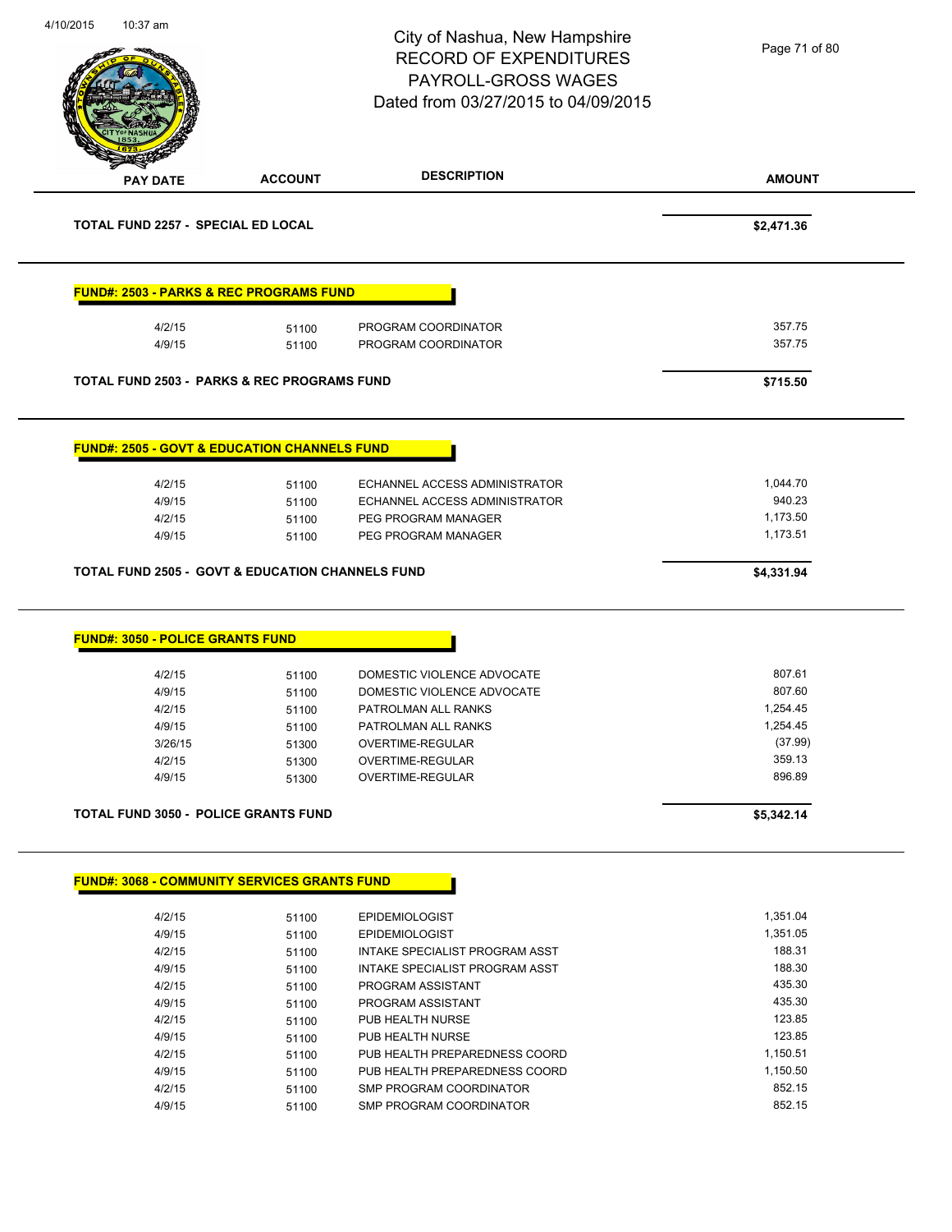|                                                             |                | City of Nashua, New Hampshire                            | Page 71 of 80        |
|-------------------------------------------------------------|----------------|----------------------------------------------------------|----------------------|
|                                                             |                | <b>RECORD OF EXPENDITURES</b>                            |                      |
|                                                             |                | PAYROLL-GROSS WAGES                                      |                      |
|                                                             |                | Dated from 03/27/2015 to 04/09/2015                      |                      |
|                                                             |                |                                                          |                      |
|                                                             |                |                                                          |                      |
|                                                             | <b>ACCOUNT</b> | <b>DESCRIPTION</b>                                       | <b>AMOUNT</b>        |
| <b>PAY DATE</b>                                             |                |                                                          |                      |
| <b>TOTAL FUND 2257 - SPECIAL ED LOCAL</b>                   |                |                                                          | \$2,471.36           |
| <b>FUND#: 2503 - PARKS &amp; REC PROGRAMS FUND</b>          |                |                                                          |                      |
| 4/2/15                                                      | 51100          | PROGRAM COORDINATOR                                      | 357.75               |
| 4/9/15                                                      | 51100          | PROGRAM COORDINATOR                                      | 357.75               |
|                                                             |                |                                                          |                      |
| <b>TOTAL FUND 2503 - PARKS &amp; REC PROGRAMS FUND</b>      |                |                                                          | \$715.50             |
| <b>FUND#: 2505 - GOVT &amp; EDUCATION CHANNELS FUND</b>     |                |                                                          |                      |
|                                                             |                |                                                          |                      |
| 4/2/15                                                      | 51100          | ECHANNEL ACCESS ADMINISTRATOR                            | 1,044.70             |
| 4/9/15                                                      | 51100          | ECHANNEL ACCESS ADMINISTRATOR                            | 940.23               |
|                                                             | 51100          | PEG PROGRAM MANAGER                                      | 1,173.50             |
| 4/2/15                                                      |                |                                                          |                      |
| 4/9/15                                                      | 51100          | PEG PROGRAM MANAGER                                      | 1,173.51             |
| <b>TOTAL FUND 2505 - GOVT &amp; EDUCATION CHANNELS FUND</b> |                |                                                          | \$4,331.94           |
| <b>FUND#: 3050 - POLICE GRANTS FUND</b>                     |                |                                                          |                      |
|                                                             |                |                                                          |                      |
| 4/2/15                                                      | 51100          | DOMESTIC VIOLENCE ADVOCATE                               | 807.61               |
| 4/9/15                                                      | 51100          | DOMESTIC VIOLENCE ADVOCATE                               | 807.60               |
| 4/2/15                                                      | 51100          | PATROLMAN ALL RANKS                                      | 1,254.45             |
| 4/9/15                                                      | 51100          | PATROLMAN ALL RANKS                                      | 1,254.45             |
| 3/26/15                                                     | 51300          | OVERTIME-REGULAR                                         | (37.99)              |
| 4/2/15                                                      | 51300          | OVERTIME-REGULAR<br>OVERTIME-REGULAR                     | 359.13<br>896.89     |
| 4/9/15                                                      | 51300          |                                                          |                      |
| TOTAL FUND 3050 - POLICE GRANTS FUND                        |                |                                                          | \$5,342.14           |
| <b>FUND#: 3068 - COMMUNITY SERVICES GRANTS FUND</b>         |                |                                                          |                      |
|                                                             |                |                                                          |                      |
| 4/2/15                                                      | 51100          | <b>EPIDEMIOLOGIST</b>                                    | 1,351.04<br>1,351.05 |
| 4/9/15                                                      | 51100          | <b>EPIDEMIOLOGIST</b>                                    |                      |
| 4/2/15                                                      | 51100          | INTAKE SPECIALIST PROGRAM ASST                           | 188.31               |
| 4/9/15                                                      | 51100          | INTAKE SPECIALIST PROGRAM ASST                           | 188.30               |
| 4/2/15                                                      | 51100          | PROGRAM ASSISTANT                                        | 435.30               |
| 4/9/15                                                      | 51100          | PROGRAM ASSISTANT                                        | 435.30               |
| 4/2/15                                                      | 51100          | PUB HEALTH NURSE                                         | 123.85               |
| 4/9/15                                                      | 51100          | PUB HEALTH NURSE                                         | 123.85               |
| 4/2/15                                                      | 51100          | PUB HEALTH PREPAREDNESS COORD                            | 1,150.51             |
| 4/9/15<br>4/2/15                                            | 51100<br>51100 | PUB HEALTH PREPAREDNESS COORD<br>SMP PROGRAM COORDINATOR | 1,150.50<br>852.15   |

4/10/2015 10:37 am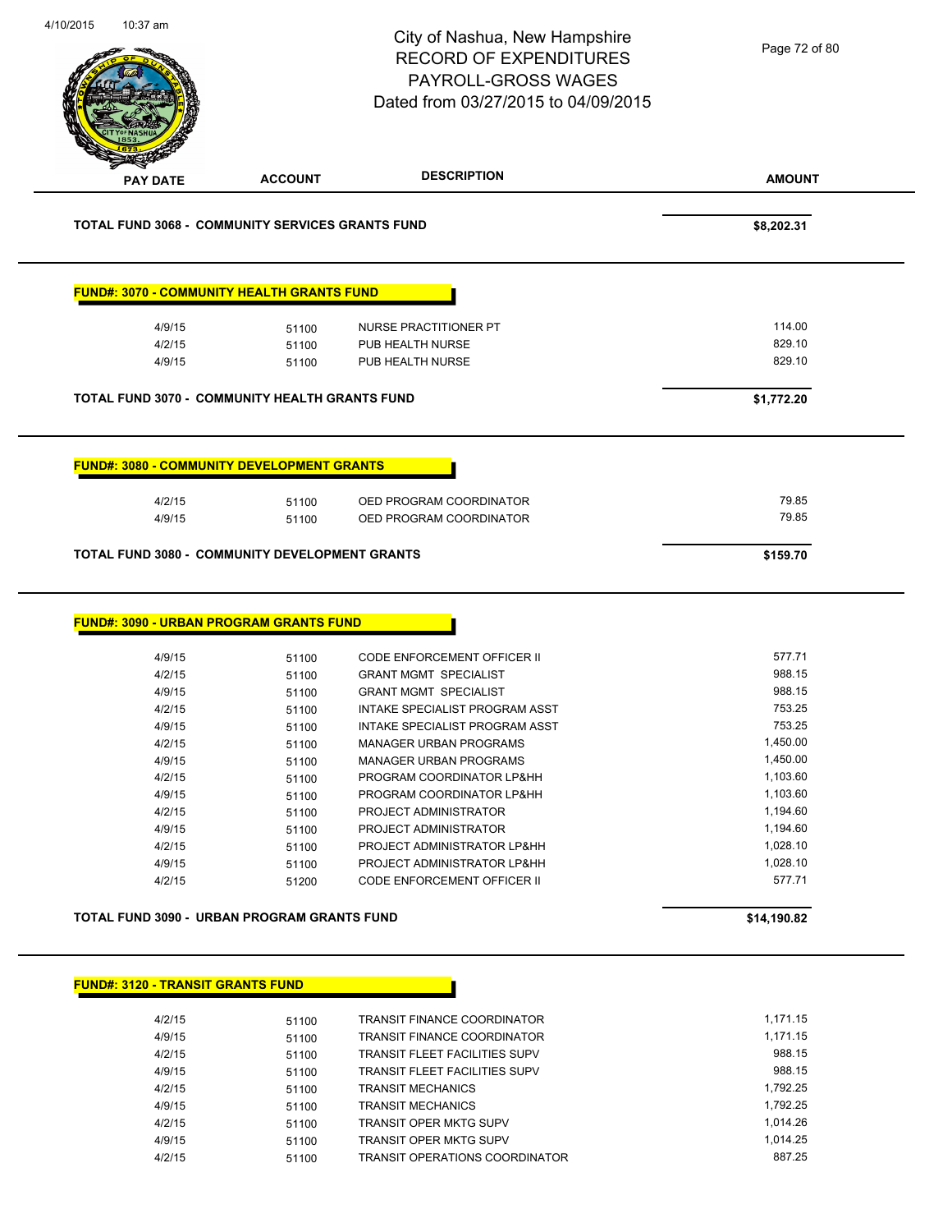| <b>DESCRIPTION</b><br><b>AMOUNT</b><br><b>ACCOUNT</b><br><b>PAY DATE</b><br><b>TOTAL FUND 3068 - COMMUNITY SERVICES GRANTS FUND</b><br>\$8,202.31<br><b>FUND#: 3070 - COMMUNITY HEALTH GRANTS FUND</b><br>114.00<br>4/9/15<br>NURSE PRACTITIONER PT<br>51100<br>829.10<br>4/2/15<br>51100<br>PUB HEALTH NURSE<br>829.10<br>4/9/15<br>PUB HEALTH NURSE<br>51100<br>TOTAL FUND 3070 - COMMUNITY HEALTH GRANTS FUND<br>\$1,772.20<br><b>FUND#: 3080 - COMMUNITY DEVELOPMENT GRANTS</b><br>79.85<br>4/2/15<br>OED PROGRAM COORDINATOR<br>51100<br>79.85<br>4/9/15<br>OED PROGRAM COORDINATOR<br>51100<br>TOTAL FUND 3080 - COMMUNITY DEVELOPMENT GRANTS<br>\$159.70<br><b>FUND#: 3090 - URBAN PROGRAM GRANTS FUND</b><br>577.71<br>4/9/15<br>CODE ENFORCEMENT OFFICER II<br>51100<br>988.15<br>4/2/15<br><b>GRANT MGMT SPECIALIST</b><br>51100<br>988.15<br>4/9/15<br><b>GRANT MGMT SPECIALIST</b><br>51100<br>753.25<br>4/2/15<br>INTAKE SPECIALIST PROGRAM ASST<br>51100<br>753.25<br>4/9/15<br>INTAKE SPECIALIST PROGRAM ASST<br>51100<br>1,450.00<br>4/2/15<br><b>MANAGER URBAN PROGRAMS</b><br>51100<br>1,450.00<br>4/9/15<br><b>MANAGER URBAN PROGRAMS</b><br>51100<br>1,103.60<br>4/2/15<br>PROGRAM COORDINATOR LP&HH<br>51100<br>1,103.60<br>4/9/15<br>51100<br>PROGRAM COORDINATOR LP&HH<br>4/2/15<br>1,194.60<br>PROJECT ADMINISTRATOR<br>51100<br>1,194.60<br>4/9/15<br>51100<br>PROJECT ADMINISTRATOR<br>1,028.10<br>4/2/15<br>PROJECT ADMINISTRATOR LP&HH<br>51100<br>1,028.10<br>4/9/15<br>PROJECT ADMINISTRATOR LP&HH<br>51100<br>577.71<br>4/2/15<br><b>CODE ENFORCEMENT OFFICER II</b><br>51200<br>TOTAL FUND 3090 - URBAN PROGRAM GRANTS FUND<br>\$14,190.82<br><b>FUND#: 3120 - TRANSIT GRANTS FUND</b><br>1,171.15<br>4/2/15<br><b>TRANSIT FINANCE COORDINATOR</b><br>51100<br>4/9/15<br>TRANSIT FINANCE COORDINATOR<br>1,171.15<br>51100<br>988.15<br>4/2/15<br>TRANSIT FLEET FACILITIES SUPV<br>51100<br>988.15<br>4/9/15<br>TRANSIT FLEET FACILITIES SUPV<br>51100<br>1,792.25<br>4/2/15<br>51100<br><b>TRANSIT MECHANICS</b><br>1,792.25<br>4/9/15<br><b>TRANSIT MECHANICS</b><br>51100<br>1,014.26<br>4/2/15<br>TRANSIT OPER MKTG SUPV<br>51100 |  | City of Nashua, New Hampshire<br><b>RECORD OF EXPENDITURES</b><br><b>PAYROLL-GROSS WAGES</b><br>Dated from 03/27/2015 to 04/09/2015 | Page 72 of 80 |
|----------------------------------------------------------------------------------------------------------------------------------------------------------------------------------------------------------------------------------------------------------------------------------------------------------------------------------------------------------------------------------------------------------------------------------------------------------------------------------------------------------------------------------------------------------------------------------------------------------------------------------------------------------------------------------------------------------------------------------------------------------------------------------------------------------------------------------------------------------------------------------------------------------------------------------------------------------------------------------------------------------------------------------------------------------------------------------------------------------------------------------------------------------------------------------------------------------------------------------------------------------------------------------------------------------------------------------------------------------------------------------------------------------------------------------------------------------------------------------------------------------------------------------------------------------------------------------------------------------------------------------------------------------------------------------------------------------------------------------------------------------------------------------------------------------------------------------------------------------------------------------------------------------------------------------------------------------------------------------------------------------------------------------------------------------------------------------------------------------------------------------------------------------------------|--|-------------------------------------------------------------------------------------------------------------------------------------|---------------|
|                                                                                                                                                                                                                                                                                                                                                                                                                                                                                                                                                                                                                                                                                                                                                                                                                                                                                                                                                                                                                                                                                                                                                                                                                                                                                                                                                                                                                                                                                                                                                                                                                                                                                                                                                                                                                                                                                                                                                                                                                                                                                                                                                                      |  |                                                                                                                                     |               |
|                                                                                                                                                                                                                                                                                                                                                                                                                                                                                                                                                                                                                                                                                                                                                                                                                                                                                                                                                                                                                                                                                                                                                                                                                                                                                                                                                                                                                                                                                                                                                                                                                                                                                                                                                                                                                                                                                                                                                                                                                                                                                                                                                                      |  |                                                                                                                                     |               |
|                                                                                                                                                                                                                                                                                                                                                                                                                                                                                                                                                                                                                                                                                                                                                                                                                                                                                                                                                                                                                                                                                                                                                                                                                                                                                                                                                                                                                                                                                                                                                                                                                                                                                                                                                                                                                                                                                                                                                                                                                                                                                                                                                                      |  |                                                                                                                                     |               |
|                                                                                                                                                                                                                                                                                                                                                                                                                                                                                                                                                                                                                                                                                                                                                                                                                                                                                                                                                                                                                                                                                                                                                                                                                                                                                                                                                                                                                                                                                                                                                                                                                                                                                                                                                                                                                                                                                                                                                                                                                                                                                                                                                                      |  |                                                                                                                                     |               |
|                                                                                                                                                                                                                                                                                                                                                                                                                                                                                                                                                                                                                                                                                                                                                                                                                                                                                                                                                                                                                                                                                                                                                                                                                                                                                                                                                                                                                                                                                                                                                                                                                                                                                                                                                                                                                                                                                                                                                                                                                                                                                                                                                                      |  |                                                                                                                                     |               |
|                                                                                                                                                                                                                                                                                                                                                                                                                                                                                                                                                                                                                                                                                                                                                                                                                                                                                                                                                                                                                                                                                                                                                                                                                                                                                                                                                                                                                                                                                                                                                                                                                                                                                                                                                                                                                                                                                                                                                                                                                                                                                                                                                                      |  |                                                                                                                                     |               |
|                                                                                                                                                                                                                                                                                                                                                                                                                                                                                                                                                                                                                                                                                                                                                                                                                                                                                                                                                                                                                                                                                                                                                                                                                                                                                                                                                                                                                                                                                                                                                                                                                                                                                                                                                                                                                                                                                                                                                                                                                                                                                                                                                                      |  |                                                                                                                                     |               |
|                                                                                                                                                                                                                                                                                                                                                                                                                                                                                                                                                                                                                                                                                                                                                                                                                                                                                                                                                                                                                                                                                                                                                                                                                                                                                                                                                                                                                                                                                                                                                                                                                                                                                                                                                                                                                                                                                                                                                                                                                                                                                                                                                                      |  |                                                                                                                                     |               |
|                                                                                                                                                                                                                                                                                                                                                                                                                                                                                                                                                                                                                                                                                                                                                                                                                                                                                                                                                                                                                                                                                                                                                                                                                                                                                                                                                                                                                                                                                                                                                                                                                                                                                                                                                                                                                                                                                                                                                                                                                                                                                                                                                                      |  |                                                                                                                                     |               |
|                                                                                                                                                                                                                                                                                                                                                                                                                                                                                                                                                                                                                                                                                                                                                                                                                                                                                                                                                                                                                                                                                                                                                                                                                                                                                                                                                                                                                                                                                                                                                                                                                                                                                                                                                                                                                                                                                                                                                                                                                                                                                                                                                                      |  |                                                                                                                                     |               |
|                                                                                                                                                                                                                                                                                                                                                                                                                                                                                                                                                                                                                                                                                                                                                                                                                                                                                                                                                                                                                                                                                                                                                                                                                                                                                                                                                                                                                                                                                                                                                                                                                                                                                                                                                                                                                                                                                                                                                                                                                                                                                                                                                                      |  |                                                                                                                                     |               |
|                                                                                                                                                                                                                                                                                                                                                                                                                                                                                                                                                                                                                                                                                                                                                                                                                                                                                                                                                                                                                                                                                                                                                                                                                                                                                                                                                                                                                                                                                                                                                                                                                                                                                                                                                                                                                                                                                                                                                                                                                                                                                                                                                                      |  |                                                                                                                                     |               |
|                                                                                                                                                                                                                                                                                                                                                                                                                                                                                                                                                                                                                                                                                                                                                                                                                                                                                                                                                                                                                                                                                                                                                                                                                                                                                                                                                                                                                                                                                                                                                                                                                                                                                                                                                                                                                                                                                                                                                                                                                                                                                                                                                                      |  |                                                                                                                                     |               |
|                                                                                                                                                                                                                                                                                                                                                                                                                                                                                                                                                                                                                                                                                                                                                                                                                                                                                                                                                                                                                                                                                                                                                                                                                                                                                                                                                                                                                                                                                                                                                                                                                                                                                                                                                                                                                                                                                                                                                                                                                                                                                                                                                                      |  |                                                                                                                                     |               |
|                                                                                                                                                                                                                                                                                                                                                                                                                                                                                                                                                                                                                                                                                                                                                                                                                                                                                                                                                                                                                                                                                                                                                                                                                                                                                                                                                                                                                                                                                                                                                                                                                                                                                                                                                                                                                                                                                                                                                                                                                                                                                                                                                                      |  |                                                                                                                                     |               |
|                                                                                                                                                                                                                                                                                                                                                                                                                                                                                                                                                                                                                                                                                                                                                                                                                                                                                                                                                                                                                                                                                                                                                                                                                                                                                                                                                                                                                                                                                                                                                                                                                                                                                                                                                                                                                                                                                                                                                                                                                                                                                                                                                                      |  |                                                                                                                                     |               |
|                                                                                                                                                                                                                                                                                                                                                                                                                                                                                                                                                                                                                                                                                                                                                                                                                                                                                                                                                                                                                                                                                                                                                                                                                                                                                                                                                                                                                                                                                                                                                                                                                                                                                                                                                                                                                                                                                                                                                                                                                                                                                                                                                                      |  |                                                                                                                                     |               |
|                                                                                                                                                                                                                                                                                                                                                                                                                                                                                                                                                                                                                                                                                                                                                                                                                                                                                                                                                                                                                                                                                                                                                                                                                                                                                                                                                                                                                                                                                                                                                                                                                                                                                                                                                                                                                                                                                                                                                                                                                                                                                                                                                                      |  |                                                                                                                                     |               |
|                                                                                                                                                                                                                                                                                                                                                                                                                                                                                                                                                                                                                                                                                                                                                                                                                                                                                                                                                                                                                                                                                                                                                                                                                                                                                                                                                                                                                                                                                                                                                                                                                                                                                                                                                                                                                                                                                                                                                                                                                                                                                                                                                                      |  |                                                                                                                                     |               |
|                                                                                                                                                                                                                                                                                                                                                                                                                                                                                                                                                                                                                                                                                                                                                                                                                                                                                                                                                                                                                                                                                                                                                                                                                                                                                                                                                                                                                                                                                                                                                                                                                                                                                                                                                                                                                                                                                                                                                                                                                                                                                                                                                                      |  |                                                                                                                                     |               |
|                                                                                                                                                                                                                                                                                                                                                                                                                                                                                                                                                                                                                                                                                                                                                                                                                                                                                                                                                                                                                                                                                                                                                                                                                                                                                                                                                                                                                                                                                                                                                                                                                                                                                                                                                                                                                                                                                                                                                                                                                                                                                                                                                                      |  |                                                                                                                                     |               |
|                                                                                                                                                                                                                                                                                                                                                                                                                                                                                                                                                                                                                                                                                                                                                                                                                                                                                                                                                                                                                                                                                                                                                                                                                                                                                                                                                                                                                                                                                                                                                                                                                                                                                                                                                                                                                                                                                                                                                                                                                                                                                                                                                                      |  |                                                                                                                                     |               |
|                                                                                                                                                                                                                                                                                                                                                                                                                                                                                                                                                                                                                                                                                                                                                                                                                                                                                                                                                                                                                                                                                                                                                                                                                                                                                                                                                                                                                                                                                                                                                                                                                                                                                                                                                                                                                                                                                                                                                                                                                                                                                                                                                                      |  |                                                                                                                                     |               |
|                                                                                                                                                                                                                                                                                                                                                                                                                                                                                                                                                                                                                                                                                                                                                                                                                                                                                                                                                                                                                                                                                                                                                                                                                                                                                                                                                                                                                                                                                                                                                                                                                                                                                                                                                                                                                                                                                                                                                                                                                                                                                                                                                                      |  |                                                                                                                                     |               |
|                                                                                                                                                                                                                                                                                                                                                                                                                                                                                                                                                                                                                                                                                                                                                                                                                                                                                                                                                                                                                                                                                                                                                                                                                                                                                                                                                                                                                                                                                                                                                                                                                                                                                                                                                                                                                                                                                                                                                                                                                                                                                                                                                                      |  |                                                                                                                                     |               |
|                                                                                                                                                                                                                                                                                                                                                                                                                                                                                                                                                                                                                                                                                                                                                                                                                                                                                                                                                                                                                                                                                                                                                                                                                                                                                                                                                                                                                                                                                                                                                                                                                                                                                                                                                                                                                                                                                                                                                                                                                                                                                                                                                                      |  |                                                                                                                                     |               |
|                                                                                                                                                                                                                                                                                                                                                                                                                                                                                                                                                                                                                                                                                                                                                                                                                                                                                                                                                                                                                                                                                                                                                                                                                                                                                                                                                                                                                                                                                                                                                                                                                                                                                                                                                                                                                                                                                                                                                                                                                                                                                                                                                                      |  |                                                                                                                                     |               |
|                                                                                                                                                                                                                                                                                                                                                                                                                                                                                                                                                                                                                                                                                                                                                                                                                                                                                                                                                                                                                                                                                                                                                                                                                                                                                                                                                                                                                                                                                                                                                                                                                                                                                                                                                                                                                                                                                                                                                                                                                                                                                                                                                                      |  |                                                                                                                                     |               |
|                                                                                                                                                                                                                                                                                                                                                                                                                                                                                                                                                                                                                                                                                                                                                                                                                                                                                                                                                                                                                                                                                                                                                                                                                                                                                                                                                                                                                                                                                                                                                                                                                                                                                                                                                                                                                                                                                                                                                                                                                                                                                                                                                                      |  |                                                                                                                                     |               |
|                                                                                                                                                                                                                                                                                                                                                                                                                                                                                                                                                                                                                                                                                                                                                                                                                                                                                                                                                                                                                                                                                                                                                                                                                                                                                                                                                                                                                                                                                                                                                                                                                                                                                                                                                                                                                                                                                                                                                                                                                                                                                                                                                                      |  |                                                                                                                                     |               |
|                                                                                                                                                                                                                                                                                                                                                                                                                                                                                                                                                                                                                                                                                                                                                                                                                                                                                                                                                                                                                                                                                                                                                                                                                                                                                                                                                                                                                                                                                                                                                                                                                                                                                                                                                                                                                                                                                                                                                                                                                                                                                                                                                                      |  |                                                                                                                                     |               |
|                                                                                                                                                                                                                                                                                                                                                                                                                                                                                                                                                                                                                                                                                                                                                                                                                                                                                                                                                                                                                                                                                                                                                                                                                                                                                                                                                                                                                                                                                                                                                                                                                                                                                                                                                                                                                                                                                                                                                                                                                                                                                                                                                                      |  |                                                                                                                                     |               |
|                                                                                                                                                                                                                                                                                                                                                                                                                                                                                                                                                                                                                                                                                                                                                                                                                                                                                                                                                                                                                                                                                                                                                                                                                                                                                                                                                                                                                                                                                                                                                                                                                                                                                                                                                                                                                                                                                                                                                                                                                                                                                                                                                                      |  |                                                                                                                                     |               |
|                                                                                                                                                                                                                                                                                                                                                                                                                                                                                                                                                                                                                                                                                                                                                                                                                                                                                                                                                                                                                                                                                                                                                                                                                                                                                                                                                                                                                                                                                                                                                                                                                                                                                                                                                                                                                                                                                                                                                                                                                                                                                                                                                                      |  |                                                                                                                                     |               |
| 1,014.25<br>4/9/15<br>TRANSIT OPER MKTG SUPV<br>51100                                                                                                                                                                                                                                                                                                                                                                                                                                                                                                                                                                                                                                                                                                                                                                                                                                                                                                                                                                                                                                                                                                                                                                                                                                                                                                                                                                                                                                                                                                                                                                                                                                                                                                                                                                                                                                                                                                                                                                                                                                                                                                                |  |                                                                                                                                     |               |

4/2/15 51100 TRANSIT OPERATIONS COORDINATOR 887.25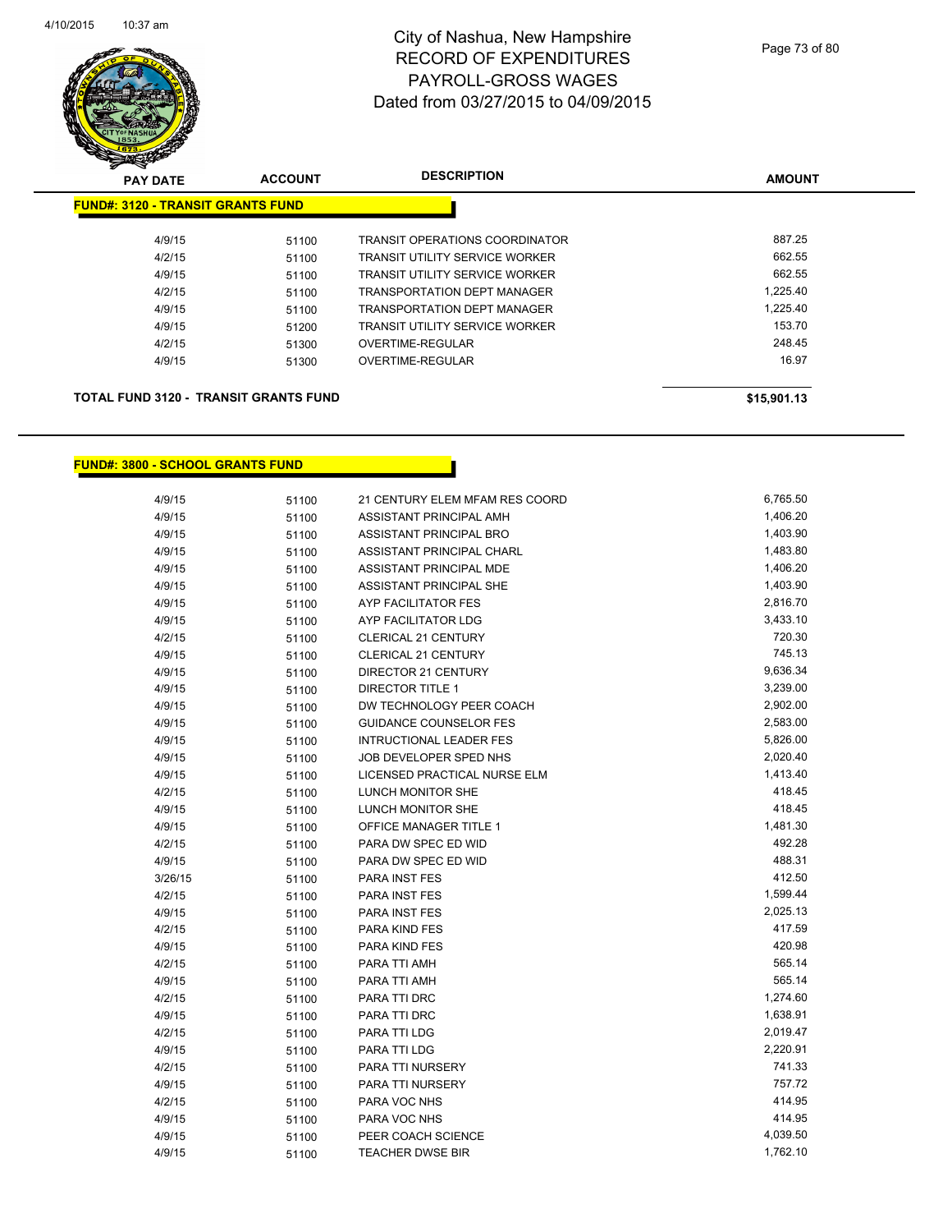

| <b>PAY DATE</b>                              | <b>ACCOUNT</b> | <b>DESCRIPTION</b>                    | <b>AMOUNT</b> |
|----------------------------------------------|----------------|---------------------------------------|---------------|
| <b>FUND#: 3120 - TRANSIT GRANTS FUND</b>     |                |                                       |               |
| 4/9/15                                       | 51100          | <b>TRANSIT OPERATIONS COORDINATOR</b> | 887.25        |
| 4/2/15                                       | 51100          | <b>TRANSIT UTILITY SERVICE WORKER</b> | 662.55        |
| 4/9/15                                       | 51100          | TRANSIT UTILITY SERVICE WORKER        | 662.55        |
| 4/2/15                                       | 51100          | TRANSPORTATION DEPT MANAGER           | 1,225.40      |
| 4/9/15                                       | 51100          | TRANSPORTATION DEPT MANAGER           | 1.225.40      |
| 4/9/15                                       | 51200          | <b>TRANSIT UTILITY SERVICE WORKER</b> | 153.70        |
| 4/2/15                                       | 51300          | OVERTIME-REGULAR                      | 248.45        |
| 4/9/15                                       | 51300          | OVERTIME-REGULAR                      | 16.97         |
| <b>TOTAL FUND 3120 - TRANSIT GRANTS FUND</b> |                |                                       | \$15,901.13   |

### **FUND#: 3800 - SCHOOL GRANTS FUND**

| 4/9/15  | 51100 | 21 CENTURY ELEM MFAM RES COORD | 6,765.50 |
|---------|-------|--------------------------------|----------|
| 4/9/15  | 51100 | ASSISTANT PRINCIPAL AMH        | 1,406.20 |
| 4/9/15  | 51100 | ASSISTANT PRINCIPAL BRO        | 1,403.90 |
| 4/9/15  | 51100 | ASSISTANT PRINCIPAL CHARL      | 1,483.80 |
| 4/9/15  | 51100 | ASSISTANT PRINCIPAL MDE        | 1,406.20 |
| 4/9/15  | 51100 | ASSISTANT PRINCIPAL SHE        | 1,403.90 |
| 4/9/15  | 51100 | AYP FACILITATOR FES            | 2,816.70 |
| 4/9/15  | 51100 | AYP FACILITATOR LDG            | 3,433.10 |
| 4/2/15  | 51100 | <b>CLERICAL 21 CENTURY</b>     | 720.30   |
| 4/9/15  | 51100 | CLERICAL 21 CENTURY            | 745.13   |
| 4/9/15  | 51100 | DIRECTOR 21 CENTURY            | 9,636.34 |
| 4/9/15  | 51100 | <b>DIRECTOR TITLE 1</b>        | 3,239.00 |
| 4/9/15  | 51100 | DW TECHNOLOGY PEER COACH       | 2,902.00 |
| 4/9/15  | 51100 | <b>GUIDANCE COUNSELOR FES</b>  | 2,583.00 |
| 4/9/15  | 51100 | <b>INTRUCTIONAL LEADER FES</b> | 5,826.00 |
| 4/9/15  | 51100 | JOB DEVELOPER SPED NHS         | 2,020.40 |
| 4/9/15  | 51100 | LICENSED PRACTICAL NURSE ELM   | 1,413.40 |
| 4/2/15  | 51100 | LUNCH MONITOR SHE              | 418.45   |
| 4/9/15  | 51100 | LUNCH MONITOR SHE              | 418.45   |
| 4/9/15  | 51100 | OFFICE MANAGER TITLE 1         | 1,481.30 |
| 4/2/15  | 51100 | PARA DW SPEC ED WID            | 492.28   |
| 4/9/15  | 51100 | PARA DW SPEC ED WID            | 488.31   |
| 3/26/15 | 51100 | PARA INST FES                  | 412.50   |
| 4/2/15  | 51100 | <b>PARA INST FES</b>           | 1,599.44 |
| 4/9/15  | 51100 | <b>PARA INST FES</b>           | 2,025.13 |
| 4/2/15  | 51100 | PARA KIND FES                  | 417.59   |
| 4/9/15  | 51100 | PARA KIND FES                  | 420.98   |
| 4/2/15  | 51100 | PARA TTI AMH                   | 565.14   |
| 4/9/15  | 51100 | PARA TTI AMH                   | 565.14   |
| 4/2/15  | 51100 | PARA TTI DRC                   | 1,274.60 |
| 4/9/15  | 51100 | PARA TTI DRC                   | 1,638.91 |
| 4/2/15  | 51100 | PARA TTI LDG                   | 2,019.47 |
| 4/9/15  | 51100 | PARA TTI LDG                   | 2,220.91 |
| 4/2/15  | 51100 | PARA TTI NURSERY               | 741.33   |
| 4/9/15  | 51100 | PARA TTI NURSERY               | 757.72   |
| 4/2/15  | 51100 | PARA VOC NHS                   | 414.95   |
| 4/9/15  | 51100 | PARA VOC NHS                   | 414.95   |
| 4/9/15  | 51100 | PEER COACH SCIENCE             | 4,039.50 |
| 4/9/15  | 51100 | <b>TEACHER DWSE BIR</b>        | 1,762.10 |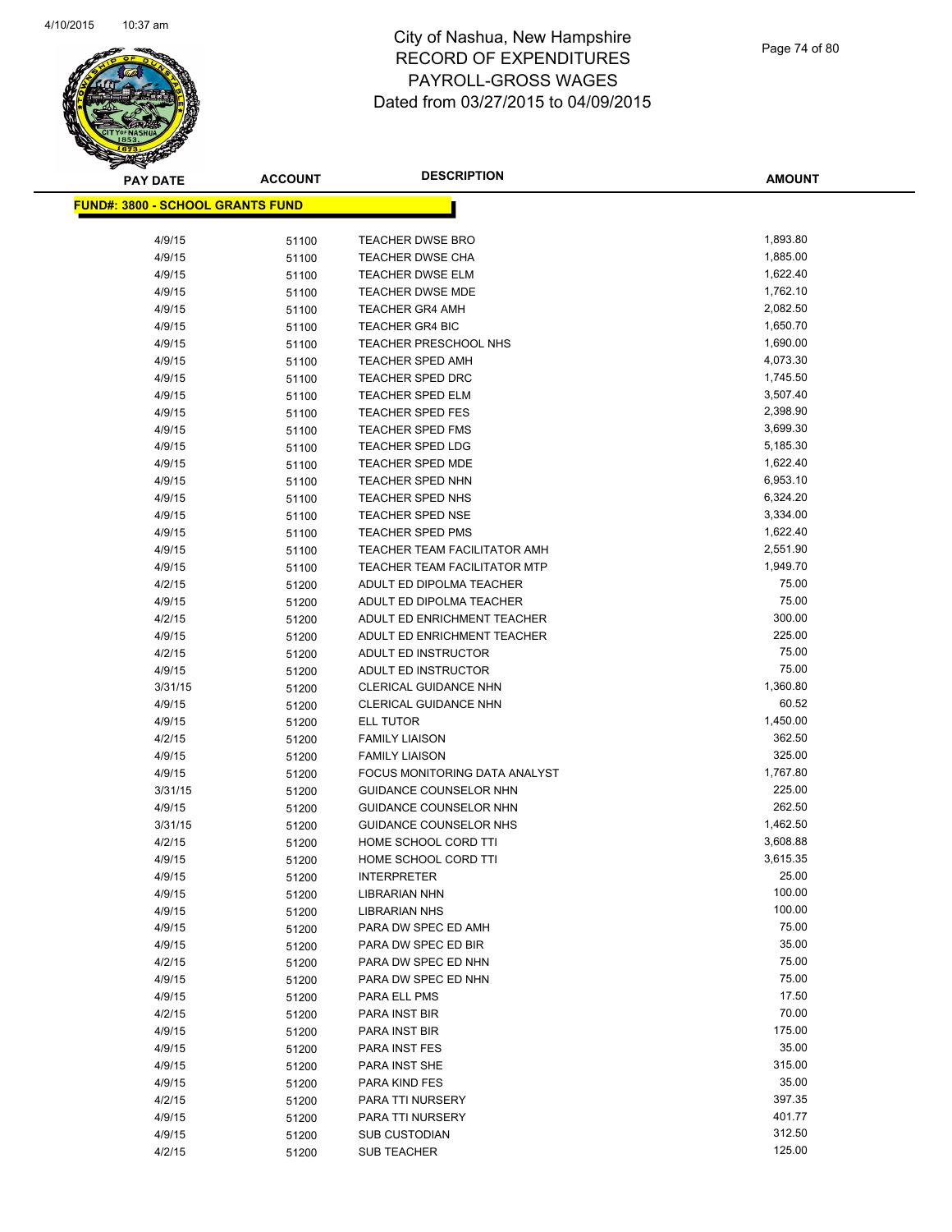

| <b>PAY DATE</b>                         | <b>ACCOUNT</b> | <b>DESCRIPTION</b>                   | <b>AMOUNT</b>  |
|-----------------------------------------|----------------|--------------------------------------|----------------|
| <b>FUND#: 3800 - SCHOOL GRANTS FUND</b> |                |                                      |                |
|                                         |                |                                      |                |
| 4/9/15                                  | 51100          | <b>TEACHER DWSE BRO</b>              | 1,893.80       |
| 4/9/15                                  | 51100          | <b>TEACHER DWSE CHA</b>              | 1,885.00       |
| 4/9/15                                  | 51100          | <b>TEACHER DWSE ELM</b>              | 1,622.40       |
| 4/9/15                                  | 51100          | <b>TEACHER DWSE MDE</b>              | 1,762.10       |
| 4/9/15                                  | 51100          | <b>TEACHER GR4 AMH</b>               | 2,082.50       |
| 4/9/15                                  | 51100          | <b>TEACHER GR4 BIC</b>               | 1,650.70       |
| 4/9/15                                  | 51100          | TEACHER PRESCHOOL NHS                | 1,690.00       |
| 4/9/15                                  | 51100          | <b>TEACHER SPED AMH</b>              | 4,073.30       |
| 4/9/15                                  | 51100          | TEACHER SPED DRC                     | 1,745.50       |
| 4/9/15                                  | 51100          | <b>TEACHER SPED ELM</b>              | 3,507.40       |
| 4/9/15                                  | 51100          | <b>TEACHER SPED FES</b>              | 2,398.90       |
| 4/9/15                                  | 51100          | <b>TEACHER SPED FMS</b>              | 3,699.30       |
| 4/9/15                                  | 51100          | <b>TEACHER SPED LDG</b>              | 5,185.30       |
| 4/9/15                                  | 51100          | <b>TEACHER SPED MDE</b>              | 1,622.40       |
| 4/9/15                                  | 51100          | <b>TEACHER SPED NHN</b>              | 6,953.10       |
| 4/9/15                                  | 51100          | TEACHER SPED NHS                     | 6,324.20       |
| 4/9/15                                  | 51100          | <b>TEACHER SPED NSE</b>              | 3,334.00       |
| 4/9/15                                  | 51100          | <b>TEACHER SPED PMS</b>              | 1,622.40       |
| 4/9/15                                  | 51100          | TEACHER TEAM FACILITATOR AMH         | 2,551.90       |
| 4/9/15                                  | 51100          | <b>TEACHER TEAM FACILITATOR MTP</b>  | 1,949.70       |
| 4/2/15                                  | 51200          | ADULT ED DIPOLMA TEACHER             | 75.00          |
| 4/9/15                                  | 51200          | ADULT ED DIPOLMA TEACHER             | 75.00          |
| 4/2/15                                  | 51200          | ADULT ED ENRICHMENT TEACHER          | 300.00         |
| 4/9/15                                  | 51200          | ADULT ED ENRICHMENT TEACHER          | 225.00         |
| 4/2/15                                  | 51200          | ADULT ED INSTRUCTOR                  | 75.00          |
| 4/9/15                                  | 51200          | ADULT ED INSTRUCTOR                  | 75.00          |
| 3/31/15                                 | 51200          | CLERICAL GUIDANCE NHN                | 1,360.80       |
| 4/9/15                                  | 51200          | CLERICAL GUIDANCE NHN                | 60.52          |
| 4/9/15                                  | 51200          | ELL TUTOR                            | 1,450.00       |
| 4/2/15                                  | 51200          | <b>FAMILY LIAISON</b>                | 362.50         |
| 4/9/15                                  | 51200          | <b>FAMILY LIAISON</b>                | 325.00         |
| 4/9/15                                  | 51200          | <b>FOCUS MONITORING DATA ANALYST</b> | 1,767.80       |
| 3/31/15                                 | 51200          | GUIDANCE COUNSELOR NHN               | 225.00         |
| 4/9/15                                  | 51200          | <b>GUIDANCE COUNSELOR NHN</b>        | 262.50         |
| 3/31/15                                 | 51200          | GUIDANCE COUNSELOR NHS               | 1,462.50       |
| 4/2/15                                  | 51200          | HOME SCHOOL CORD TTI                 | 3,608.88       |
| 4/9/15                                  | 51200          | HOME SCHOOL CORD TTI                 | 3,615.35       |
| 4/9/15                                  | 51200          | <b>INTERPRETER</b>                   | 25.00          |
| 4/9/15                                  | 51200          | LIBRARIAN NHN                        | 100.00         |
| 4/9/15                                  | 51200          | <b>LIBRARIAN NHS</b>                 | 100.00         |
| 4/9/15                                  | 51200          | PARA DW SPEC ED AMH                  | 75.00          |
| 4/9/15                                  | 51200          | PARA DW SPEC ED BIR                  | 35.00<br>75.00 |
| 4/2/15                                  | 51200          | PARA DW SPEC ED NHN                  | 75.00          |
| 4/9/15                                  | 51200          | PARA DW SPEC ED NHN                  | 17.50          |
| 4/9/15<br>4/2/15                        | 51200          | PARA ELL PMS                         | 70.00          |
|                                         | 51200          | PARA INST BIR                        | 175.00         |
| 4/9/15<br>4/9/15                        | 51200          | PARA INST BIR<br>PARA INST FES       | 35.00          |
| 4/9/15                                  | 51200          | PARA INST SHE                        | 315.00         |
| 4/9/15                                  | 51200<br>51200 | PARA KIND FES                        | 35.00          |
| 4/2/15                                  | 51200          | PARA TTI NURSERY                     | 397.35         |
| 4/9/15                                  | 51200          | PARA TTI NURSERY                     | 401.77         |
| 4/9/15                                  | 51200          | <b>SUB CUSTODIAN</b>                 | 312.50         |
| 4/2/15                                  | 51200          | <b>SUB TEACHER</b>                   | 125.00         |
|                                         |                |                                      |                |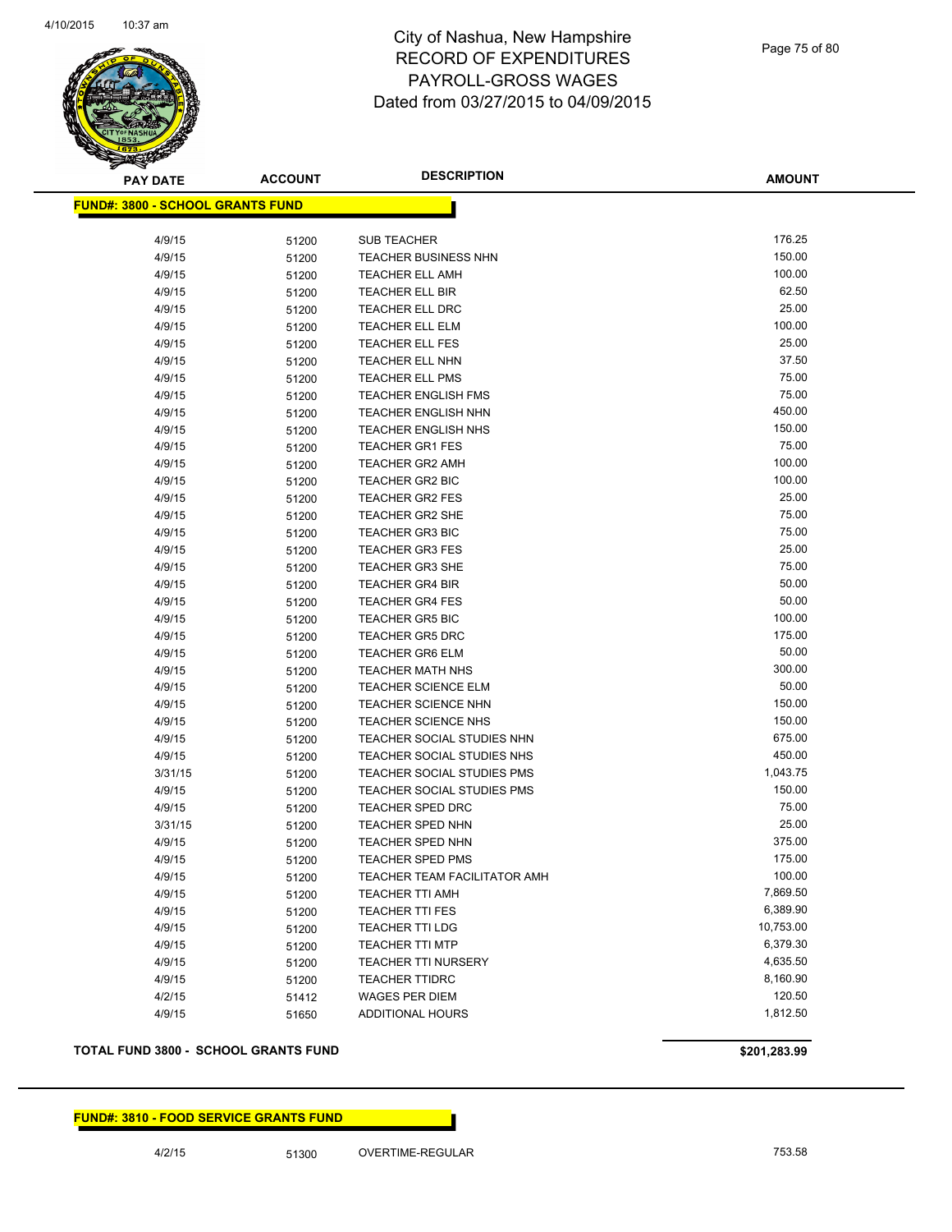

**AMOUNT**

| <b>FUND#: 3800 - SCHOOL GRANTS FUND</b> |                |                                                          |                  |
|-----------------------------------------|----------------|----------------------------------------------------------|------------------|
|                                         |                |                                                          |                  |
| 4/9/15                                  | 51200          | SUB TEACHER                                              | 176.25           |
| 4/9/15                                  | 51200          | <b>TEACHER BUSINESS NHN</b>                              | 150.00           |
| 4/9/15                                  | 51200          | <b>TEACHER ELL AMH</b>                                   | 100.00           |
| 4/9/15                                  | 51200          | <b>TEACHER ELL BIR</b>                                   | 62.50            |
| 4/9/15                                  | 51200          | <b>TEACHER ELL DRC</b>                                   | 25.00            |
| 4/9/15                                  | 51200          | <b>TEACHER ELL ELM</b>                                   | 100.00           |
| 4/9/15                                  | 51200          | <b>TEACHER ELL FES</b>                                   | 25.00            |
| 4/9/15                                  | 51200          | <b>TEACHER ELL NHN</b>                                   | 37.50            |
| 4/9/15                                  | 51200          | <b>TEACHER ELL PMS</b>                                   | 75.00            |
| 4/9/15                                  | 51200          | <b>TEACHER ENGLISH FMS</b>                               | 75.00            |
| 4/9/15                                  | 51200          | <b>TEACHER ENGLISH NHN</b>                               | 450.00           |
| 4/9/15                                  | 51200          | <b>TEACHER ENGLISH NHS</b>                               | 150.00           |
| 4/9/15                                  | 51200          | <b>TEACHER GR1 FES</b>                                   | 75.00            |
| 4/9/15                                  | 51200          | <b>TEACHER GR2 AMH</b>                                   | 100.00           |
| 4/9/15                                  | 51200          | <b>TEACHER GR2 BIC</b>                                   | 100.00           |
| 4/9/15                                  | 51200          | <b>TEACHER GR2 FES</b>                                   | 25.00            |
| 4/9/15                                  | 51200          | <b>TEACHER GR2 SHE</b>                                   | 75.00            |
| 4/9/15                                  | 51200          | <b>TEACHER GR3 BIC</b>                                   | 75.00            |
| 4/9/15                                  | 51200          | <b>TEACHER GR3 FES</b>                                   | 25.00            |
| 4/9/15                                  | 51200          | <b>TEACHER GR3 SHE</b>                                   | 75.00            |
| 4/9/15                                  | 51200          | <b>TEACHER GR4 BIR</b>                                   | 50.00            |
| 4/9/15                                  | 51200          | <b>TEACHER GR4 FES</b>                                   | 50.00            |
| 4/9/15                                  | 51200          | <b>TEACHER GR5 BIC</b>                                   | 100.00           |
| 4/9/15                                  | 51200          | <b>TEACHER GR5 DRC</b>                                   | 175.00           |
| 4/9/15                                  | 51200          | <b>TEACHER GR6 ELM</b>                                   | 50.00            |
| 4/9/15                                  | 51200          | <b>TEACHER MATH NHS</b>                                  | 300.00           |
| 4/9/15                                  | 51200          | <b>TEACHER SCIENCE ELM</b>                               | 50.00            |
| 4/9/15                                  | 51200          | <b>TEACHER SCIENCE NHN</b>                               | 150.00           |
| 4/9/15                                  | 51200          | <b>TEACHER SCIENCE NHS</b>                               | 150.00           |
| 4/9/15                                  | 51200          | TEACHER SOCIAL STUDIES NHN                               | 675.00<br>450.00 |
| 4/9/15                                  | 51200          | TEACHER SOCIAL STUDIES NHS                               | 1,043.75         |
| 3/31/15                                 | 51200          | TEACHER SOCIAL STUDIES PMS<br>TEACHER SOCIAL STUDIES PMS | 150.00           |
| 4/9/15                                  | 51200          |                                                          | 75.00            |
| 4/9/15<br>3/31/15                       | 51200          | TEACHER SPED DRC<br>TEACHER SPED NHN                     | 25.00            |
|                                         | 51200          |                                                          | 375.00           |
| 4/9/15<br>4/9/15                        | 51200          | TEACHER SPED NHN<br><b>TEACHER SPED PMS</b>              | 175.00           |
| 4/9/15                                  | 51200          | TEACHER TEAM FACILITATOR AMH                             | 100.00           |
| 4/9/15                                  | 51200          | TEACHER TTI AMH                                          | 7,869.50         |
| 4/9/15                                  | 51200<br>51200 | <b>TEACHER TTI FES</b>                                   | 6,389.90         |
| 4/9/15                                  | 51200          | <b>TEACHER TTI LDG</b>                                   | 10,753.00        |
| 4/9/15                                  | 51200          | <b>TEACHER TTI MTP</b>                                   | 6,379.30         |
| 4/9/15                                  | 51200          | TEACHER TTI NURSERY                                      | 4,635.50         |
| 4/9/15                                  | 51200          | <b>TEACHER TTIDRC</b>                                    | 8,160.90         |
| 4/2/15                                  | 51412          | <b>WAGES PER DIEM</b>                                    | 120.50           |
| 4/9/15                                  | 51650          | <b>ADDITIONAL HOURS</b>                                  | 1,812.50         |
|                                         |                |                                                          |                  |

**TOTAL FUND 3800 - SCHOOL GRANTS FUND \$201,283.99** 

**FUND#: 3810 - FOOD SERVICE GRANTS FUND**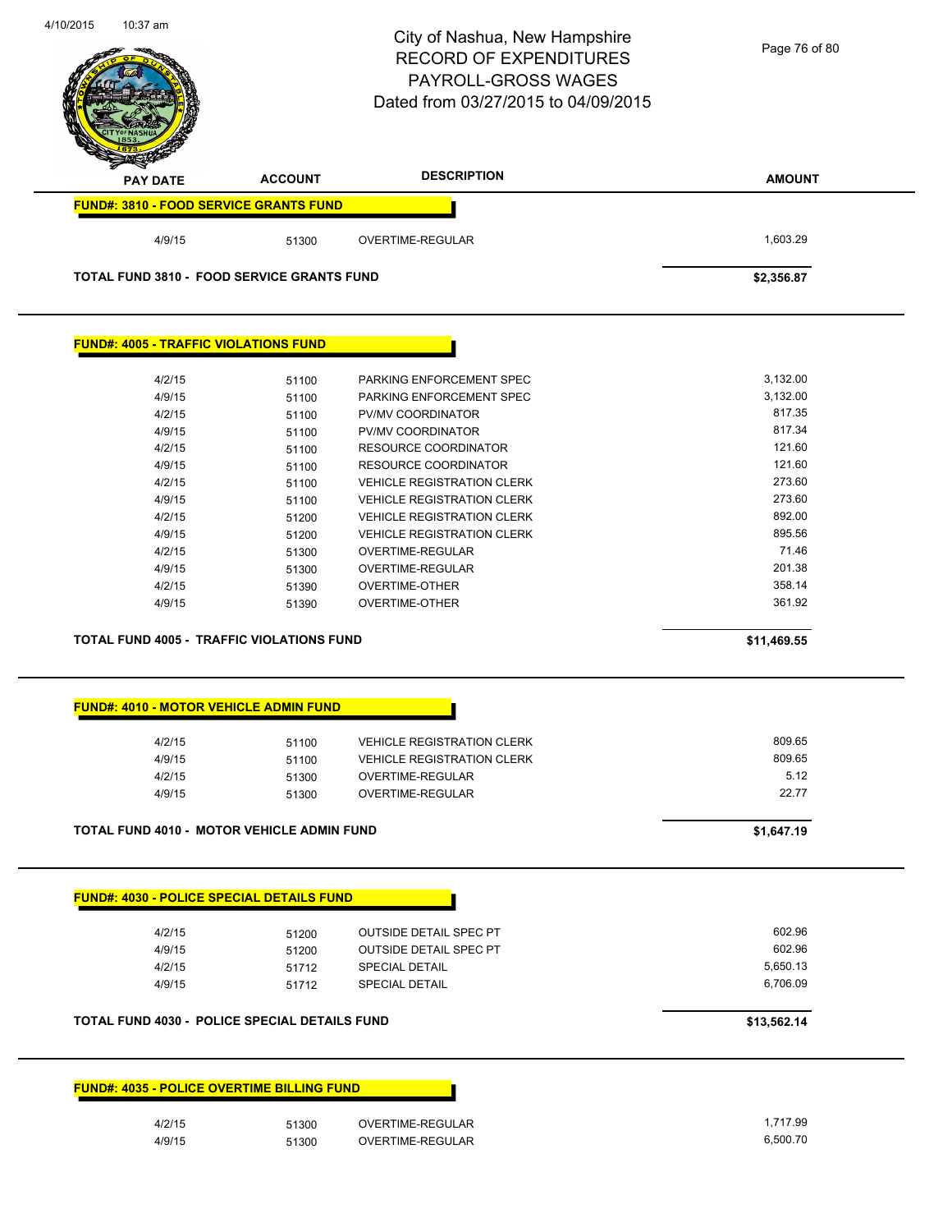| 4/10/2015<br>10:37 am                             |                | City of Nashua, New Hampshire<br><b>RECORD OF EXPENDITURES</b><br>PAYROLL-GROSS WAGES<br>Dated from 03/27/2015 to 04/09/2015 | Page 76 of 80    |
|---------------------------------------------------|----------------|------------------------------------------------------------------------------------------------------------------------------|------------------|
| <b>PAY DATE</b>                                   | <b>ACCOUNT</b> | <b>DESCRIPTION</b>                                                                                                           | <b>AMOUNT</b>    |
| <b>FUND#: 3810 - FOOD SERVICE GRANTS FUND</b>     |                |                                                                                                                              |                  |
| 4/9/15                                            | 51300          | OVERTIME-REGULAR                                                                                                             | 1,603.29         |
| <b>TOTAL FUND 3810 - FOOD SERVICE GRANTS FUND</b> |                |                                                                                                                              | \$2,356.87       |
| <b>FUND#: 4005 - TRAFFIC VIOLATIONS FUND</b>      |                |                                                                                                                              |                  |
| 4/2/15                                            | 51100          | PARKING ENFORCEMENT SPEC                                                                                                     | 3,132.00         |
| 4/9/15                                            | 51100          | PARKING ENFORCEMENT SPEC                                                                                                     | 3,132.00         |
| 4/2/15                                            | 51100          | PV/MV COORDINATOR                                                                                                            | 817.35           |
| 4/9/15                                            | 51100          | PV/MV COORDINATOR                                                                                                            | 817.34           |
| 4/2/15                                            | 51100          | <b>RESOURCE COORDINATOR</b>                                                                                                  | 121.60           |
| 4/9/15                                            | 51100          | RESOURCE COORDINATOR                                                                                                         | 121.60           |
| 4/2/15                                            | 51100          | <b>VEHICLE REGISTRATION CLERK</b>                                                                                            | 273.60<br>273.60 |
| 4/9/15<br>4/2/15                                  | 51100          | <b>VEHICLE REGISTRATION CLERK</b>                                                                                            | 892.00           |
| 4/9/15                                            | 51200<br>51200 | <b>VEHICLE REGISTRATION CLERK</b><br><b>VEHICLE REGISTRATION CLERK</b>                                                       | 895.56           |
| 4/2/15                                            | 51300          | OVERTIME-REGULAR                                                                                                             | 71.46            |
| 4/9/15                                            | 51300          | OVERTIME-REGULAR                                                                                                             | 201.38           |
| 4/2/15                                            | 51390          | <b>OVERTIME-OTHER</b>                                                                                                        | 358.14           |
| 4/9/15                                            | 51390          | <b>OVERTIME-OTHER</b>                                                                                                        | 361.92           |
|                                                   |                |                                                                                                                              |                  |
| <b>TOTAL FUND 4005 - TRAFFIC VIOLATIONS FUND</b>  |                |                                                                                                                              | \$11,469.55      |
| <b>FUND#: 4010 - MOTOR VEHICLE ADMIN FUND</b>     |                |                                                                                                                              |                  |
| 4/2/15                                            | 51100          | <b>VEHICLE REGISTRATION CLERK</b>                                                                                            | 809.65           |
| 4/9/15                                            | 51100          | <b>VEHICLE REGISTRATION CLERK</b>                                                                                            | 809.65           |
| 4/2/15                                            | 51300          | OVERTIME-REGULAR                                                                                                             | 5.12             |
| 4/9/15                                            | 51300          | <b>OVERTIME-REGULAR</b>                                                                                                      | 22.77            |
| <b>TOTAL FUND 4010 - MOTOR VEHICLE ADMIN FUND</b> |                |                                                                                                                              | \$1,647.19       |
| <b>FUND#: 4030 - POLICE SPECIAL DETAILS FUND</b>  |                |                                                                                                                              |                  |
| 4/2/15                                            | 51200          | <b>OUTSIDE DETAIL SPEC PT</b>                                                                                                | 602.96           |
| 4/9/15                                            | 51200          | <b>OUTSIDE DETAIL SPEC PT</b>                                                                                                | 602.96           |
| 4/2/15                                            | 51712          | <b>SPECIAL DETAIL</b>                                                                                                        | 5,650.13         |
| 4/9/15                                            | 51712          | <b>SPECIAL DETAIL</b>                                                                                                        | 6,706.09         |
| TOTAL FUND 4030 - POLICE SPECIAL DETAILS FUND     |                |                                                                                                                              | \$13,562.14      |
| <b>FUND#: 4035 - POLICE OVERTIME BILLING FUND</b> |                |                                                                                                                              |                  |
| 4/2/15                                            | 51300          | OVERTIME-REGULAR                                                                                                             | 1,717.99         |
| 4/9/15                                            | 51300          | OVERTIME-REGULAR                                                                                                             | 6,500.70         |
|                                                   |                |                                                                                                                              |                  |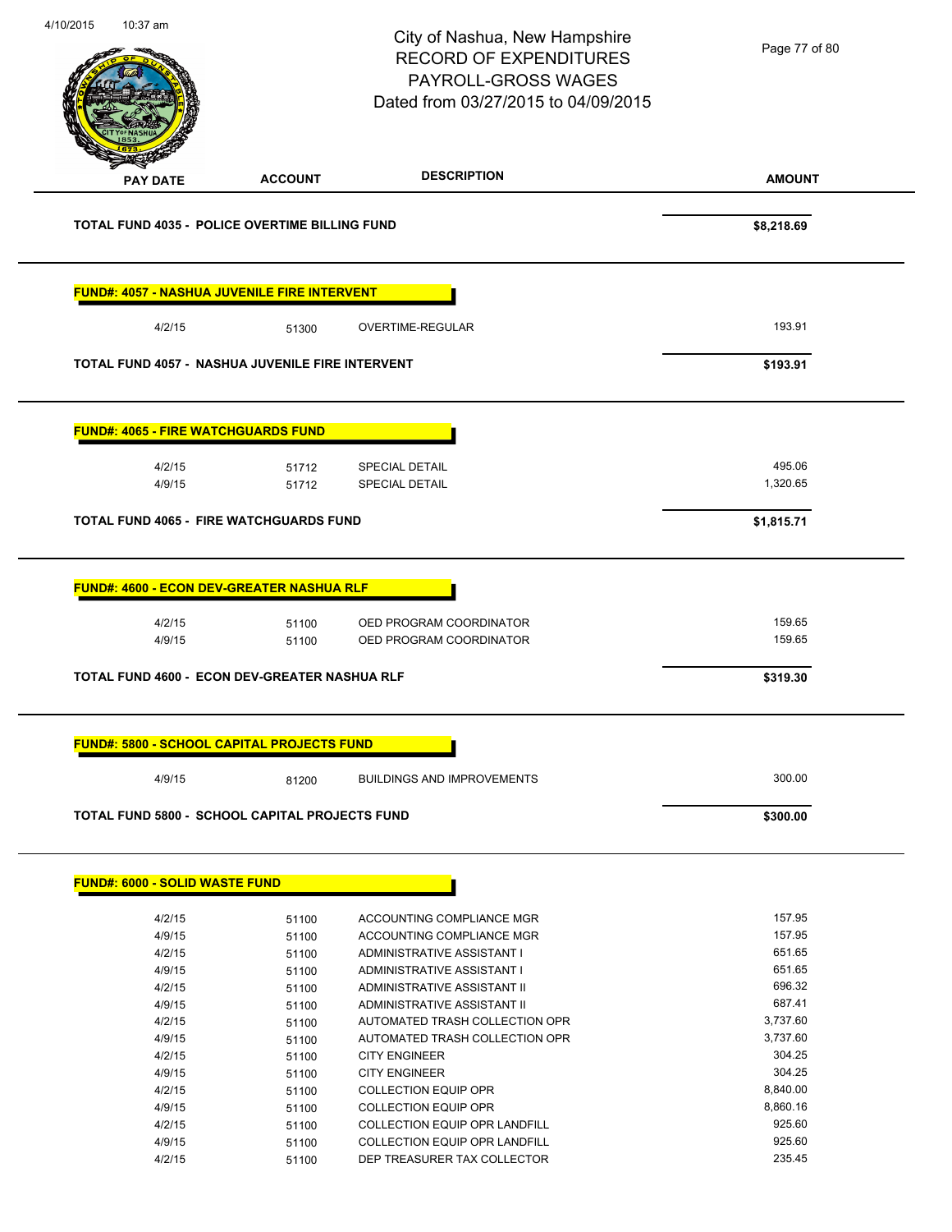| 4/10/2015 | 10:37 am                                                             |                | City of Nashua, New Hampshire<br><b>RECORD OF EXPENDITURES</b><br>PAYROLL-GROSS WAGES<br>Dated from 03/27/2015 to 04/09/2015 | Page 77 of 80      |
|-----------|----------------------------------------------------------------------|----------------|------------------------------------------------------------------------------------------------------------------------------|--------------------|
|           | <b>PAY DATE</b>                                                      | <b>ACCOUNT</b> | <b>DESCRIPTION</b>                                                                                                           | <b>AMOUNT</b>      |
|           | TOTAL FUND 4035 - POLICE OVERTIME BILLING FUND                       |                |                                                                                                                              | \$8,218.69         |
|           | <b>FUND#: 4057 - NASHUA JUVENILE FIRE INTERVENT</b>                  |                |                                                                                                                              |                    |
|           | 4/2/15                                                               | 51300          | <b>OVERTIME-REGULAR</b>                                                                                                      | 193.91             |
|           | TOTAL FUND 4057 - NASHUA JUVENILE FIRE INTERVENT                     |                |                                                                                                                              | \$193.91           |
|           | <b>FUND#: 4065 - FIRE WATCHGUARDS FUND</b>                           |                |                                                                                                                              |                    |
|           | 4/2/15<br>4/9/15                                                     | 51712<br>51712 | <b>SPECIAL DETAIL</b><br><b>SPECIAL DETAIL</b>                                                                               | 495.06<br>1,320.65 |
|           | <b>TOTAL FUND 4065 - FIRE WATCHGUARDS FUND</b>                       |                |                                                                                                                              | \$1,815.71         |
|           | <b>FUND#: 4600 - ECON DEV-GREATER NASHUA RLF</b><br>4/2/15<br>4/9/15 | 51100<br>51100 | OED PROGRAM COORDINATOR<br>OED PROGRAM COORDINATOR                                                                           | 159.65<br>159.65   |
|           | TOTAL FUND 4600 - ECON DEV-GREATER NASHUA RLF                        |                |                                                                                                                              | \$319.30           |
|           | <b>FUND#: 5800 - SCHOOL CAPITAL PROJECTS FUND</b>                    |                |                                                                                                                              |                    |
|           | 4/9/15                                                               | 81200          | <b>BUILDINGS AND IMPROVEMENTS</b>                                                                                            | 300.00             |
|           | <b>TOTAL FUND 5800 - SCHOOL CAPITAL PROJECTS FUND</b>                |                |                                                                                                                              | \$300.00           |
|           | <b>FUND#: 6000 - SOLID WASTE FUND</b>                                |                |                                                                                                                              |                    |
|           | 4/2/15                                                               | 51100          | ACCOUNTING COMPLIANCE MGR                                                                                                    | 157.95             |
|           | 4/9/15                                                               | 51100          | ACCOUNTING COMPLIANCE MGR                                                                                                    | 157.95             |
|           | 4/2/15                                                               | 51100          | ADMINISTRATIVE ASSISTANT I                                                                                                   | 651.65             |
|           | 4/9/15                                                               | 51100          | ADMINISTRATIVE ASSISTANT I                                                                                                   | 651.65<br>696.32   |
|           | 4/2/15<br>4/9/15                                                     | 51100<br>51100 | ADMINISTRATIVE ASSISTANT II<br>ADMINISTRATIVE ASSISTANT II                                                                   | 687.41             |
|           | 4/2/15                                                               | 51100          | AUTOMATED TRASH COLLECTION OPR                                                                                               | 3,737.60           |
|           | 4/9/15                                                               | 51100          | AUTOMATED TRASH COLLECTION OPR                                                                                               | 3,737.60           |
|           | 4/2/15                                                               | 51100          | <b>CITY ENGINEER</b>                                                                                                         | 304.25             |
|           | 4/9/15                                                               | 51100          | <b>CITY ENGINEER</b>                                                                                                         | 304.25             |
|           | 4/2/15                                                               | 51100          | <b>COLLECTION EQUIP OPR</b>                                                                                                  | 8,840.00           |
|           | 4/9/15                                                               | 51100          | <b>COLLECTION EQUIP OPR</b>                                                                                                  | 8,860.16           |
|           | 4/2/15                                                               | 51100          | <b>COLLECTION EQUIP OPR LANDFILL</b>                                                                                         | 925.60             |
|           | 4/9/15                                                               | 51100          | <b>COLLECTION EQUIP OPR LANDFILL</b>                                                                                         | 925.60             |
|           | 4/2/15                                                               | 51100          | DEP TREASURER TAX COLLECTOR                                                                                                  | 235.45             |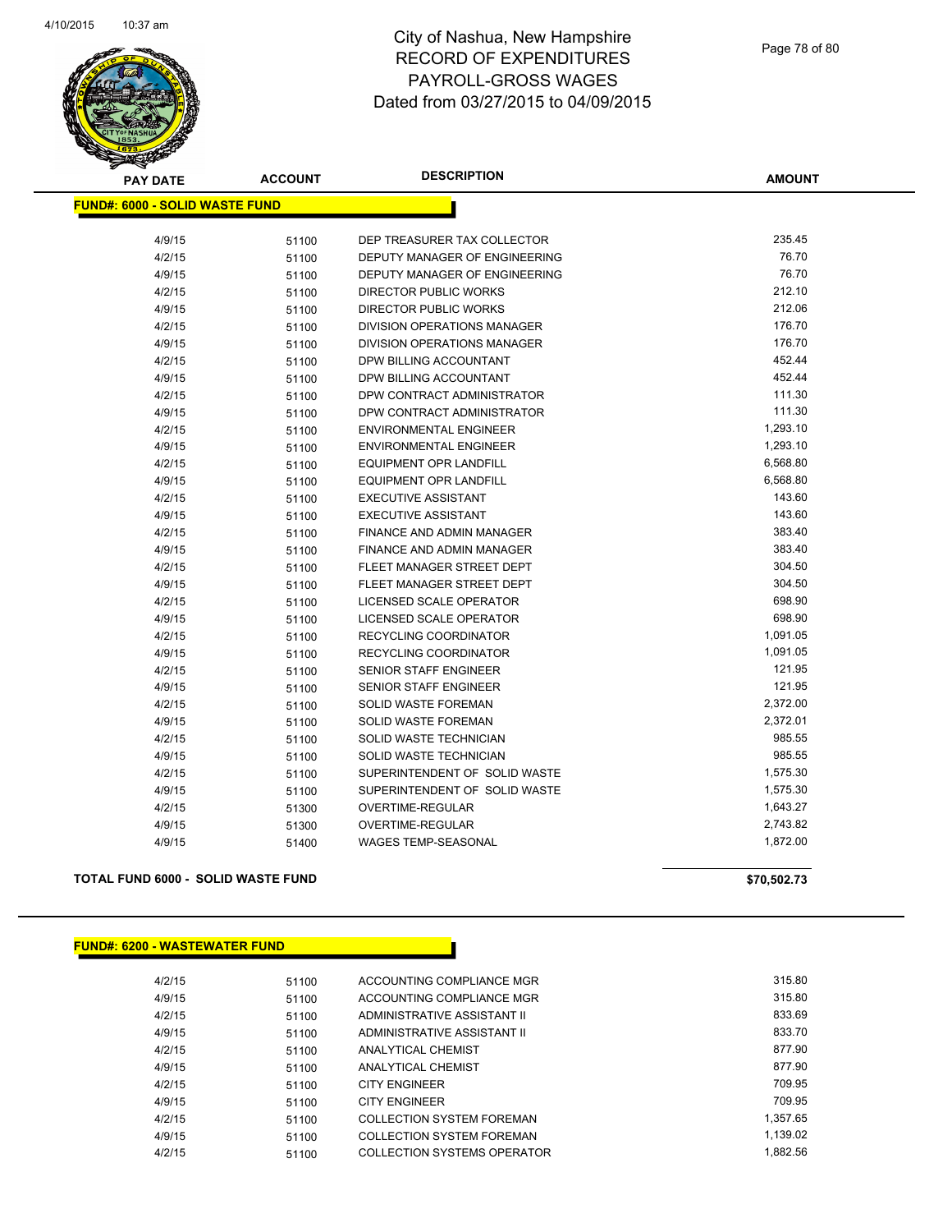

| <b>PAY DATE</b>                       | <b>ACCOUNT</b> | <b>DESCRIPTION</b>                 | <b>AMOUNT</b> |
|---------------------------------------|----------------|------------------------------------|---------------|
| <b>FUND#: 6000 - SOLID WASTE FUND</b> |                |                                    |               |
| 4/9/15                                | 51100          | DEP TREASURER TAX COLLECTOR        | 235.45        |
| 4/2/15                                | 51100          | DEPUTY MANAGER OF ENGINEERING      | 76.70         |
| 4/9/15                                | 51100          | DEPUTY MANAGER OF ENGINEERING      | 76.70         |
| 4/2/15                                | 51100          | <b>DIRECTOR PUBLIC WORKS</b>       | 212.10        |
| 4/9/15                                | 51100          | <b>DIRECTOR PUBLIC WORKS</b>       | 212.06        |
| 4/2/15                                | 51100          | <b>DIVISION OPERATIONS MANAGER</b> | 176.70        |
| 4/9/15                                | 51100          | <b>DIVISION OPERATIONS MANAGER</b> | 176.70        |
| 4/2/15                                | 51100          | DPW BILLING ACCOUNTANT             | 452.44        |
| 4/9/15                                | 51100          | DPW BILLING ACCOUNTANT             | 452.44        |
| 4/2/15                                | 51100          | DPW CONTRACT ADMINISTRATOR         | 111.30        |
| 4/9/15                                | 51100          | DPW CONTRACT ADMINISTRATOR         | 111.30        |
| 4/2/15                                | 51100          | <b>ENVIRONMENTAL ENGINEER</b>      | 1,293.10      |
| 4/9/15                                | 51100          | <b>ENVIRONMENTAL ENGINEER</b>      | 1,293.10      |
| 4/2/15                                | 51100          | <b>EQUIPMENT OPR LANDFILL</b>      | 6,568.80      |
| 4/9/15                                | 51100          | <b>EQUIPMENT OPR LANDFILL</b>      | 6,568.80      |
| 4/2/15                                | 51100          | <b>EXECUTIVE ASSISTANT</b>         | 143.60        |
| 4/9/15                                | 51100          | <b>EXECUTIVE ASSISTANT</b>         | 143.60        |
| 4/2/15                                | 51100          | FINANCE AND ADMIN MANAGER          | 383.40        |
| 4/9/15                                | 51100          | FINANCE AND ADMIN MANAGER          | 383.40        |
| 4/2/15                                | 51100          | FLEET MANAGER STREET DEPT          | 304.50        |
| 4/9/15                                | 51100          | FLEET MANAGER STREET DEPT          | 304.50        |
| 4/2/15                                | 51100          | LICENSED SCALE OPERATOR            | 698.90        |
| 4/9/15                                | 51100          | LICENSED SCALE OPERATOR            | 698.90        |
| 4/2/15                                | 51100          | RECYCLING COORDINATOR              | 1,091.05      |
| 4/9/15                                | 51100          | RECYCLING COORDINATOR              | 1,091.05      |
| 4/2/15                                | 51100          | SENIOR STAFF ENGINEER              | 121.95        |
| 4/9/15                                | 51100          | <b>SENIOR STAFF ENGINEER</b>       | 121.95        |
| 4/2/15                                | 51100          | SOLID WASTE FOREMAN                | 2,372.00      |
| 4/9/15                                | 51100          | SOLID WASTE FOREMAN                | 2,372.01      |
| 4/2/15                                | 51100          | SOLID WASTE TECHNICIAN             | 985.55        |
| 4/9/15                                | 51100          | SOLID WASTE TECHNICIAN             | 985.55        |
| 4/2/15                                | 51100          | SUPERINTENDENT OF SOLID WASTE      | 1,575.30      |
| 4/9/15                                | 51100          | SUPERINTENDENT OF SOLID WASTE      | 1,575.30      |
| 4/2/15                                | 51300          | OVERTIME-REGULAR                   | 1,643.27      |
| 4/9/15                                | 51300          | <b>OVERTIME-REGULAR</b>            | 2,743.82      |
| 4/9/15                                | 51400          | <b>WAGES TEMP-SEASONAL</b>         | 1,872.00      |
|                                       |                |                                    |               |

### **TOTAL FUND 6000 - SOLID WASTE FUND \$70,502.73**

### **FUND#: 6200 - WASTEWATER FUND**

| 4/2/15 | 51100 | ACCOUNTING COMPLIANCE MGR        | 315.80   |
|--------|-------|----------------------------------|----------|
| 4/9/15 | 51100 | ACCOUNTING COMPLIANCE MGR        | 315.80   |
| 4/2/15 | 51100 | ADMINISTRATIVE ASSISTANT II      | 833.69   |
| 4/9/15 | 51100 | ADMINISTRATIVE ASSISTANT II      | 833.70   |
| 4/2/15 | 51100 | <b>ANALYTICAL CHEMIST</b>        | 877.90   |
| 4/9/15 | 51100 | <b>ANALYTICAL CHEMIST</b>        | 877.90   |
| 4/2/15 | 51100 | <b>CITY ENGINEER</b>             | 709.95   |
| 4/9/15 | 51100 | <b>CITY ENGINEER</b>             | 709.95   |
| 4/2/15 | 51100 | <b>COLLECTION SYSTEM FOREMAN</b> | 1,357.65 |
| 4/9/15 | 51100 | <b>COLLECTION SYSTEM FOREMAN</b> | 1.139.02 |
| 4/2/15 | 51100 | COLLECTION SYSTEMS OPERATOR      | 1.882.56 |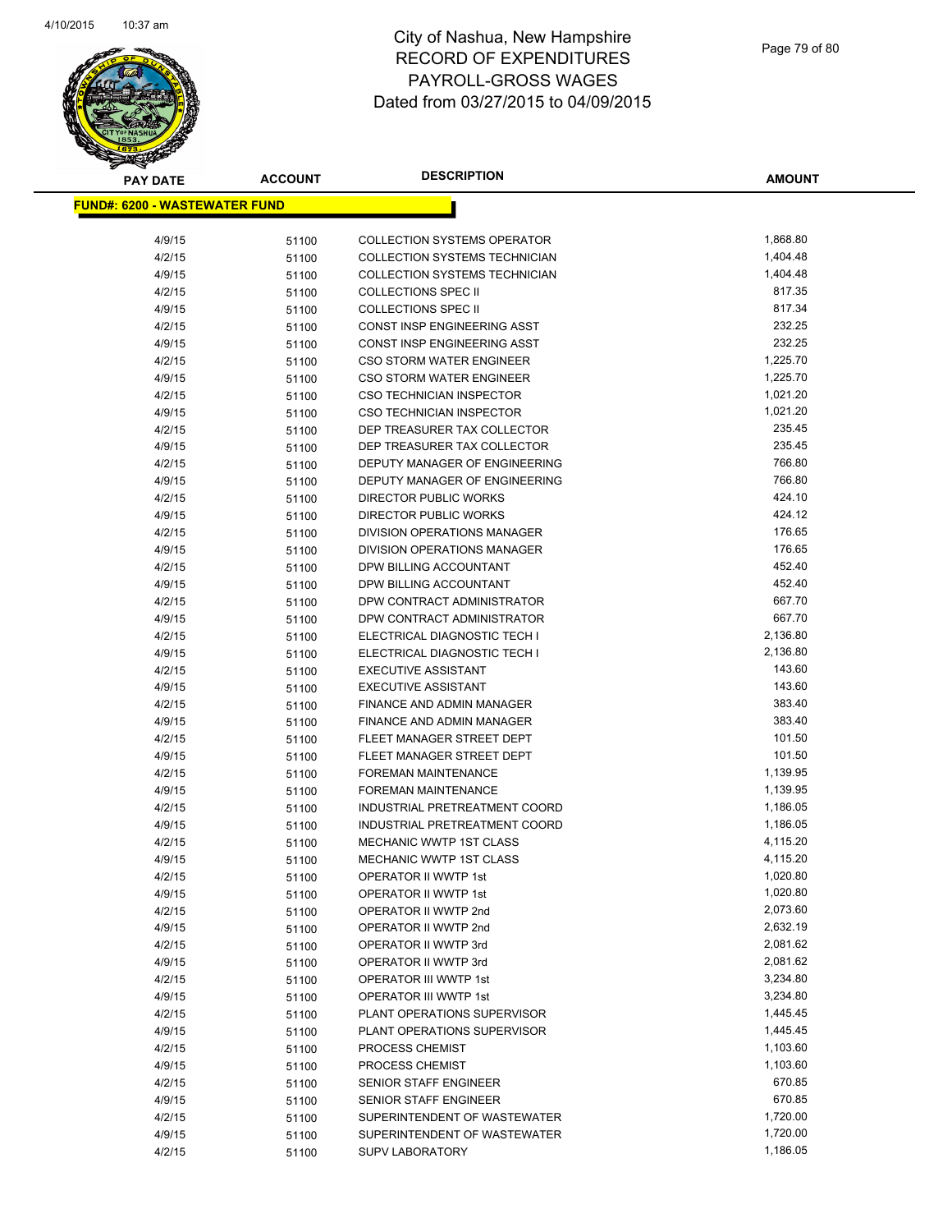

| <b>PAY DATE</b>                       | <b>ACCOUNT</b> | <b>DESCRIPTION</b>                                     | <b>AMOUNT</b>    |
|---------------------------------------|----------------|--------------------------------------------------------|------------------|
| <u> FUND#: 6200 - WASTEWATER FUND</u> |                |                                                        |                  |
|                                       |                |                                                        |                  |
| 4/9/15                                | 51100          | <b>COLLECTION SYSTEMS OPERATOR</b>                     | 1,868.80         |
| 4/2/15                                | 51100          | COLLECTION SYSTEMS TECHNICIAN                          | 1,404.48         |
| 4/9/15                                | 51100          | COLLECTION SYSTEMS TECHNICIAN                          | 1,404.48         |
| 4/2/15                                | 51100          | <b>COLLECTIONS SPEC II</b>                             | 817.35           |
| 4/9/15                                | 51100          | <b>COLLECTIONS SPEC II</b>                             | 817.34           |
| 4/2/15                                | 51100          | <b>CONST INSP ENGINEERING ASST</b>                     | 232.25           |
| 4/9/15                                | 51100          | CONST INSP ENGINEERING ASST                            | 232.25           |
| 4/2/15                                | 51100          | <b>CSO STORM WATER ENGINEER</b>                        | 1,225.70         |
| 4/9/15                                | 51100          | <b>CSO STORM WATER ENGINEER</b>                        | 1,225.70         |
| 4/2/15                                | 51100          | CSO TECHNICIAN INSPECTOR                               | 1,021.20         |
| 4/9/15                                | 51100          | <b>CSO TECHNICIAN INSPECTOR</b>                        | 1,021.20         |
| 4/2/15                                | 51100          | DEP TREASURER TAX COLLECTOR                            | 235.45           |
| 4/9/15                                | 51100          | DEP TREASURER TAX COLLECTOR                            | 235.45           |
| 4/2/15                                | 51100          | DEPUTY MANAGER OF ENGINEERING                          | 766.80           |
| 4/9/15                                | 51100          | DEPUTY MANAGER OF ENGINEERING                          | 766.80           |
| 4/2/15                                | 51100          | <b>DIRECTOR PUBLIC WORKS</b>                           | 424.10           |
| 4/9/15                                | 51100          | DIRECTOR PUBLIC WORKS                                  | 424.12           |
| 4/2/15                                | 51100          | DIVISION OPERATIONS MANAGER                            | 176.65           |
| 4/9/15                                | 51100          | DIVISION OPERATIONS MANAGER                            | 176.65           |
| 4/2/15                                | 51100          | DPW BILLING ACCOUNTANT                                 | 452.40           |
| 4/9/15                                | 51100          | DPW BILLING ACCOUNTANT                                 | 452.40           |
| 4/2/15                                | 51100          | DPW CONTRACT ADMINISTRATOR                             | 667.70           |
| 4/9/15                                | 51100          | DPW CONTRACT ADMINISTRATOR                             | 667.70           |
| 4/2/15                                | 51100          | ELECTRICAL DIAGNOSTIC TECH I                           | 2,136.80         |
| 4/9/15                                | 51100          | ELECTRICAL DIAGNOSTIC TECH I                           | 2,136.80         |
| 4/2/15                                | 51100          | <b>EXECUTIVE ASSISTANT</b>                             | 143.60           |
| 4/9/15                                | 51100          | <b>EXECUTIVE ASSISTANT</b>                             | 143.60<br>383.40 |
| 4/2/15<br>4/9/15                      | 51100          | FINANCE AND ADMIN MANAGER<br>FINANCE AND ADMIN MANAGER | 383.40           |
| 4/2/15                                | 51100<br>51100 | FLEET MANAGER STREET DEPT                              | 101.50           |
| 4/9/15                                | 51100          | FLEET MANAGER STREET DEPT                              | 101.50           |
| 4/2/15                                | 51100          | <b>FOREMAN MAINTENANCE</b>                             | 1,139.95         |
| 4/9/15                                | 51100          | FOREMAN MAINTENANCE                                    | 1,139.95         |
| 4/2/15                                | 51100          | INDUSTRIAL PRETREATMENT COORD                          | 1,186.05         |
| 4/9/15                                | 51100          | INDUSTRIAL PRETREATMENT COORD                          | 1,186.05         |
| 4/2/15                                | 51100          | <b>MECHANIC WWTP 1ST CLASS</b>                         | 4,115.20         |
| 4/9/15                                | 51100          | <b>MECHANIC WWTP 1ST CLASS</b>                         | 4,115.20         |
| 4/2/15                                | 51100          | OPERATOR II WWTP 1st                                   | 1,020.80         |
| 4/9/15                                | 51100          | OPERATOR II WWTP 1st                                   | 1,020.80         |
| 4/2/15                                | 51100          | OPERATOR II WWTP 2nd                                   | 2,073.60         |
| 4/9/15                                | 51100          | OPERATOR II WWTP 2nd                                   | 2,632.19         |
| 4/2/15                                | 51100          | OPERATOR II WWTP 3rd                                   | 2,081.62         |
| 4/9/15                                | 51100          | OPERATOR II WWTP 3rd                                   | 2,081.62         |
| 4/2/15                                | 51100          | OPERATOR III WWTP 1st                                  | 3,234.80         |
| 4/9/15                                | 51100          | OPERATOR III WWTP 1st                                  | 3,234.80         |
| 4/2/15                                | 51100          | PLANT OPERATIONS SUPERVISOR                            | 1,445.45         |
| 4/9/15                                | 51100          | PLANT OPERATIONS SUPERVISOR                            | 1,445.45         |
| 4/2/15                                | 51100          | PROCESS CHEMIST                                        | 1,103.60         |
| 4/9/15                                | 51100          | PROCESS CHEMIST                                        | 1,103.60         |
| 4/2/15                                | 51100          | <b>SENIOR STAFF ENGINEER</b>                           | 670.85           |
| 4/9/15                                | 51100          | SENIOR STAFF ENGINEER                                  | 670.85           |
| 4/2/15                                | 51100          | SUPERINTENDENT OF WASTEWATER                           | 1,720.00         |
| 4/9/15                                | 51100          | SUPERINTENDENT OF WASTEWATER                           | 1,720.00         |
| 4/2/15                                | 51100          | <b>SUPV LABORATORY</b>                                 | 1,186.05         |